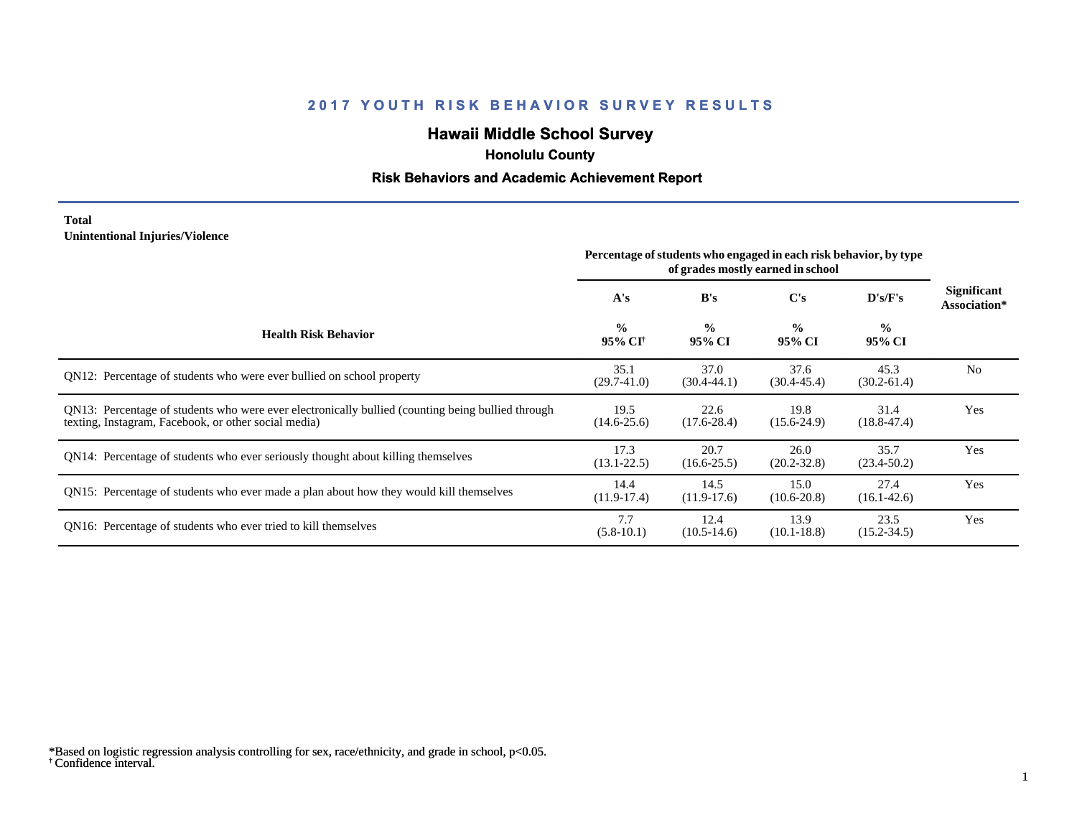# **Hawaii Middle School Survey**

 **Honolulu County**

## **Risk Behaviors and Academic Achievement Report**

#### **Total Unintentional Injuries/Violence**

|                                                                                                                                                           | Percentage of students who engaged in each risk behavior, by type<br>of grades mostly earned in school |                         |                         |                         |                                    |
|-----------------------------------------------------------------------------------------------------------------------------------------------------------|--------------------------------------------------------------------------------------------------------|-------------------------|-------------------------|-------------------------|------------------------------------|
|                                                                                                                                                           | A's                                                                                                    | B's                     | C's                     | D's/F's                 | <b>Significant</b><br>Association* |
| <b>Health Risk Behavior</b>                                                                                                                               | $\frac{0}{0}$<br>95% CI <sup>†</sup>                                                                   | $\frac{6}{6}$<br>95% CI | $\frac{0}{0}$<br>95% CI | $\frac{0}{0}$<br>95% CI |                                    |
| QN12: Percentage of students who were ever bullied on school property                                                                                     | 35.1<br>$(29.7 - 41.0)$                                                                                | 37.0<br>$(30.4 - 44.1)$ | 37.6<br>$(30.4 - 45.4)$ | 45.3<br>$(30.2 - 61.4)$ | N <sub>0</sub>                     |
| QN13: Percentage of students who were ever electronically bullied (counting being bullied through<br>texting, Instagram, Facebook, or other social media) | 19.5<br>$(14.6 - 25.6)$                                                                                | 22.6<br>$(17.6 - 28.4)$ | 19.8<br>$(15.6-24.9)$   | 31.4<br>$(18.8 - 47.4)$ | Yes                                |
| QN14: Percentage of students who ever seriously thought about killing themselves                                                                          | 17.3<br>$(13.1 - 22.5)$                                                                                | 20.7<br>$(16.6 - 25.5)$ | 26.0<br>$(20.2 - 32.8)$ | 35.7<br>$(23.4 - 50.2)$ | Yes                                |
| QN15: Percentage of students who ever made a plan about how they would kill themselves                                                                    | 14.4<br>$(11.9-17.4)$                                                                                  | 14.5<br>$(11.9-17.6)$   | 15.0<br>$(10.6 - 20.8)$ | 27.4<br>$(16.1 - 42.6)$ | Yes                                |
| QN16: Percentage of students who ever tried to kill themselves                                                                                            | 7.7<br>$(5.8-10.1)$                                                                                    | 12.4<br>$(10.5-14.6)$   | 13.9<br>$(10.1 - 18.8)$ | 23.5<br>$(15.2 - 34.5)$ | Yes                                |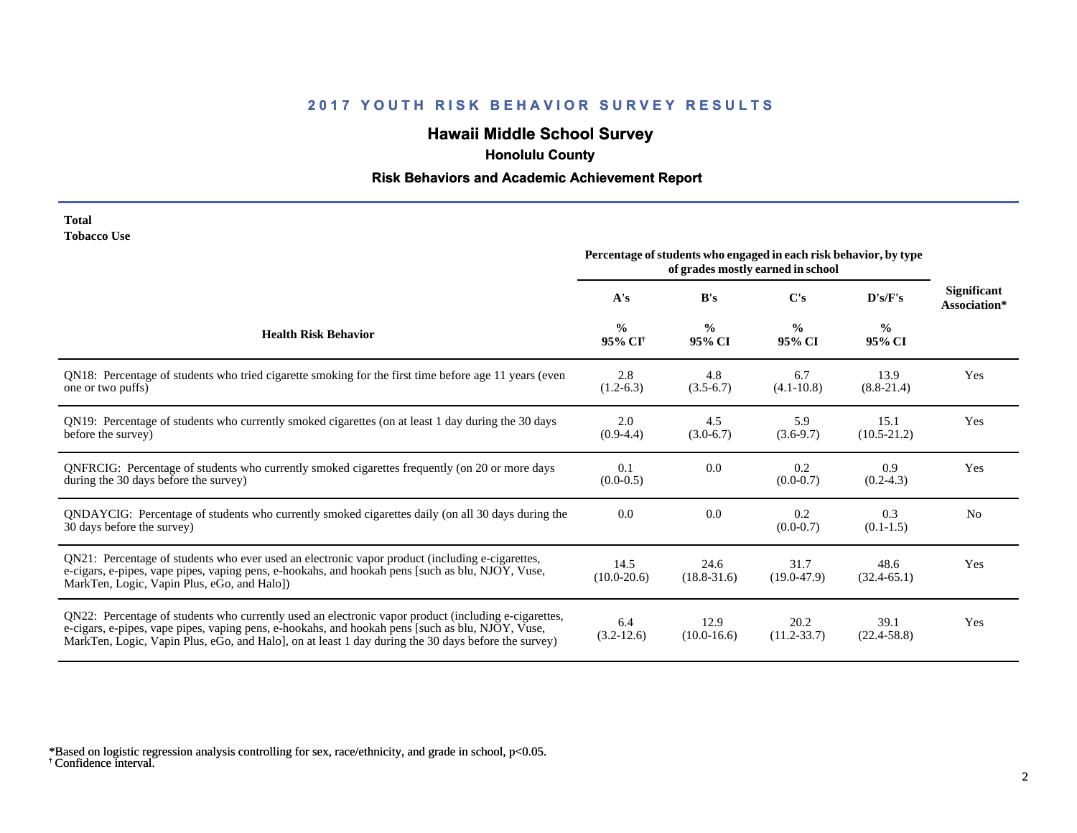# **Hawaii Middle School Survey**

 **Honolulu County**

## **Risk Behaviors and Academic Achievement Report**

| <b>Total</b>       |  |
|--------------------|--|
| <b>Tobacco Use</b> |  |

|                                                                                                                                                                                                                                                                                                                 | Percentage of students who engaged in each risk behavior, by type<br>of grades mostly earned in school |                         |                         |                         |                                    |
|-----------------------------------------------------------------------------------------------------------------------------------------------------------------------------------------------------------------------------------------------------------------------------------------------------------------|--------------------------------------------------------------------------------------------------------|-------------------------|-------------------------|-------------------------|------------------------------------|
|                                                                                                                                                                                                                                                                                                                 | A's                                                                                                    | B's                     | C's                     | D's/F's                 | <b>Significant</b><br>Association* |
| <b>Health Risk Behavior</b>                                                                                                                                                                                                                                                                                     | $\frac{0}{0}$<br>95% CI <sup>+</sup>                                                                   | $\frac{0}{0}$<br>95% CI | $\frac{0}{0}$<br>95% CI | $\frac{0}{0}$<br>95% CI |                                    |
| QN18: Percentage of students who tried cigarette smoking for the first time before age 11 years (even<br>one or two puffs)                                                                                                                                                                                      | 2.8<br>$(1.2-6.3)$                                                                                     | 4.8<br>$(3.5-6.7)$      | 6.7<br>$(4.1 - 10.8)$   | 13.9<br>$(8.8-21.4)$    | Yes                                |
| QN19: Percentage of students who currently smoked cigarettes (on at least 1 day during the 30 days<br>before the survey)                                                                                                                                                                                        | 2.0<br>$(0.9-4.4)$                                                                                     | 4.5<br>$(3.0-6.7)$      | 5.9<br>$(3.6-9.7)$      | 15.1<br>$(10.5 - 21.2)$ | Yes                                |
| QNFRCIG: Percentage of students who currently smoked cigarettes frequently (on 20 or more days<br>during the 30 days before the survey)                                                                                                                                                                         | 0.1<br>$(0.0-0.5)$                                                                                     | 0.0                     | 0.2<br>$(0.0 - 0.7)$    | 0.9<br>$(0.2-4.3)$      | Yes                                |
| QNDAYCIG: Percentage of students who currently smoked cigarettes daily (on all 30 days during the<br>30 days before the survey)                                                                                                                                                                                 | 0.0                                                                                                    | 0.0                     | 0.2<br>$(0.0-0.7)$      | 0.3<br>$(0.1-1.5)$      | N <sub>0</sub>                     |
| QN21: Percentage of students who ever used an electronic vapor product (including e-cigarettes,<br>e-cigars, e-pipes, vape pipes, vaping pens, e-hookahs, and hookah pens [such as blu, NJOY, Vuse,<br>MarkTen, Logic, Vapin Plus, eGo, and Halo])                                                              | 14.5<br>$(10.0 - 20.6)$                                                                                | 24.6<br>$(18.8 - 31.6)$ | 31.7<br>$(19.0 - 47.9)$ | 48.6<br>$(32.4 - 65.1)$ | Yes                                |
| QN22: Percentage of students who currently used an electronic vapor product (including e-cigarettes,<br>e-cigars, e-pipes, vape pipes, vaping pens, e-hookahs, and hookah pens [such as blu, NJOY, Vuse,<br>MarkTen, Logic, Vapin Plus, eGo, and Halo], on at least 1 day during the 30 days before the survey) | 6.4<br>$(3.2-12.6)$                                                                                    | 12.9<br>$(10.0-16.6)$   | 20.2<br>$(11.2 - 33.7)$ | 39.1<br>$(22.4 - 58.8)$ | Yes                                |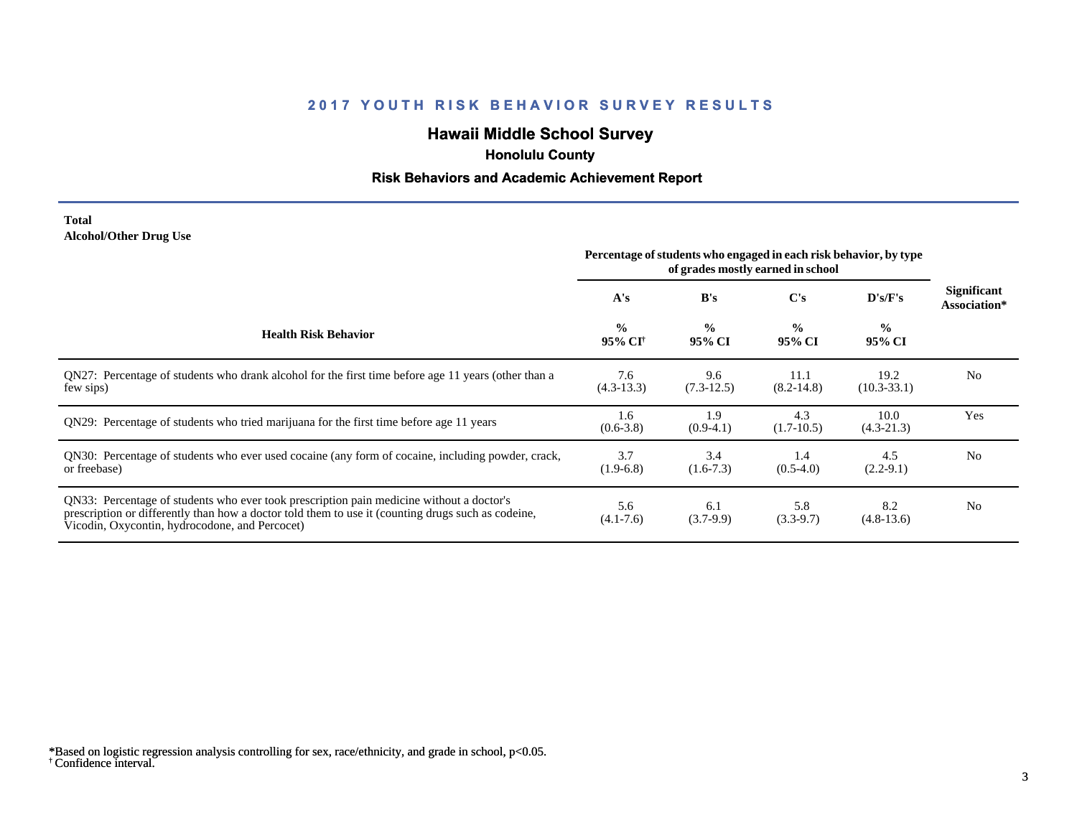# **Hawaii Middle School Survey**

 **Honolulu County**

## **Risk Behaviors and Academic Achievement Report**

#### **Total Alcohol/Other Drug Use**

|                                                                                                                                                                                                                                                  | Percentage of students who engaged in each risk behavior, by type<br>of grades mostly earned in school |                         |                         |                         |                             |
|--------------------------------------------------------------------------------------------------------------------------------------------------------------------------------------------------------------------------------------------------|--------------------------------------------------------------------------------------------------------|-------------------------|-------------------------|-------------------------|-----------------------------|
|                                                                                                                                                                                                                                                  | A's                                                                                                    | B's                     | C's                     | D's/F's                 | Significant<br>Association* |
| <b>Health Risk Behavior</b>                                                                                                                                                                                                                      | $\frac{0}{0}$<br>95% CI <sup>†</sup>                                                                   | $\frac{0}{0}$<br>95% CI | $\frac{0}{0}$<br>95% CI | $\frac{0}{0}$<br>95% CI |                             |
| QN27: Percentage of students who drank alcohol for the first time before age 11 years (other than a<br>few sips)                                                                                                                                 | 7.6<br>$(4.3-13.3)$                                                                                    | 9.6<br>$(7.3-12.5)$     | 11.1<br>$(8.2 - 14.8)$  | 19.2<br>$(10.3 - 33.1)$ | N <sub>0</sub>              |
| QN29: Percentage of students who tried marijuana for the first time before age 11 years                                                                                                                                                          | 1.6<br>$(0.6 - 3.8)$                                                                                   | 1.9<br>$(0.9-4.1)$      | 4.3<br>$(1.7-10.5)$     | 10.0<br>$(4.3-21.3)$    | Yes                         |
| QN30: Percentage of students who ever used cocaine (any form of cocaine, including powder, crack,<br>or freebase)                                                                                                                                | 3.7<br>$(1.9-6.8)$                                                                                     | 3.4<br>$(1.6-7.3)$      | 1.4<br>$(0.5-4.0)$      | 4.5<br>$(2.2-9.1)$      | N <sub>0</sub>              |
| QN33: Percentage of students who ever took prescription pain medicine without a doctor's<br>prescription or differently than how a doctor told them to use it (counting drugs such as codeine,<br>Vicodin, Oxycontin, hydrocodone, and Percocet) | 5.6<br>$(4.1 - 7.6)$                                                                                   | 6.1<br>$(3.7-9.9)$      | 5.8<br>$(3.3-9.7)$      | 8.2<br>$(4.8-13.6)$     | N <sub>0</sub>              |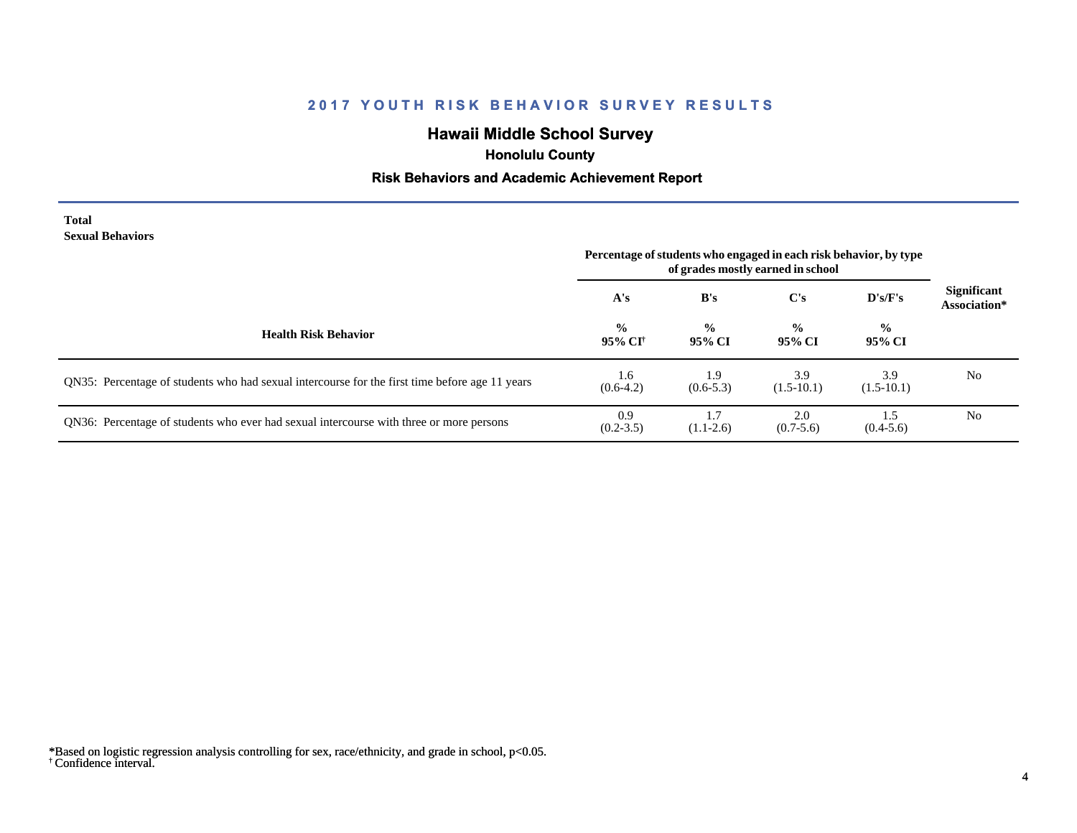# **Hawaii Middle School Survey**

 **Honolulu County**

## **Risk Behaviors and Academic Achievement Report**

| <b>Total</b>            |  |
|-------------------------|--|
| <b>Sexual Behaviors</b> |  |

|                                                                                                | Percentage of students who engaged in each risk behavior, by type<br>of grades mostly earned in school |                         |                         |                         |                             |
|------------------------------------------------------------------------------------------------|--------------------------------------------------------------------------------------------------------|-------------------------|-------------------------|-------------------------|-----------------------------|
|                                                                                                | A's                                                                                                    | B's                     | $\bf C's$               | $\bf{D's/F's}$          | Significant<br>Association* |
| <b>Health Risk Behavior</b>                                                                    | $\frac{0}{0}$<br>95% CI                                                                                | $\frac{0}{0}$<br>95% CI | $\frac{0}{0}$<br>95% CI | $\frac{0}{0}$<br>95% CI |                             |
| QN35: Percentage of students who had sexual intercourse for the first time before age 11 years | 1.6<br>$(0.6-4.2)$                                                                                     | 1.9<br>$(0.6-5.3)$      | 3.9<br>$(1.5-10.1)$     | 3.9<br>$(1.5-10.1)$     | N <sub>0</sub>              |
| QN36: Percentage of students who ever had sexual intercourse with three or more persons        | 0.9<br>$(0.2 - 3.5)$                                                                                   | $(1.1-2.6)$             | 2.0<br>$(0.7-5.6)$      | 1.5<br>$(0.4-5.6)$      | N <sub>0</sub>              |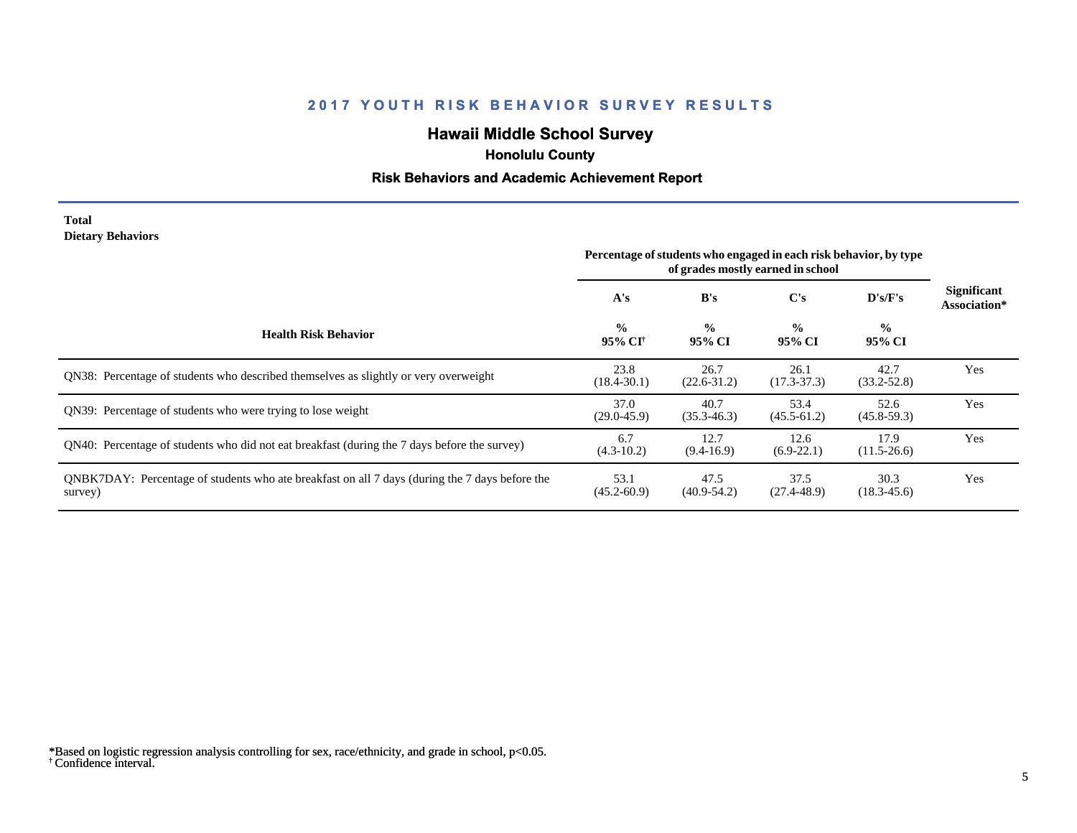# **Hawaii Middle School Survey**

 **Honolulu County**

## **Risk Behaviors and Academic Achievement Report**

#### **Total Dietary Behaviors**

|                                                                                                           | Percentage of students who engaged in each risk behavior, by type<br>of grades mostly earned in school |                         |                         |                          |                                    |
|-----------------------------------------------------------------------------------------------------------|--------------------------------------------------------------------------------------------------------|-------------------------|-------------------------|--------------------------|------------------------------------|
|                                                                                                           | A's                                                                                                    | B's                     | C's                     | D's/F's                  | <b>Significant</b><br>Association* |
| <b>Health Risk Behavior</b>                                                                               | $\frac{0}{0}$<br>95% CI <sup>+</sup>                                                                   | $\frac{0}{0}$<br>95% CI | $\frac{0}{0}$<br>95% CI | $\frac{6}{10}$<br>95% CI |                                    |
| QN38: Percentage of students who described themselves as slightly or very overweight                      | 23.8<br>$(18.4 - 30.1)$                                                                                | 26.7<br>$(22.6 - 31.2)$ | 26.1<br>$(17.3 - 37.3)$ | 42.7<br>$(33.2 - 52.8)$  | Yes                                |
| ON39: Percentage of students who were trying to lose weight                                               | 37.0<br>$(29.0 - 45.9)$                                                                                | 40.7<br>$(35.3 - 46.3)$ | 53.4<br>$(45.5-61.2)$   | 52.6<br>$(45.8 - 59.3)$  | Yes                                |
| QN40: Percentage of students who did not eat breakfast (during the 7 days before the survey)              | 6.7<br>$(4.3 - 10.2)$                                                                                  | 12.7<br>$(9.4-16.9)$    | 12.6<br>$(6.9-22.1)$    | 17.9<br>$(11.5-26.6)$    | Yes                                |
| QNBK7DAY: Percentage of students who ate breakfast on all 7 days (during the 7 days before the<br>survey) | 53.1<br>$(45.2 - 60.9)$                                                                                | 47.5<br>$(40.9 - 54.2)$ | 37.5<br>$(27.4 - 48.9)$ | 30.3<br>$(18.3 - 45.6)$  | Yes                                |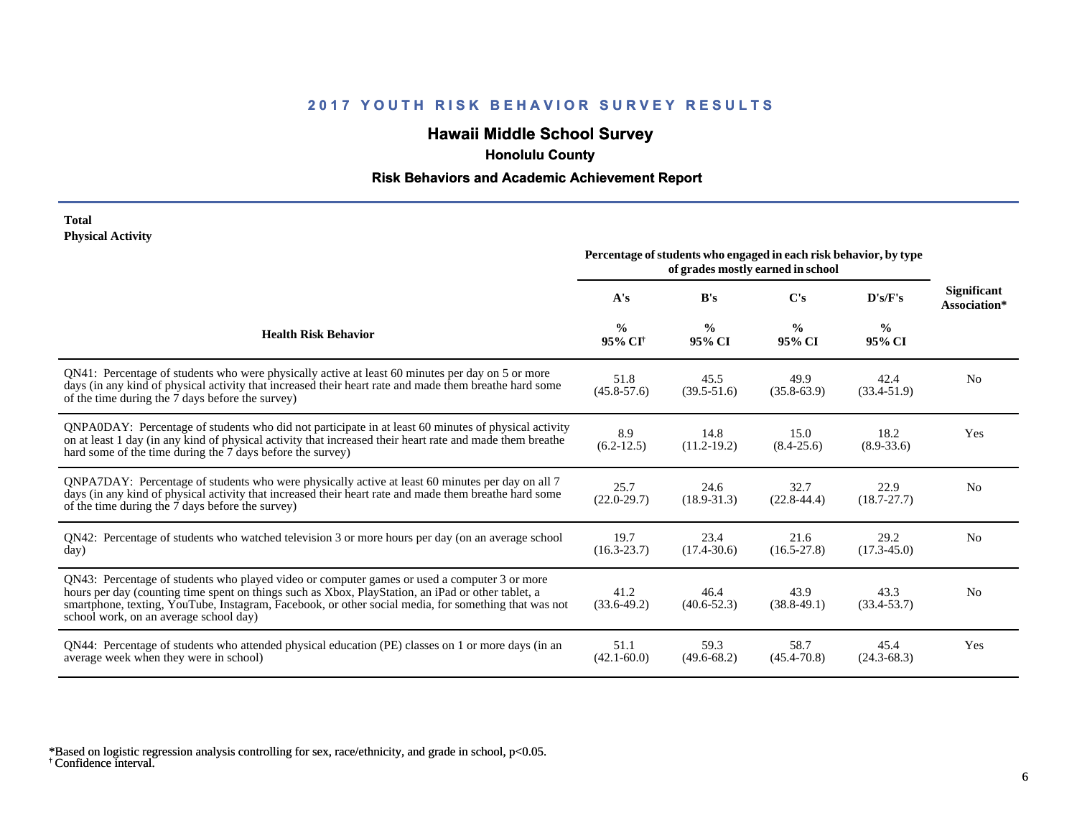# **Hawaii Middle School Survey**

 **Honolulu County**

## **Risk Behaviors and Academic Achievement Report**

#### **Total Physical Activity**

|                                                                                                                                                                                                                                                                                                                                                      | Percentage of students who engaged in each risk behavior, by type<br>of grades mostly earned in school |                         |                         |                         |                                    |
|------------------------------------------------------------------------------------------------------------------------------------------------------------------------------------------------------------------------------------------------------------------------------------------------------------------------------------------------------|--------------------------------------------------------------------------------------------------------|-------------------------|-------------------------|-------------------------|------------------------------------|
|                                                                                                                                                                                                                                                                                                                                                      | A's                                                                                                    | B's                     | $\bf C$ 's              | D's/F's                 | <b>Significant</b><br>Association* |
| <b>Health Risk Behavior</b>                                                                                                                                                                                                                                                                                                                          | $\frac{0}{0}$<br>95% CI <sup>†</sup>                                                                   | $\frac{0}{0}$<br>95% CI | $\frac{6}{9}$<br>95% CI | $\frac{0}{0}$<br>95% CI |                                    |
| QN41: Percentage of students who were physically active at least 60 minutes per day on 5 or more<br>days (in any kind of physical activity that increased their heart rate and made them breathe hard some<br>of the time during the 7 days before the survey)                                                                                       | 51.8<br>$(45.8 - 57.6)$                                                                                | 45.5<br>$(39.5 - 51.6)$ | 49.9<br>$(35.8 - 63.9)$ | 42.4<br>$(33.4 - 51.9)$ | N <sub>0</sub>                     |
| QNPA0DAY: Percentage of students who did not participate in at least 60 minutes of physical activity<br>on at least 1 day (in any kind of physical activity that increased their heart rate and made them breathe<br>hard some of the time during the 7 days before the survey)                                                                      | 8.9<br>$(6.2 - 12.5)$                                                                                  | 14.8<br>$(11.2 - 19.2)$ | 15.0<br>$(8.4 - 25.6)$  | 18.2<br>$(8.9 - 33.6)$  | Yes                                |
| QNPA7DAY: Percentage of students who were physically active at least 60 minutes per day on all 7<br>days (in any kind of physical activity that increased their heart rate and made them breathe hard some<br>of the time during the 7 days before the survey)                                                                                       | 25.7<br>$(22.0 - 29.7)$                                                                                | 24.6<br>$(18.9 - 31.3)$ | 32.7<br>$(22.8 - 44.4)$ | 22.9<br>$(18.7 - 27.7)$ | N <sub>0</sub>                     |
| QN42: Percentage of students who watched television 3 or more hours per day (on an average school<br>day)                                                                                                                                                                                                                                            | 19.7<br>$(16.3 - 23.7)$                                                                                | 23.4<br>$(17.4 - 30.6)$ | 21.6<br>$(16.5 - 27.8)$ | 29.2<br>$(17.3 - 45.0)$ | N <sub>0</sub>                     |
| QN43: Percentage of students who played video or computer games or used a computer 3 or more<br>hours per day (counting time spent on things such as Xbox, PlayStation, an iPad or other tablet, a<br>smartphone, texting, YouTube, Instagram, Facebook, or other social media, for something that was not<br>school work, on an average school day) | 41.2<br>$(33.6-49.2)$                                                                                  | 46.4<br>$(40.6 - 52.3)$ | 43.9<br>$(38.8-49.1)$   | 43.3<br>$(33.4 - 53.7)$ | No                                 |
| QN44: Percentage of students who attended physical education (PE) classes on 1 or more days (in an<br>average week when they were in school)                                                                                                                                                                                                         | 51.1<br>$(42.1 - 60.0)$                                                                                | 59.3<br>$(49.6 - 68.2)$ | 58.7<br>$(45.4 - 70.8)$ | 45.4<br>$(24.3 - 68.3)$ | Yes                                |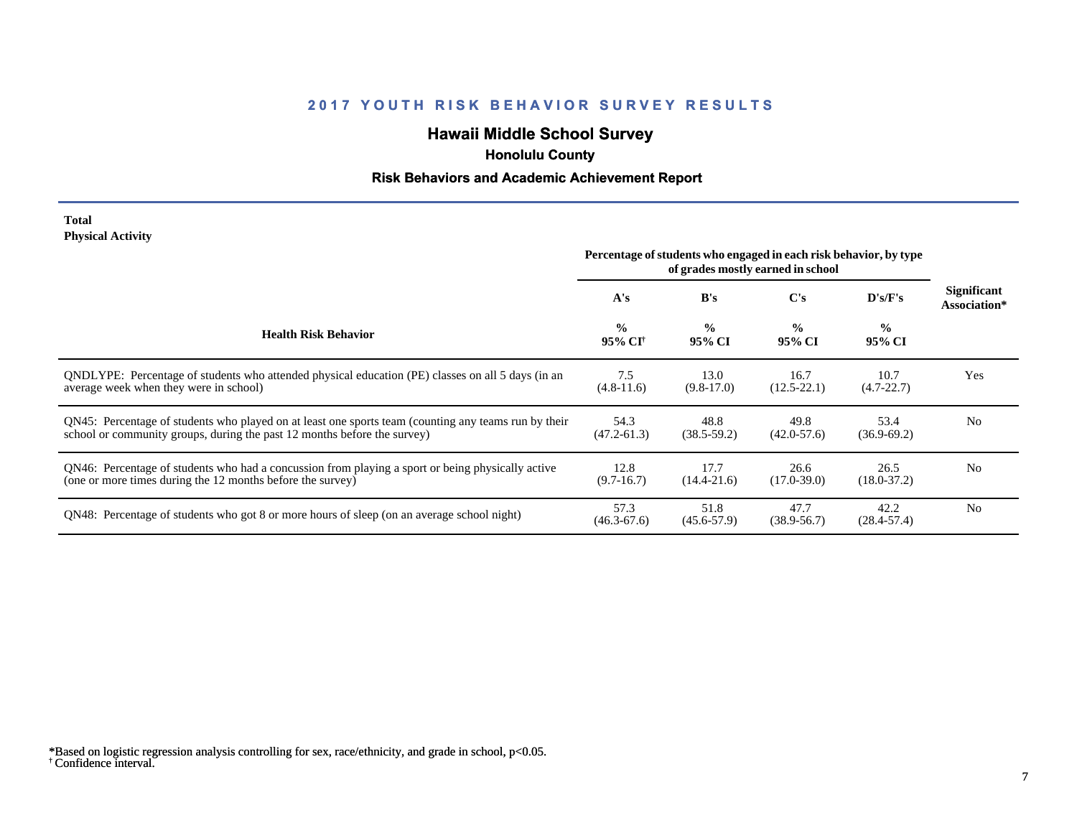# **Hawaii Middle School Survey**

 **Honolulu County**

## **Risk Behaviors and Academic Achievement Report**

#### **Total Physical Activity**

|                                                                                                                                                                                  | Percentage of students who engaged in each risk behavior, by type<br>of grades mostly earned in school |                         |                         |                          |                                    |
|----------------------------------------------------------------------------------------------------------------------------------------------------------------------------------|--------------------------------------------------------------------------------------------------------|-------------------------|-------------------------|--------------------------|------------------------------------|
|                                                                                                                                                                                  | A's                                                                                                    | B's                     | C's                     | $\bf{D}$ 's/ $\bf{F}$ 's | <b>Significant</b><br>Association* |
| <b>Health Risk Behavior</b>                                                                                                                                                      | $\frac{0}{0}$<br>95% CI†                                                                               | $\frac{0}{0}$<br>95% CI | $\frac{0}{0}$<br>95% CI | $\frac{0}{0}$<br>95% CI  |                                    |
| ONDLYPE: Percentage of students who attended physical education (PE) classes on all 5 days (in an<br>average week when they were in school)                                      | 7.5<br>$(4.8-11.6)$                                                                                    | 13.0<br>$(9.8-17.0)$    | 16.7<br>$(12.5 - 22.1)$ | 10.7<br>$(4.7 - 22.7)$   | Yes                                |
| QN45: Percentage of students who played on at least one sports team (counting any teams run by their<br>school or community groups, during the past 12 months before the survey) | 54.3<br>$(47.2 - 61.3)$                                                                                | 48.8<br>$(38.5-59.2)$   | 49.8<br>$(42.0 - 57.6)$ | 53.4<br>$(36.9 - 69.2)$  | N <sub>0</sub>                     |
| QN46: Percentage of students who had a concussion from playing a sport or being physically active<br>(one or more times during the 12 months before the survey)                  | 12.8<br>$(9.7-16.7)$                                                                                   | 17.7<br>$(14.4 - 21.6)$ | 26.6<br>$(17.0 - 39.0)$ | 26.5<br>$(18.0 - 37.2)$  | N <sub>0</sub>                     |
| QN48: Percentage of students who got 8 or more hours of sleep (on an average school night)                                                                                       | 57.3<br>$(46.3 - 67.6)$                                                                                | 51.8<br>$(45.6 - 57.9)$ | 47.7<br>$(38.9 - 56.7)$ | 42.2<br>$(28.4 - 57.4)$  | N <sub>0</sub>                     |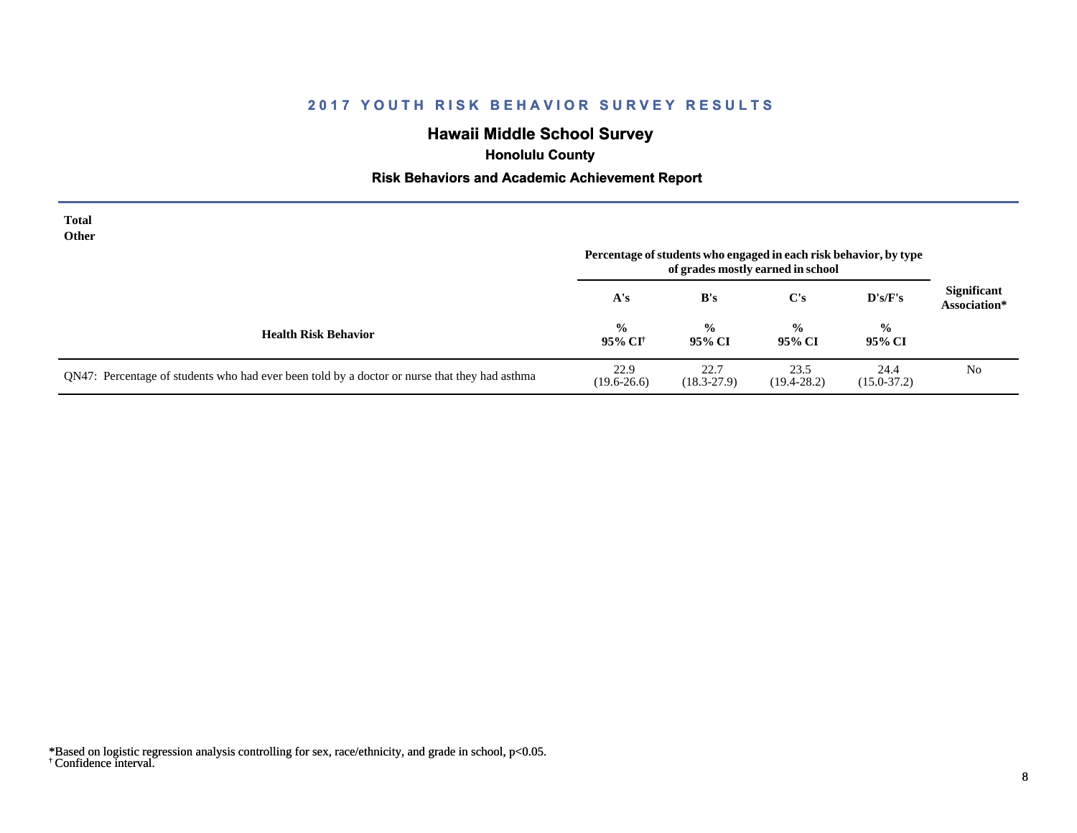# **Hawaii Middle School Survey**

 **Honolulu County**

## **Risk Behaviors and Academic Achievement Report**

| <b>Total</b><br>Other                                                                         | Percentage of students who engaged in each risk behavior, by type<br>of grades mostly earned in school |                         |                         |                         |                                    |
|-----------------------------------------------------------------------------------------------|--------------------------------------------------------------------------------------------------------|-------------------------|-------------------------|-------------------------|------------------------------------|
|                                                                                               | A's                                                                                                    | B's                     | $\bf C's$               | $\bf{D's/F's}$          | <b>Significant</b><br>Association* |
| <b>Health Risk Behavior</b>                                                                   | $\frac{0}{0}$<br>95% CI <sup>†</sup>                                                                   | $\frac{0}{0}$<br>95% CI | $\frac{6}{9}$<br>95% CI | $\frac{0}{0}$<br>95% CI |                                    |
| QN47: Percentage of students who had ever been told by a doctor or nurse that they had asthma | 22.9<br>$(19.6 - 26.6)$                                                                                | 22.7<br>$(18.3 - 27.9)$ | 23.5<br>$(19.4 - 28.2)$ | 24.4<br>$(15.0 - 37.2)$ | N <sub>0</sub>                     |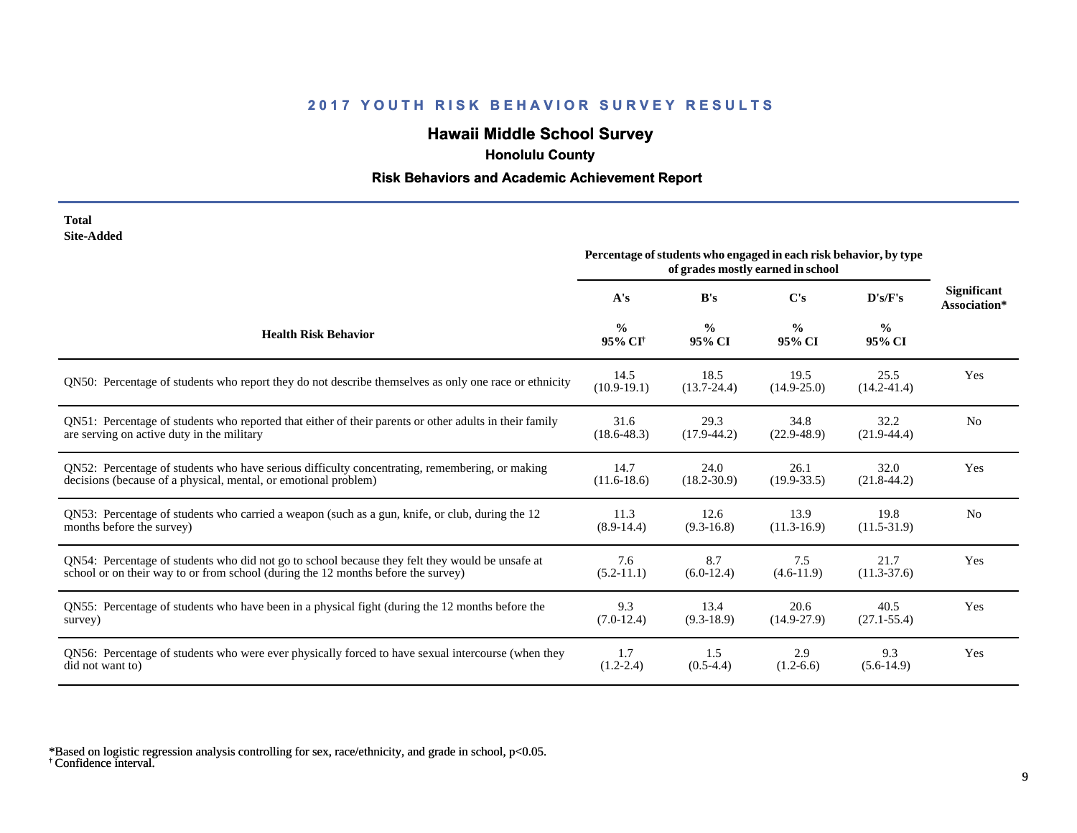# **Hawaii Middle School Survey**

 **Honolulu County**

## **Risk Behaviors and Academic Achievement Report**

| Total      |
|------------|
| Site-Added |

| one Auucu                                                                                              | Percentage of students who engaged in each risk behavior, by type<br>of grades mostly earned in school |                         |                         |                         |                                    |
|--------------------------------------------------------------------------------------------------------|--------------------------------------------------------------------------------------------------------|-------------------------|-------------------------|-------------------------|------------------------------------|
|                                                                                                        | A's                                                                                                    | B's                     | $\bf C's$               | D's/F's                 | <b>Significant</b><br>Association* |
| <b>Health Risk Behavior</b>                                                                            | $\frac{0}{0}$<br>95% CI <sup>+</sup>                                                                   | $\frac{0}{0}$<br>95% CI | $\frac{0}{0}$<br>95% CI | $\frac{6}{6}$<br>95% CI |                                    |
| QN50: Percentage of students who report they do not describe themselves as only one race or ethnicity  | 14.5<br>$(10.9-19.1)$                                                                                  | 18.5<br>$(13.7 - 24.4)$ | 19.5<br>$(14.9 - 25.0)$ | 25.5<br>$(14.2 - 41.4)$ | Yes                                |
| QN51: Percentage of students who reported that either of their parents or other adults in their family | 31.6                                                                                                   | 29.3                    | 34.8                    | 32.2                    | N <sub>0</sub>                     |
| are serving on active duty in the military                                                             | $(18.6 - 48.3)$                                                                                        | $(17.9-44.2)$           | $(22.9 - 48.9)$         | $(21.9-44.4)$           |                                    |
| QN52: Percentage of students who have serious difficulty concentrating, remembering, or making         | 14.7                                                                                                   | 24.0                    | 26.1                    | 32.0                    | Yes                                |
| decisions (because of a physical, mental, or emotional problem)                                        | $(11.6-18.6)$                                                                                          | $(18.2 - 30.9)$         | $(19.9 - 33.5)$         | $(21.8-44.2)$           |                                    |
| QN53: Percentage of students who carried a weapon (such as a gun, knife, or club, during the 12        | 11.3                                                                                                   | 12.6                    | 13.9                    | 19.8                    | N <sub>0</sub>                     |
| months before the survey)                                                                              | $(8.9-14.4)$                                                                                           | $(9.3-16.8)$            | $(11.3-16.9)$           | $(11.5-31.9)$           |                                    |
| QN54: Percentage of students who did not go to school because they felt they would be unsafe at        | 7.6                                                                                                    | 8.7                     | 7.5                     | 21.7                    | Yes                                |
| school or on their way to or from school (during the 12 months before the survey)                      | $(5.2-11.1)$                                                                                           | $(6.0-12.4)$            | $(4.6-11.9)$            | $(11.3-37.6)$           |                                    |
| QN55: Percentage of students who have been in a physical fight (during the 12 months before the        | 9.3                                                                                                    | 13.4                    | 20.6                    | 40.5                    | Yes                                |
| survey)                                                                                                | $(7.0-12.4)$                                                                                           | $(9.3-18.9)$            | $(14.9 - 27.9)$         | $(27.1 - 55.4)$         |                                    |
| QN56: Percentage of students who were ever physically forced to have sexual intercourse (when they     | 1.7                                                                                                    | 1.5                     | 2.9                     | 9.3                     | Yes                                |
| did not want to)                                                                                       | $(1.2 - 2.4)$                                                                                          | $(0.5-4.4)$             | $(1.2-6.6)$             | $(5.6-14.9)$            |                                    |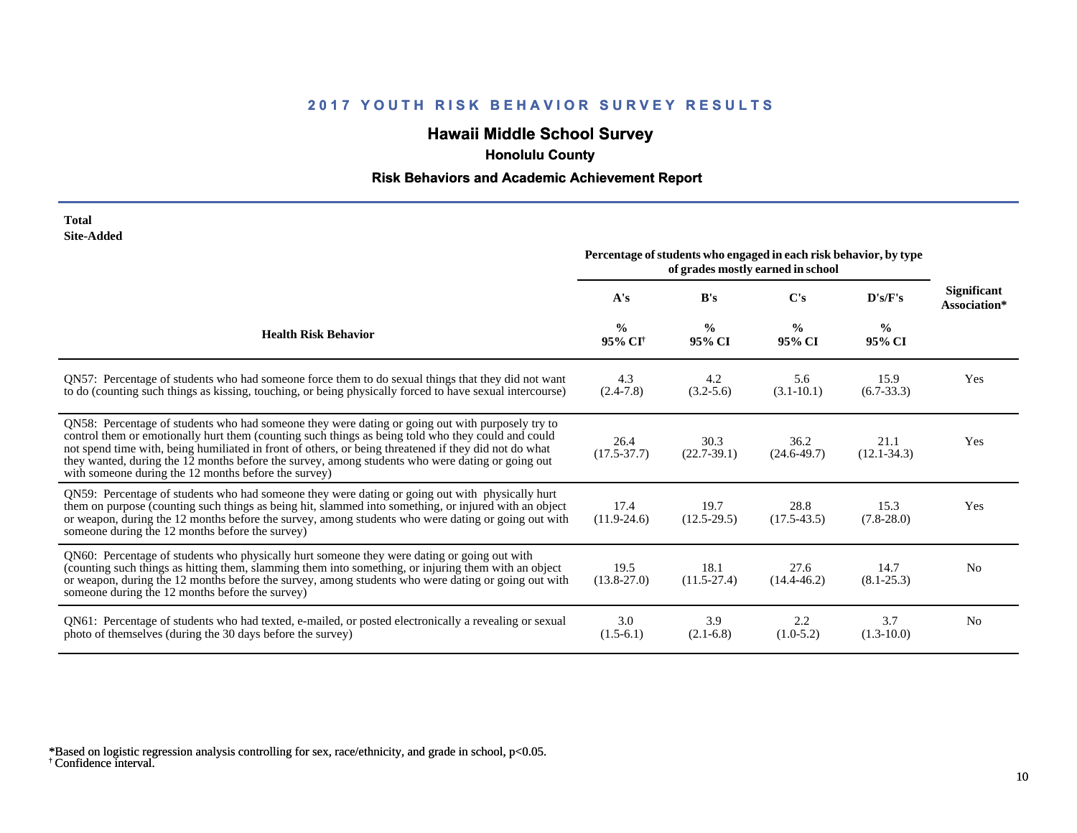# **Hawaii Middle School Survey**

 **Honolulu County**

## **Risk Behaviors and Academic Achievement Report**

| Total      |
|------------|
| Site-Added |

| one-nuuvu                                                                                                                                                                                                                                                                                                                                                                                                                                                                   | Percentage of students who engaged in each risk behavior, by type<br>of grades mostly earned in school |                         |                         |                         |                             |
|-----------------------------------------------------------------------------------------------------------------------------------------------------------------------------------------------------------------------------------------------------------------------------------------------------------------------------------------------------------------------------------------------------------------------------------------------------------------------------|--------------------------------------------------------------------------------------------------------|-------------------------|-------------------------|-------------------------|-----------------------------|
|                                                                                                                                                                                                                                                                                                                                                                                                                                                                             | A's                                                                                                    | B's                     | C's                     | D's/F's                 | Significant<br>Association* |
| <b>Health Risk Behavior</b>                                                                                                                                                                                                                                                                                                                                                                                                                                                 | $\frac{0}{0}$<br>95% CI <sup>†</sup>                                                                   | $\frac{0}{0}$<br>95% CI | $\frac{0}{0}$<br>95% CI | $\frac{0}{0}$<br>95% CI |                             |
| QN57: Percentage of students who had someone force them to do sexual things that they did not want<br>to do (counting such things as kissing, touching, or being physically forced to have sexual intercourse)                                                                                                                                                                                                                                                              | 4.3<br>$(2.4-7.8)$                                                                                     | 4.2<br>$(3.2 - 5.6)$    | 5.6<br>$(3.1 - 10.1)$   | 15.9<br>$(6.7-33.3)$    | Yes                         |
| QN58: Percentage of students who had someone they were dating or going out with purposely try to<br>control them or emotionally hurt them (counting such things as being told who they could and could<br>not spend time with, being humiliated in front of others, or being threatened if they did not do what<br>they wanted, during the 12 months before the survey, among students who were dating or going out<br>with someone during the 12 months before the survey) | 26.4<br>$(17.5 - 37.7)$                                                                                | 30.3<br>$(22.7-39.1)$   | 36.2<br>$(24.6 - 49.7)$ | 21.1<br>$(12.1 - 34.3)$ | Yes                         |
| QN59: Percentage of students who had someone they were dating or going out with physically hurt<br>them on purpose (counting such things as being hit, slammed into something, or injured with an object<br>or weapon, during the 12 months before the survey, among students who were dating or going out with<br>someone during the 12 months before the survey)                                                                                                          | 17.4<br>$(11.9-24.6)$                                                                                  | 19.7<br>$(12.5-29.5)$   | 28.8<br>$(17.5-43.5)$   | 15.3<br>$(7.8-28.0)$    | Yes                         |
| QN60: Percentage of students who physically hurt someone they were dating or going out with<br>(counting such things as hitting them, slamming them into something, or injuring them with an object<br>or weapon, during the 12 months before the survey, among students who were dating or going out with<br>someone during the 12 months before the survey)                                                                                                               | 19.5<br>$(13.8 - 27.0)$                                                                                | 18.1<br>$(11.5-27.4)$   | 27.6<br>$(14.4 - 46.2)$ | 14.7<br>$(8.1 - 25.3)$  | N <sub>0</sub>              |
| QN61: Percentage of students who had texted, e-mailed, or posted electronically a revealing or sexual<br>photo of themselves (during the 30 days before the survey)                                                                                                                                                                                                                                                                                                         | 3.0<br>$(1.5-6.1)$                                                                                     | 3.9<br>$(2.1-6.8)$      | 2.2<br>$(1.0-5.2)$      | 3.7<br>$(1.3-10.0)$     | N <sub>0</sub>              |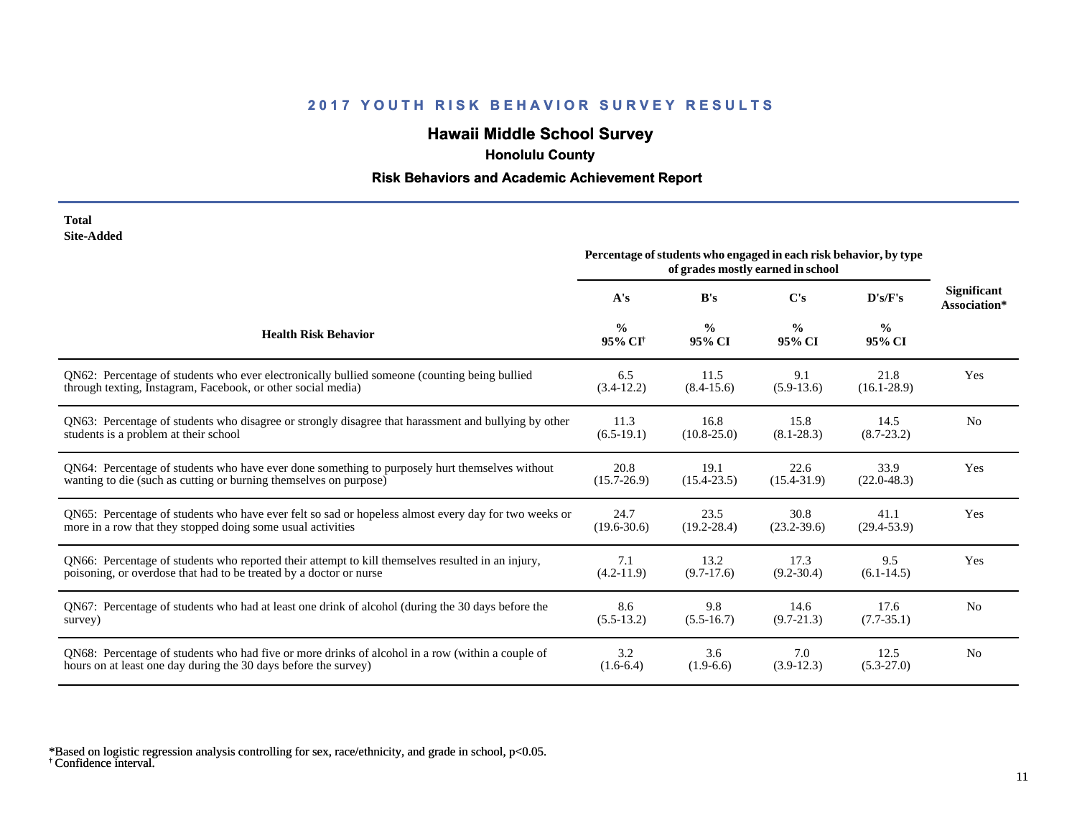# **Hawaii Middle School Survey**

 **Honolulu County**

## **Risk Behaviors and Academic Achievement Report**

| Total             |
|-------------------|
| <b>Site-Added</b> |

|                                                                                                      | Percentage of students who engaged in each risk behavior, by type<br>of grades mostly earned in school |                         |                         |                         |                                    |
|------------------------------------------------------------------------------------------------------|--------------------------------------------------------------------------------------------------------|-------------------------|-------------------------|-------------------------|------------------------------------|
|                                                                                                      | A's                                                                                                    | B's                     | $\bf C's$               | D's/F's                 | <b>Significant</b><br>Association* |
| <b>Health Risk Behavior</b>                                                                          | $\frac{0}{0}$<br>95% CI <sup>+</sup>                                                                   | $\frac{0}{0}$<br>95% CI | $\frac{0}{0}$<br>95% CI | $\frac{0}{0}$<br>95% CI |                                    |
| QN62: Percentage of students who ever electronically bullied someone (counting being bullied         | 6.5                                                                                                    | 11.5                    | 9.1                     | 21.8                    | Yes                                |
| through texting, Instagram, Facebook, or other social media)                                         | $(3.4-12.2)$                                                                                           | $(8.4 - 15.6)$          | $(5.9-13.6)$            | $(16.1 - 28.9)$         |                                    |
| QN63: Percentage of students who disagree or strongly disagree that harassment and bullying by other | 11.3                                                                                                   | 16.8                    | 15.8                    | 14.5                    | No                                 |
| students is a problem at their school                                                                | $(6.5-19.1)$                                                                                           | $(10.8 - 25.0)$         | $(8.1 - 28.3)$          | $(8.7 - 23.2)$          |                                    |
| QN64: Percentage of students who have ever done something to purposely hurt themselves without       | 20.8                                                                                                   | 19.1                    | 22.6                    | 33.9                    | Yes                                |
| wanting to die (such as cutting or burning themselves on purpose)                                    | $(15.7 - 26.9)$                                                                                        | $(15.4 - 23.5)$         | $(15.4 - 31.9)$         | $(22.0 - 48.3)$         |                                    |
| QN65: Percentage of students who have ever felt so sad or hopeless almost every day for two weeks or | 24.7                                                                                                   | 23.5                    | 30.8                    | 41.1                    | Yes                                |
| more in a row that they stopped doing some usual activities                                          | $(19.6 - 30.6)$                                                                                        | $(19.2 - 28.4)$         | $(23.2 - 39.6)$         | $(29.4 - 53.9)$         |                                    |
| QN66: Percentage of students who reported their attempt to kill themselves resulted in an injury,    | 7.1                                                                                                    | 13.2                    | 17.3                    | 9.5                     | Yes                                |
| poisoning, or overdose that had to be treated by a doctor or nurse                                   | $(4.2 - 11.9)$                                                                                         | $(9.7-17.6)$            | $(9.2 - 30.4)$          | $(6.1-14.5)$            |                                    |
| QN67: Percentage of students who had at least one drink of alcohol (during the 30 days before the    | 8.6                                                                                                    | 9.8                     | 14.6                    | 17.6                    | N <sub>0</sub>                     |
| survey)                                                                                              | $(5.5-13.2)$                                                                                           | $(5.5-16.7)$            | $(9.7 - 21.3)$          | $(7.7-35.1)$            |                                    |
| ON68: Percentage of students who had five or more drinks of alcohol in a row (within a couple of     | 3.2                                                                                                    | 3.6                     | 7.0                     | 12.5                    | N <sub>0</sub>                     |
| hours on at least one day during the 30 days before the survey)                                      | $(1.6-6.4)$                                                                                            | $(1.9-6.6)$             | $(3.9-12.3)$            | $(5.3 - 27.0)$          |                                    |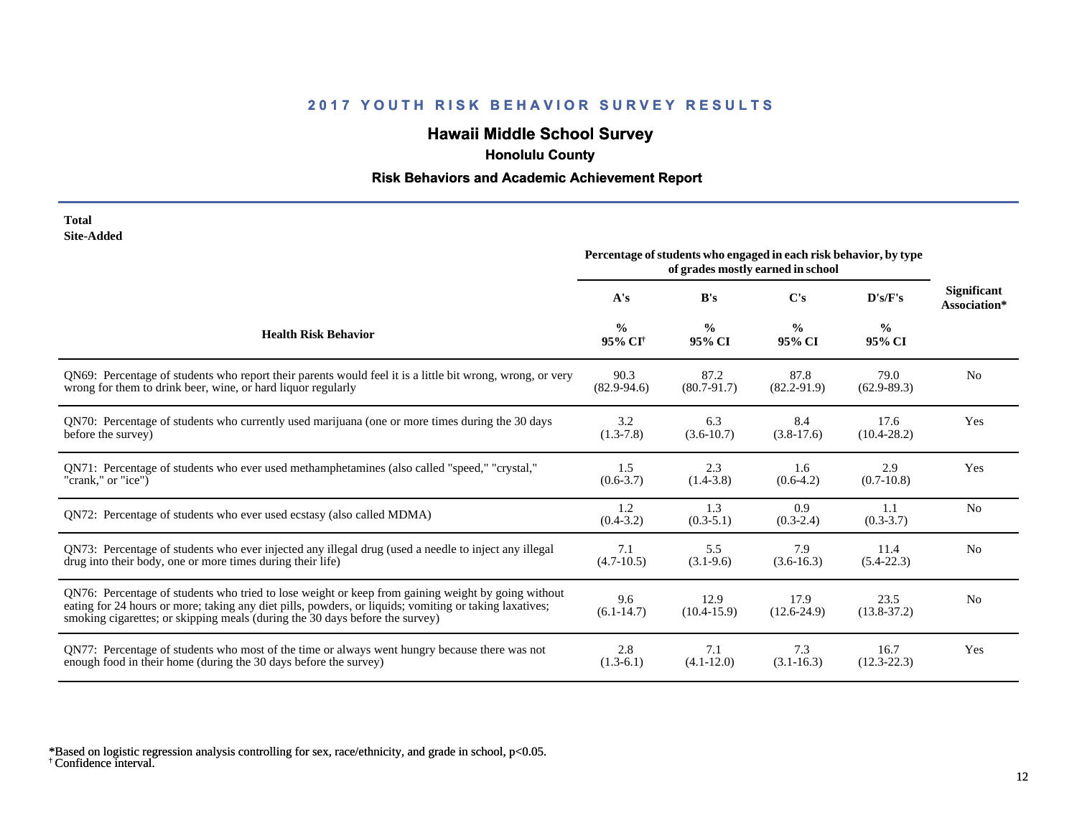# **Hawaii Middle School Survey**

 **Honolulu County**

## **Risk Behaviors and Academic Achievement Report**

| Total             |
|-------------------|
| <b>Site-Added</b> |

| one maara                                                                                                                                                                                                                                                                                    | Percentage of students who engaged in each risk behavior, by type<br>of grades mostly earned in school      |                         |                         |                       |                                    |
|----------------------------------------------------------------------------------------------------------------------------------------------------------------------------------------------------------------------------------------------------------------------------------------------|-------------------------------------------------------------------------------------------------------------|-------------------------|-------------------------|-----------------------|------------------------------------|
|                                                                                                                                                                                                                                                                                              | A's                                                                                                         | B's                     | C's                     | D's/F's               | <b>Significant</b><br>Association* |
| <b>Health Risk Behavior</b>                                                                                                                                                                                                                                                                  | $\frac{0}{0}$<br>$\frac{0}{0}$<br>$\frac{0}{0}$<br>$\frac{0}{0}$<br>95% CI <sup>+</sup><br>95% CI<br>95% CI |                         | 95% CI                  |                       |                                    |
| QN69: Percentage of students who report their parents would feel it is a little bit wrong, wrong, or very                                                                                                                                                                                    | 90.3                                                                                                        | 87.2                    | 87.8                    | 79.0                  | N <sub>0</sub>                     |
| wrong for them to drink beer, wine, or hard liquor regularly                                                                                                                                                                                                                                 | $(82.9 - 94.6)$                                                                                             | $(80.7 - 91.7)$         | $(82.2 - 91.9)$         | $(62.9 - 89.3)$       |                                    |
| QN70: Percentage of students who currently used marijuana (one or more times during the 30 days                                                                                                                                                                                              | 3.2                                                                                                         | 6.3                     | 8.4                     | 17.6                  | Yes                                |
| before the survey)                                                                                                                                                                                                                                                                           | $(1.3 - 7.8)$                                                                                               | $(3.6-10.7)$            | $(3.8-17.6)$            | $(10.4 - 28.2)$       |                                    |
| ON71: Percentage of students who ever used methamphetamines (also called "speed," "crystal,"                                                                                                                                                                                                 | 1.5                                                                                                         | 2.3                     | 1.6                     | 2.9                   | Yes                                |
| "crank," or "ice")                                                                                                                                                                                                                                                                           | $(0.6 - 3.7)$                                                                                               | $(1.4-3.8)$             | $(0.6-4.2)$             | $(0.7-10.8)$          |                                    |
| QN72: Percentage of students who ever used ecstasy (also called MDMA)                                                                                                                                                                                                                        | 1.2<br>$(0.4 - 3.2)$                                                                                        | 1.3<br>$(0.3-5.1)$      | 0.9<br>$(0.3-2.4)$      | 1.1<br>$(0.3-3.7)$    | N <sub>0</sub>                     |
| QN73: Percentage of students who ever injected any illegal drug (used a needle to inject any illegal                                                                                                                                                                                         | 7.1                                                                                                         | 5.5                     | 7.9                     | 11.4                  | N <sub>0</sub>                     |
| drug into their body, one or more times during their life)                                                                                                                                                                                                                                   | $(4.7-10.5)$                                                                                                | $(3.1-9.6)$             | $(3.6-16.3)$            | $(5.4-22.3)$          |                                    |
| QN76: Percentage of students who tried to lose weight or keep from gaining weight by going without<br>eating for 24 hours or more; taking any diet pills, powders, or liquids; vomiting or taking laxatives;<br>smoking cigarettes; or skipping meals (during the 30 days before the survey) | 9.6<br>$(6.1 - 14.7)$                                                                                       | 12.9<br>$(10.4 - 15.9)$ | 17.9<br>$(12.6 - 24.9)$ | 23.5<br>$(13.8-37.2)$ | N <sub>0</sub>                     |
| QN77: Percentage of students who most of the time or always went hungry because there was not                                                                                                                                                                                                | 2.8                                                                                                         | 7.1                     | 7.3                     | 16.7                  | Yes                                |
| enough food in their home (during the 30 days before the survey)                                                                                                                                                                                                                             | $(1.3-6.1)$                                                                                                 | $(4.1 - 12.0)$          | $(3.1 - 16.3)$          | $(12.3 - 22.3)$       |                                    |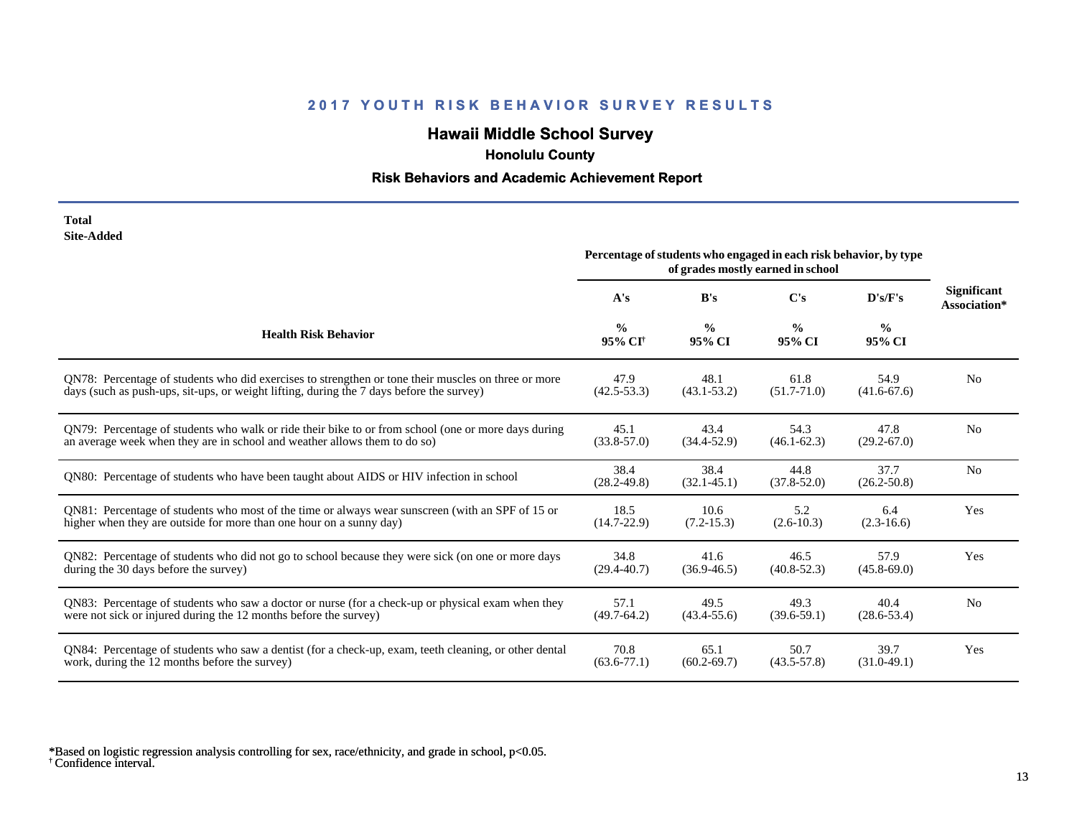# **Hawaii Middle School Survey**

 **Honolulu County**

## **Risk Behaviors and Academic Achievement Report**

| Total      |
|------------|
| Site-Added |

|                                                                                                       |                                      | Percentage of students who engaged in each risk behavior, by type<br>of grades mostly earned in school |                         |                         |                                    |
|-------------------------------------------------------------------------------------------------------|--------------------------------------|--------------------------------------------------------------------------------------------------------|-------------------------|-------------------------|------------------------------------|
|                                                                                                       | A's                                  | B's                                                                                                    | $\bf C's$               | D's/F's                 | <b>Significant</b><br>Association* |
| <b>Health Risk Behavior</b>                                                                           | $\frac{0}{0}$<br>95% CI <sup>+</sup> | $\frac{0}{0}$<br>$\frac{0}{0}$<br>$\frac{6}{9}$<br>95% CI<br>95% CI<br>95% CI                          |                         |                         |                                    |
| ON78: Percentage of students who did exercises to strengthen or tone their muscles on three or more   | 47.9                                 | 48.1                                                                                                   | 61.8                    | 54.9                    | N <sub>0</sub>                     |
| days (such as push-ups, sit-ups, or weight lifting, during the 7 days before the survey)              | $(42.5 - 53.3)$                      | $(43.1 - 53.2)$                                                                                        | $(51.7 - 71.0)$         | $(41.6 - 67.6)$         |                                    |
| QN79: Percentage of students who walk or ride their bike to or from school (one or more days during   | 45.1                                 | 43.4                                                                                                   | 54.3                    | 47.8                    | N <sub>0</sub>                     |
| an average week when they are in school and weather allows them to do so)                             | $(33.8 - 57.0)$                      | $(34.4 - 52.9)$                                                                                        | $(46.1 - 62.3)$         | $(29.2 - 67.0)$         |                                    |
| ON80: Percentage of students who have been taught about AIDS or HIV infection in school               | 38.4<br>$(28.2 - 49.8)$              | 38.4<br>$(32.1 - 45.1)$                                                                                | 44.8<br>$(37.8 - 52.0)$ | 37.7<br>$(26.2 - 50.8)$ | N <sub>0</sub>                     |
| QN81: Percentage of students who most of the time or always wear sunscreen (with an SPF of 15 or      | 18.5                                 | 10.6                                                                                                   | 5.2                     | 6.4                     | Yes                                |
| higher when they are outside for more than one hour on a sunny day)                                   | $(14.7 - 22.9)$                      | $(7.2 - 15.3)$                                                                                         | $(2.6 - 10.3)$          | $(2.3-16.6)$            |                                    |
| QN82: Percentage of students who did not go to school because they were sick (on one or more days     | 34.8                                 | 41.6                                                                                                   | 46.5                    | 57.9                    | Yes                                |
| during the 30 days before the survey)                                                                 | $(29.4 - 40.7)$                      | $(36.9 - 46.5)$                                                                                        | $(40.8 - 52.3)$         | $(45.8 - 69.0)$         |                                    |
| QN83: Percentage of students who saw a doctor or nurse (for a check-up or physical exam when they     | 57.1                                 | 49.5                                                                                                   | 49.3                    | 40.4                    | N <sub>0</sub>                     |
| were not sick or injured during the 12 months before the survey)                                      | $(49.7 - 64.2)$                      | $(43.4 - 55.6)$                                                                                        | $(39.6 - 59.1)$         | $(28.6 - 53.4)$         |                                    |
| QN84: Percentage of students who saw a dentist (for a check-up, exam, teeth cleaning, or other dental | 70.8                                 | 65.1                                                                                                   | 50.7                    | 39.7                    | Yes                                |
| work, during the 12 months before the survey)                                                         | $(63.6 - 77.1)$                      | $(60.2 - 69.7)$                                                                                        | $(43.5 - 57.8)$         | $(31.0-49.1)$           |                                    |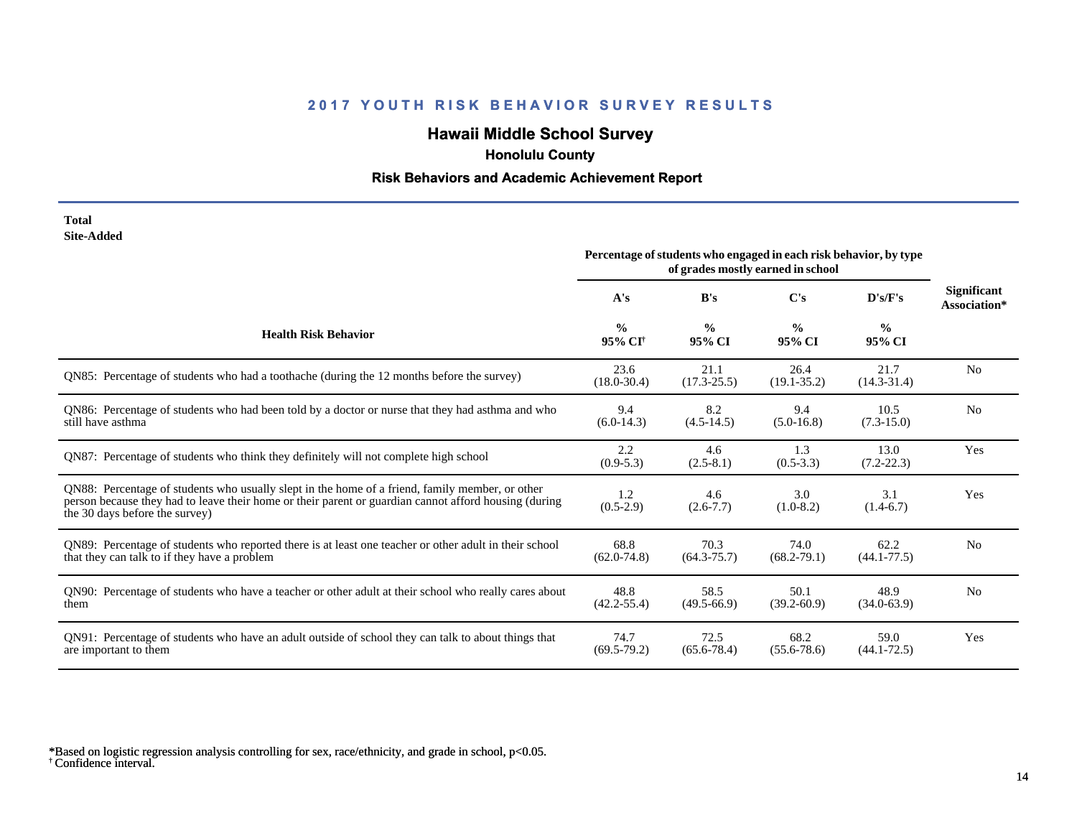# **Hawaii Middle School Survey**

 **Honolulu County**

## **Risk Behaviors and Academic Achievement Report**

#### **Total Site-Added**

|                                                                                                                                                                                                                                            | Percentage of students who engaged in each risk behavior, by type<br>of grades mostly earned in school |                         |                         |                         |                                    |
|--------------------------------------------------------------------------------------------------------------------------------------------------------------------------------------------------------------------------------------------|--------------------------------------------------------------------------------------------------------|-------------------------|-------------------------|-------------------------|------------------------------------|
|                                                                                                                                                                                                                                            | A's                                                                                                    | B's                     | C's                     | D's/F's                 | <b>Significant</b><br>Association* |
| <b>Health Risk Behavior</b>                                                                                                                                                                                                                | $\frac{0}{0}$<br>95% CI <sup>+</sup>                                                                   | $\frac{0}{0}$<br>95% CI | $\frac{6}{9}$<br>95% CI | $\frac{6}{6}$<br>95% CI |                                    |
| QN85: Percentage of students who had a toothache (during the 12 months before the survey)                                                                                                                                                  | 23.6<br>$(18.0 - 30.4)$                                                                                | 21.1<br>$(17.3 - 25.5)$ | 26.4<br>$(19.1 - 35.2)$ | 21.7<br>$(14.3 - 31.4)$ | N <sub>0</sub>                     |
| QN86: Percentage of students who had been told by a doctor or nurse that they had asthma and who<br>still have asthma                                                                                                                      | 9.4<br>$(6.0-14.3)$                                                                                    | 8.2<br>$(4.5-14.5)$     | 9.4<br>$(5.0-16.8)$     | 10.5<br>$(7.3 - 15.0)$  | N <sub>o</sub>                     |
| QN87: Percentage of students who think they definitely will not complete high school                                                                                                                                                       | 2.2<br>$(0.9-5.3)$                                                                                     | 4.6<br>$(2.5-8.1)$      | 1.3<br>$(0.5-3.3)$      | 13.0<br>$(7.2 - 22.3)$  | Yes                                |
| QN88: Percentage of students who usually slept in the home of a friend, family member, or other<br>person because they had to leave their home or their parent or guardian cannot afford housing (during<br>the 30 days before the survey) | 1.2<br>$(0.5-2.9)$                                                                                     | 4.6<br>$(2.6 - 7.7)$    | 3.0<br>$(1.0-8.2)$      | 3.1<br>$(1.4-6.7)$      | Yes                                |
| QN89: Percentage of students who reported there is at least one teacher or other adult in their school<br>that they can talk to if they have a problem                                                                                     | 68.8<br>$(62.0 - 74.8)$                                                                                | 70.3<br>$(64.3 - 75.7)$ | 74.0<br>$(68.2 - 79.1)$ | 62.2<br>$(44.1 - 77.5)$ | N <sub>0</sub>                     |
| QN90: Percentage of students who have a teacher or other adult at their school who really cares about<br>them                                                                                                                              | 48.8<br>$(42.2 - 55.4)$                                                                                | 58.5<br>$(49.5 - 66.9)$ | 50.1<br>$(39.2 - 60.9)$ | 48.9<br>$(34.0 - 63.9)$ | N <sub>0</sub>                     |
| QN91: Percentage of students who have an adult outside of school they can talk to about things that<br>are important to them                                                                                                               | 74.7<br>$(69.5-79.2)$                                                                                  | 72.5<br>$(65.6 - 78.4)$ | 68.2<br>$(55.6 - 78.6)$ | 59.0<br>$(44.1 - 72.5)$ | Yes                                |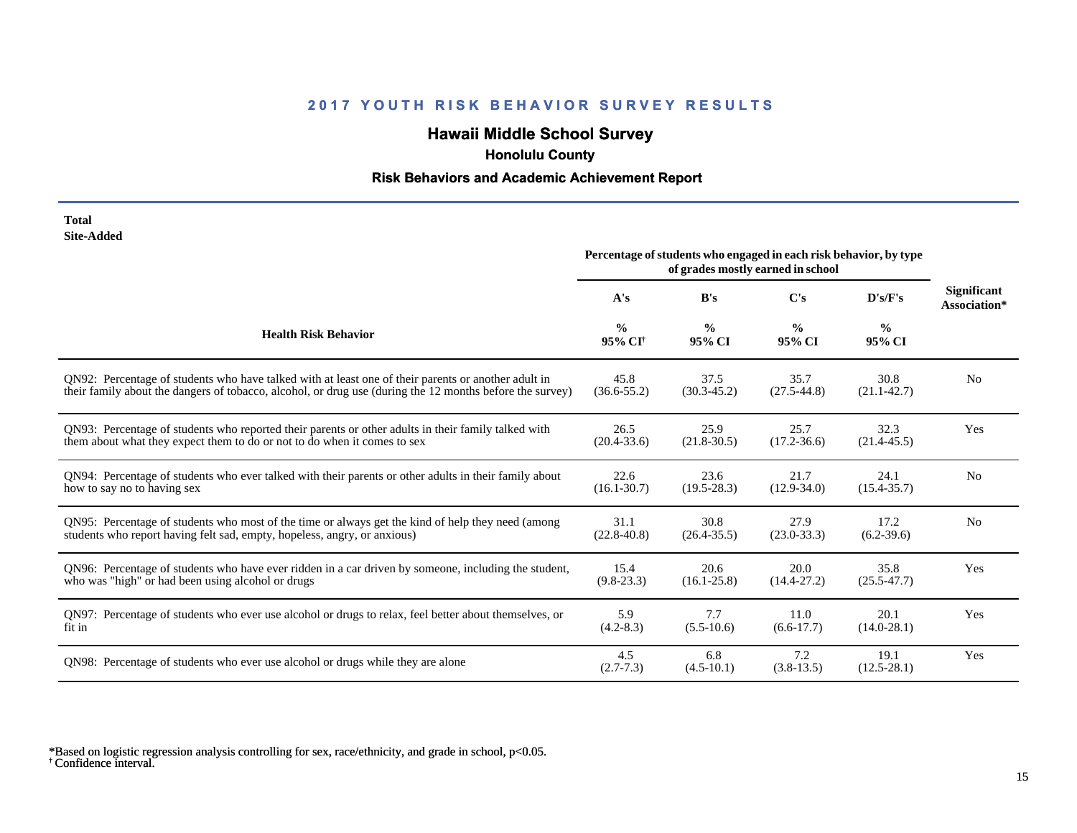# **Hawaii Middle School Survey**

 **Honolulu County**

## **Risk Behaviors and Academic Achievement Report**

| Total      |
|------------|
| Site-Added |

|                                                                                                          | Percentage of students who engaged in each risk behavior, by type<br>of grades mostly earned in school |                         |                         |                         |                                    |
|----------------------------------------------------------------------------------------------------------|--------------------------------------------------------------------------------------------------------|-------------------------|-------------------------|-------------------------|------------------------------------|
|                                                                                                          | A's                                                                                                    | B's                     | C's                     | D's/F's                 | <b>Significant</b><br>Association* |
| <b>Health Risk Behavior</b>                                                                              | $\frac{0}{0}$<br>95% CI <sup>+</sup>                                                                   | $\frac{0}{0}$<br>95% CI | $\frac{6}{9}$<br>95% CI | $\frac{6}{6}$<br>95% CI |                                    |
| QN92: Percentage of students who have talked with at least one of their parents or another adult in      | 45.8                                                                                                   | 37.5                    | 35.7                    | 30.8                    | N <sub>o</sub>                     |
| their family about the dangers of tobacco, alcohol, or drug use (during the 12 months before the survey) | $(36.6 - 55.2)$                                                                                        | $(30.3 - 45.2)$         | $(27.5 - 44.8)$         | $(21.1 - 42.7)$         |                                    |
| QN93: Percentage of students who reported their parents or other adults in their family talked with      | 26.5                                                                                                   | 25.9                    | 25.7                    | 32.3                    | Yes                                |
| them about what they expect them to do or not to do when it comes to sex                                 | $(20.4 - 33.6)$                                                                                        | $(21.8 - 30.5)$         | $(17.2 - 36.6)$         | $(21.4 - 45.5)$         |                                    |
| QN94: Percentage of students who ever talked with their parents or other adults in their family about    | 22.6                                                                                                   | 23.6                    | 21.7                    | 24.1                    | N <sub>o</sub>                     |
| how to say no to having sex                                                                              | $(16.1 - 30.7)$                                                                                        | $(19.5 - 28.3)$         | $(12.9 - 34.0)$         | $(15.4 - 35.7)$         |                                    |
| QN95: Percentage of students who most of the time or always get the kind of help they need (among        | 31.1                                                                                                   | 30.8                    | 27.9                    | 17.2                    | N <sub>o</sub>                     |
| students who report having felt sad, empty, hopeless, angry, or anxious)                                 | $(22.8 - 40.8)$                                                                                        | $(26.4 - 35.5)$         | $(23.0 - 33.3)$         | $(6.2-39.6)$            |                                    |
| QN96: Percentage of students who have ever ridden in a car driven by someone, including the student,     | 15.4                                                                                                   | 20.6                    | 20.0                    | 35.8                    | Yes                                |
| who was "high" or had been using alcohol or drugs                                                        | $(9.8-23.3)$                                                                                           | $(16.1 - 25.8)$         | $(14.4 - 27.2)$         | $(25.5 - 47.7)$         |                                    |
| QN97: Percentage of students who ever use alcohol or drugs to relax, feel better about themselves, or    | 5.9                                                                                                    | 7.7                     | 11.0                    | 20.1                    | Yes                                |
| fit in                                                                                                   | $(4.2 - 8.3)$                                                                                          | $(5.5-10.6)$            | $(6.6-17.7)$            | $(14.0 - 28.1)$         |                                    |
| QN98: Percentage of students who ever use alcohol or drugs while they are alone                          | 4.5<br>$(2.7 - 7.3)$                                                                                   | 6.8<br>$(4.5-10.1)$     | 7.2<br>$(3.8-13.5)$     | 19.1<br>$(12.5 - 28.1)$ | Yes                                |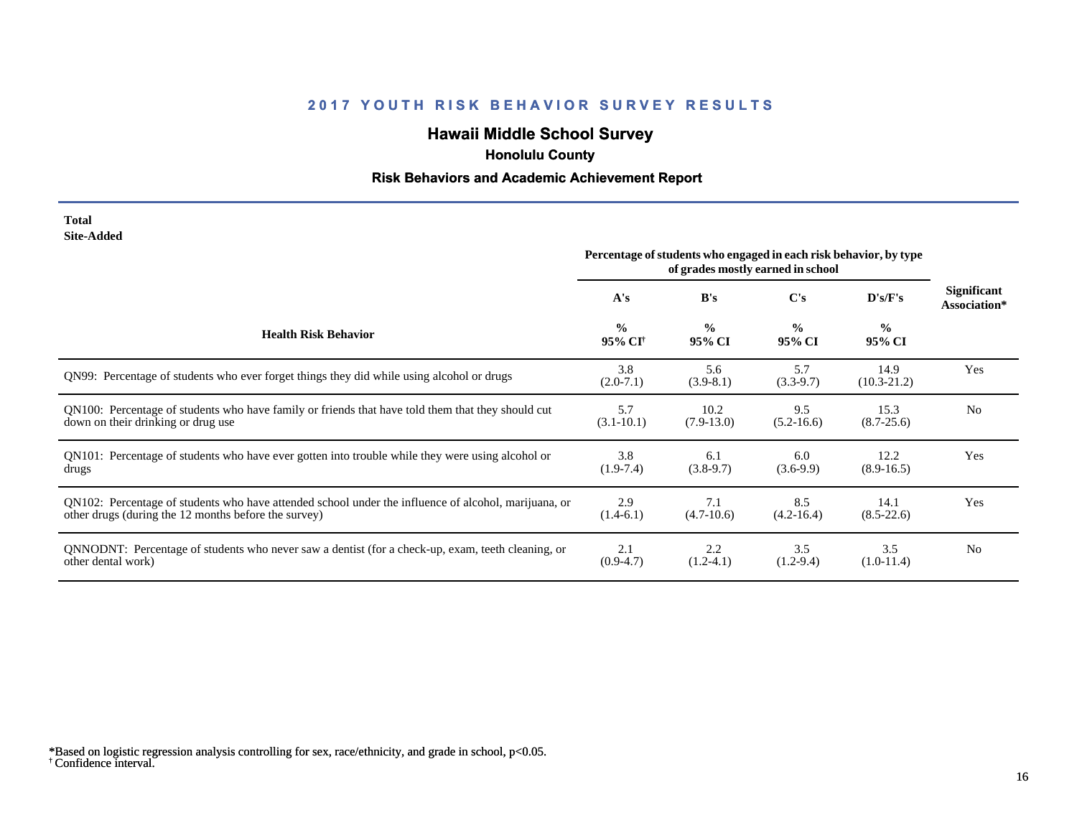# **Hawaii Middle School Survey**

 **Honolulu County**

## **Risk Behaviors and Academic Achievement Report**

| Total      |
|------------|
| Site-Added |

|                                                                                                      | Percentage of students who engaged in each risk behavior, by type<br>of grades mostly earned in school |                         |                         |                         |                                    |
|------------------------------------------------------------------------------------------------------|--------------------------------------------------------------------------------------------------------|-------------------------|-------------------------|-------------------------|------------------------------------|
|                                                                                                      | A's                                                                                                    | B's                     | C's                     | D's/F's                 | <b>Significant</b><br>Association* |
| <b>Health Risk Behavior</b>                                                                          | $\frac{0}{0}$<br>95% CI <sup>+</sup>                                                                   | $\frac{0}{0}$<br>95% CI | $\frac{0}{0}$<br>95% CI | $\frac{0}{0}$<br>95% CI |                                    |
| QN99: Percentage of students who ever forget things they did while using alcohol or drugs            | 3.8<br>$(2.0-7.1)$                                                                                     | 5.6<br>$(3.9-8.1)$      | 5.7<br>$(3.3-9.7)$      | 14.9<br>$(10.3 - 21.2)$ | Yes                                |
| QN100: Percentage of students who have family or friends that have told them that they should cut    | 5.7                                                                                                    | 10.2                    | 9.5                     | 15.3                    | N <sub>0</sub>                     |
| down on their drinking or drug use                                                                   | $(3.1 - 10.1)$                                                                                         | $(7.9-13.0)$            | $(5.2 - 16.6)$          | $(8.7 - 25.6)$          |                                    |
| QN101: Percentage of students who have ever gotten into trouble while they were using alcohol or     | 3.8                                                                                                    | 6.1                     | 6.0                     | 12.2                    | Yes                                |
| drugs                                                                                                | $(1.9-7.4)$                                                                                            | $(3.8-9.7)$             | $(3.6-9.9)$             | $(8.9-16.5)$            |                                    |
| QN102: Percentage of students who have attended school under the influence of alcohol, marijuana, or | 2.9                                                                                                    | 7.1                     | 8.5                     | 14.1                    | Yes                                |
| other drugs (during the 12 months before the survey)                                                 | $(1.4-6.1)$                                                                                            | $(4.7-10.6)$            | $(4.2 - 16.4)$          | $(8.5-22.6)$            |                                    |
| QNNODNT: Percentage of students who never saw a dentist (for a check-up, exam, teeth cleaning, or    | 2.1                                                                                                    | 2.2                     | 3.5                     | 3.5                     | N <sub>0</sub>                     |
| other dental work)                                                                                   | $(0.9-4.7)$                                                                                            | $(1.2-4.1)$             | $(1.2-9.4)$             | $(1.0-11.4)$            |                                    |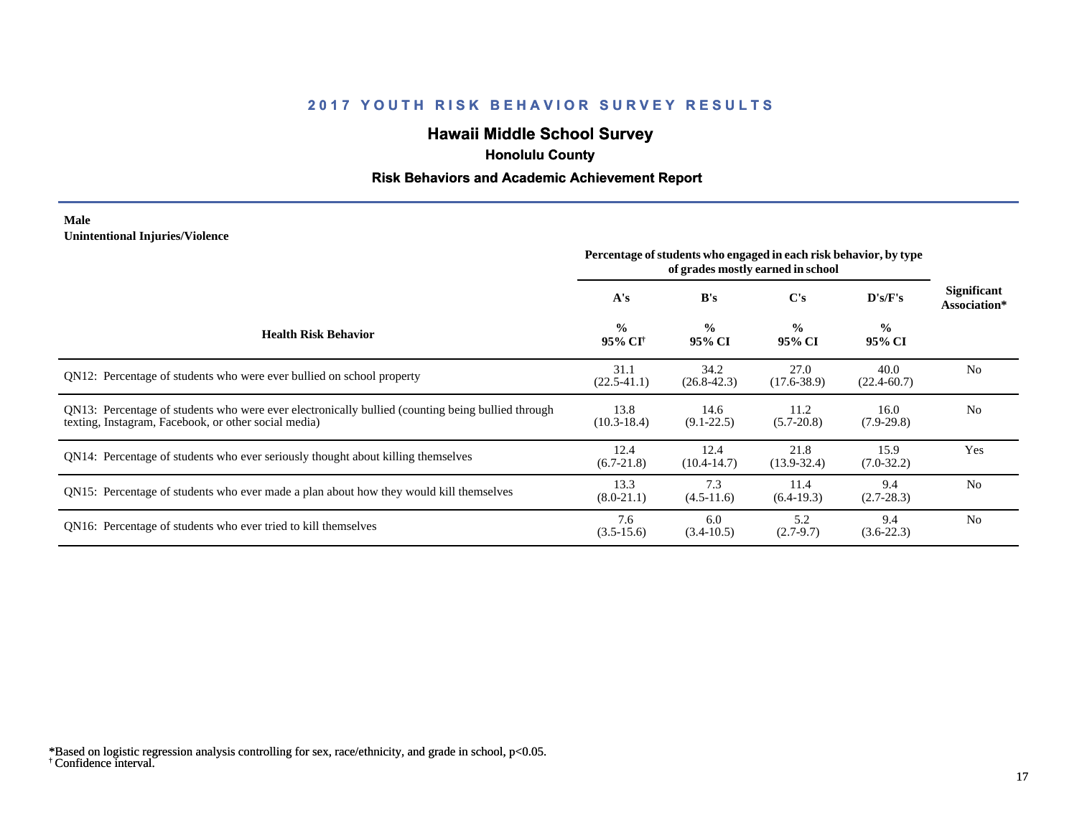# **Hawaii Middle School Survey**

 **Honolulu County**

## **Risk Behaviors and Academic Achievement Report**

#### **Male Unintentional Injuries/Violence**

|                                                                                                                                                           | Percentage of students who engaged in each risk behavior, by type<br>of grades mostly earned in school |                         |                         |                         |                                    |
|-----------------------------------------------------------------------------------------------------------------------------------------------------------|--------------------------------------------------------------------------------------------------------|-------------------------|-------------------------|-------------------------|------------------------------------|
|                                                                                                                                                           | A's                                                                                                    | B's                     | $\bf C's$               | D's/F's                 | <b>Significant</b><br>Association* |
| <b>Health Risk Behavior</b>                                                                                                                               | $\frac{0}{0}$<br>95% CI <sup>+</sup>                                                                   | $\frac{0}{0}$<br>95% CI | $\frac{0}{0}$<br>95% CI | $\frac{6}{6}$<br>95% CI |                                    |
| QN12: Percentage of students who were ever bullied on school property                                                                                     | 31.1<br>$(22.5 - 41.1)$                                                                                | 34.2<br>$(26.8 - 42.3)$ | 27.0<br>$(17.6 - 38.9)$ | 40.0<br>$(22.4 - 60.7)$ | N <sub>0</sub>                     |
| QN13: Percentage of students who were ever electronically bullied (counting being bullied through<br>texting, Instagram, Facebook, or other social media) | 13.8<br>$(10.3 - 18.4)$                                                                                | 14.6<br>$(9.1 - 22.5)$  | 11.2<br>$(5.7 - 20.8)$  | 16.0<br>$(7.9-29.8)$    | N <sub>0</sub>                     |
| QN14: Percentage of students who ever seriously thought about killing themselves                                                                          | 12.4<br>$(6.7-21.8)$                                                                                   | 12.4<br>$(10.4 - 14.7)$ | 21.8<br>$(13.9 - 32.4)$ | 15.9<br>$(7.0-32.2)$    | Yes                                |
| QN15: Percentage of students who ever made a plan about how they would kill themselves                                                                    | 13.3<br>$(8.0-21.1)$                                                                                   | 7.3<br>$(4.5-11.6)$     | 11.4<br>$(6.4-19.3)$    | 9.4<br>$(2.7 - 28.3)$   | N <sub>0</sub>                     |
| QN16: Percentage of students who ever tried to kill themselves                                                                                            | 7.6<br>$(3.5-15.6)$                                                                                    | 6.0<br>$(3.4-10.5)$     | 5.2<br>$(2.7-9.7)$      | 9.4<br>$(3.6-22.3)$     | N <sub>o</sub>                     |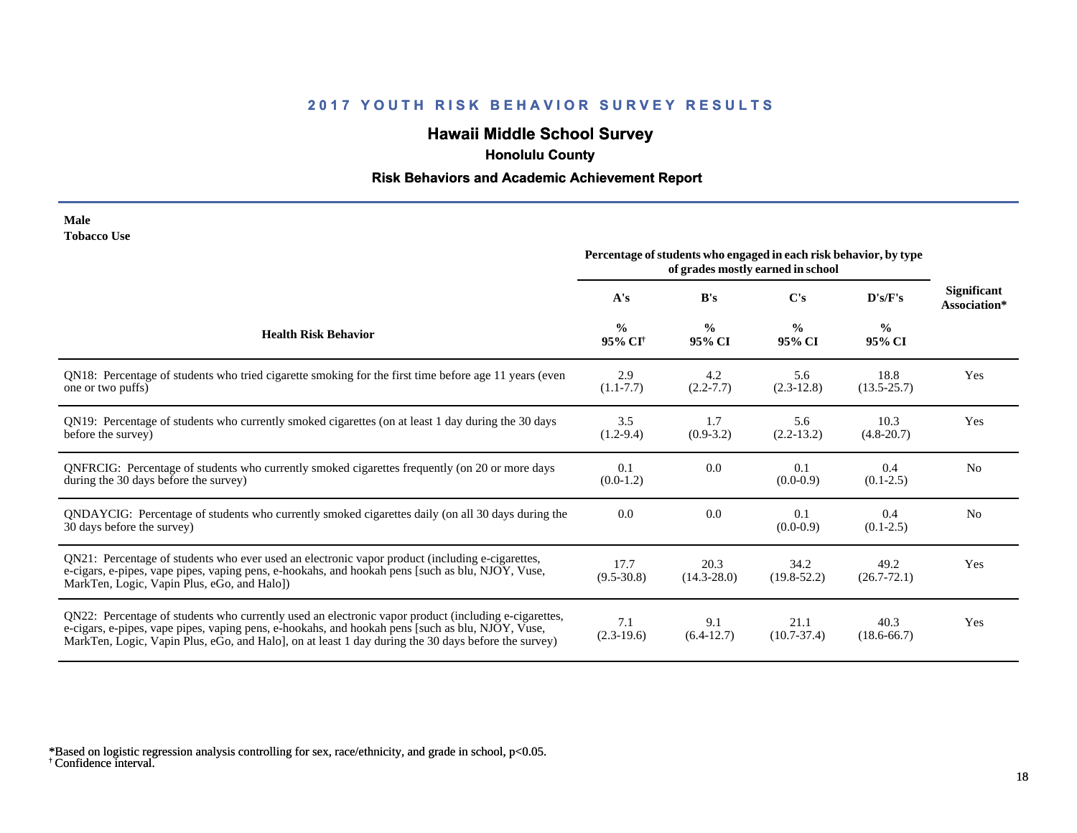# **Hawaii Middle School Survey**

 **Honolulu County**

## **Risk Behaviors and Academic Achievement Report**

| Male               |  |
|--------------------|--|
| <b>Tobacco Use</b> |  |

|                                                                                                                                                                                                                                                                                                                 | Percentage of students who engaged in each risk behavior, by type<br>of grades mostly earned in school |                         |                         |                         |                             |
|-----------------------------------------------------------------------------------------------------------------------------------------------------------------------------------------------------------------------------------------------------------------------------------------------------------------|--------------------------------------------------------------------------------------------------------|-------------------------|-------------------------|-------------------------|-----------------------------|
|                                                                                                                                                                                                                                                                                                                 | A's                                                                                                    | B's                     | $\bf C's$               | D's/F's                 | Significant<br>Association* |
| <b>Health Risk Behavior</b>                                                                                                                                                                                                                                                                                     | $\frac{0}{0}$<br>95% CI <sup>+</sup>                                                                   | $\frac{0}{0}$<br>95% CI | $\frac{6}{9}$<br>95% CI | $\frac{0}{0}$<br>95% CI |                             |
| QN18: Percentage of students who tried cigarette smoking for the first time before age 11 years (even<br>one or two puffs)                                                                                                                                                                                      | 2.9<br>$(1.1 - 7.7)$                                                                                   | 4.2<br>$(2.2 - 7.7)$    | 5.6<br>$(2.3-12.8)$     | 18.8<br>$(13.5 - 25.7)$ | Yes                         |
| QN19: Percentage of students who currently smoked cigarettes (on at least 1 day during the 30 days<br>before the survey)                                                                                                                                                                                        | 3.5<br>$(1.2-9.4)$                                                                                     | 1.7<br>$(0.9-3.2)$      | 5.6<br>$(2.2-13.2)$     | 10.3<br>$(4.8-20.7)$    | Yes                         |
| QNFRCIG: Percentage of students who currently smoked cigarettes frequently (on 20 or more days<br>during the 30 days before the survey)                                                                                                                                                                         | 0.1<br>$(0.0-1.2)$                                                                                     | 0.0                     | 0.1<br>$(0.0-0.9)$      | 0.4<br>$(0.1 - 2.5)$    | N <sub>0</sub>              |
| QNDAYCIG: Percentage of students who currently smoked cigarettes daily (on all 30 days during the<br>30 days before the survey)                                                                                                                                                                                 | 0.0                                                                                                    | 0.0                     | 0.1<br>$(0.0-0.9)$      | 0.4<br>$(0.1 - 2.5)$    | N <sub>o</sub>              |
| QN21: Percentage of students who ever used an electronic vapor product (including e-cigarettes,<br>e-cigars, e-pipes, vape pipes, vaping pens, e-hookahs, and hookah pens [such as blu, NJOY, Vuse,<br>MarkTen, Logic, Vapin Plus, eGo, and Halo])                                                              | 17.7<br>$(9.5 - 30.8)$                                                                                 | 20.3<br>$(14.3 - 28.0)$ | 34.2<br>$(19.8 - 52.2)$ | 49.2<br>$(26.7 - 72.1)$ | Yes                         |
| QN22: Percentage of students who currently used an electronic vapor product (including e-cigarettes,<br>e-cigars, e-pipes, vape pipes, vaping pens, e-hookahs, and hookah pens [such as blu, NJOY, Vuse,<br>MarkTen, Logic, Vapin Plus, eGo, and Halo], on at least 1 day during the 30 days before the survey) | 7.1<br>$(2.3-19.6)$                                                                                    | 9.1<br>$(6.4-12.7)$     | 21.1<br>$(10.7 - 37.4)$ | 40.3<br>$(18.6 - 66.7)$ | Yes                         |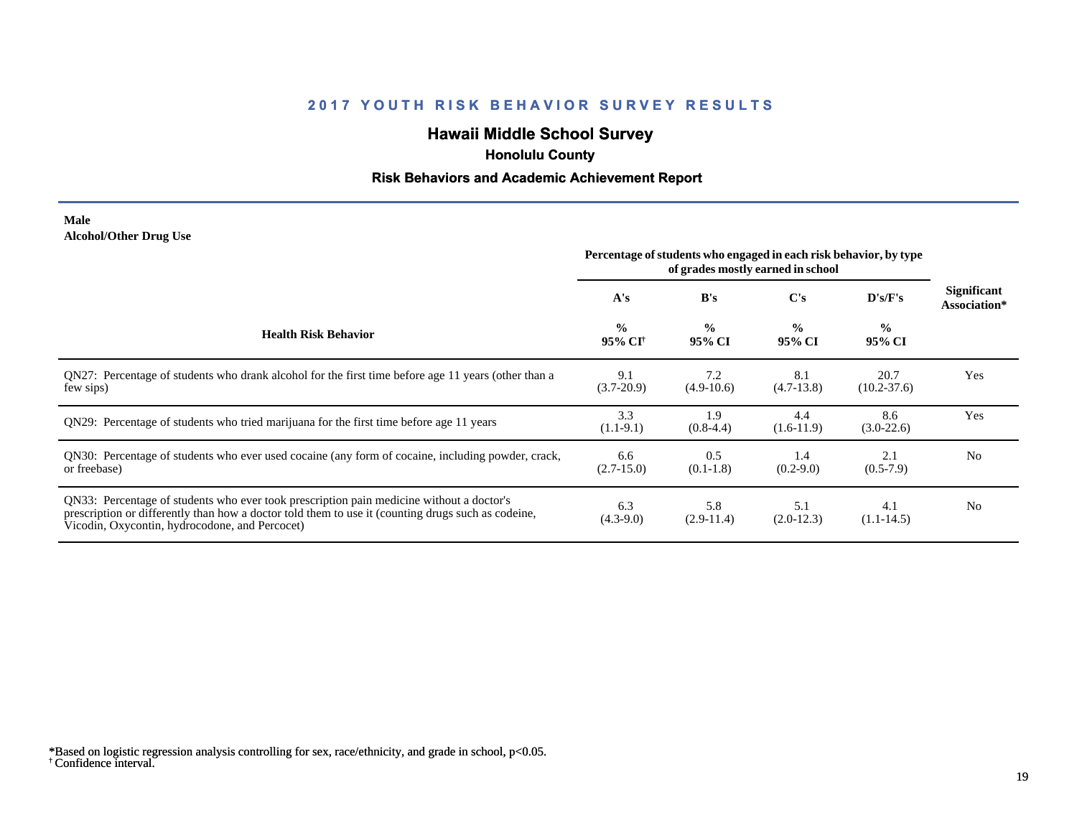# **Hawaii Middle School Survey**

 **Honolulu County**

## **Risk Behaviors and Academic Achievement Report**

#### **Male Alcohol/Other Drug Use**

|                                                                                                                                                                                                                                                  | Percentage of students who engaged in each risk behavior, by type<br>of grades mostly earned in school |                         |                         |                         |                             |
|--------------------------------------------------------------------------------------------------------------------------------------------------------------------------------------------------------------------------------------------------|--------------------------------------------------------------------------------------------------------|-------------------------|-------------------------|-------------------------|-----------------------------|
|                                                                                                                                                                                                                                                  | A's                                                                                                    | B's                     | C's                     | D's/F's                 | Significant<br>Association* |
| <b>Health Risk Behavior</b>                                                                                                                                                                                                                      | $\frac{0}{0}$<br>95% CI <sup>†</sup>                                                                   | $\frac{0}{0}$<br>95% CI | $\frac{0}{0}$<br>95% CI | $\frac{0}{0}$<br>95% CI |                             |
| QN27: Percentage of students who drank alcohol for the first time before age 11 years (other than a<br>few sips)                                                                                                                                 | 9.1<br>$(3.7-20.9)$                                                                                    | 7.2<br>$(4.9-10.6)$     | 8.1<br>$(4.7-13.8)$     | 20.7<br>$(10.2 - 37.6)$ | Yes                         |
| QN29: Percentage of students who tried marijuana for the first time before age 11 years                                                                                                                                                          | 3.3<br>$(1.1-9.1)$                                                                                     | 1.9<br>$(0.8-4.4)$      | 4.4<br>$(1.6-11.9)$     | 8.6<br>$(3.0-22.6)$     | Yes                         |
| QN30: Percentage of students who ever used cocaine (any form of cocaine, including powder, crack,<br>or freebase)                                                                                                                                | 6.6<br>$(2.7-15.0)$                                                                                    | 0.5<br>$(0.1-1.8)$      | 1.4<br>$(0.2 - 9.0)$    | 2.1<br>$(0.5-7.9)$      | N <sub>0</sub>              |
| QN33: Percentage of students who ever took prescription pain medicine without a doctor's<br>prescription or differently than how a doctor told them to use it (counting drugs such as codeine,<br>Vicodin, Oxycontin, hydrocodone, and Percocet) | 6.3<br>$(4.3-9.0)$                                                                                     | 5.8<br>$(2.9-11.4)$     | 5.1<br>$(2.0-12.3)$     | 4.1<br>$(1.1 - 14.5)$   | No.                         |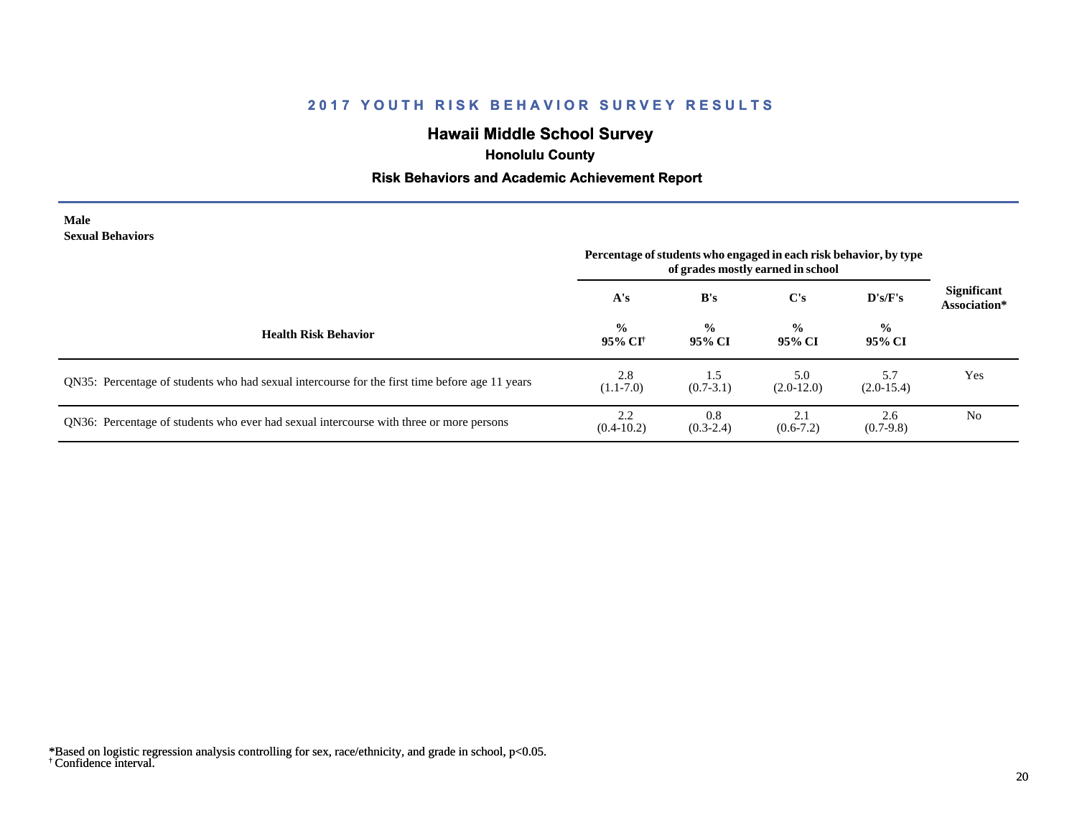# **Hawaii Middle School Survey**

 **Honolulu County**

## **Risk Behaviors and Academic Achievement Report**

| Male                    |
|-------------------------|
| <b>Sexual Behaviors</b> |

| DUAUAI DUHAVIULS                                                                               | Percentage of students who engaged in each risk behavior, by type<br>of grades mostly earned in school |                         |                         |                         |                                    |
|------------------------------------------------------------------------------------------------|--------------------------------------------------------------------------------------------------------|-------------------------|-------------------------|-------------------------|------------------------------------|
|                                                                                                | A's                                                                                                    | B's                     | C's                     | $\bf{D's/F's}$          | <b>Significant</b><br>Association* |
| <b>Health Risk Behavior</b>                                                                    | $\frac{0}{0}$<br>95% CI <sup>†</sup>                                                                   | $\frac{0}{0}$<br>95% CI | $\frac{0}{0}$<br>95% CI | $\frac{0}{0}$<br>95% CI |                                    |
| QN35: Percentage of students who had sexual intercourse for the first time before age 11 years | 2.8<br>$(1.1-7.0)$                                                                                     | 1.5<br>$(0.7 - 3.1)$    | 5.0<br>$(2.0-12.0)$     | 5.7<br>$(2.0-15.4)$     | Yes                                |
| QN36: Percentage of students who ever had sexual intercourse with three or more persons        | 2.2<br>$(0.4-10.2)$                                                                                    | 0.8<br>$(0.3-2.4)$      | 2.1<br>$(0.6-7.2)$      | 2.6<br>$(0.7-9.8)$      | N <sub>0</sub>                     |

<sup>†</sup> Confidence interval. \*Based on logistic regression analysis controlling for sex, race/ethnicity, and grade in school, p<0.05.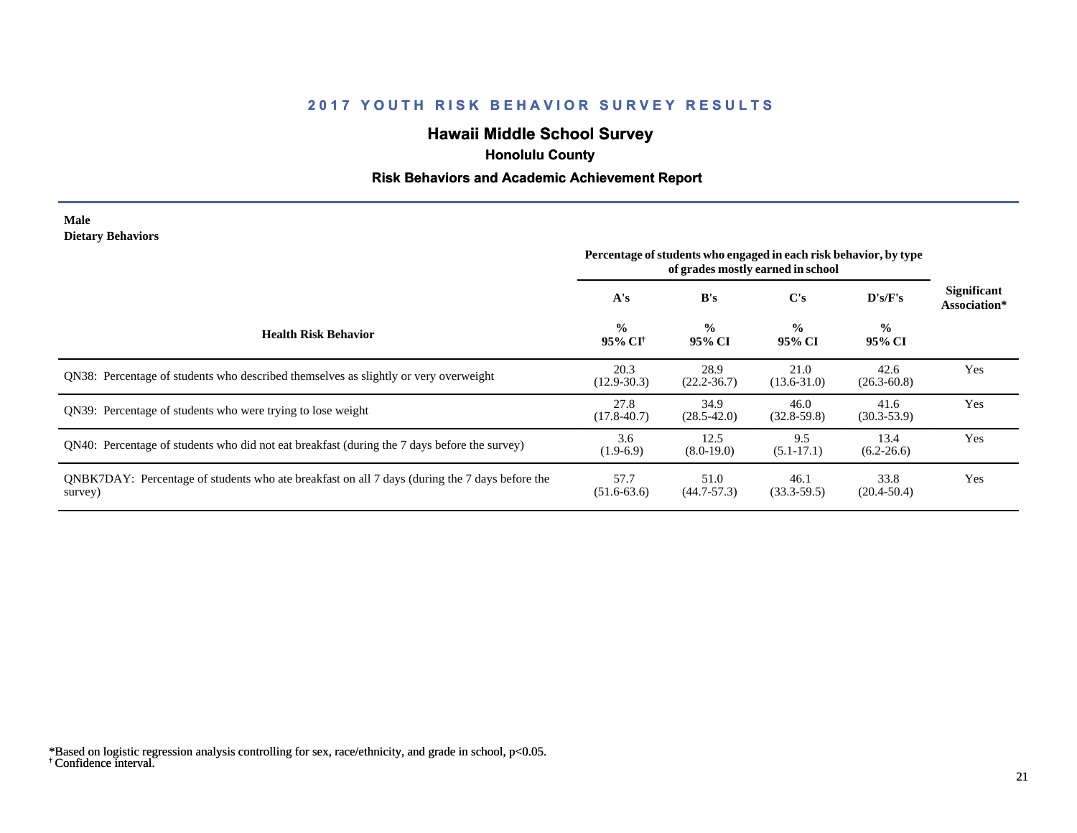# **Hawaii Middle School Survey**

 **Honolulu County**

## **Risk Behaviors and Academic Achievement Report**

#### **Male Dietary Behaviors**

|                                                                                                           | Percentage of students who engaged in each risk behavior, by type<br>of grades mostly earned in school |                         |                         |                         |                                    |
|-----------------------------------------------------------------------------------------------------------|--------------------------------------------------------------------------------------------------------|-------------------------|-------------------------|-------------------------|------------------------------------|
|                                                                                                           | A's                                                                                                    | B's                     | $\bf C's$               | D's/F's                 | <b>Significant</b><br>Association* |
| <b>Health Risk Behavior</b>                                                                               | $\frac{0}{0}$<br>95% CI <sup>+</sup>                                                                   | $\frac{0}{0}$<br>95% CI | $\frac{0}{0}$<br>95% CI | $\frac{6}{9}$<br>95% CI |                                    |
| QN38: Percentage of students who described themselves as slightly or very overweight                      | 20.3<br>$(12.9 - 30.3)$                                                                                | 28.9<br>$(22.2 - 36.7)$ | 21.0<br>$(13.6 - 31.0)$ | 42.6<br>$(26.3 - 60.8)$ | Yes                                |
| ON39: Percentage of students who were trying to lose weight                                               | 27.8<br>$(17.8 - 40.7)$                                                                                | 34.9<br>$(28.5 - 42.0)$ | 46.0<br>$(32.8 - 59.8)$ | 41.6<br>$(30.3 - 53.9)$ | Yes                                |
| QN40: Percentage of students who did not eat breakfast (during the 7 days before the survey)              | 3.6<br>$(1.9-6.9)$                                                                                     | 12.5<br>$(8.0-19.0)$    | 9.5<br>$(5.1 - 17.1)$   | 13.4<br>$(6.2 - 26.6)$  | Yes                                |
| QNBK7DAY: Percentage of students who ate breakfast on all 7 days (during the 7 days before the<br>survey) | 57.7<br>$(51.6-63.6)$                                                                                  | 51.0<br>$(44.7 - 57.3)$ | 46.1<br>$(33.3 - 59.5)$ | 33.8<br>$(20.4 - 50.4)$ | Yes                                |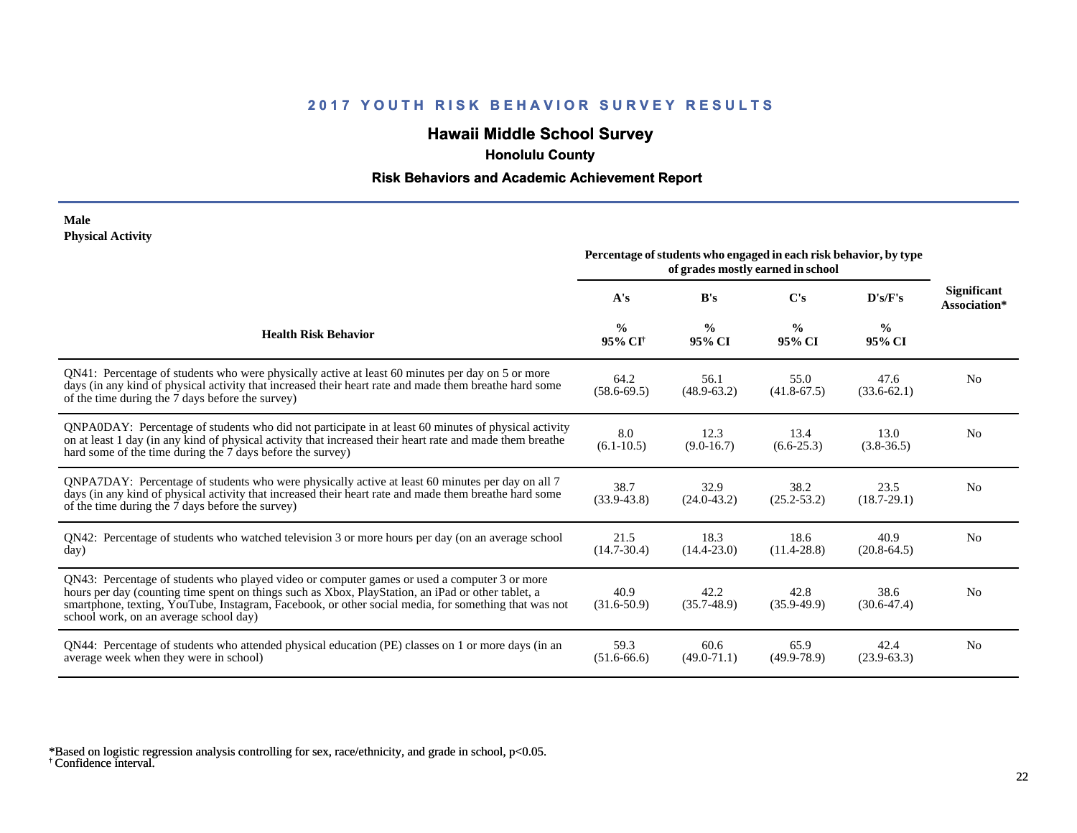# **Hawaii Middle School Survey**

 **Honolulu County**

## **Risk Behaviors and Academic Achievement Report**

#### **Male Physical Activity**

|                                                                                                                                                                                                                                                                                                                                                      | Percentage of students who engaged in each risk behavior, by type<br>of grades mostly earned in school |                         |                         |                         |                                    |
|------------------------------------------------------------------------------------------------------------------------------------------------------------------------------------------------------------------------------------------------------------------------------------------------------------------------------------------------------|--------------------------------------------------------------------------------------------------------|-------------------------|-------------------------|-------------------------|------------------------------------|
|                                                                                                                                                                                                                                                                                                                                                      | A's                                                                                                    | B's                     | C's                     | D's/F's                 | <b>Significant</b><br>Association* |
| <b>Health Risk Behavior</b>                                                                                                                                                                                                                                                                                                                          | $\frac{0}{0}$<br>95% CI <sup>+</sup>                                                                   | $\frac{0}{0}$<br>95% CI | $\frac{0}{0}$<br>95% CI | $\frac{0}{0}$<br>95% CI |                                    |
| QN41: Percentage of students who were physically active at least 60 minutes per day on 5 or more<br>days (in any kind of physical activity that increased their heart rate and made them breathe hard some<br>of the time during the 7 days before the survey)                                                                                       | 64.2<br>$(58.6 - 69.5)$                                                                                | 56.1<br>$(48.9 - 63.2)$ | 55.0<br>$(41.8 - 67.5)$ | 47.6<br>$(33.6 - 62.1)$ | N <sub>0</sub>                     |
| QNPA0DAY: Percentage of students who did not participate in at least 60 minutes of physical activity<br>on at least 1 day (in any kind of physical activity that increased their heart rate and made them breathe<br>hard some of the time during the 7 days before the survey)                                                                      | 8.0<br>$(6.1 - 10.5)$                                                                                  | 12.3<br>$(9.0-16.7)$    | 13.4<br>$(6.6 - 25.3)$  | 13.0<br>$(3.8-36.5)$    | N <sub>0</sub>                     |
| QNPA7DAY: Percentage of students who were physically active at least 60 minutes per day on all 7<br>days (in any kind of physical activity that increased their heart rate and made them breathe hard some<br>of the time during the 7 days before the survey)                                                                                       | 38.7<br>$(33.9 - 43.8)$                                                                                | 32.9<br>$(24.0 - 43.2)$ | 38.2<br>$(25.2 - 53.2)$ | 23.5<br>$(18.7 - 29.1)$ | N <sub>0</sub>                     |
| QN42: Percentage of students who watched television 3 or more hours per day (on an average school<br>day)                                                                                                                                                                                                                                            | 21.5<br>$(14.7 - 30.4)$                                                                                | 18.3<br>$(14.4 - 23.0)$ | 18.6<br>$(11.4 - 28.8)$ | 40.9<br>$(20.8-64.5)$   | No                                 |
| QN43: Percentage of students who played video or computer games or used a computer 3 or more<br>hours per day (counting time spent on things such as Xbox, PlayStation, an iPad or other tablet, a<br>smartphone, texting, YouTube, Instagram, Facebook, or other social media, for something that was not<br>school work, on an average school day) | 40.9<br>$(31.6 - 50.9)$                                                                                | 42.2<br>$(35.7 - 48.9)$ | 42.8<br>$(35.9 - 49.9)$ | 38.6<br>$(30.6 - 47.4)$ | N <sub>0</sub>                     |
| QN44: Percentage of students who attended physical education (PE) classes on 1 or more days (in an<br>average week when they were in school)                                                                                                                                                                                                         | 59.3<br>$(51.6-66.6)$                                                                                  | 60.6<br>$(49.0 - 71.1)$ | 65.9<br>$(49.9 - 78.9)$ | 42.4<br>$(23.9-63.3)$   | N <sub>0</sub>                     |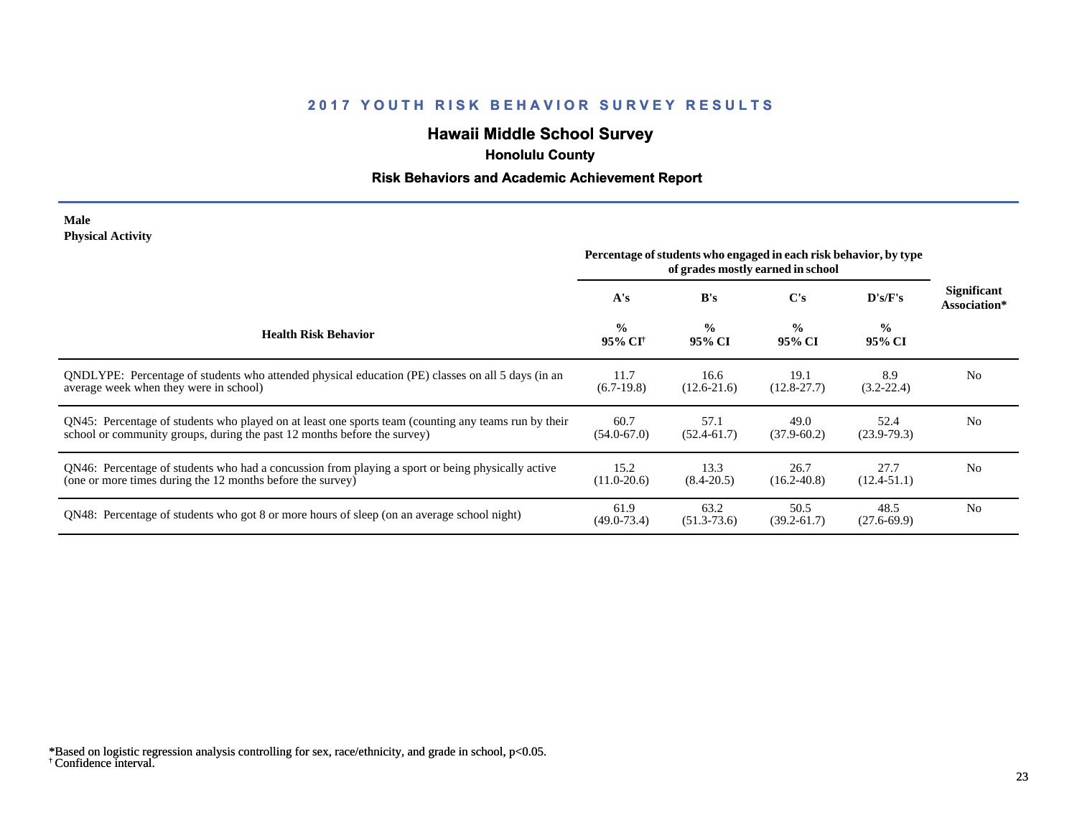# **Hawaii Middle School Survey**

 **Honolulu County**

## **Risk Behaviors and Academic Achievement Report**

#### **Male Physical Activity**

|                                                                                                                                                                                  | Percentage of students who engaged in each risk behavior, by type<br>of grades mostly earned in school |                         |                         |                          |                                    |
|----------------------------------------------------------------------------------------------------------------------------------------------------------------------------------|--------------------------------------------------------------------------------------------------------|-------------------------|-------------------------|--------------------------|------------------------------------|
|                                                                                                                                                                                  | A's                                                                                                    | B's                     | C's                     | $\bf{D}$ 's/ $\bf{F}$ 's | <b>Significant</b><br>Association* |
| <b>Health Risk Behavior</b>                                                                                                                                                      | $\frac{0}{0}$<br>95% CI†                                                                               | $\frac{0}{0}$<br>95% CI | $\frac{0}{0}$<br>95% CI | $\frac{0}{0}$<br>95% CI  |                                    |
| ONDLYPE: Percentage of students who attended physical education (PE) classes on all 5 days (in an<br>average week when they were in school)                                      | 11.7<br>$(6.7-19.8)$                                                                                   | 16.6<br>$(12.6-21.6)$   | 19.1<br>$(12.8 - 27.7)$ | 8.9<br>$(3.2 - 22.4)$    | N <sub>0</sub>                     |
| QN45: Percentage of students who played on at least one sports team (counting any teams run by their<br>school or community groups, during the past 12 months before the survey) | 60.7<br>$(54.0 - 67.0)$                                                                                | 57.1<br>$(52.4 - 61.7)$ | 49.0<br>$(37.9 - 60.2)$ | 52.4<br>$(23.9-79.3)$    | N <sub>0</sub>                     |
| QN46: Percentage of students who had a concussion from playing a sport or being physically active<br>(one or more times during the 12 months before the survey)                  | 15.2<br>$(11.0 - 20.6)$                                                                                | 13.3<br>$(8.4 - 20.5)$  | 26.7<br>$(16.2 - 40.8)$ | 27.7<br>$(12.4 - 51.1)$  | N <sub>0</sub>                     |
| QN48: Percentage of students who got 8 or more hours of sleep (on an average school night)                                                                                       | 61.9<br>$(49.0 - 73.4)$                                                                                | 63.2<br>$(51.3 - 73.6)$ | 50.5<br>$(39.2 - 61.7)$ | 48.5<br>$(27.6 - 69.9)$  | N <sub>0</sub>                     |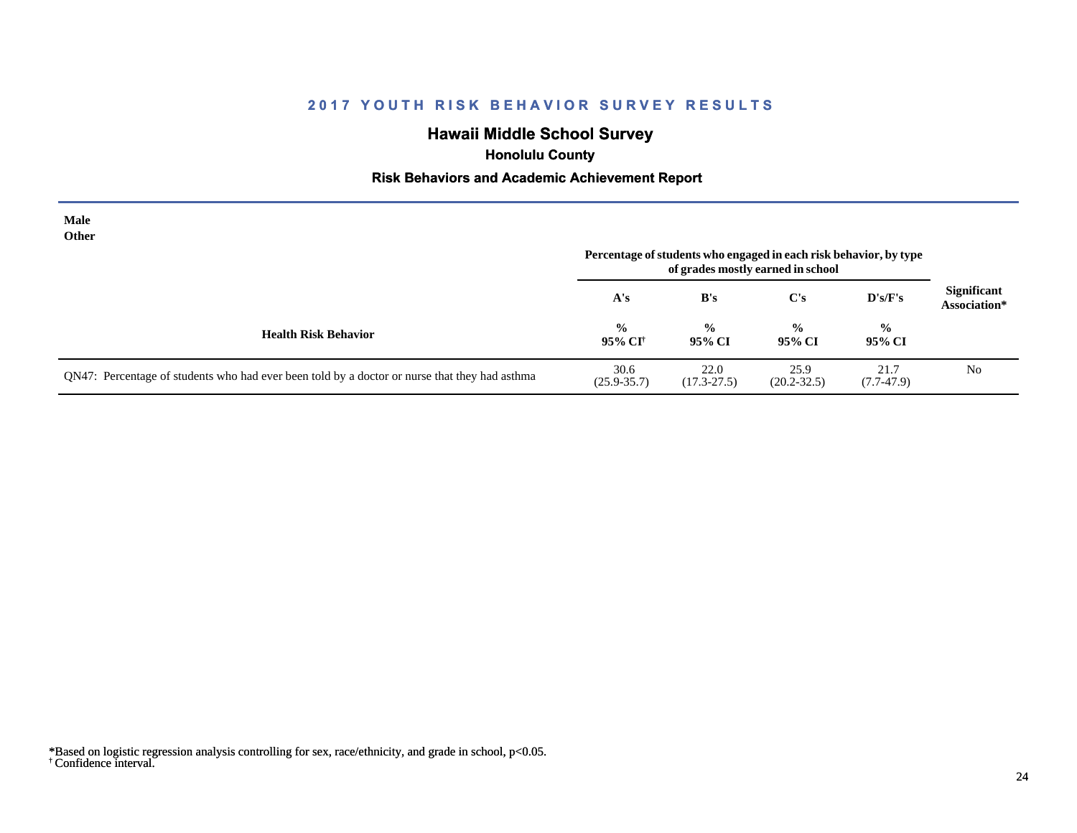# **Hawaii Middle School Survey**

 **Honolulu County**

## **Risk Behaviors and Academic Achievement Report**

| Male<br>Other                                                                                 | Percentage of students who engaged in each risk behavior, by type<br>of grades mostly earned in school |                         |                         |                         |                                    |
|-----------------------------------------------------------------------------------------------|--------------------------------------------------------------------------------------------------------|-------------------------|-------------------------|-------------------------|------------------------------------|
|                                                                                               | A's                                                                                                    | B's                     | $\bf C's$               | $\bf{D's/F's}$          | <b>Significant</b><br>Association* |
| <b>Health Risk Behavior</b>                                                                   | $\frac{0}{0}$<br>95% CI <sup>†</sup>                                                                   | $\frac{0}{0}$<br>95% CI | $\frac{0}{0}$<br>95% CI | $\frac{0}{0}$<br>95% CI |                                    |
| QN47: Percentage of students who had ever been told by a doctor or nurse that they had asthma | 30.6<br>$(25.9 - 35.7)$                                                                                | 22.0<br>$(17.3 - 27.5)$ | 25.9<br>$(20.2 - 32.5)$ | 21.7<br>$(7.7-47.9)$    | N <sub>0</sub>                     |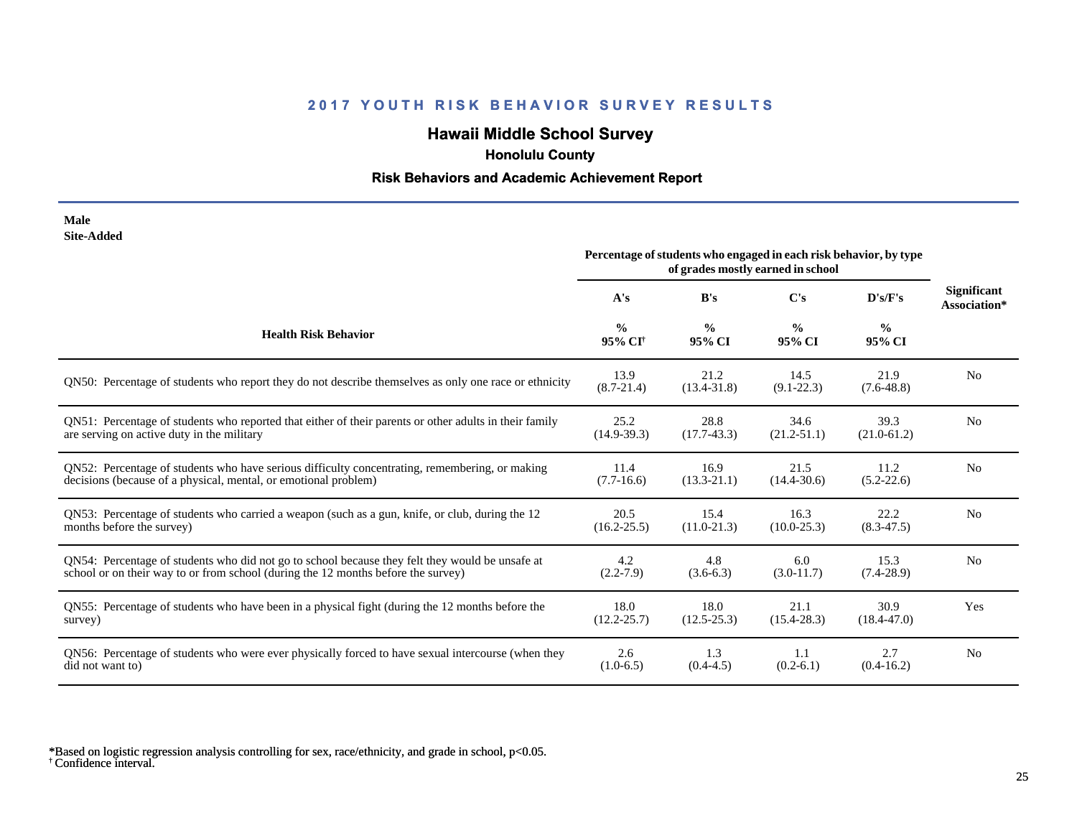# **Hawaii Middle School Survey**

 **Honolulu County**

## **Risk Behaviors and Academic Achievement Report**

| Male       |  |
|------------|--|
| Site-Added |  |

| one-Augu                                                                                               | Percentage of students who engaged in each risk behavior, by type<br>of grades mostly earned in school |                         |                         |                         |                                    |  |
|--------------------------------------------------------------------------------------------------------|--------------------------------------------------------------------------------------------------------|-------------------------|-------------------------|-------------------------|------------------------------------|--|
|                                                                                                        | A's                                                                                                    | B's                     | C's                     | D's/F's                 | <b>Significant</b><br>Association* |  |
| <b>Health Risk Behavior</b>                                                                            | $\frac{0}{0}$<br>95% CI <sup>+</sup>                                                                   | $\frac{0}{0}$<br>95% CI | $\frac{6}{9}$<br>95% CI | $\frac{0}{0}$<br>95% CI |                                    |  |
| QN50: Percentage of students who report they do not describe themselves as only one race or ethnicity  | 13.9<br>$(8.7 - 21.4)$                                                                                 | 21.2<br>$(13.4 - 31.8)$ | 14.5<br>$(9.1 - 22.3)$  | 21.9<br>$(7.6-48.8)$    | N <sub>0</sub>                     |  |
| QN51: Percentage of students who reported that either of their parents or other adults in their family | 25.2                                                                                                   | 28.8                    | 34.6                    | 39.3                    | N <sub>0</sub>                     |  |
| are serving on active duty in the military                                                             | $(14.9-39.3)$                                                                                          | $(17.7-43.3)$           | $(21.2 - 51.1)$         | $(21.0-61.2)$           |                                    |  |
| ON52: Percentage of students who have serious difficulty concentrating, remembering, or making         | 11.4                                                                                                   | 16.9                    | 21.5                    | 11.2                    | N <sub>0</sub>                     |  |
| decisions (because of a physical, mental, or emotional problem)                                        | $(7.7-16.6)$                                                                                           | $(13.3 - 21.1)$         | $(14.4 - 30.6)$         | $(5.2 - 22.6)$          |                                    |  |
| QN53: Percentage of students who carried a weapon (such as a gun, knife, or club, during the 12        | 20.5                                                                                                   | 15.4                    | 16.3                    | 22.2                    | N <sub>0</sub>                     |  |
| months before the survey)                                                                              | $(16.2 - 25.5)$                                                                                        | $(11.0-21.3)$           | $(10.0 - 25.3)$         | $(8.3 - 47.5)$          |                                    |  |
| QN54: Percentage of students who did not go to school because they felt they would be unsafe at        | 4.2                                                                                                    | 4.8                     | 6.0                     | 15.3                    | N <sub>0</sub>                     |  |
| school or on their way to or from school (during the 12 months before the survey)                      | $(2.2 - 7.9)$                                                                                          | $(3.6-6.3)$             | $(3.0-11.7)$            | $(7.4-28.9)$            |                                    |  |
| QN55: Percentage of students who have been in a physical fight (during the 12 months before the        | 18.0                                                                                                   | 18.0                    | 21.1                    | 30.9                    | Yes                                |  |
| survey)                                                                                                | $(12.2 - 25.7)$                                                                                        | $(12.5 - 25.3)$         | $(15.4 - 28.3)$         | $(18.4 - 47.0)$         |                                    |  |
| QN56: Percentage of students who were ever physically forced to have sexual intercourse (when they     | 2.6                                                                                                    | 1.3                     | 1.1                     | 2.7                     | N <sub>0</sub>                     |  |
| did not want to)                                                                                       | $(1.0-6.5)$                                                                                            | $(0.4-4.5)$             | $(0.2-6.1)$             | $(0.4-16.2)$            |                                    |  |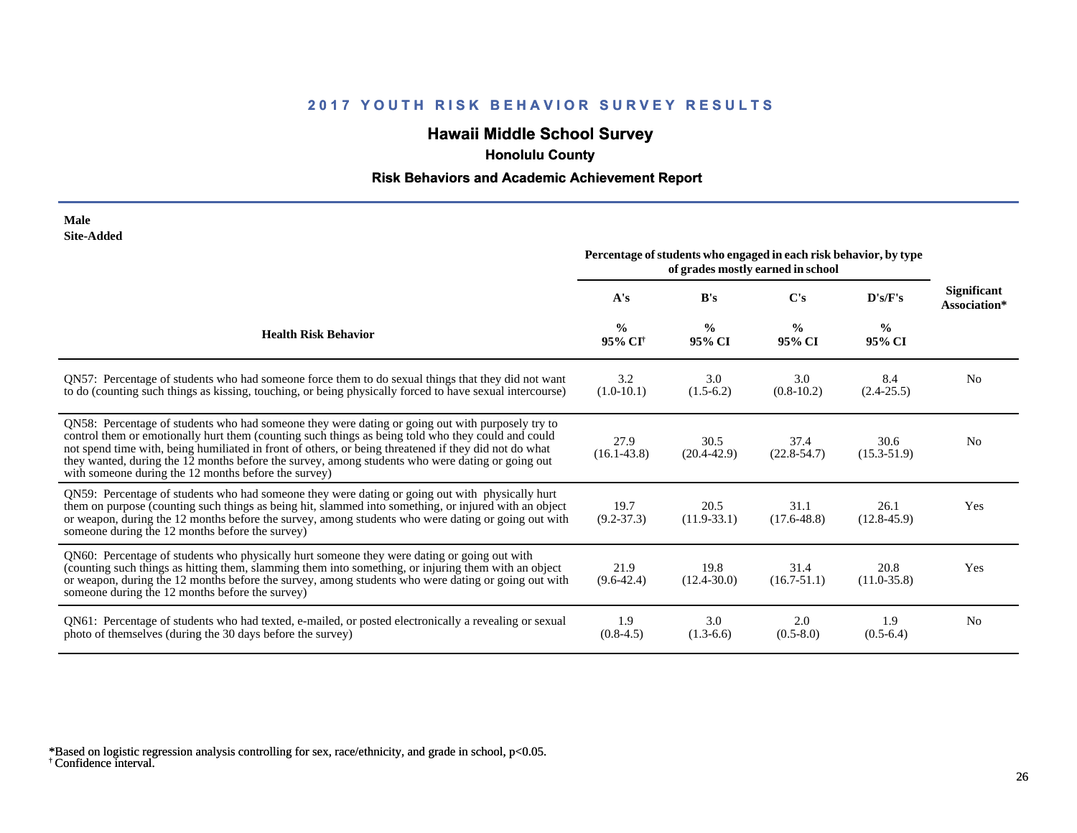# **Hawaii Middle School Survey**

## **Honolulu County**

## **Risk Behaviors and Academic Achievement Report**

| Male              |
|-------------------|
| <b>Site-Added</b> |

| one Agged<br>Percentage of students who engaged in each risk behavior, by type<br>of grades mostly earned in school                                                                                                                                                                                                                                                                                                                                                         |                                      |                         |                         |                         |                             |  |
|-----------------------------------------------------------------------------------------------------------------------------------------------------------------------------------------------------------------------------------------------------------------------------------------------------------------------------------------------------------------------------------------------------------------------------------------------------------------------------|--------------------------------------|-------------------------|-------------------------|-------------------------|-----------------------------|--|
|                                                                                                                                                                                                                                                                                                                                                                                                                                                                             | A's                                  | B's                     | C's                     | D's/F's                 | Significant<br>Association* |  |
| <b>Health Risk Behavior</b>                                                                                                                                                                                                                                                                                                                                                                                                                                                 | $\frac{0}{0}$<br>95% CI <sup>+</sup> | $\frac{0}{0}$<br>95% CI | $\frac{0}{0}$<br>95% CI | $\frac{0}{0}$<br>95% CI |                             |  |
| QN57: Percentage of students who had someone force them to do sexual things that they did not want<br>to do (counting such things as kissing, touching, or being physically forced to have sexual intercourse)                                                                                                                                                                                                                                                              | 3.2<br>$(1.0-10.1)$                  | 3.0<br>$(1.5-6.2)$      | 3.0<br>$(0.8-10.2)$     | 8.4<br>$(2.4 - 25.5)$   | N <sub>0</sub>              |  |
| QN58: Percentage of students who had someone they were dating or going out with purposely try to<br>control them or emotionally hurt them (counting such things as being told who they could and could<br>not spend time with, being humiliated in front of others, or being threatened if they did not do what<br>they wanted, during the 12 months before the survey, among students who were dating or going out<br>with someone during the 12 months before the survey) | 27.9<br>$(16.1 - 43.8)$              | 30.5<br>$(20.4 - 42.9)$ | 37.4<br>$(22.8 - 54.7)$ | 30.6<br>$(15.3 - 51.9)$ | N <sub>0</sub>              |  |
| QN59: Percentage of students who had someone they were dating or going out with physically hurt<br>them on purpose (counting such things as being hit, slammed into something, or injured with an object<br>or weapon, during the 12 months before the survey, among students who were dating or going out with<br>someone during the 12 months before the survey)                                                                                                          | 19.7<br>$(9.2 - 37.3)$               | 20.5<br>$(11.9-33.1)$   | 31.1<br>$(17.6 - 48.8)$ | 26.1<br>$(12.8 - 45.9)$ | Yes                         |  |
| QN60: Percentage of students who physically hurt someone they were dating or going out with<br>(counting such things as hitting them, slamming them into something, or injuring them with an object<br>or weapon, during the 12 months before the survey, among students who were dating or going out with<br>someone during the 12 months before the survey)                                                                                                               | 21.9<br>$(9.6-42.4)$                 | 19.8<br>$(12.4 - 30.0)$ | 31.4<br>$(16.7 - 51.1)$ | 20.8<br>$(11.0 - 35.8)$ | Yes                         |  |
| QN61: Percentage of students who had texted, e-mailed, or posted electronically a revealing or sexual<br>photo of themselves (during the 30 days before the survey)                                                                                                                                                                                                                                                                                                         | 1.9<br>$(0.8-4.5)$                   | 3.0<br>$(1.3-6.6)$      | 2.0<br>$(0.5 - 8.0)$    | 1.9<br>$(0.5-6.4)$      | N <sub>0</sub>              |  |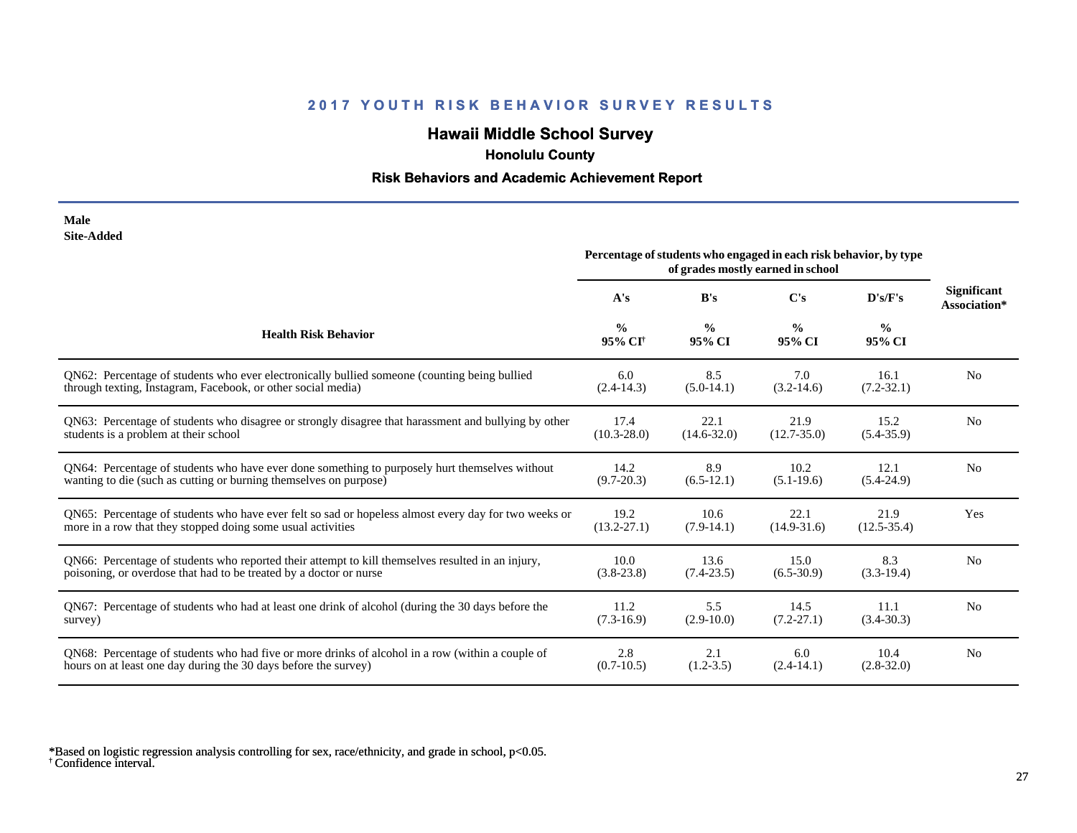# **Hawaii Middle School Survey**

 **Honolulu County**

## **Risk Behaviors and Academic Achievement Report**

| Male              |
|-------------------|
| <b>Site-Added</b> |

|                                                                                                      | Percentage of students who engaged in each risk behavior, by type<br>of grades mostly earned in school |                         |                         |                         |                                    |  |
|------------------------------------------------------------------------------------------------------|--------------------------------------------------------------------------------------------------------|-------------------------|-------------------------|-------------------------|------------------------------------|--|
|                                                                                                      | A's                                                                                                    | B's                     | $\bf C's$               | D's/F's                 | <b>Significant</b><br>Association* |  |
| <b>Health Risk Behavior</b>                                                                          | $\frac{0}{0}$<br>95% CI <sup>+</sup>                                                                   | $\frac{0}{0}$<br>95% CI | $\frac{0}{0}$<br>95% CI | $\frac{0}{0}$<br>95% CI |                                    |  |
| QN62: Percentage of students who ever electronically bullied someone (counting being bullied         | 6.0                                                                                                    | 8.5                     | 7.0                     | 16.1                    | N <sub>0</sub>                     |  |
| through texting, Instagram, Facebook, or other social media)                                         | $(2.4 - 14.3)$                                                                                         | $(5.0-14.1)$            | $(3.2 - 14.6)$          | $(7.2 - 32.1)$          |                                    |  |
| QN63: Percentage of students who disagree or strongly disagree that harassment and bullying by other | 17.4                                                                                                   | 22.1                    | 21.9                    | 15.2                    | N <sub>0</sub>                     |  |
| students is a problem at their school                                                                | $(10.3 - 28.0)$                                                                                        | $(14.6 - 32.0)$         | $(12.7 - 35.0)$         | $(5.4 - 35.9)$          |                                    |  |
| QN64: Percentage of students who have ever done something to purposely hurt themselves without       | 14.2                                                                                                   | 8.9                     | 10.2                    | 12.1                    | N <sub>0</sub>                     |  |
| wanting to die (such as cutting or burning themselves on purpose)                                    | $(9.7 - 20.3)$                                                                                         | $(6.5-12.1)$            | $(5.1-19.6)$            | $(5.4-24.9)$            |                                    |  |
| QN65: Percentage of students who have ever felt so sad or hopeless almost every day for two weeks or | 19.2                                                                                                   | 10.6                    | 22.1                    | 21.9                    | Yes                                |  |
| more in a row that they stopped doing some usual activities                                          | $(13.2 - 27.1)$                                                                                        | $(7.9-14.1)$            | $(14.9-31.6)$           | $(12.5 - 35.4)$         |                                    |  |
| QN66: Percentage of students who reported their attempt to kill themselves resulted in an injury,    | 10.0                                                                                                   | 13.6                    | 15.0                    | 8.3                     | N <sub>0</sub>                     |  |
| poisoning, or overdose that had to be treated by a doctor or nurse                                   | $(3.8-23.8)$                                                                                           | $(7.4 - 23.5)$          | $(6.5-30.9)$            | $(3.3-19.4)$            |                                    |  |
| QN67: Percentage of students who had at least one drink of alcohol (during the 30 days before the    | 11.2                                                                                                   | 5.5                     | 14.5                    | 11.1                    | N <sub>0</sub>                     |  |
| survey)                                                                                              | $(7.3-16.9)$                                                                                           | $(2.9-10.0)$            | $(7.2 - 27.1)$          | $(3.4 - 30.3)$          |                                    |  |
| QN68: Percentage of students who had five or more drinks of alcohol in a row (within a couple of     | 2.8                                                                                                    | 2.1                     | 6.0                     | 10.4                    | N <sub>0</sub>                     |  |
| hours on at least one day during the 30 days before the survey)                                      | $(0.7-10.5)$                                                                                           | $(1.2 - 3.5)$           | $(2.4-14.1)$            | $(2.8 - 32.0)$          |                                    |  |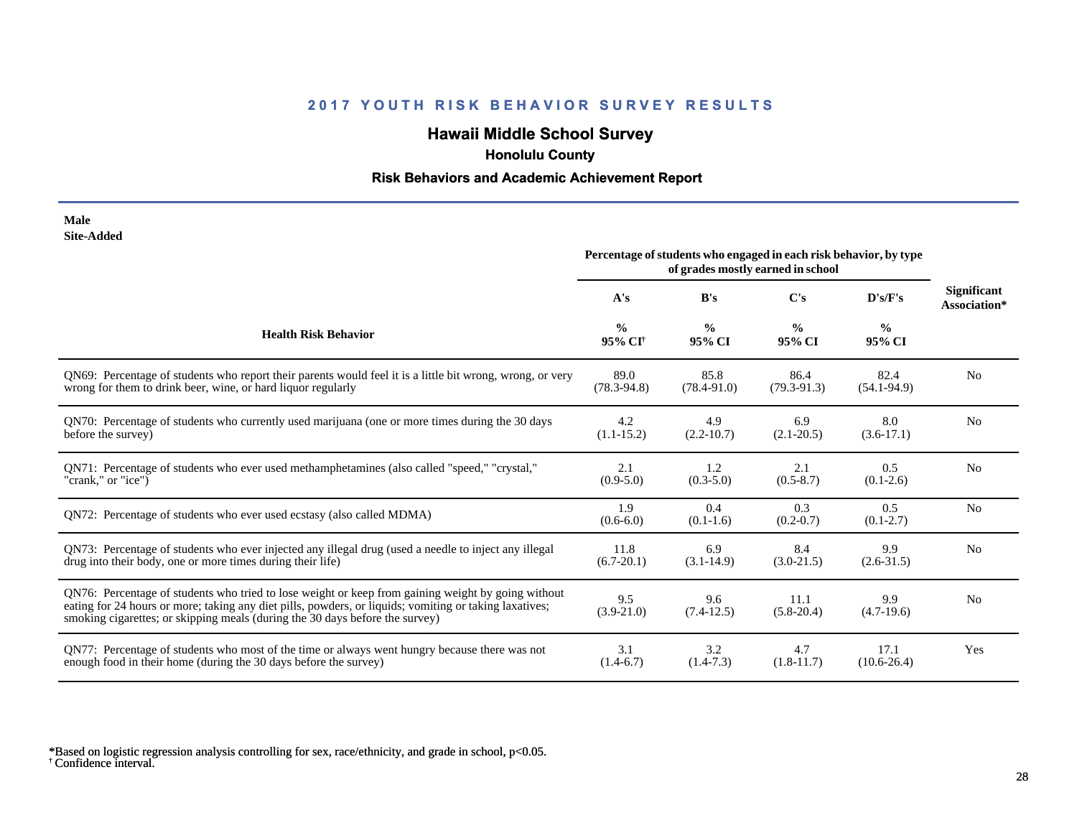# **Hawaii Middle School Survey**

 **Honolulu County**

## **Risk Behaviors and Academic Achievement Report**

| Male              |
|-------------------|
| <b>Site-Added</b> |

|                                                                                                                                                                                                                                                                                              | Percentage of students who engaged in each risk behavior, by type<br>of grades mostly earned in school |                         |                         |                         |                                    |  |
|----------------------------------------------------------------------------------------------------------------------------------------------------------------------------------------------------------------------------------------------------------------------------------------------|--------------------------------------------------------------------------------------------------------|-------------------------|-------------------------|-------------------------|------------------------------------|--|
|                                                                                                                                                                                                                                                                                              | A's                                                                                                    | B's                     | $\bf C's$               | D's/F's                 | <b>Significant</b><br>Association* |  |
| <b>Health Risk Behavior</b>                                                                                                                                                                                                                                                                  | $\frac{0}{0}$<br>95% CI <sup>+</sup>                                                                   | $\frac{0}{0}$<br>95% CI | $\frac{0}{0}$<br>95% CI | $\frac{0}{0}$<br>95% CI |                                    |  |
| QN69: Percentage of students who report their parents would feel it is a little bit wrong, wrong, or very                                                                                                                                                                                    | 89.0                                                                                                   | 85.8                    | 86.4                    | 82.4                    | N <sub>0</sub>                     |  |
| wrong for them to drink beer, wine, or hard liquor regularly                                                                                                                                                                                                                                 | $(78.3 - 94.8)$                                                                                        | $(78.4 - 91.0)$         | $(79.3 - 91.3)$         | $(54.1 - 94.9)$         |                                    |  |
| QN70: Percentage of students who currently used marijuana (one or more times during the 30 days                                                                                                                                                                                              | 4.2                                                                                                    | 4.9                     | 6.9                     | 8.0                     | N <sub>0</sub>                     |  |
| before the survey)                                                                                                                                                                                                                                                                           | $(1.1 - 15.2)$                                                                                         | $(2.2 - 10.7)$          | $(2.1 - 20.5)$          | $(3.6-17.1)$            |                                    |  |
| QN71: Percentage of students who ever used methamphetamines (also called "speed," "crystal,"                                                                                                                                                                                                 | 2.1                                                                                                    | 1.2                     | 2.1                     | 0.5                     | N <sub>o</sub>                     |  |
| "crank," or "ice")                                                                                                                                                                                                                                                                           | $(0.9-5.0)$                                                                                            | $(0.3 - 5.0)$           | $(0.5 - 8.7)$           | $(0.1-2.6)$             |                                    |  |
| QN72: Percentage of students who ever used ecstasy (also called MDMA)                                                                                                                                                                                                                        | 1.9<br>$(0.6-6.0)$                                                                                     | 0.4<br>$(0.1-1.6)$      | 0.3<br>$(0.2 - 0.7)$    | 0.5<br>$(0.1 - 2.7)$    | N <sub>o</sub>                     |  |
| QN73: Percentage of students who ever injected any illegal drug (used a needle to inject any illegal                                                                                                                                                                                         | 11.8                                                                                                   | 6.9                     | 8.4                     | 9.9                     | N <sub>0</sub>                     |  |
| drug into their body, one or more times during their life)                                                                                                                                                                                                                                   | $(6.7 - 20.1)$                                                                                         | $(3.1 - 14.9)$          | $(3.0-21.5)$            | $(2.6 - 31.5)$          |                                    |  |
| QN76: Percentage of students who tried to lose weight or keep from gaining weight by going without<br>eating for 24 hours or more; taking any diet pills, powders, or liquids; vomiting or taking laxatives;<br>smoking cigarettes; or skipping meals (during the 30 days before the survey) | 9.5<br>$(3.9-21.0)$                                                                                    | 9.6<br>$(7.4-12.5)$     | 11.1<br>$(5.8-20.4)$    | 9.9<br>$(4.7-19.6)$     | N <sub>0</sub>                     |  |
| QN77: Percentage of students who most of the time or always went hungry because there was not                                                                                                                                                                                                | 3.1                                                                                                    | 3.2                     | 4.7                     | 17.1                    | Yes                                |  |
| enough food in their home (during the 30 days before the survey)                                                                                                                                                                                                                             | $(1.4-6.7)$                                                                                            | $(1.4-7.3)$             | $(1.8-11.7)$            | $(10.6 - 26.4)$         |                                    |  |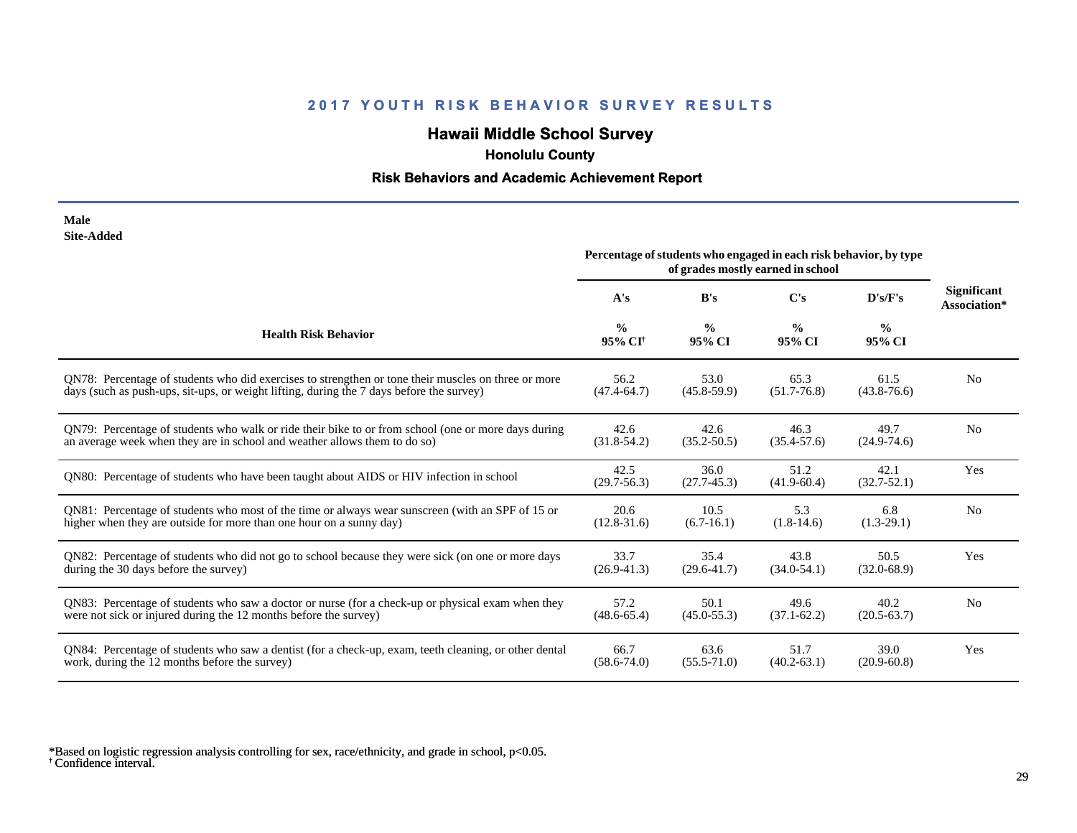# **Hawaii Middle School Survey**

 **Honolulu County**

## **Risk Behaviors and Academic Achievement Report**

| Male       |
|------------|
| Site-Added |

|                                                                                                       | Percentage of students who engaged in each risk behavior, by type<br>of grades mostly earned in school |                         |                                                            |                         |                |  |
|-------------------------------------------------------------------------------------------------------|--------------------------------------------------------------------------------------------------------|-------------------------|------------------------------------------------------------|-------------------------|----------------|--|
|                                                                                                       | A's                                                                                                    | B's                     | <b>Significant</b><br>$\bf C's$<br>D's/F's<br>Association* |                         |                |  |
| <b>Health Risk Behavior</b>                                                                           | $\frac{0}{0}$<br>95% CI <sup>†</sup>                                                                   | $\frac{0}{0}$<br>95% CI | $\frac{6}{9}$<br>95% CI                                    | $\frac{0}{0}$<br>95% CI |                |  |
| QN78: Percentage of students who did exercises to strengthen or tone their muscles on three or more   | 56.2                                                                                                   | 53.0                    | 65.3                                                       | 61.5                    | N <sub>0</sub> |  |
| days (such as push-ups, sit-ups, or weight lifting, during the 7 days before the survey)              | $(47.4 - 64.7)$                                                                                        | $(45.8 - 59.9)$         | $(51.7 - 76.8)$                                            | $(43.8 - 76.6)$         |                |  |
| ON79: Percentage of students who walk or ride their bike to or from school (one or more days during   | 42.6                                                                                                   | 42.6                    | 46.3                                                       | 49.7                    | N <sub>0</sub> |  |
| an average week when they are in school and weather allows them to do so)                             | $(31.8-54.2)$                                                                                          | $(35.2 - 50.5)$         | $(35.4 - 57.6)$                                            | $(24.9 - 74.6)$         |                |  |
| QN80: Percentage of students who have been taught about AIDS or HIV infection in school               | 42.5<br>$(29.7 - 56.3)$                                                                                | 36.0<br>$(27.7-45.3)$   | 51.2<br>$(41.9 - 60.4)$                                    | 42.1<br>$(32.7 - 52.1)$ | Yes            |  |
| QN81: Percentage of students who most of the time or always wear sunscreen (with an SPF of 15 or      | 20.6                                                                                                   | 10.5                    | 5.3                                                        | 6.8                     | N <sub>0</sub> |  |
| higher when they are outside for more than one hour on a sunny day)                                   | $(12.8 - 31.6)$                                                                                        | $(6.7-16.1)$            | $(1.8-14.6)$                                               | $(1.3-29.1)$            |                |  |
| QN82: Percentage of students who did not go to school because they were sick (on one or more days     | 33.7                                                                                                   | 35.4                    | 43.8                                                       | 50.5                    | Yes            |  |
| during the 30 days before the survey)                                                                 | $(26.9 - 41.3)$                                                                                        | $(29.6 - 41.7)$         | $(34.0 - 54.1)$                                            | $(32.0 - 68.9)$         |                |  |
| QN83: Percentage of students who saw a doctor or nurse (for a check-up or physical exam when they     | 57.2                                                                                                   | 50.1                    | 49.6                                                       | 40.2                    | N <sub>0</sub> |  |
| were not sick or injured during the 12 months before the survey)                                      | $(48.6 - 65.4)$                                                                                        | $(45.0 - 55.3)$         | $(37.1 - 62.2)$                                            | $(20.5 - 63.7)$         |                |  |
| QN84: Percentage of students who saw a dentist (for a check-up, exam, teeth cleaning, or other dental | 66.7                                                                                                   | 63.6                    | 51.7                                                       | 39.0                    | Yes            |  |
| work, during the 12 months before the survey)                                                         | $(58.6 - 74.0)$                                                                                        | $(55.5 - 71.0)$         | $(40.2 - 63.1)$                                            | $(20.9 - 60.8)$         |                |  |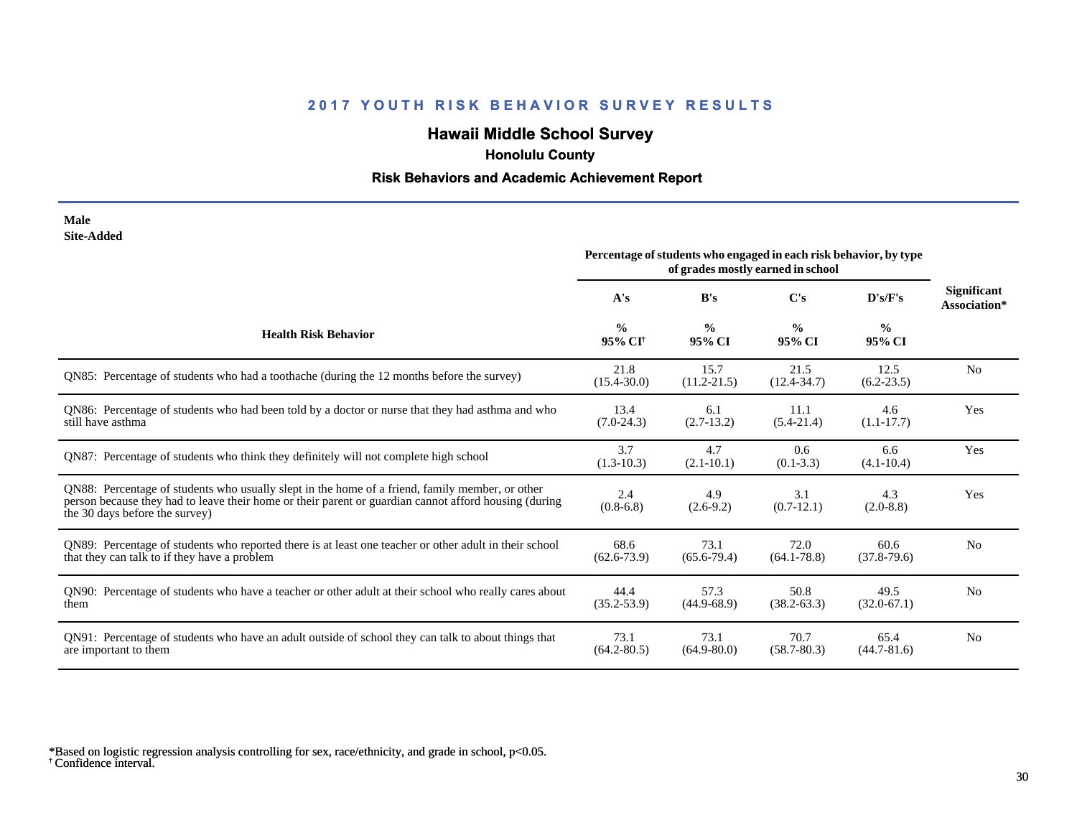# **Hawaii Middle School Survey**

 **Honolulu County**

## **Risk Behaviors and Academic Achievement Report**

| Male       |
|------------|
| Site-Added |

|                                                                                                                                                                                                                                            | Percentage of students who engaged in each risk behavior, by type<br>of grades mostly earned in school |                         |                         |                         |                                    |  |
|--------------------------------------------------------------------------------------------------------------------------------------------------------------------------------------------------------------------------------------------|--------------------------------------------------------------------------------------------------------|-------------------------|-------------------------|-------------------------|------------------------------------|--|
|                                                                                                                                                                                                                                            | A's                                                                                                    | B's                     | C's                     | D's/F's                 | <b>Significant</b><br>Association* |  |
| <b>Health Risk Behavior</b>                                                                                                                                                                                                                | $\frac{0}{0}$<br>95% CI <sup>+</sup>                                                                   | $\frac{0}{0}$<br>95% CI | $\frac{0}{0}$<br>95% CI | $\frac{0}{0}$<br>95% CI |                                    |  |
| QN85: Percentage of students who had a toothache (during the 12 months before the survey)                                                                                                                                                  | 21.8<br>$(15.4 - 30.0)$                                                                                | 15.7<br>$(11.2 - 21.5)$ | 21.5<br>$(12.4 - 34.7)$ | 12.5<br>$(6.2 - 23.5)$  | N <sub>0</sub>                     |  |
| QN86: Percentage of students who had been told by a doctor or nurse that they had asthma and who<br>still have asthma                                                                                                                      | 13.4<br>$(7.0-24.3)$                                                                                   | 6.1<br>$(2.7-13.2)$     | 11.1<br>$(5.4-21.4)$    | 4.6<br>$(1.1 - 17.7)$   | Yes                                |  |
| QN87: Percentage of students who think they definitely will not complete high school                                                                                                                                                       | 3.7<br>$(1.3-10.3)$                                                                                    | 4.7<br>$(2.1 - 10.1)$   | 0.6<br>$(0.1 - 3.3)$    | 6.6<br>$(4.1 - 10.4)$   | Yes                                |  |
| QN88: Percentage of students who usually slept in the home of a friend, family member, or other<br>person because they had to leave their home or their parent or guardian cannot afford housing (during<br>the 30 days before the survey) | 2.4<br>$(0.8-6.8)$                                                                                     | 4.9<br>$(2.6-9.2)$      | 3.1<br>$(0.7-12.1)$     | 4.3<br>$(2.0-8.8)$      | Yes                                |  |
| QN89: Percentage of students who reported there is at least one teacher or other adult in their school<br>that they can talk to if they have a problem                                                                                     | 68.6<br>$(62.6 - 73.9)$                                                                                | 73.1<br>$(65.6 - 79.4)$ | 72.0<br>$(64.1 - 78.8)$ | 60.6<br>$(37.8-79.6)$   | N <sub>0</sub>                     |  |
| QN90: Percentage of students who have a teacher or other adult at their school who really cares about<br>them                                                                                                                              | 44.4<br>$(35.2 - 53.9)$                                                                                | 57.3<br>$(44.9 - 68.9)$ | 50.8<br>$(38.2 - 63.3)$ | 49.5<br>$(32.0 - 67.1)$ | N <sub>0</sub>                     |  |
| QN91: Percentage of students who have an adult outside of school they can talk to about things that<br>are important to them                                                                                                               | 73.1<br>$(64.2 - 80.5)$                                                                                | 73.1<br>$(64.9 - 80.0)$ | 70.7<br>$(58.7 - 80.3)$ | 65.4<br>$(44.7 - 81.6)$ | N <sub>0</sub>                     |  |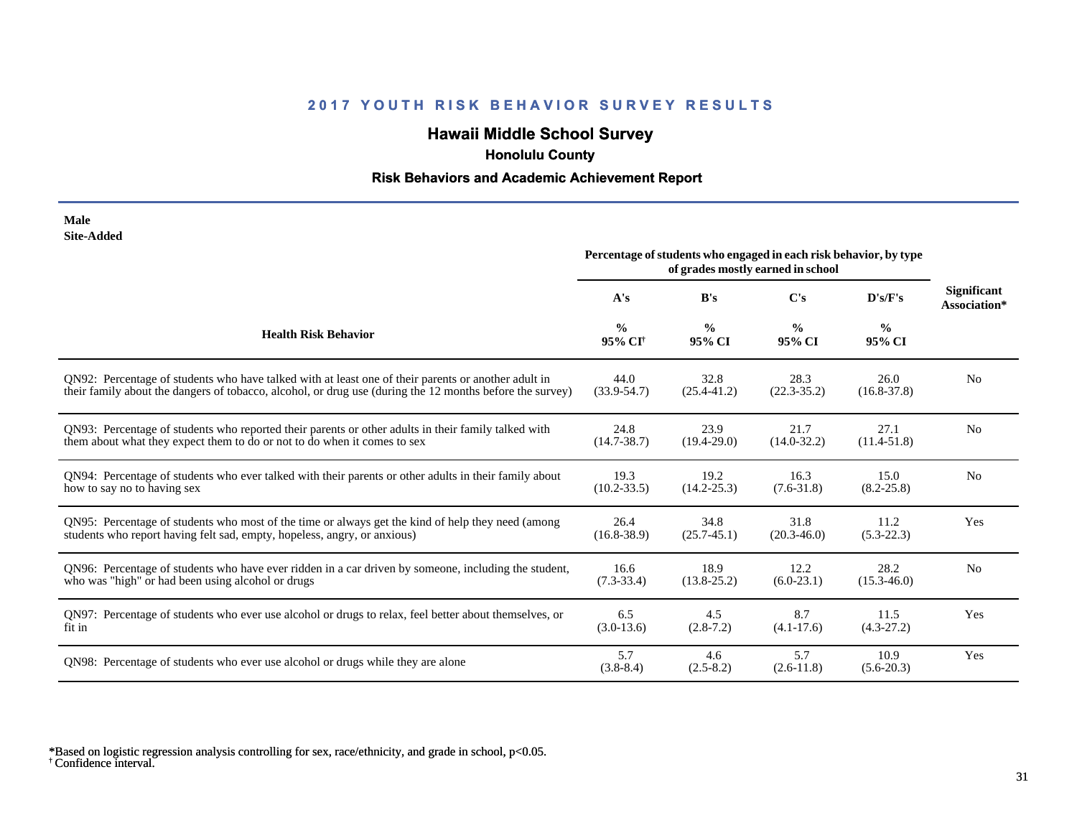# **Hawaii Middle School Survey**

 **Honolulu County**

## **Risk Behaviors and Academic Achievement Report**

| Male       |
|------------|
| Site-Added |

| one-Augu                                                                                                 | Percentage of students who engaged in each risk behavior, by type<br>of grades mostly earned in school |                         |                         |                         |                                    |
|----------------------------------------------------------------------------------------------------------|--------------------------------------------------------------------------------------------------------|-------------------------|-------------------------|-------------------------|------------------------------------|
|                                                                                                          | A's                                                                                                    | B's                     | $\bf C's$               | D's/F's                 | <b>Significant</b><br>Association* |
| <b>Health Risk Behavior</b>                                                                              | $\frac{0}{0}$<br>95% CI <sup>†</sup>                                                                   | $\frac{0}{0}$<br>95% CI | $\frac{0}{0}$<br>95% CI | $\frac{0}{0}$<br>95% CI |                                    |
| QN92: Percentage of students who have talked with at least one of their parents or another adult in      | 44.0                                                                                                   | 32.8                    | 28.3                    | 26.0                    | N <sub>0</sub>                     |
| their family about the dangers of tobacco, alcohol, or drug use (during the 12 months before the survey) | $(33.9 - 54.7)$                                                                                        | $(25.4 - 41.2)$         | $(22.3 - 35.2)$         | $(16.8 - 37.8)$         |                                    |
| QN93: Percentage of students who reported their parents or other adults in their family talked with      | 24.8                                                                                                   | 23.9                    | 21.7                    | 27.1                    | N <sub>0</sub>                     |
| them about what they expect them to do or not to do when it comes to sex                                 | $(14.7 - 38.7)$                                                                                        | $(19.4 - 29.0)$         | $(14.0 - 32.2)$         | $(11.4 - 51.8)$         |                                    |
| QN94: Percentage of students who ever talked with their parents or other adults in their family about    | 19.3                                                                                                   | 19.2                    | 16.3                    | 15.0                    | N <sub>0</sub>                     |
| how to say no to having sex                                                                              | $(10.2 - 33.5)$                                                                                        | $(14.2 - 25.3)$         | $(7.6 - 31.8)$          | $(8.2 - 25.8)$          |                                    |
| QN95: Percentage of students who most of the time or always get the kind of help they need (among        | 26.4                                                                                                   | 34.8                    | 31.8                    | 11.2                    | Yes                                |
| students who report having felt sad, empty, hopeless, angry, or anxious)                                 | $(16.8 - 38.9)$                                                                                        | $(25.7 - 45.1)$         | $(20.3 - 46.0)$         | $(5.3-22.3)$            |                                    |
| QN96: Percentage of students who have ever ridden in a car driven by someone, including the student,     | 16.6                                                                                                   | 18.9                    | 12.2                    | 28.2                    | N <sub>0</sub>                     |
| who was "high" or had been using alcohol or drugs                                                        | $(7.3-33.4)$                                                                                           | $(13.8 - 25.2)$         | $(6.0-23.1)$            | $(15.3 - 46.0)$         |                                    |
| QN97: Percentage of students who ever use alcohol or drugs to relax, feel better about themselves, or    | 6.5                                                                                                    | 4.5                     | 8.7                     | 11.5                    | Yes                                |
| fit in                                                                                                   | $(3.0-13.6)$                                                                                           | $(2.8-7.2)$             | $(4.1 - 17.6)$          | $(4.3-27.2)$            |                                    |
| QN98: Percentage of students who ever use alcohol or drugs while they are alone                          | 5.7<br>$(3.8-8.4)$                                                                                     | 4.6<br>$(2.5-8.2)$      | 5.7<br>$(2.6-11.8)$     | 10.9<br>$(5.6-20.3)$    | Yes                                |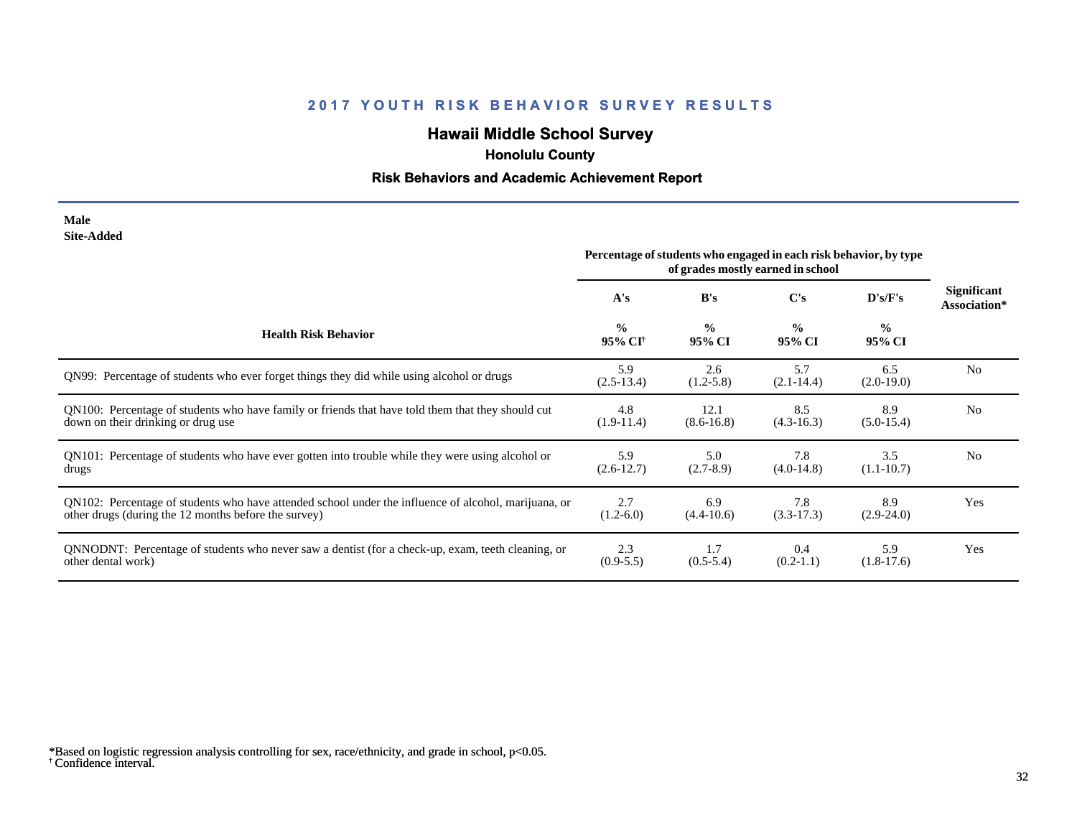# **Hawaii Middle School Survey**

 **Honolulu County**

## **Risk Behaviors and Academic Achievement Report**

| Male       |
|------------|
| Site-Added |

|                                                                                                      | Percentage of students who engaged in each risk behavior, by type<br>of grades mostly earned in school |                         |                         |                         |                                    |
|------------------------------------------------------------------------------------------------------|--------------------------------------------------------------------------------------------------------|-------------------------|-------------------------|-------------------------|------------------------------------|
|                                                                                                      | A's                                                                                                    | B's                     | C's                     | D's/F's                 | <b>Significant</b><br>Association* |
| <b>Health Risk Behavior</b>                                                                          | $\frac{0}{0}$<br>95% CI <sup>+</sup>                                                                   | $\frac{0}{0}$<br>95% CI | $\frac{0}{0}$<br>95% CI | $\frac{0}{0}$<br>95% CI |                                    |
| QN99: Percentage of students who ever forget things they did while using alcohol or drugs            | 5.9<br>$(2.5-13.4)$                                                                                    | 2.6<br>$(1.2 - 5.8)$    | 5.7<br>$(2.1 - 14.4)$   | 6.5<br>$(2.0-19.0)$     | N <sub>0</sub>                     |
| QN100: Percentage of students who have family or friends that have told them that they should cut    | 4.8                                                                                                    | 12.1                    | 8.5                     | 8.9                     | N <sub>0</sub>                     |
| down on their drinking or drug use                                                                   | $(1.9-11.4)$                                                                                           | $(8.6 - 16.8)$          | $(4.3-16.3)$            | $(5.0-15.4)$            |                                    |
| QN101: Percentage of students who have ever gotten into trouble while they were using alcohol or     | 5.9                                                                                                    | 5.0                     | 7.8                     | 3.5                     | N <sub>0</sub>                     |
| drugs                                                                                                | $(2.6-12.7)$                                                                                           | $(2.7-8.9)$             | $(4.0-14.8)$            | $(1.1 - 10.7)$          |                                    |
| QN102: Percentage of students who have attended school under the influence of alcohol, marijuana, or | 2.7                                                                                                    | 6.9                     | 7.8                     | 8.9                     | Yes                                |
| other drugs (during the 12 months before the survey)                                                 | $(1.2-6.0)$                                                                                            | $(4.4 - 10.6)$          | $(3.3-17.3)$            | $(2.9-24.0)$            |                                    |
| QNNODNT: Percentage of students who never saw a dentist (for a check-up, exam, teeth cleaning, or    | 2.3                                                                                                    | 1.7                     | 0.4                     | 5.9                     | Yes                                |
| other dental work)                                                                                   | $(0.9-5.5)$                                                                                            | $(0.5-5.4)$             | $(0.2-1.1)$             | $(1.8-17.6)$            |                                    |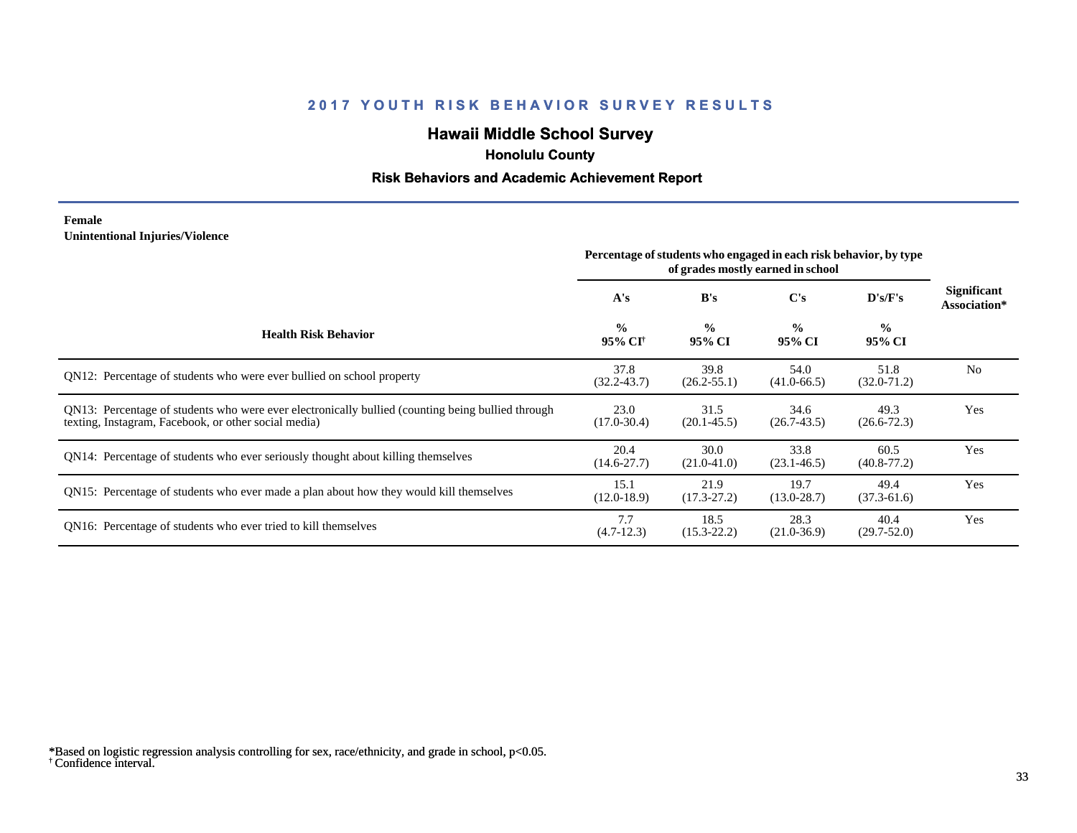# **Hawaii Middle School Survey**

 **Honolulu County**

## **Risk Behaviors and Academic Achievement Report**

#### **Female Unintentional Injuries/Violence**

|                                                                                                                                                           | Percentage of students who engaged in each risk behavior, by type<br>of grades mostly earned in school |                         |                         |                         |                             |
|-----------------------------------------------------------------------------------------------------------------------------------------------------------|--------------------------------------------------------------------------------------------------------|-------------------------|-------------------------|-------------------------|-----------------------------|
|                                                                                                                                                           | A's                                                                                                    | B's                     | $\bf C's$               | D's/F's                 | Significant<br>Association* |
| <b>Health Risk Behavior</b>                                                                                                                               | $\frac{0}{0}$<br>95% CI <sup>+</sup>                                                                   | $\frac{0}{0}$<br>95% CI | $\frac{0}{0}$<br>95% CI | $\frac{0}{0}$<br>95% CI |                             |
| QN12: Percentage of students who were ever bullied on school property                                                                                     | 37.8<br>$(32.2 - 43.7)$                                                                                | 39.8<br>$(26.2 - 55.1)$ | 54.0<br>$(41.0 - 66.5)$ | 51.8<br>$(32.0 - 71.2)$ | N <sub>0</sub>              |
| QN13: Percentage of students who were ever electronically bullied (counting being bullied through<br>texting, Instagram, Facebook, or other social media) | 23.0<br>$(17.0 - 30.4)$                                                                                | 31.5<br>$(20.1 - 45.5)$ | 34.6<br>$(26.7 - 43.5)$ | 49.3<br>$(26.6 - 72.3)$ | Yes                         |
| QN14: Percentage of students who ever seriously thought about killing themselves                                                                          | 20.4<br>$(14.6 - 27.7)$                                                                                | 30.0<br>$(21.0-41.0)$   | 33.8<br>$(23.1 - 46.5)$ | 60.5<br>$(40.8 - 77.2)$ | Yes                         |
| QN15: Percentage of students who ever made a plan about how they would kill themselves                                                                    | 15.1<br>$(12.0-18.9)$                                                                                  | 21.9<br>$(17.3 - 27.2)$ | 19.7<br>$(13.0 - 28.7)$ | 49.4<br>$(37.3 - 61.6)$ | Yes                         |
| QN16: Percentage of students who ever tried to kill themselves                                                                                            | 7.7<br>$(4.7-12.3)$                                                                                    | 18.5<br>$(15.3 - 22.2)$ | 28.3<br>$(21.0 - 36.9)$ | 40.4<br>$(29.7 - 52.0)$ | Yes                         |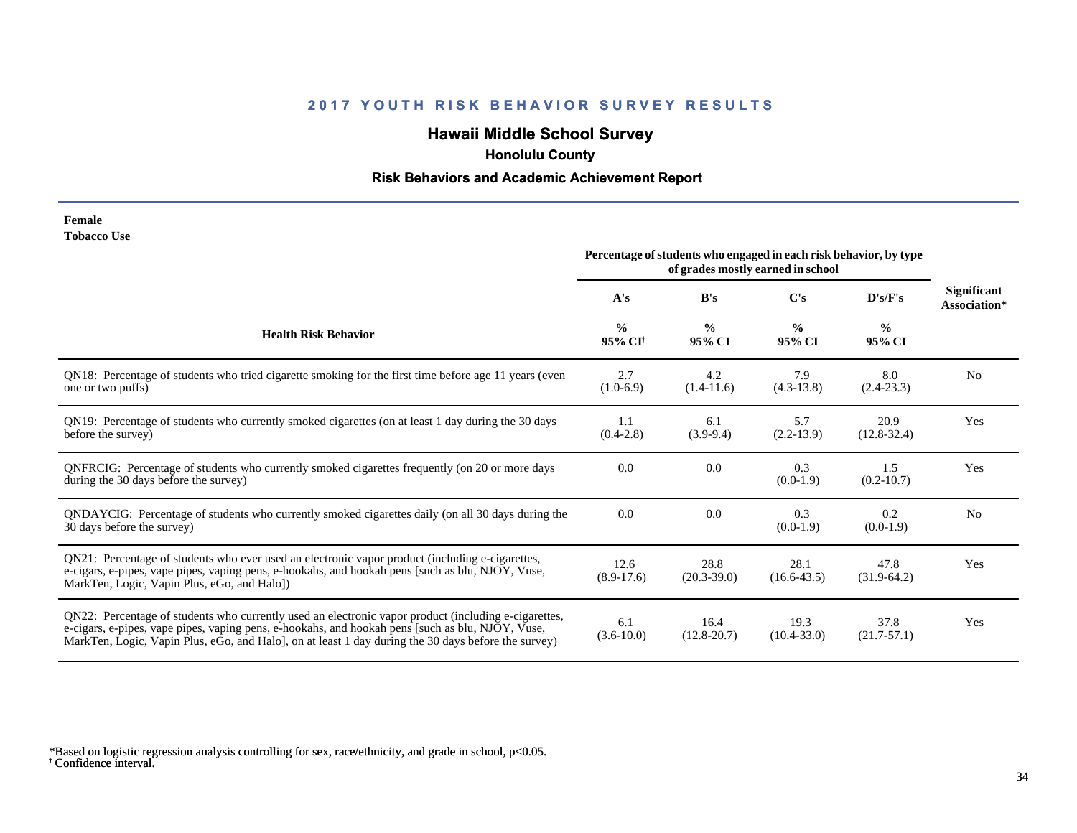# **Hawaii Middle School Survey**

 **Honolulu County**

## **Risk Behaviors and Academic Achievement Report**

| Female             |  |
|--------------------|--|
| <b>Tobacco Use</b> |  |

|                                                                                                                                                                                                                                                                                                                 | Percentage of students who engaged in each risk behavior, by type<br>of grades mostly earned in school |                         |                         |                         |                                    |
|-----------------------------------------------------------------------------------------------------------------------------------------------------------------------------------------------------------------------------------------------------------------------------------------------------------------|--------------------------------------------------------------------------------------------------------|-------------------------|-------------------------|-------------------------|------------------------------------|
|                                                                                                                                                                                                                                                                                                                 | A's                                                                                                    | B's                     | $\bf C's$               | D's/F's                 | <b>Significant</b><br>Association* |
| <b>Health Risk Behavior</b>                                                                                                                                                                                                                                                                                     | $\frac{0}{0}$<br>95% CI <sup>+</sup>                                                                   | $\frac{0}{0}$<br>95% CI | $\frac{0}{0}$<br>95% CI | $\frac{0}{0}$<br>95% CI |                                    |
| QN18: Percentage of students who tried cigarette smoking for the first time before age 11 years (even<br>one or two puffs)                                                                                                                                                                                      | 2.7<br>$(1.0-6.9)$                                                                                     | 4.2<br>$(1.4-11.6)$     | 7.9<br>$(4.3-13.8)$     | 8.0<br>$(2.4-23.3)$     | N <sub>0</sub>                     |
| QN19: Percentage of students who currently smoked cigarettes (on at least 1 day during the 30 days<br>before the survey)                                                                                                                                                                                        | 1.1<br>$(0.4-2.8)$                                                                                     | 6.1<br>$(3.9-9.4)$      | 5.7<br>$(2.2 - 13.9)$   | 20.9<br>$(12.8 - 32.4)$ | Yes                                |
| QNFRCIG: Percentage of students who currently smoked cigarettes frequently (on 20 or more days<br>during the 30 days before the survey)                                                                                                                                                                         | 0.0                                                                                                    | 0.0                     | 0.3<br>$(0.0-1.9)$      | 1.5<br>$(0.2 - 10.7)$   | Yes                                |
| QNDAYCIG: Percentage of students who currently smoked cigarettes daily (on all 30 days during the<br>30 days before the survey)                                                                                                                                                                                 | 0.0                                                                                                    | 0.0                     | 0.3<br>$(0.0-1.9)$      | 0.2<br>$(0.0-1.9)$      | N <sub>0</sub>                     |
| QN21: Percentage of students who ever used an electronic vapor product (including e-cigarettes,<br>e-cigars, e-pipes, vape pipes, vaping pens, e-hookahs, and hookah pens [such as blu, NJOY, Vuse,<br>MarkTen, Logic, Vapin Plus, eGo, and Halo])                                                              | 12.6<br>$(8.9-17.6)$                                                                                   | 28.8<br>$(20.3 - 39.0)$ | 28.1<br>$(16.6 - 43.5)$ | 47.8<br>$(31.9-64.2)$   | Yes                                |
| QN22: Percentage of students who currently used an electronic vapor product (including e-cigarettes,<br>e-cigars, e-pipes, vape pipes, vaping pens, e-hookahs, and hookah pens [such as blu, NJOY, Vuse,<br>MarkTen, Logic, Vapin Plus, eGo, and Halo], on at least 1 day during the 30 days before the survey) | 6.1<br>$(3.6-10.0)$                                                                                    | 16.4<br>$(12.8 - 20.7)$ | 19.3<br>$(10.4 - 33.0)$ | 37.8<br>$(21.7 - 57.1)$ | Yes                                |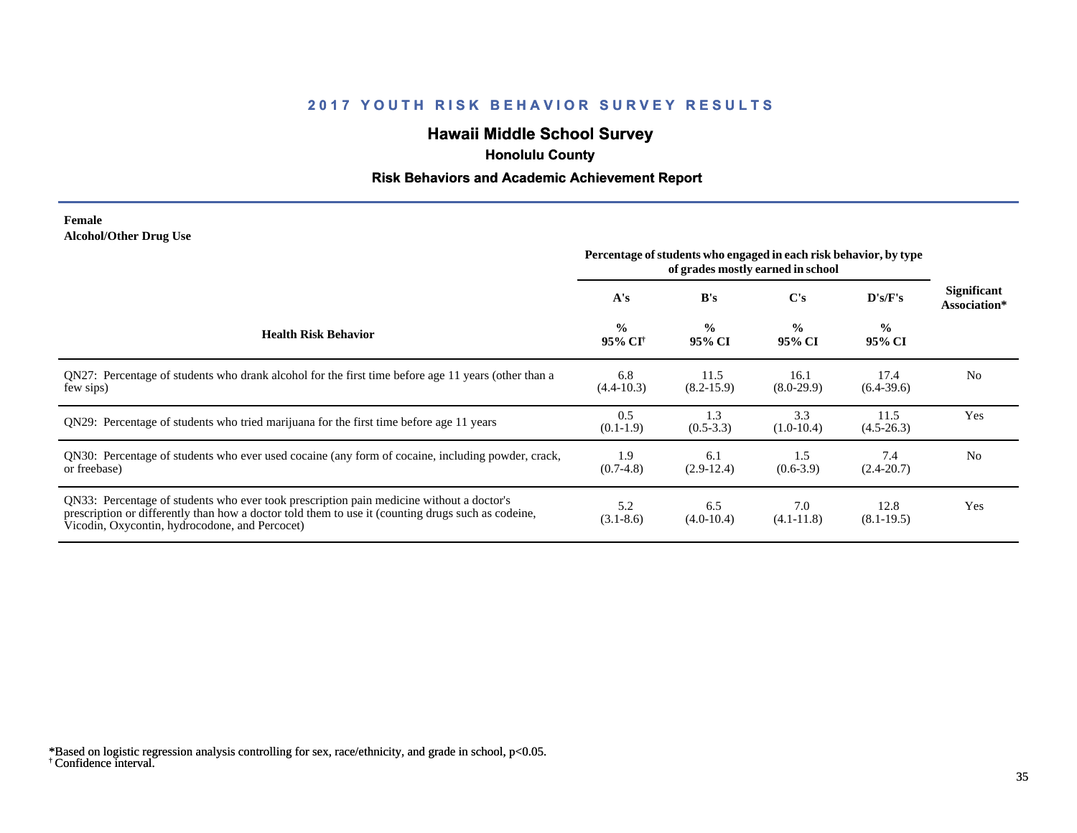# **Hawaii Middle School Survey**

 **Honolulu County**

## **Risk Behaviors and Academic Achievement Report**

#### **Female Alcohol/Other Drug Use**

|                                                                                                                                                                                                                                                  | Percentage of students who engaged in each risk behavior, by type<br>of grades mostly earned in school |                         |                         |                         |                             |
|--------------------------------------------------------------------------------------------------------------------------------------------------------------------------------------------------------------------------------------------------|--------------------------------------------------------------------------------------------------------|-------------------------|-------------------------|-------------------------|-----------------------------|
|                                                                                                                                                                                                                                                  | A's                                                                                                    | B's                     | $\bf C's$               | D's/F's                 | Significant<br>Association* |
| <b>Health Risk Behavior</b>                                                                                                                                                                                                                      | $\frac{0}{0}$<br>95% CI <sup>+</sup>                                                                   | $\frac{6}{6}$<br>95% CI | $\frac{0}{0}$<br>95% CI | $\frac{0}{0}$<br>95% CI |                             |
| QN27: Percentage of students who drank alcohol for the first time before age 11 years (other than a<br>few sips)                                                                                                                                 | 6.8<br>$(4.4 - 10.3)$                                                                                  | 11.5<br>$(8.2 - 15.9)$  | 16.1<br>$(8.0-29.9)$    | 17.4<br>$(6.4-39.6)$    | N <sub>0</sub>              |
| QN29: Percentage of students who tried marijuana for the first time before age 11 years                                                                                                                                                          | 0.5<br>$(0.1-1.9)$                                                                                     | 1.3<br>$(0.5-3.3)$      | 3.3<br>$(1.0-10.4)$     | 11.5<br>$(4.5 - 26.3)$  | Yes                         |
| QN30: Percentage of students who ever used cocaine (any form of cocaine, including powder, crack,<br>or freebase)                                                                                                                                | 1.9<br>$(0.7-4.8)$                                                                                     | 6.1<br>$(2.9-12.4)$     | 1.5<br>$(0.6-3.9)$      | 7.4<br>$(2.4 - 20.7)$   | N <sub>0</sub>              |
| QN33: Percentage of students who ever took prescription pain medicine without a doctor's<br>prescription or differently than how a doctor told them to use it (counting drugs such as codeine,<br>Vicodin, Oxycontin, hydrocodone, and Percocet) | 5.2<br>$(3.1 - 8.6)$                                                                                   | 6.5<br>$(4.0-10.4)$     | 7.0<br>$(4.1 - 11.8)$   | 12.8<br>$(8.1 - 19.5)$  | Yes                         |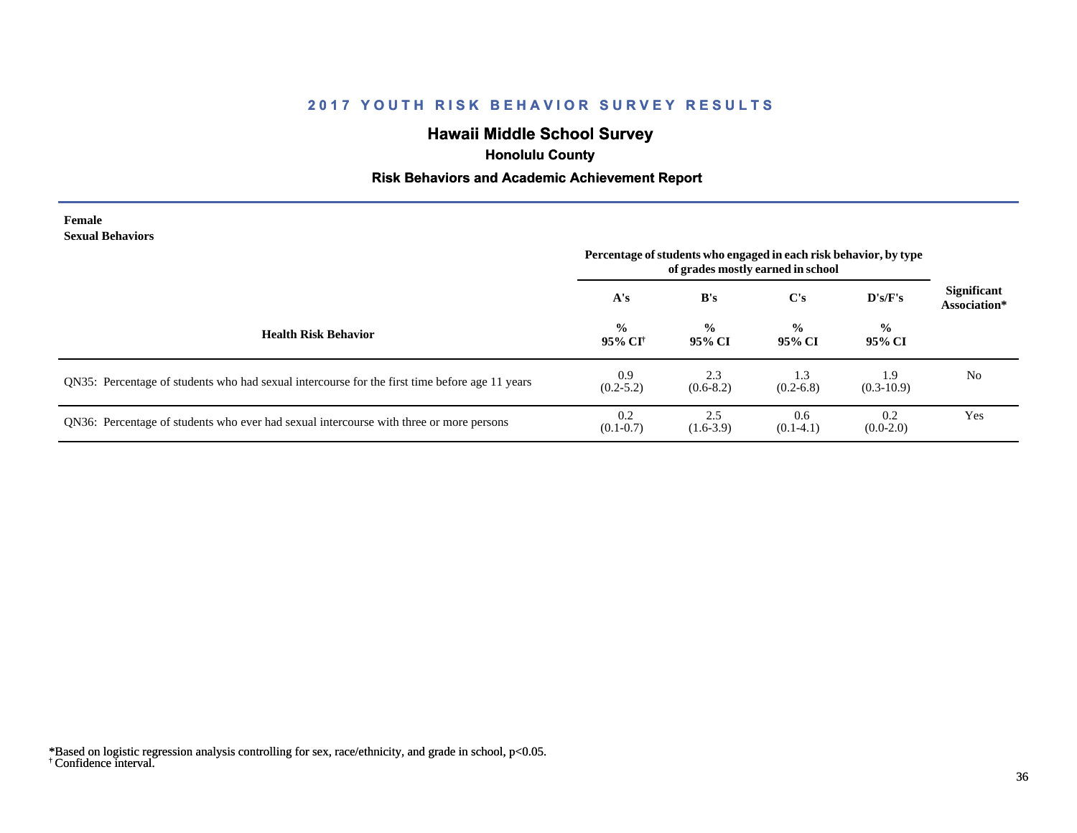# **Hawaii Middle School Survey**

 **Honolulu County**

## **Risk Behaviors and Academic Achievement Report**

| Female                  |
|-------------------------|
| <b>Sexual Behaviors</b> |

| эслий ренитогэ                                                                                 | Percentage of students who engaged in each risk behavior, by type<br>of grades mostly earned in school |                         |                         |                         |                                    |
|------------------------------------------------------------------------------------------------|--------------------------------------------------------------------------------------------------------|-------------------------|-------------------------|-------------------------|------------------------------------|
|                                                                                                | A's                                                                                                    | B's                     | $\bf C's$               | D's/F's                 | <b>Significant</b><br>Association* |
| <b>Health Risk Behavior</b>                                                                    | $\frac{0}{0}$<br>95% CI†                                                                               | $\frac{0}{0}$<br>95% CI | $\frac{6}{9}$<br>95% CI | $\frac{0}{0}$<br>95% CI |                                    |
| QN35: Percentage of students who had sexual intercourse for the first time before age 11 years | 0.9<br>$(0.2 - 5.2)$                                                                                   | 2.3<br>$(0.6-8.2)$      | 1.3<br>$(0.2 - 6.8)$    | 1.9<br>$(0.3-10.9)$     | N <sub>0</sub>                     |
| QN36: Percentage of students who ever had sexual intercourse with three or more persons        | 0.2<br>$(0.1 - 0.7)$                                                                                   | 2.5<br>$(1.6-3.9)$      | 0.6<br>$(0.1-4.1)$      | 0.2<br>$(0.0-2.0)$      | Yes                                |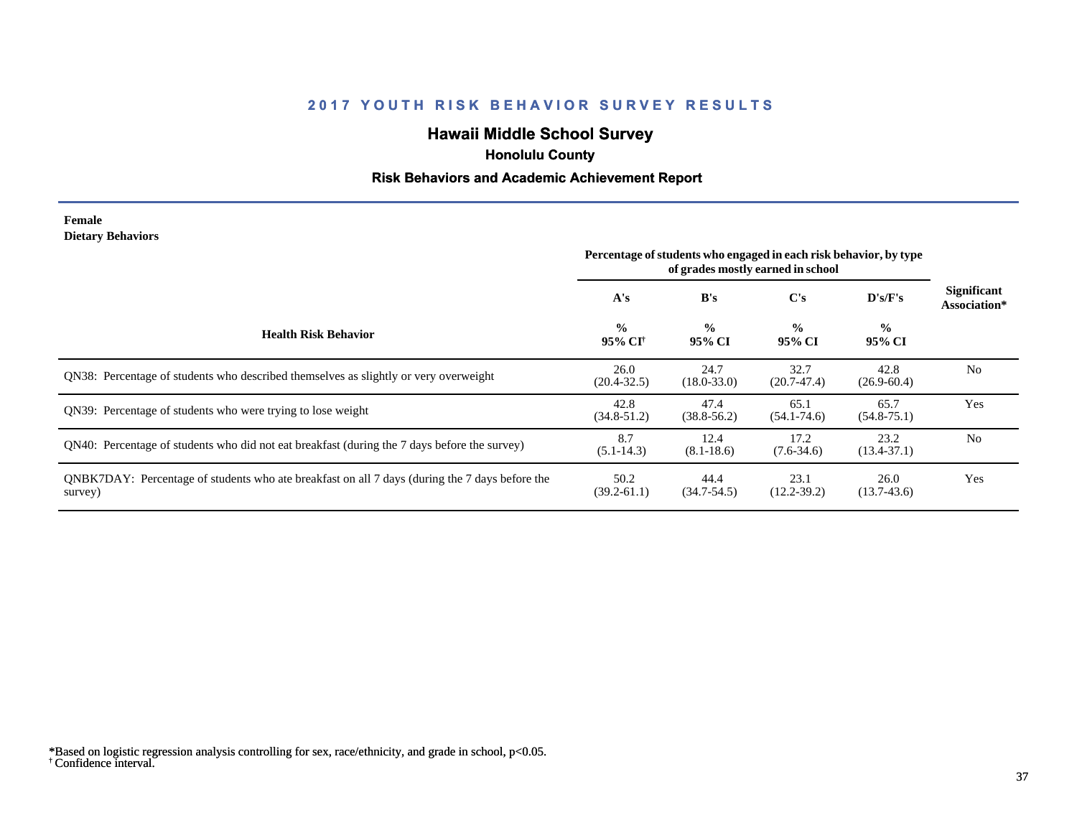# **Hawaii Middle School Survey**

 **Honolulu County**

#### **Risk Behaviors and Academic Achievement Report**

#### **Female Dietary Behaviors**

|                                                                                                           | Percentage of students who engaged in each risk behavior, by type |                         |                         |                         |                                    |
|-----------------------------------------------------------------------------------------------------------|-------------------------------------------------------------------|-------------------------|-------------------------|-------------------------|------------------------------------|
|                                                                                                           | A's                                                               | B's                     | C's                     | D's/F's                 | <b>Significant</b><br>Association* |
| <b>Health Risk Behavior</b>                                                                               | $\frac{0}{0}$<br>95% CI†                                          | $\frac{6}{6}$<br>95% CI | $\frac{0}{0}$<br>95% CI | $\frac{0}{0}$<br>95% CI |                                    |
| QN38: Percentage of students who described themselves as slightly or very overweight                      | 26.0<br>$(20.4 - 32.5)$                                           | 24.7<br>$(18.0 - 33.0)$ | 32.7<br>$(20.7-47.4)$   | 42.8<br>$(26.9 - 60.4)$ | N <sub>0</sub>                     |
| QN39: Percentage of students who were trying to lose weight                                               | 42.8<br>$(34.8 - 51.2)$                                           | 47.4<br>$(38.8 - 56.2)$ | 65.1<br>$(54.1 - 74.6)$ | 65.7<br>$(54.8 - 75.1)$ | Yes                                |
| ON40: Percentage of students who did not eat breakfast (during the 7 days before the survey)              | 8.7<br>$(5.1 - 14.3)$                                             | 12.4<br>$(8.1 - 18.6)$  | 17.2<br>$(7.6 - 34.6)$  | 23.2<br>$(13.4 - 37.1)$ | N <sub>0</sub>                     |
| QNBK7DAY: Percentage of students who ate breakfast on all 7 days (during the 7 days before the<br>survey) | 50.2<br>$(39.2 - 61.1)$                                           | 44.4<br>$(34.7 - 54.5)$ | 23.1<br>$(12.2 - 39.2)$ | 26.0<br>$(13.7-43.6)$   | Yes                                |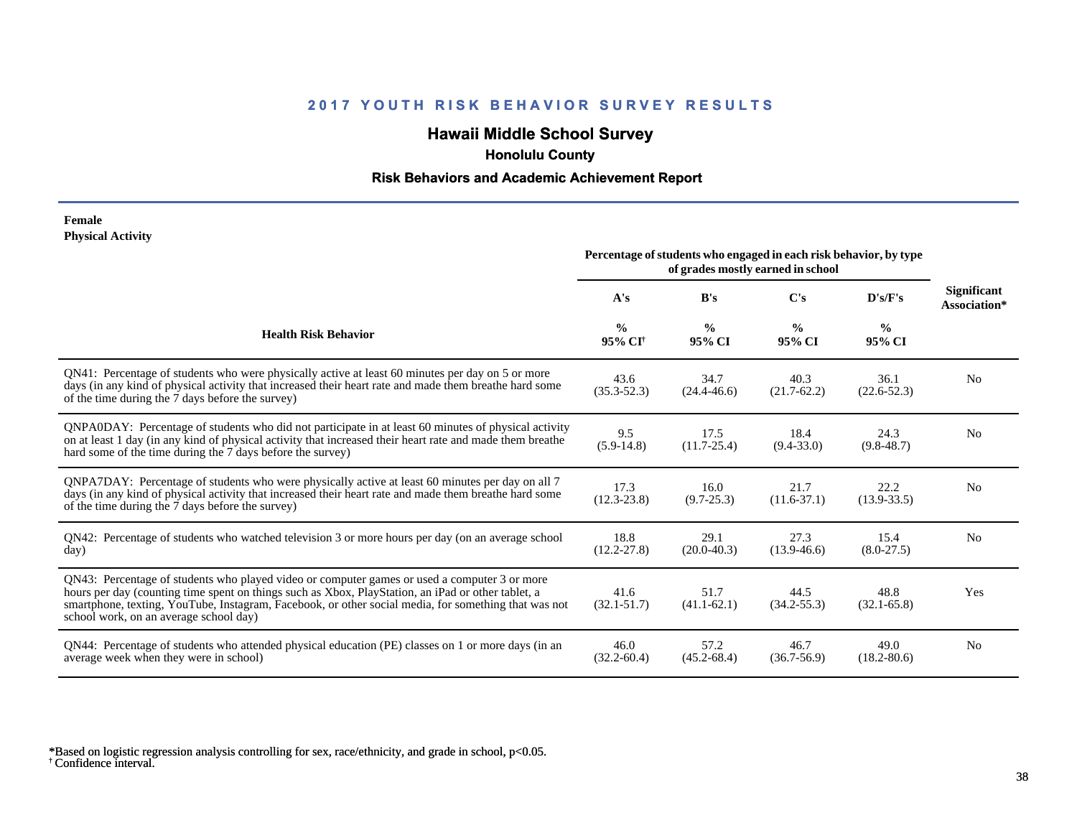# **Hawaii Middle School Survey**

 **Honolulu County**

#### **Risk Behaviors and Academic Achievement Report**

#### **Female Physical Activity**

|                                                                                                                                                                                                                                                                                                                                                      | Percentage of students who engaged in each risk behavior, by type<br>of grades mostly earned in school |                         |                         |                         |                                    |
|------------------------------------------------------------------------------------------------------------------------------------------------------------------------------------------------------------------------------------------------------------------------------------------------------------------------------------------------------|--------------------------------------------------------------------------------------------------------|-------------------------|-------------------------|-------------------------|------------------------------------|
|                                                                                                                                                                                                                                                                                                                                                      | A's                                                                                                    | B's                     | C's                     | D's/F's                 | <b>Significant</b><br>Association* |
| <b>Health Risk Behavior</b>                                                                                                                                                                                                                                                                                                                          | $\frac{0}{0}$<br>95% CI <sup>+</sup>                                                                   | $\frac{0}{0}$<br>95% CI | $\frac{0}{0}$<br>95% CI | $\frac{0}{0}$<br>95% CI |                                    |
| QN41: Percentage of students who were physically active at least 60 minutes per day on 5 or more<br>days (in any kind of physical activity that increased their heart rate and made them breathe hard some<br>of the time during the 7 days before the survey)                                                                                       | 43.6<br>$(35.3 - 52.3)$                                                                                | 34.7<br>$(24.4 - 46.6)$ | 40.3<br>$(21.7-62.2)$   | 36.1<br>$(22.6 - 52.3)$ | N <sub>0</sub>                     |
| QNPA0DAY: Percentage of students who did not participate in at least 60 minutes of physical activity<br>on at least 1 day (in any kind of physical activity that increased their heart rate and made them breathe<br>hard some of the time during the 7 days before the survey)                                                                      | 9.5<br>$(5.9-14.8)$                                                                                    | 17.5<br>$(11.7 - 25.4)$ | 18.4<br>$(9.4 - 33.0)$  | 24.3<br>$(9.8 - 48.7)$  | N <sub>0</sub>                     |
| QNPA7DAY: Percentage of students who were physically active at least 60 minutes per day on all 7<br>days (in any kind of physical activity that increased their heart rate and made them breathe hard some<br>of the time during the 7 days before the survey)                                                                                       | 17.3<br>$(12.3 - 23.8)$                                                                                | 16.0<br>$(9.7 - 25.3)$  | 21.7<br>$(11.6 - 37.1)$ | 22.2<br>$(13.9 - 33.5)$ | N <sub>0</sub>                     |
| QN42: Percentage of students who watched television 3 or more hours per day (on an average school<br>day)                                                                                                                                                                                                                                            | 18.8<br>$(12.2 - 27.8)$                                                                                | 29.1<br>$(20.0 - 40.3)$ | 27.3<br>$(13.9-46.6)$   | 15.4<br>$(8.0-27.5)$    | No                                 |
| QN43: Percentage of students who played video or computer games or used a computer 3 or more<br>hours per day (counting time spent on things such as Xbox, PlayStation, an iPad or other tablet, a<br>smartphone, texting, YouTube, Instagram, Facebook, or other social media, for something that was not<br>school work, on an average school day) | 41.6<br>$(32.1 - 51.7)$                                                                                | 51.7<br>$(41.1-62.1)$   | 44.5<br>$(34.2 - 55.3)$ | 48.8<br>$(32.1 - 65.8)$ | Yes                                |
| QN44: Percentage of students who attended physical education (PE) classes on 1 or more days (in an<br>average week when they were in school)                                                                                                                                                                                                         | 46.0<br>$(32.2 - 60.4)$                                                                                | 57.2<br>$(45.2 - 68.4)$ | 46.7<br>$(36.7 - 56.9)$ | 49.0<br>$(18.2 - 80.6)$ | N <sub>0</sub>                     |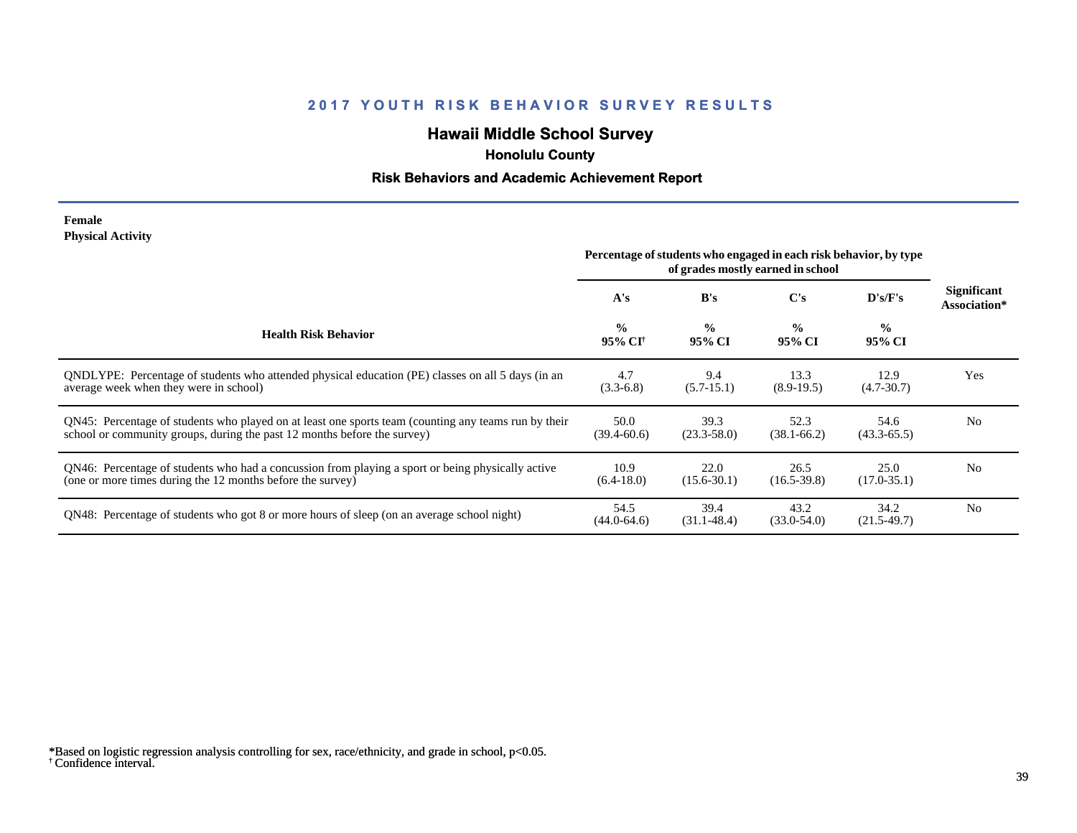# **Hawaii Middle School Survey**

 **Honolulu County**

#### **Risk Behaviors and Academic Achievement Report**

#### **Female Physical Activity**

|                                                                                                                                                                                  | Percentage of students who engaged in each risk behavior, by type<br>of grades mostly earned in school |                         |                         |                         |                             |
|----------------------------------------------------------------------------------------------------------------------------------------------------------------------------------|--------------------------------------------------------------------------------------------------------|-------------------------|-------------------------|-------------------------|-----------------------------|
|                                                                                                                                                                                  | A's                                                                                                    | B's                     | C's                     | D's/F's                 | Significant<br>Association* |
| <b>Health Risk Behavior</b>                                                                                                                                                      | $\frac{0}{0}$<br>95% CI†                                                                               | $\frac{0}{0}$<br>95% CI | $\frac{0}{0}$<br>95% CI | $\frac{0}{0}$<br>95% CI |                             |
| ONDLYPE: Percentage of students who attended physical education (PE) classes on all 5 days (in an<br>average week when they were in school)                                      | 4.7<br>$(3.3-6.8)$                                                                                     | 9.4<br>$(5.7-15.1)$     | 13.3<br>$(8.9-19.5)$    | 12.9<br>$(4.7 - 30.7)$  | Yes                         |
| QN45: Percentage of students who played on at least one sports team (counting any teams run by their<br>school or community groups, during the past 12 months before the survey) | 50.0<br>$(39.4 - 60.6)$                                                                                | 39.3<br>$(23.3 - 58.0)$ | 52.3<br>$(38.1 - 66.2)$ | 54.6<br>$(43.3 - 65.5)$ | N <sub>0</sub>              |
| QN46: Percentage of students who had a concussion from playing a sport or being physically active<br>(one or more times during the 12 months before the survey)                  | 10.9<br>$(6.4-18.0)$                                                                                   | 22.0<br>$(15.6 - 30.1)$ | 26.5<br>$(16.5 - 39.8)$ | 25.0<br>$(17.0 - 35.1)$ | N <sub>0</sub>              |
| QN48: Percentage of students who got 8 or more hours of sleep (on an average school night)                                                                                       | 54.5<br>$(44.0 - 64.6)$                                                                                | 39.4<br>$(31.1 - 48.4)$ | 43.2<br>$(33.0 - 54.0)$ | 34.2<br>$(21.5-49.7)$   | N <sub>0</sub>              |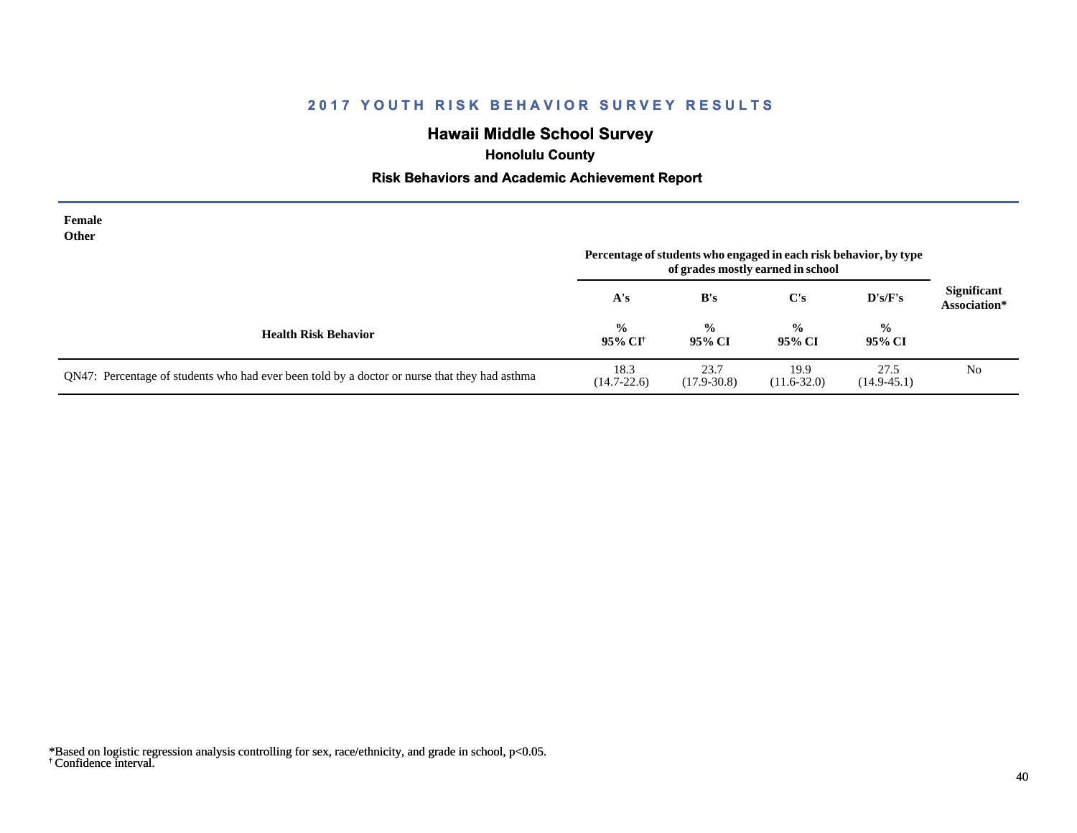# **Hawaii Middle School Survey**

 **Honolulu County**

#### **Risk Behaviors and Academic Achievement Report**

| Female<br><b>Other</b>                                                                        | Percentage of students who engaged in each risk behavior, by type |                         |                         |                         |                                    |
|-----------------------------------------------------------------------------------------------|-------------------------------------------------------------------|-------------------------|-------------------------|-------------------------|------------------------------------|
|                                                                                               | A's                                                               | B's                     | C's                     | $\bf{D's/F's}$          | <b>Significant</b><br>Association* |
| <b>Health Risk Behavior</b>                                                                   | $\frac{0}{0}$<br>95% CI†                                          | $\frac{0}{0}$<br>95% CI | $\frac{0}{0}$<br>95% CI | $\frac{6}{9}$<br>95% CI |                                    |
| QN47: Percentage of students who had ever been told by a doctor or nurse that they had asthma | 18.3<br>$(14.7 - 22.6)$                                           | 23.7<br>$(17.9 - 30.8)$ | 19.9<br>$(11.6 - 32.0)$ | 27.5<br>$(14.9 - 45.1)$ | No                                 |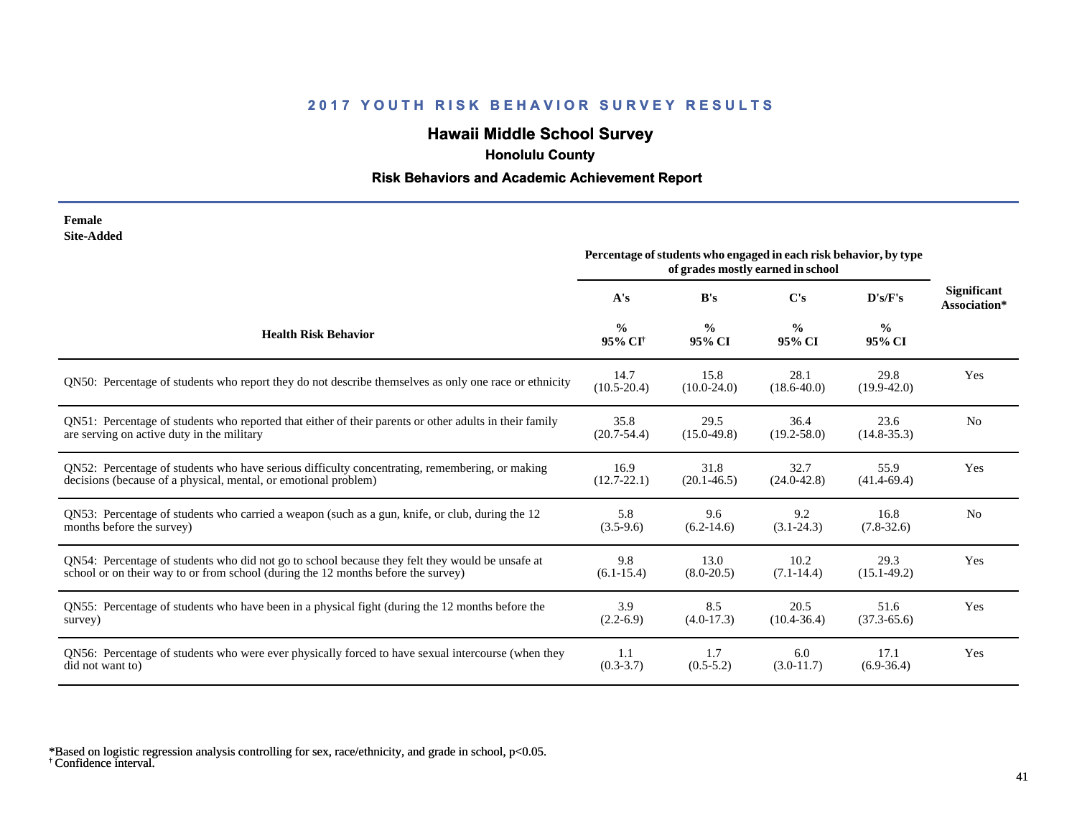# **Hawaii Middle School Survey**

 **Honolulu County**

#### **Risk Behaviors and Academic Achievement Report**

| Female     |
|------------|
| Site-Added |

|                                                                                                        | Percentage of students who engaged in each risk behavior, by type<br>of grades mostly earned in school |                         |                         |                         |                                    |
|--------------------------------------------------------------------------------------------------------|--------------------------------------------------------------------------------------------------------|-------------------------|-------------------------|-------------------------|------------------------------------|
|                                                                                                        | A's                                                                                                    | B's                     | $\bf C's$               | D's/F's                 | <b>Significant</b><br>Association* |
| <b>Health Risk Behavior</b>                                                                            | $\frac{0}{0}$<br>95% CI <sup>+</sup>                                                                   | $\frac{0}{0}$<br>95% CI | $\frac{0}{0}$<br>95% CI | $\frac{0}{0}$<br>95% CI |                                    |
| QN50: Percentage of students who report they do not describe themselves as only one race or ethnicity  | 14.7<br>$(10.5 - 20.4)$                                                                                | 15.8<br>$(10.0-24.0)$   | 28.1<br>$(18.6 - 40.0)$ | 29.8<br>$(19.9 - 42.0)$ | Yes                                |
| QN51: Percentage of students who reported that either of their parents or other adults in their family | 35.8                                                                                                   | 29.5                    | 36.4                    | 23.6                    | N <sub>0</sub>                     |
| are serving on active duty in the military                                                             | $(20.7 - 54.4)$                                                                                        | $(15.0-49.8)$           | $(19.2 - 58.0)$         | $(14.8 - 35.3)$         |                                    |
| QN52: Percentage of students who have serious difficulty concentrating, remembering, or making         | 16.9                                                                                                   | 31.8                    | 32.7                    | 55.9                    | Yes                                |
| decisions (because of a physical, mental, or emotional problem)                                        | $(12.7 - 22.1)$                                                                                        | $(20.1 - 46.5)$         | $(24.0 - 42.8)$         | $(41.4 - 69.4)$         |                                    |
| QN53: Percentage of students who carried a weapon (such as a gun, knife, or club, during the 12        | 5.8                                                                                                    | 9.6                     | 9.2                     | 16.8                    | N <sub>0</sub>                     |
| months before the survey)                                                                              | $(3.5-9.6)$                                                                                            | $(6.2-14.6)$            | $(3.1 - 24.3)$          | $(7.8-32.6)$            |                                    |
| QN54: Percentage of students who did not go to school because they felt they would be unsafe at        | 9.8                                                                                                    | 13.0                    | 10.2                    | 29.3                    | Yes                                |
| school or on their way to or from school (during the 12 months before the survey)                      | $(6.1 - 15.4)$                                                                                         | $(8.0-20.5)$            | $(7.1 - 14.4)$          | $(15.1 - 49.2)$         |                                    |
| QN55: Percentage of students who have been in a physical fight (during the 12 months before the        | 3.9                                                                                                    | 8.5                     | 20.5                    | 51.6                    | Yes                                |
| survey)                                                                                                | $(2.2-6.9)$                                                                                            | $(4.0-17.3)$            | $(10.4 - 36.4)$         | $(37.3 - 65.6)$         |                                    |
| QN56: Percentage of students who were ever physically forced to have sexual intercourse (when they     | 1.1                                                                                                    | 1.7                     | 6.0                     | 17.1                    | Yes                                |
| did not want to)                                                                                       | $(0.3 - 3.7)$                                                                                          | $(0.5-5.2)$             | $(3.0-11.7)$            | $(6.9-36.4)$            |                                    |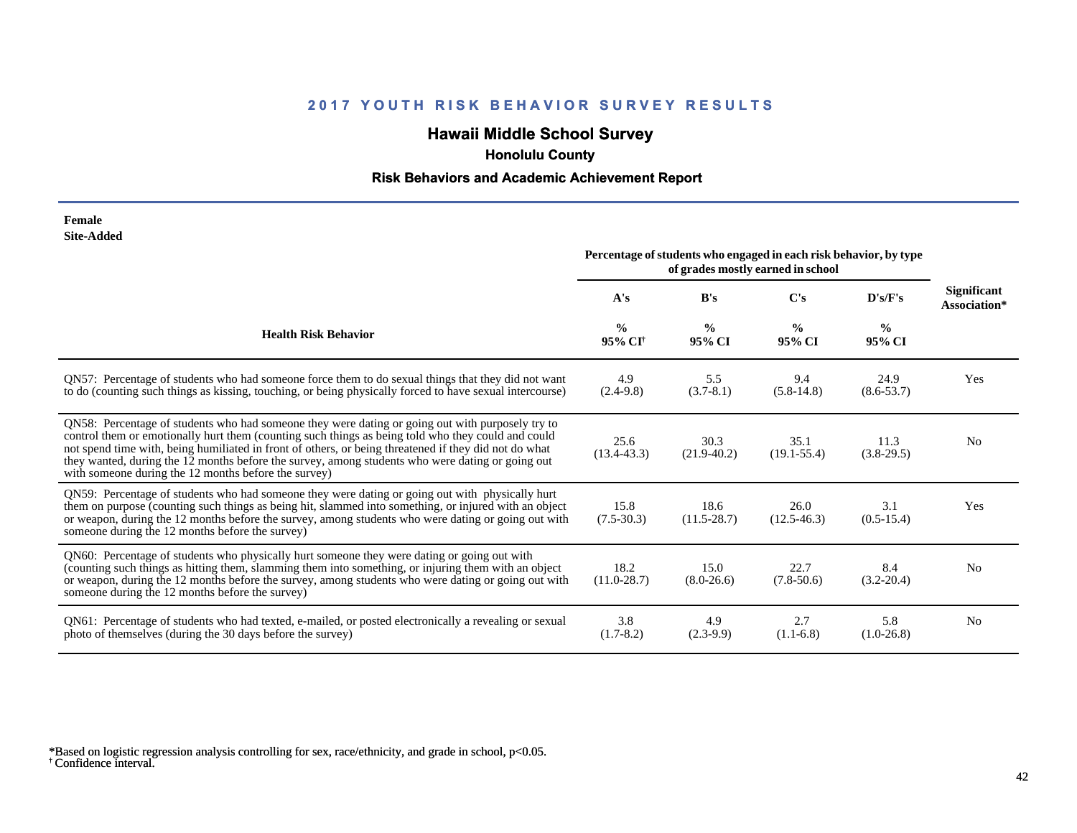# **Hawaii Middle School Survey**

 **Honolulu County**

#### **Risk Behaviors and Academic Achievement Report**

| Female            |
|-------------------|
| <b>Site-Added</b> |

|                                                                                                                                                                                                                                                                                                                                                                                                                                                                             | Percentage of students who engaged in each risk behavior, by type<br>of grades mostly earned in school |                         |                         |                         |                                    |
|-----------------------------------------------------------------------------------------------------------------------------------------------------------------------------------------------------------------------------------------------------------------------------------------------------------------------------------------------------------------------------------------------------------------------------------------------------------------------------|--------------------------------------------------------------------------------------------------------|-------------------------|-------------------------|-------------------------|------------------------------------|
|                                                                                                                                                                                                                                                                                                                                                                                                                                                                             | A's                                                                                                    | B's                     | $\bf C's$               | D's/F's                 | <b>Significant</b><br>Association* |
| <b>Health Risk Behavior</b>                                                                                                                                                                                                                                                                                                                                                                                                                                                 | $\frac{0}{0}$<br>95% CI <sup>+</sup>                                                                   | $\frac{0}{0}$<br>95% CI | $\frac{6}{9}$<br>95% CI | $\frac{0}{0}$<br>95% CI |                                    |
| QN57: Percentage of students who had someone force them to do sexual things that they did not want<br>to do (counting such things as kissing, touching, or being physically forced to have sexual intercourse)                                                                                                                                                                                                                                                              | 4.9<br>$(2.4-9.8)$                                                                                     | 5.5<br>$(3.7-8.1)$      | 9.4<br>$(5.8-14.8)$     | 24.9<br>$(8.6 - 53.7)$  | Yes                                |
| QN58: Percentage of students who had someone they were dating or going out with purposely try to<br>control them or emotionally hurt them (counting such things as being told who they could and could<br>not spend time with, being humiliated in front of others, or being threatened if they did not do what<br>they wanted, during the 12 months before the survey, among students who were dating or going out<br>with someone during the 12 months before the survey) | 25.6<br>$(13.4 - 43.3)$                                                                                | 30.3<br>$(21.9-40.2)$   | 35.1<br>$(19.1 - 55.4)$ | 11.3<br>$(3.8-29.5)$    | N <sub>0</sub>                     |
| QN59: Percentage of students who had someone they were dating or going out with physically hurt<br>them on purpose (counting such things as being hit, slammed into something, or injured with an object<br>or weapon, during the 12 months before the survey, among students who were dating or going out with<br>someone during the 12 months before the survey)                                                                                                          | 15.8<br>$(7.5-30.3)$                                                                                   | 18.6<br>$(11.5 - 28.7)$ | 26.0<br>$(12.5 - 46.3)$ | 3.1<br>$(0.5-15.4)$     | Yes                                |
| QN60: Percentage of students who physically hurt someone they were dating or going out with<br>(counting such things as hitting them, slamming them into something, or injuring them with an object<br>or weapon, during the 12 months before the survey, among students who were dating or going out with<br>someone during the 12 months before the survey)                                                                                                               | 18.2<br>$(11.0 - 28.7)$                                                                                | 15.0<br>$(8.0-26.6)$    | 22.7<br>$(7.8-50.6)$    | 8.4<br>$(3.2 - 20.4)$   | N <sub>0</sub>                     |
| QN61: Percentage of students who had texted, e-mailed, or posted electronically a revealing or sexual<br>photo of themselves (during the 30 days before the survey)                                                                                                                                                                                                                                                                                                         | 3.8<br>$(1.7-8.2)$                                                                                     | 4.9<br>$(2.3-9.9)$      | 2.7<br>$(1.1-6.8)$      | 5.8<br>$(1.0-26.8)$     | N <sub>0</sub>                     |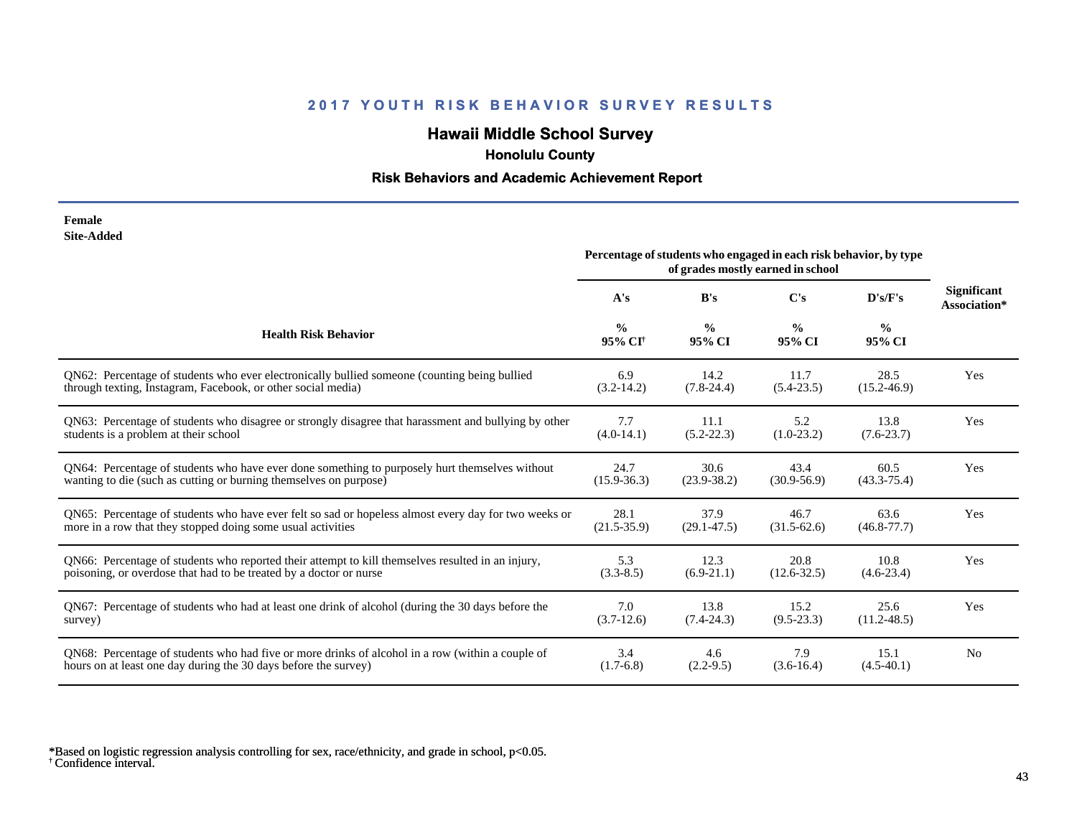# **Hawaii Middle School Survey**

 **Honolulu County**

#### **Risk Behaviors and Academic Achievement Report**

| Female     |
|------------|
| Site-Added |

|                                                                                                      | Percentage of students who engaged in each risk behavior, by type<br>of grades mostly earned in school |                         |                         |                         |                                    |
|------------------------------------------------------------------------------------------------------|--------------------------------------------------------------------------------------------------------|-------------------------|-------------------------|-------------------------|------------------------------------|
|                                                                                                      | A's                                                                                                    | B's                     | C's                     | D's/F's                 | <b>Significant</b><br>Association* |
| <b>Health Risk Behavior</b>                                                                          | $\frac{0}{0}$<br>95% CI <sup>+</sup>                                                                   | $\frac{0}{0}$<br>95% CI | $\frac{0}{0}$<br>95% CI | $\frac{0}{0}$<br>95% CI |                                    |
| QN62: Percentage of students who ever electronically bullied someone (counting being bullied         | 6.9                                                                                                    | 14.2                    | 11.7                    | 28.5                    | Yes                                |
| through texting, Instagram, Facebook, or other social media)                                         | $(3.2-14.2)$                                                                                           | $(7.8-24.4)$            | $(5.4 - 23.5)$          | $(15.2 - 46.9)$         |                                    |
| QN63: Percentage of students who disagree or strongly disagree that harassment and bullying by other | 7.7                                                                                                    | 11.1                    | 5.2                     | 13.8                    | Yes                                |
| students is a problem at their school                                                                | $(4.0-14.1)$                                                                                           | $(5.2 - 22.3)$          | $(1.0-23.2)$            | $(7.6 - 23.7)$          |                                    |
| QN64: Percentage of students who have ever done something to purposely hurt themselves without       | 24.7                                                                                                   | 30.6                    | 43.4                    | 60.5                    | Yes                                |
| wanting to die (such as cutting or burning themselves on purpose)                                    | $(15.9 - 36.3)$                                                                                        | $(23.9 - 38.2)$         | $(30.9 - 56.9)$         | $(43.3 - 75.4)$         |                                    |
| QN65: Percentage of students who have ever felt so sad or hopeless almost every day for two weeks or | 28.1                                                                                                   | 37.9                    | 46.7                    | 63.6                    | Yes                                |
| more in a row that they stopped doing some usual activities                                          | $(21.5 - 35.9)$                                                                                        | $(29.1 - 47.5)$         | $(31.5-62.6)$           | $(46.8 - 77.7)$         |                                    |
| QN66: Percentage of students who reported their attempt to kill themselves resulted in an injury,    | 5.3                                                                                                    | 12.3                    | 20.8                    | 10.8                    | Yes                                |
| poisoning, or overdose that had to be treated by a doctor or nurse                                   | $(3.3 - 8.5)$                                                                                          | $(6.9-21.1)$            | $(12.6 - 32.5)$         | $(4.6-23.4)$            |                                    |
| QN67: Percentage of students who had at least one drink of alcohol (during the 30 days before the    | 7.0                                                                                                    | 13.8                    | 15.2                    | 25.6                    | Yes                                |
| survey)                                                                                              | $(3.7-12.6)$                                                                                           | $(7.4 - 24.3)$          | $(9.5 - 23.3)$          | $(11.2 - 48.5)$         |                                    |
| QN68: Percentage of students who had five or more drinks of alcohol in a row (within a couple of     | 3.4                                                                                                    | 4.6                     | 7.9                     | 15.1                    | N <sub>0</sub>                     |
| hours on at least one day during the 30 days before the survey)                                      | $(1.7-6.8)$                                                                                            | $(2.2-9.5)$             | $(3.6-16.4)$            | $(4.5-40.1)$            |                                    |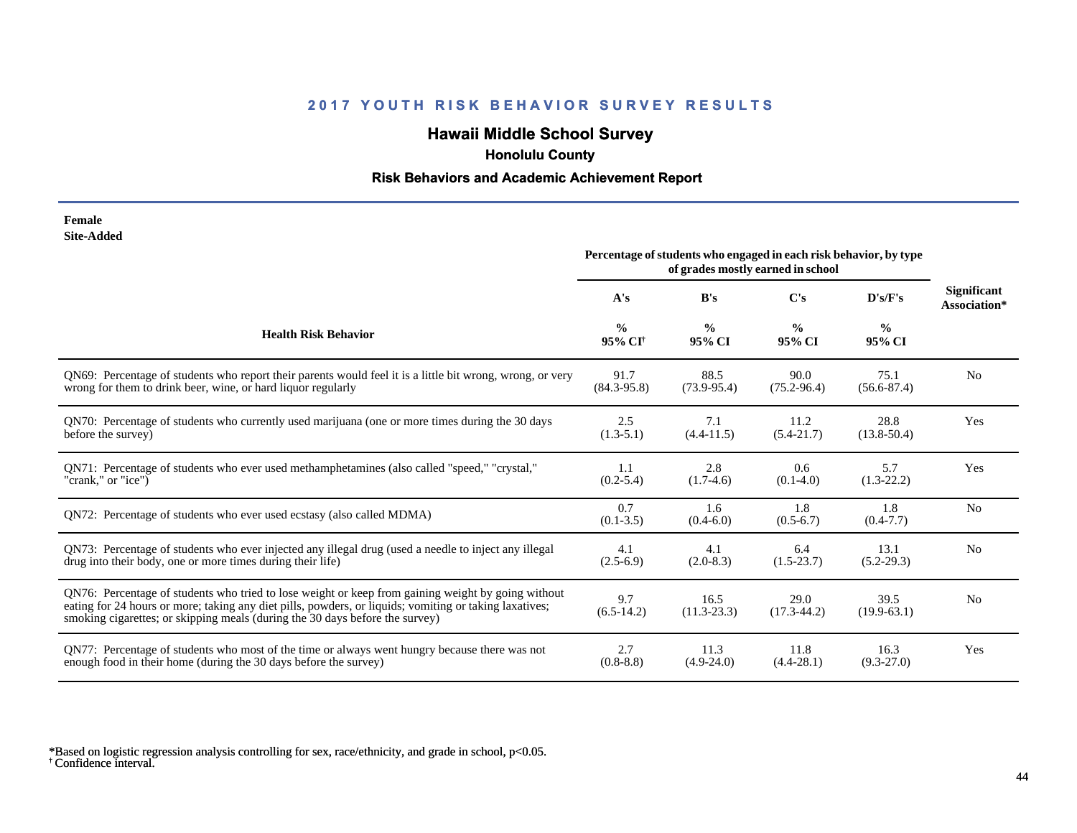# **Hawaii Middle School Survey**

 **Honolulu County**

#### **Risk Behaviors and Academic Achievement Report**

| Female     |
|------------|
| Site-Added |

| one maara                                                                                                                                                                                                                                                                                    | Percentage of students who engaged in each risk behavior, by type<br>of grades mostly earned in school |                         |                         |                         |                                    |
|----------------------------------------------------------------------------------------------------------------------------------------------------------------------------------------------------------------------------------------------------------------------------------------------|--------------------------------------------------------------------------------------------------------|-------------------------|-------------------------|-------------------------|------------------------------------|
|                                                                                                                                                                                                                                                                                              | A's                                                                                                    | B's                     | $\bf C's$               | D's/F's                 | <b>Significant</b><br>Association* |
| <b>Health Risk Behavior</b>                                                                                                                                                                                                                                                                  | $\frac{0}{0}$<br>95% CI <sup>+</sup>                                                                   | $\frac{0}{0}$<br>95% CI | $\frac{0}{0}$<br>95% CI | $\frac{0}{0}$<br>95% CI |                                    |
| QN69: Percentage of students who report their parents would feel it is a little bit wrong, wrong, or very                                                                                                                                                                                    | 91.7                                                                                                   | 88.5                    | 90.0                    | 75.1                    | N <sub>0</sub>                     |
| wrong for them to drink beer, wine, or hard liquor regularly                                                                                                                                                                                                                                 | $(84.3 - 95.8)$                                                                                        | $(73.9 - 95.4)$         | $(75.2 - 96.4)$         | $(56.6 - 87.4)$         |                                    |
| QN70: Percentage of students who currently used marijuana (one or more times during the 30 days                                                                                                                                                                                              | 2.5                                                                                                    | 7.1                     | 11.2                    | 28.8                    | Yes                                |
| before the survey)                                                                                                                                                                                                                                                                           | $(1.3-5.1)$                                                                                            | $(4.4 - 11.5)$          | $(5.4 - 21.7)$          | $(13.8 - 50.4)$         |                                    |
| ON71: Percentage of students who ever used methamphetamines (also called "speed," "crystal,"                                                                                                                                                                                                 | 1.1                                                                                                    | 2.8                     | 0.6                     | 5.7                     | Yes                                |
| "crank," or "ice")                                                                                                                                                                                                                                                                           | $(0.2 - 5.4)$                                                                                          | $(1.7-4.6)$             | $(0.1-4.0)$             | $(1.3-22.2)$            |                                    |
| QN72: Percentage of students who ever used ecstasy (also called MDMA)                                                                                                                                                                                                                        | 0.7<br>$(0.1 - 3.5)$                                                                                   | 1.6<br>$(0.4-6.0)$      | 1.8<br>$(0.5-6.7)$      | 1.8<br>$(0.4 - 7.7)$    | N <sub>o</sub>                     |
| QN73: Percentage of students who ever injected any illegal drug (used a needle to inject any illegal                                                                                                                                                                                         | 4.1                                                                                                    | 4.1                     | 6.4                     | 13.1                    | N <sub>o</sub>                     |
| drug into their body, one or more times during their life)                                                                                                                                                                                                                                   | $(2.5-6.9)$                                                                                            | $(2.0-8.3)$             | $(1.5-23.7)$            | $(5.2-29.3)$            |                                    |
| QN76: Percentage of students who tried to lose weight or keep from gaining weight by going without<br>eating for 24 hours or more; taking any diet pills, powders, or liquids; vomiting or taking laxatives;<br>smoking cigarettes; or skipping meals (during the 30 days before the survey) | 9.7<br>$(6.5-14.2)$                                                                                    | 16.5<br>$(11.3 - 23.3)$ | 29.0<br>$(17.3 - 44.2)$ | 39.5<br>$(19.9-63.1)$   | N <sub>0</sub>                     |
| QN77: Percentage of students who most of the time or always went hungry because there was not                                                                                                                                                                                                | 2.7                                                                                                    | 11.3                    | 11.8                    | 16.3                    | Yes                                |
| enough food in their home (during the 30 days before the survey)                                                                                                                                                                                                                             | $(0.8-8.8)$                                                                                            | $(4.9-24.0)$            | $(4.4 - 28.1)$          | $(9.3 - 27.0)$          |                                    |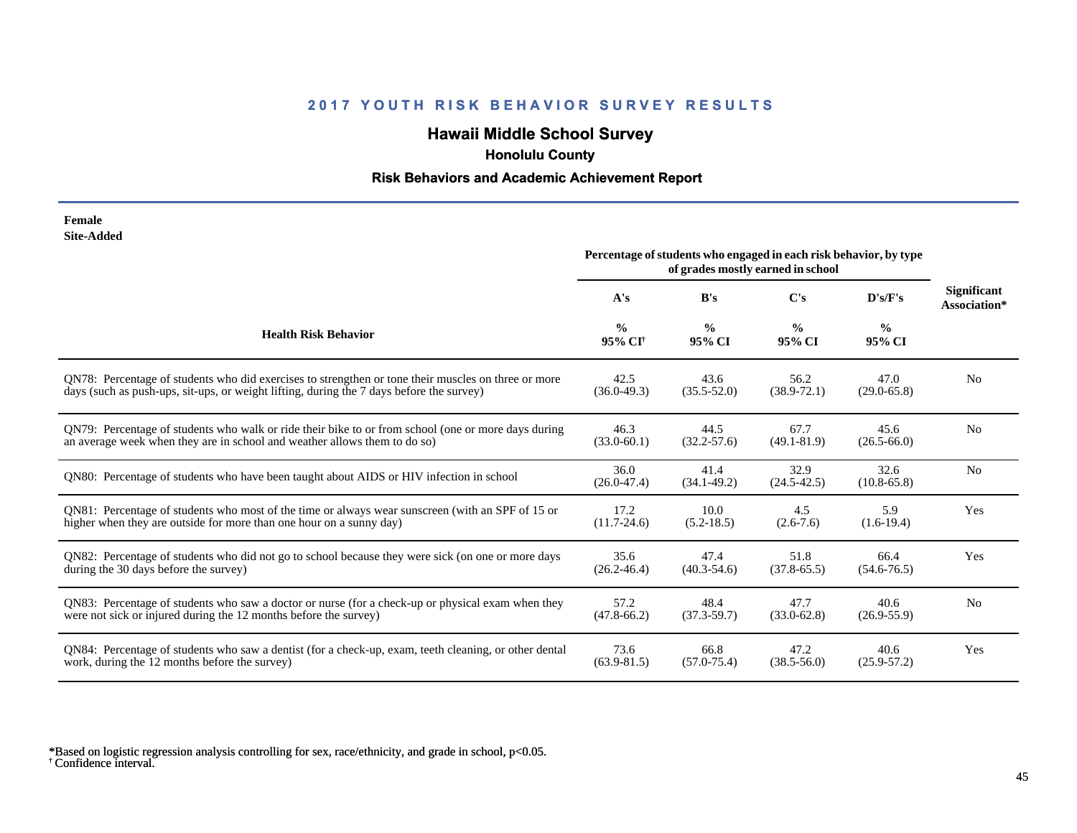# **Hawaii Middle School Survey**

 **Honolulu County**

#### **Risk Behaviors and Academic Achievement Report**

| Female            |
|-------------------|
| <b>Site-Added</b> |

|                                                                                                       | Percentage of students who engaged in each risk behavior, by type<br>of grades mostly earned in school |                         |                         |                         |                                    |
|-------------------------------------------------------------------------------------------------------|--------------------------------------------------------------------------------------------------------|-------------------------|-------------------------|-------------------------|------------------------------------|
|                                                                                                       | A's                                                                                                    | B's                     | C's                     | D's/F's                 | <b>Significant</b><br>Association* |
| <b>Health Risk Behavior</b>                                                                           | $\frac{0}{0}$<br>95% CI <sup>+</sup>                                                                   | $\frac{0}{0}$<br>95% CI | $\frac{0}{0}$<br>95% CI | $\frac{0}{0}$<br>95% CI |                                    |
| ON78: Percentage of students who did exercises to strengthen or tone their muscles on three or more   | 42.5                                                                                                   | 43.6                    | 56.2                    | 47.0                    | N <sub>0</sub>                     |
| days (such as push-ups, sit-ups, or weight lifting, during the 7 days before the survey)              | $(36.0 - 49.3)$                                                                                        | $(35.5 - 52.0)$         | $(38.9 - 72.1)$         | $(29.0 - 65.8)$         |                                    |
| QN79: Percentage of students who walk or ride their bike to or from school (one or more days during   | 46.3                                                                                                   | 44.5                    | 67.7                    | 45.6                    | N <sub>o</sub>                     |
| an average week when they are in school and weather allows them to do so)                             | $(33.0 - 60.1)$                                                                                        | $(32.2 - 57.6)$         | $(49.1 - 81.9)$         | $(26.5 - 66.0)$         |                                    |
| QN80: Percentage of students who have been taught about AIDS or HIV infection in school               | 36.0<br>$(26.0 - 47.4)$                                                                                | 41.4<br>$(34.1 - 49.2)$ | 32.9<br>$(24.5 - 42.5)$ | 32.6<br>$(10.8 - 65.8)$ | N <sub>o</sub>                     |
| QN81: Percentage of students who most of the time or always wear sunscreen (with an SPF of 15 or      | 17.2                                                                                                   | 10.0                    | 4.5                     | 5.9                     | Yes                                |
| higher when they are outside for more than one hour on a sunny day)                                   | $(11.7 - 24.6)$                                                                                        | $(5.2 - 18.5)$          | $(2.6 - 7.6)$           | $(1.6-19.4)$            |                                    |
| QN82: Percentage of students who did not go to school because they were sick (on one or more days     | 35.6                                                                                                   | 47.4                    | 51.8                    | 66.4                    | Yes                                |
| during the 30 days before the survey)                                                                 | $(26.2 - 46.4)$                                                                                        | $(40.3 - 54.6)$         | $(37.8 - 65.5)$         | $(54.6 - 76.5)$         |                                    |
| QN83: Percentage of students who saw a doctor or nurse (for a check-up or physical exam when they     | 57.2                                                                                                   | 48.4                    | 47.7                    | 40.6                    | N <sub>0</sub>                     |
| were not sick or injured during the 12 months before the survey)                                      | $(47.8 - 66.2)$                                                                                        | $(37.3 - 59.7)$         | $(33.0 - 62.8)$         | $(26.9 - 55.9)$         |                                    |
| QN84: Percentage of students who saw a dentist (for a check-up, exam, teeth cleaning, or other dental | 73.6                                                                                                   | 66.8                    | 47.2                    | 40.6                    | Yes                                |
| work, during the 12 months before the survey)                                                         | $(63.9 - 81.5)$                                                                                        | $(57.0 - 75.4)$         | $(38.5 - 56.0)$         | $(25.9 - 57.2)$         |                                    |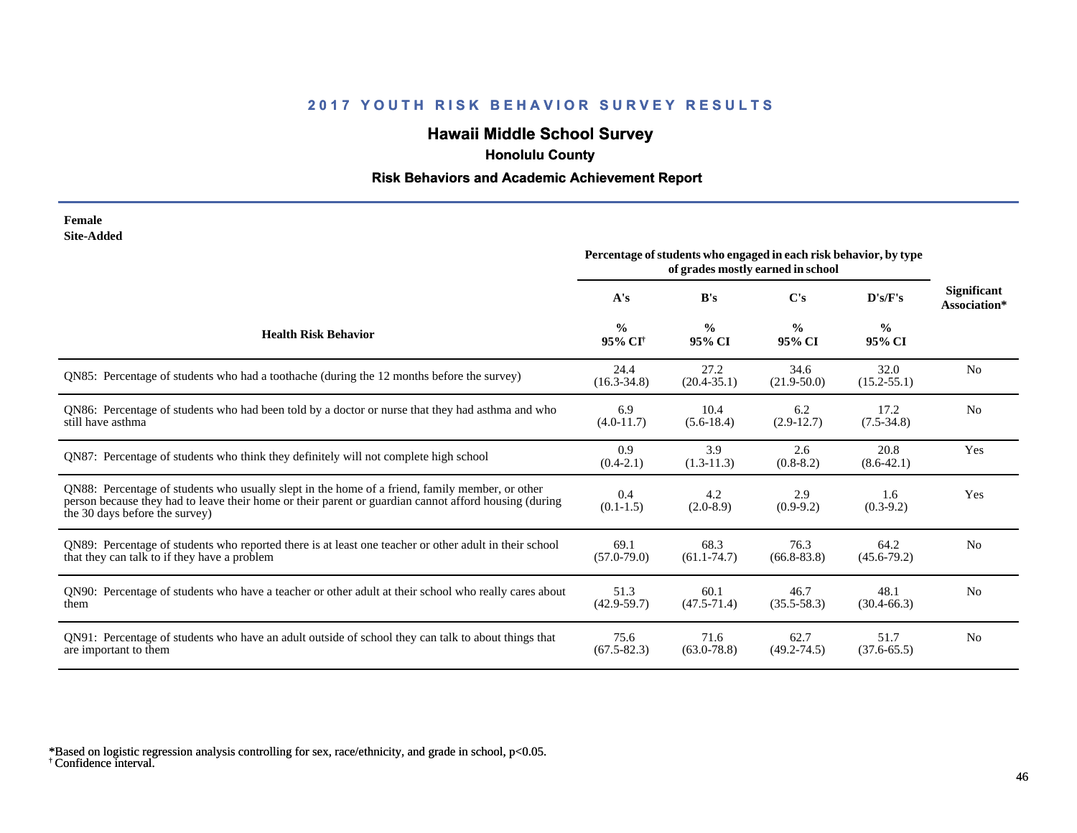# **Hawaii Middle School Survey**

 **Honolulu County**

#### **Risk Behaviors and Academic Achievement Report**

#### **Female Site-Added**

|                                                                                                                                                                                                                                            | Percentage of students who engaged in each risk behavior, by type<br>of grades mostly earned in school |                         |                         |                         |                                    |
|--------------------------------------------------------------------------------------------------------------------------------------------------------------------------------------------------------------------------------------------|--------------------------------------------------------------------------------------------------------|-------------------------|-------------------------|-------------------------|------------------------------------|
|                                                                                                                                                                                                                                            | A's                                                                                                    | B's                     | C's                     | D's/F's                 | <b>Significant</b><br>Association* |
| <b>Health Risk Behavior</b>                                                                                                                                                                                                                | $\frac{0}{0}$<br>95% CI <sup>+</sup>                                                                   | $\frac{0}{0}$<br>95% CI | $\frac{0}{0}$<br>95% CI | $\frac{0}{0}$<br>95% CI |                                    |
| QN85: Percentage of students who had a toothache (during the 12 months before the survey)                                                                                                                                                  | 24.4<br>$(16.3 - 34.8)$                                                                                | 27.2<br>$(20.4 - 35.1)$ | 34.6<br>$(21.9 - 50.0)$ | 32.0<br>$(15.2 - 55.1)$ | N <sub>0</sub>                     |
| QN86: Percentage of students who had been told by a doctor or nurse that they had asthma and who<br>still have asthma                                                                                                                      | 6.9<br>$(4.0-11.7)$                                                                                    | 10.4<br>$(5.6-18.4)$    | 6.2<br>$(2.9-12.7)$     | 17.2<br>$(7.5 - 34.8)$  | N <sub>o</sub>                     |
| QN87: Percentage of students who think they definitely will not complete high school                                                                                                                                                       | 0.9<br>$(0.4-2.1)$                                                                                     | 3.9<br>$(1.3-11.3)$     | 2.6<br>$(0.8-8.2)$      | 20.8<br>$(8.6 - 42.1)$  | Yes                                |
| QN88: Percentage of students who usually slept in the home of a friend, family member, or other<br>person because they had to leave their home or their parent or guardian cannot afford housing (during<br>the 30 days before the survey) | 0.4<br>$(0.1-1.5)$                                                                                     | 4.2<br>$(2.0-8.9)$      | 2.9<br>$(0.9-9.2)$      | 1.6<br>$(0.3-9.2)$      | Yes                                |
| QN89: Percentage of students who reported there is at least one teacher or other adult in their school<br>that they can talk to if they have a problem                                                                                     | 69.1<br>$(57.0 - 79.0)$                                                                                | 68.3<br>$(61.1 - 74.7)$ | 76.3<br>$(66.8 - 83.8)$ | 64.2<br>$(45.6 - 79.2)$ | N <sub>0</sub>                     |
| QN90: Percentage of students who have a teacher or other adult at their school who really cares about<br>them                                                                                                                              | 51.3<br>$(42.9 - 59.7)$                                                                                | 60.1<br>$(47.5 - 71.4)$ | 46.7<br>$(35.5 - 58.3)$ | 48.1<br>$(30.4 - 66.3)$ | N <sub>o</sub>                     |
| QN91: Percentage of students who have an adult outside of school they can talk to about things that<br>are important to them                                                                                                               | 75.6<br>$(67.5 - 82.3)$                                                                                | 71.6<br>$(63.0 - 78.8)$ | 62.7<br>$(49.2 - 74.5)$ | 51.7<br>$(37.6 - 65.5)$ | N <sub>0</sub>                     |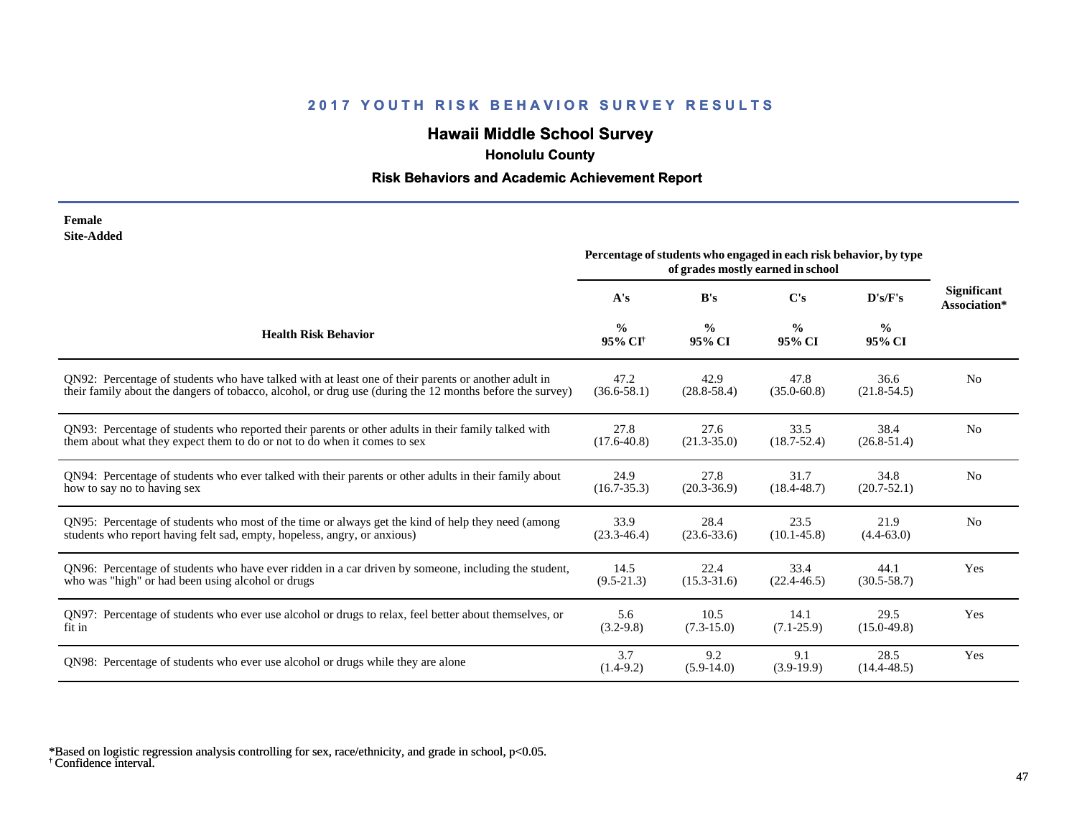# **Hawaii Middle School Survey**

 **Honolulu County**

#### **Risk Behaviors and Academic Achievement Report**

| Female            |
|-------------------|
| <b>Site-Added</b> |

| one-Augu                                                                                                 | Percentage of students who engaged in each risk behavior, by type<br>of grades mostly earned in school |                         |                         |                         |                                    |
|----------------------------------------------------------------------------------------------------------|--------------------------------------------------------------------------------------------------------|-------------------------|-------------------------|-------------------------|------------------------------------|
|                                                                                                          | A's                                                                                                    | B's                     | C's                     | D's/F's                 | <b>Significant</b><br>Association* |
| <b>Health Risk Behavior</b>                                                                              | $\frac{0}{0}$<br>95% CI <sup>+</sup>                                                                   | $\frac{0}{0}$<br>95% CI | $\frac{6}{6}$<br>95% CI | $\frac{6}{6}$<br>95% CI |                                    |
| ON92: Percentage of students who have talked with at least one of their parents or another adult in      | 47.2                                                                                                   | 42.9                    | 47.8                    | 36.6                    | N <sub>0</sub>                     |
| their family about the dangers of tobacco, alcohol, or drug use (during the 12 months before the survey) | $(36.6 - 58.1)$                                                                                        | $(28.8 - 58.4)$         | $(35.0 - 60.8)$         | $(21.8 - 54.5)$         |                                    |
| QN93: Percentage of students who reported their parents or other adults in their family talked with      | 27.8                                                                                                   | 27.6                    | 33.5                    | 38.4                    | N <sub>o</sub>                     |
| them about what they expect them to do or not to do when it comes to sex                                 | $(17.6 - 40.8)$                                                                                        | $(21.3 - 35.0)$         | $(18.7 - 52.4)$         | $(26.8 - 51.4)$         |                                    |
| QN94: Percentage of students who ever talked with their parents or other adults in their family about    | 24.9                                                                                                   | 27.8                    | 31.7                    | 34.8                    | N <sub>o</sub>                     |
| how to say no to having sex                                                                              | $(16.7 - 35.3)$                                                                                        | $(20.3 - 36.9)$         | $(18.4 - 48.7)$         | $(20.7 - 52.1)$         |                                    |
| QN95: Percentage of students who most of the time or always get the kind of help they need (among        | 33.9                                                                                                   | 28.4                    | 23.5                    | 21.9                    | N <sub>o</sub>                     |
| students who report having felt sad, empty, hopeless, angry, or anxious)                                 | $(23.3 - 46.4)$                                                                                        | $(23.6 - 33.6)$         | $(10.1 - 45.8)$         | $(4.4-63.0)$            |                                    |
| QN96: Percentage of students who have ever ridden in a car driven by someone, including the student,     | 14.5                                                                                                   | 22.4                    | 33.4                    | 44.1                    | Yes                                |
| who was "high" or had been using alcohol or drugs                                                        | $(9.5-21.3)$                                                                                           | $(15.3 - 31.6)$         | $(22.4 - 46.5)$         | $(30.5 - 58.7)$         |                                    |
| QN97: Percentage of students who ever use alcohol or drugs to relax, feel better about themselves, or    | 5.6                                                                                                    | 10.5                    | 14.1                    | 29.5                    | Yes                                |
| fit in                                                                                                   | $(3.2-9.8)$                                                                                            | $(7.3-15.0)$            | $(7.1 - 25.9)$          | $(15.0-49.8)$           |                                    |
| QN98: Percentage of students who ever use alcohol or drugs while they are alone                          | 3.7<br>$(1.4-9.2)$                                                                                     | 9.2<br>$(5.9-14.0)$     | 9.1<br>$(3.9-19.9)$     | 28.5<br>$(14.4 - 48.5)$ | Yes                                |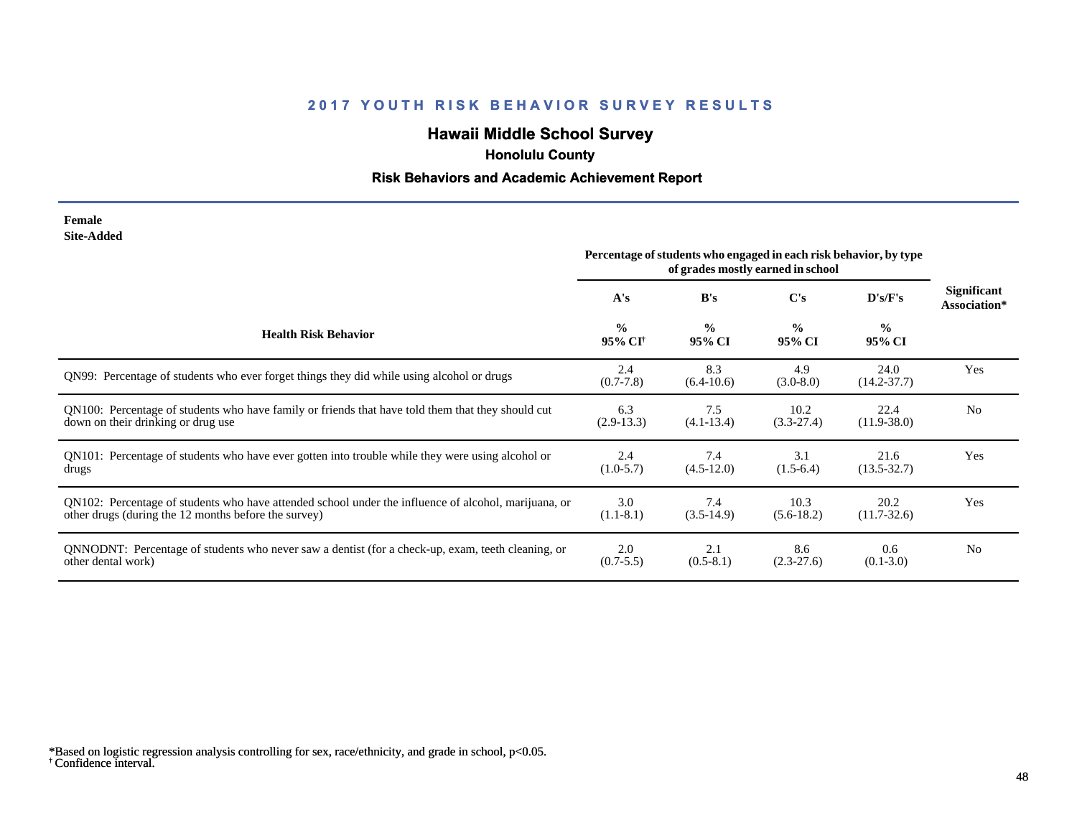# **Hawaii Middle School Survey**

 **Honolulu County**

#### **Risk Behaviors and Academic Achievement Report**

#### **Female Site-Added**

|                                                                                                      | Percentage of students who engaged in each risk behavior, by type<br>of grades mostly earned in school |                         |                         |                         |                                    |
|------------------------------------------------------------------------------------------------------|--------------------------------------------------------------------------------------------------------|-------------------------|-------------------------|-------------------------|------------------------------------|
|                                                                                                      | A's                                                                                                    | B's                     | C's                     | D's/F's                 | <b>Significant</b><br>Association* |
| <b>Health Risk Behavior</b>                                                                          | $\frac{0}{0}$<br>95% CI <sup>†</sup>                                                                   | $\frac{0}{0}$<br>95% CI | $\frac{0}{0}$<br>95% CI | $\frac{0}{0}$<br>95% CI |                                    |
| QN99: Percentage of students who ever forget things they did while using alcohol or drugs            | 2.4<br>$(0.7 - 7.8)$                                                                                   | 8.3<br>$(6.4-10.6)$     | 4.9<br>$(3.0-8.0)$      | 24.0<br>$(14.2 - 37.7)$ | Yes                                |
| QN100: Percentage of students who have family or friends that have told them that they should cut    | 6.3                                                                                                    | 7.5                     | 10.2                    | 22.4                    | No                                 |
| down on their drinking or drug use                                                                   | $(2.9-13.3)$                                                                                           | $(4.1 - 13.4)$          | $(3.3-27.4)$            | $(11.9 - 38.0)$         |                                    |
| QN101: Percentage of students who have ever gotten into trouble while they were using alcohol or     | 2.4                                                                                                    | 7.4                     | 3.1                     | 21.6                    | Yes                                |
| drugs                                                                                                | $(1.0-5.7)$                                                                                            | $(4.5-12.0)$            | $(1.5-6.4)$             | $(13.5 - 32.7)$         |                                    |
| QN102: Percentage of students who have attended school under the influence of alcohol, marijuana, or | 3.0                                                                                                    | 7.4                     | 10.3                    | 20.2                    | Yes                                |
| other drugs (during the 12 months before the survey)                                                 | $(1.1-8.1)$                                                                                            | $(3.5-14.9)$            | $(5.6-18.2)$            | $(11.7 - 32.6)$         |                                    |
| QNNODNT: Percentage of students who never saw a dentist (for a check-up, exam, teeth cleaning, or    | 2.0                                                                                                    | 2.1                     | 8.6                     | 0.6                     | N <sub>0</sub>                     |
| other dental work)                                                                                   | $(0.7 - 5.5)$                                                                                          | $(0.5-8.1)$             | $(2.3-27.6)$            | $(0.1 - 3.0)$           |                                    |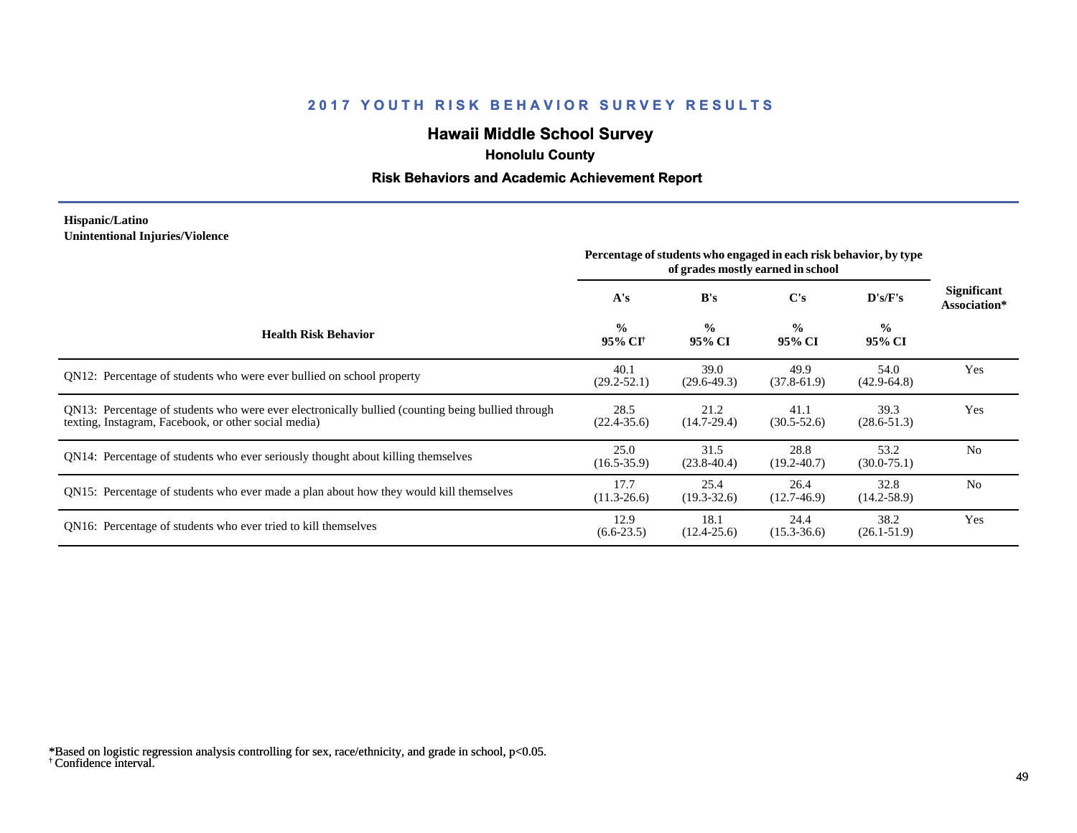# **Hawaii Middle School Survey**

 **Honolulu County**

#### **Risk Behaviors and Academic Achievement Report**

#### **Hispanic/Latino Unintentional Injuries/Violence**

|                                                                                                                                                           | Percentage of students who engaged in each risk behavior, by type<br>of grades mostly earned in school |                         |                         |                         |                             |
|-----------------------------------------------------------------------------------------------------------------------------------------------------------|--------------------------------------------------------------------------------------------------------|-------------------------|-------------------------|-------------------------|-----------------------------|
|                                                                                                                                                           | A's                                                                                                    | B's                     | C's                     | D's/F's                 | Significant<br>Association* |
| <b>Health Risk Behavior</b>                                                                                                                               | $\frac{0}{0}$<br>95% CI†                                                                               | $\frac{0}{0}$<br>95% CI | $\frac{0}{0}$<br>95% CI | $\frac{0}{0}$<br>95% CI |                             |
| QN12: Percentage of students who were ever bullied on school property                                                                                     | 40.1<br>$(29.2 - 52.1)$                                                                                | 39.0<br>$(29.6 - 49.3)$ | 49.9<br>$(37.8-61.9)$   | 54.0<br>$(42.9 - 64.8)$ | Yes                         |
| QN13: Percentage of students who were ever electronically bullied (counting being bullied through<br>texting, Instagram, Facebook, or other social media) | 28.5<br>$(22.4 - 35.6)$                                                                                | 21.2<br>$(14.7-29.4)$   | 41.1<br>$(30.5 - 52.6)$ | 39.3<br>$(28.6 - 51.3)$ | Yes                         |
| QN14: Percentage of students who ever seriously thought about killing themselves                                                                          | 25.0<br>$(16.5 - 35.9)$                                                                                | 31.5<br>$(23.8-40.4)$   | 28.8<br>$(19.2 - 40.7)$ | 53.2<br>$(30.0 - 75.1)$ | N <sub>0</sub>              |
| QN15: Percentage of students who ever made a plan about how they would kill themselves                                                                    | 17.7<br>$(11.3 - 26.6)$                                                                                | 25.4<br>$(19.3 - 32.6)$ | 26.4<br>$(12.7-46.9)$   | 32.8<br>$(14.2 - 58.9)$ | N <sub>0</sub>              |
| QN16: Percentage of students who ever tried to kill themselves                                                                                            | 12.9<br>$(6.6-23.5)$                                                                                   | 18.1<br>$(12.4 - 25.6)$ | 24.4<br>$(15.3 - 36.6)$ | 38.2<br>$(26.1 - 51.9)$ | Yes                         |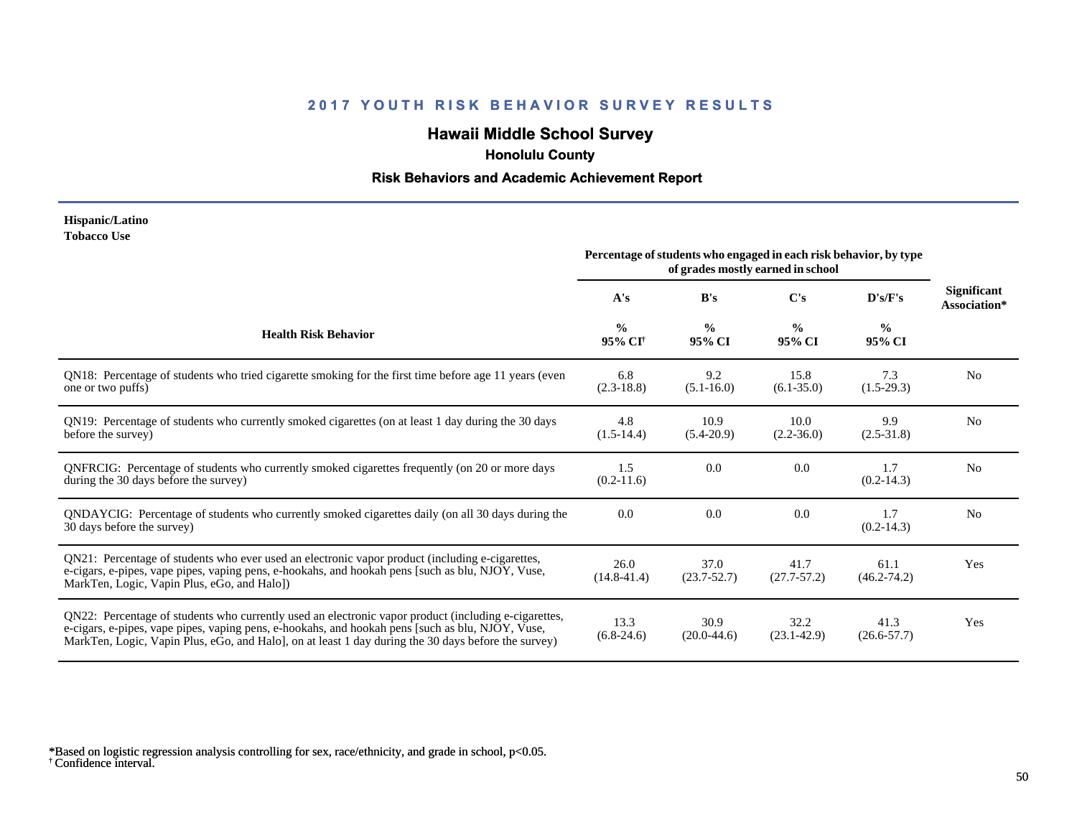# **Hawaii Middle School Survey**

 **Honolulu County**

#### **Risk Behaviors and Academic Achievement Report**

#### **Hispanic/Latino Tobacco Use**

|                                                                                                                                                                                                                                                                                                                | Percentage of students who engaged in each risk behavior, by type<br>of grades mostly earned in school |                         |                         |                         |                                    |
|----------------------------------------------------------------------------------------------------------------------------------------------------------------------------------------------------------------------------------------------------------------------------------------------------------------|--------------------------------------------------------------------------------------------------------|-------------------------|-------------------------|-------------------------|------------------------------------|
|                                                                                                                                                                                                                                                                                                                | A's                                                                                                    | B's                     | $\bf C's$               | D's/F's                 | <b>Significant</b><br>Association* |
| <b>Health Risk Behavior</b>                                                                                                                                                                                                                                                                                    | $\frac{0}{0}$<br>95% CI <sup>+</sup>                                                                   | $\frac{0}{0}$<br>95% CI | $\frac{0}{0}$<br>95% CI | $\frac{0}{0}$<br>95% CI |                                    |
| QN18: Percentage of students who tried cigarette smoking for the first time before age 11 years (even<br>one or two puffs)                                                                                                                                                                                     | 6.8<br>$(2.3-18.8)$                                                                                    | 9.2<br>$(5.1 - 16.0)$   | 15.8<br>$(6.1 - 35.0)$  | 7.3<br>$(1.5-29.3)$     | N <sub>0</sub>                     |
| QN19: Percentage of students who currently smoked cigarettes (on at least 1 day during the 30 days<br>before the survey)                                                                                                                                                                                       | 4.8<br>$(1.5-14.4)$                                                                                    | 10.9<br>$(5.4-20.9)$    | 10.0<br>$(2.2 - 36.0)$  | 9.9<br>$(2.5 - 31.8)$   | N <sub>o</sub>                     |
| QNFRCIG: Percentage of students who currently smoked cigarettes frequently (on 20 or more days<br>during the 30 days before the survey)                                                                                                                                                                        | 1.5<br>$(0.2-11.6)$                                                                                    | 0.0                     | 0.0                     | 1.7<br>$(0.2 - 14.3)$   | N <sub>o</sub>                     |
| QNDAYCIG: Percentage of students who currently smoked cigarettes daily (on all 30 days during the<br>30 days before the survey)                                                                                                                                                                                | 0.0                                                                                                    | 0.0                     | 0.0                     | 1.7<br>$(0.2 - 14.3)$   | N <sub>o</sub>                     |
| QN21: Percentage of students who ever used an electronic vapor product (including e-cigarettes,<br>e-cigars, e-pipes, vape pipes, vaping pens, e-hookahs, and hookah pens [such as blu, NJOY, Vuse,<br>MarkTen, Logic, Vapin Plus, eGo, and Halo])                                                             | 26.0<br>$(14.8 - 41.4)$                                                                                | 37.0<br>$(23.7 - 52.7)$ | 41.7<br>$(27.7 - 57.2)$ | 61.1<br>$(46.2 - 74.2)$ | Yes                                |
| QN22: Percentage of students who currently used an electronic vapor product (including e-cigarettes,<br>e-cigars, e-pipes, vape pipes, vaping pens, e-hookahs, and hookah pens [such as blu, NJOY, Vuse,<br>MarkTen, Logic, Vapin Plus, eGo, and Halo, on at least 1 day during the 30 days before the survey) | 13.3<br>$(6.8-24.6)$                                                                                   | 30.9<br>$(20.0-44.6)$   | 32.2<br>$(23.1 - 42.9)$ | 41.3<br>$(26.6 - 57.7)$ | Yes                                |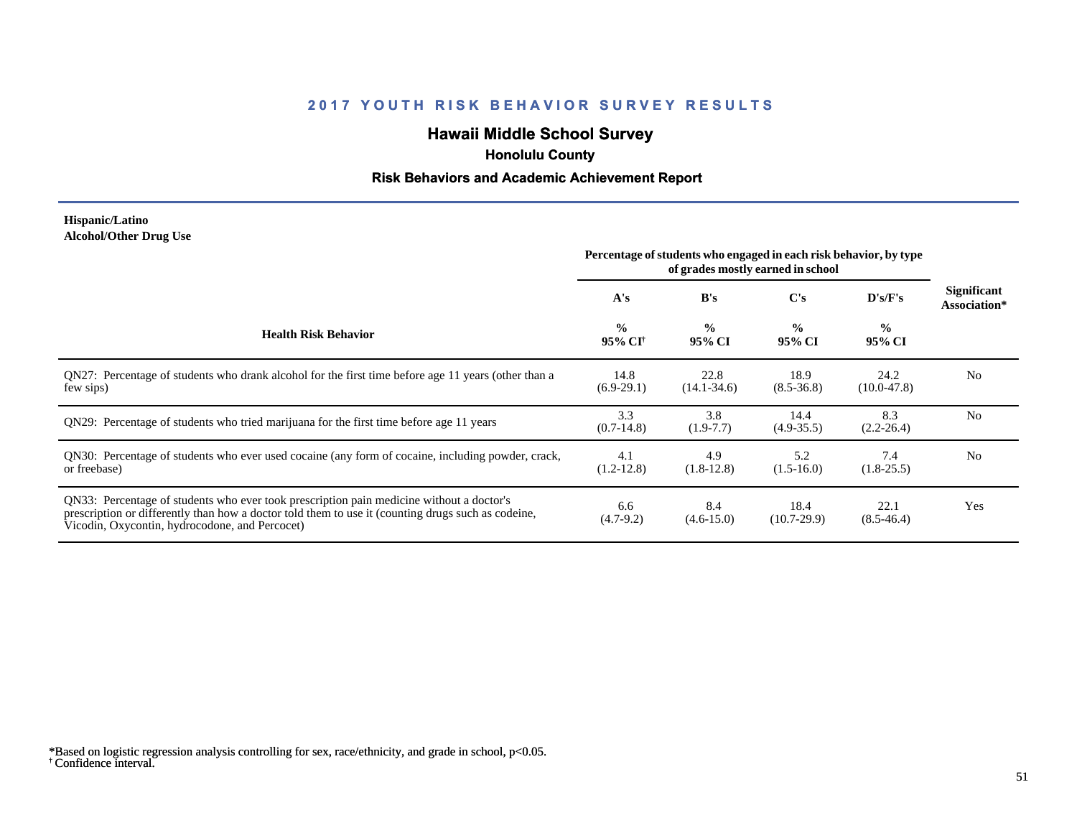# **Hawaii Middle School Survey**

 **Honolulu County**

#### **Risk Behaviors and Academic Achievement Report**

#### **Hispanic/Latino Alcohol/Other Drug Use**

|                                                                                                                                                                                                                                                  | Percentage of students who engaged in each risk behavior, by type<br>of grades mostly earned in school |                         |                         |                          |                             |
|--------------------------------------------------------------------------------------------------------------------------------------------------------------------------------------------------------------------------------------------------|--------------------------------------------------------------------------------------------------------|-------------------------|-------------------------|--------------------------|-----------------------------|
|                                                                                                                                                                                                                                                  | A's                                                                                                    | B's                     | C's                     | $\bf{D}$ 's/ $\bf{F}$ 's | Significant<br>Association* |
| <b>Health Risk Behavior</b>                                                                                                                                                                                                                      | $\frac{0}{0}$<br>95% CI†                                                                               | $\frac{0}{0}$<br>95% CI | $\frac{0}{0}$<br>95% CI | $\frac{6}{10}$<br>95% CI |                             |
| ON27: Percentage of students who drank alcohol for the first time before age 11 years (other than a<br>few sips)                                                                                                                                 | 14.8<br>$(6.9-29.1)$                                                                                   | 22.8<br>$(14.1 - 34.6)$ | 18.9<br>$(8.5 - 36.8)$  | 24.2<br>$(10.0-47.8)$    | N <sub>0</sub>              |
| QN29: Percentage of students who tried marijuana for the first time before age 11 years                                                                                                                                                          | 3.3<br>$(0.7-14.8)$                                                                                    | 3.8<br>$(1.9-7.7)$      | 14.4<br>$(4.9 - 35.5)$  | 8.3<br>$(2.2 - 26.4)$    | N <sub>0</sub>              |
| QN30: Percentage of students who ever used cocaine (any form of cocaine, including powder, crack,<br>or freebase)                                                                                                                                | 4.1<br>$(1.2 - 12.8)$                                                                                  | 4.9<br>$(1.8-12.8)$     | 5.2<br>$(1.5 - 16.0)$   | 7.4<br>$(1.8-25.5)$      | N <sub>0</sub>              |
| QN33: Percentage of students who ever took prescription pain medicine without a doctor's<br>prescription or differently than how a doctor told them to use it (counting drugs such as codeine,<br>Vicodin, Oxycontin, hydrocodone, and Percocet) | 6.6<br>$(4.7-9.2)$                                                                                     | 8.4<br>$(4.6 - 15.0)$   | 18.4<br>$(10.7-29.9)$   | 22.1<br>$(8.5-46.4)$     | Yes                         |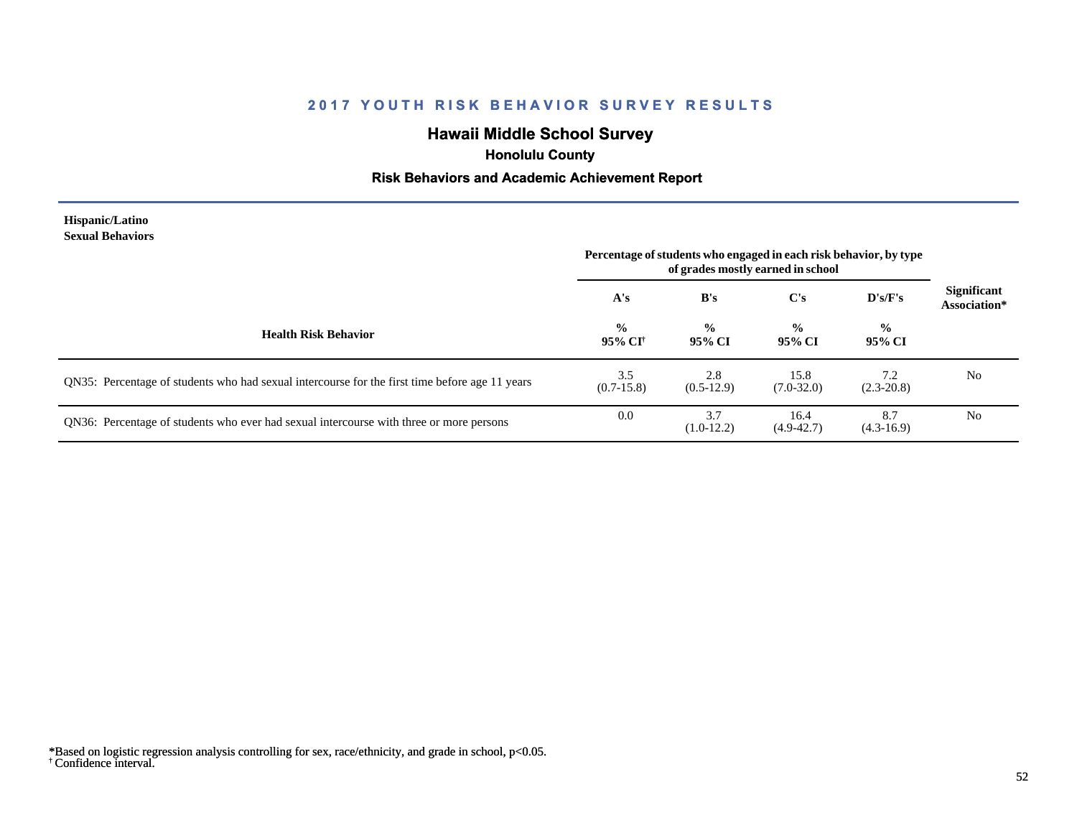# **Hawaii Middle School Survey**

 **Honolulu County**

#### **Risk Behaviors and Academic Achievement Report**

#### **Hispanic/Latino Sexual Behaviors**

|                                                                                                | Percentage of students who engaged in each risk behavior, by type<br>of grades mostly earned in school |                         |                         |                         |                                    |
|------------------------------------------------------------------------------------------------|--------------------------------------------------------------------------------------------------------|-------------------------|-------------------------|-------------------------|------------------------------------|
|                                                                                                | A's                                                                                                    | B's                     | $\bf C's$               | D's/F's                 | <b>Significant</b><br>Association* |
| <b>Health Risk Behavior</b>                                                                    | $\frac{0}{0}$<br>95% CI†                                                                               | $\frac{0}{0}$<br>95% CI | $\frac{6}{9}$<br>95% CI | $\frac{0}{0}$<br>95% CI |                                    |
| QN35: Percentage of students who had sexual intercourse for the first time before age 11 years | 3.5<br>$(0.7-15.8)$                                                                                    | 2.8<br>$(0.5-12.9)$     | 15.8<br>$(7.0 - 32.0)$  | 7.2<br>$(2.3 - 20.8)$   | N <sub>0</sub>                     |
| QN36: Percentage of students who ever had sexual intercourse with three or more persons        | 0.0                                                                                                    | 3.7<br>$(1.0-12.2)$     | 16.4<br>$(4.9 - 42.7)$  | 8.7<br>$(4.3-16.9)$     | N <sub>0</sub>                     |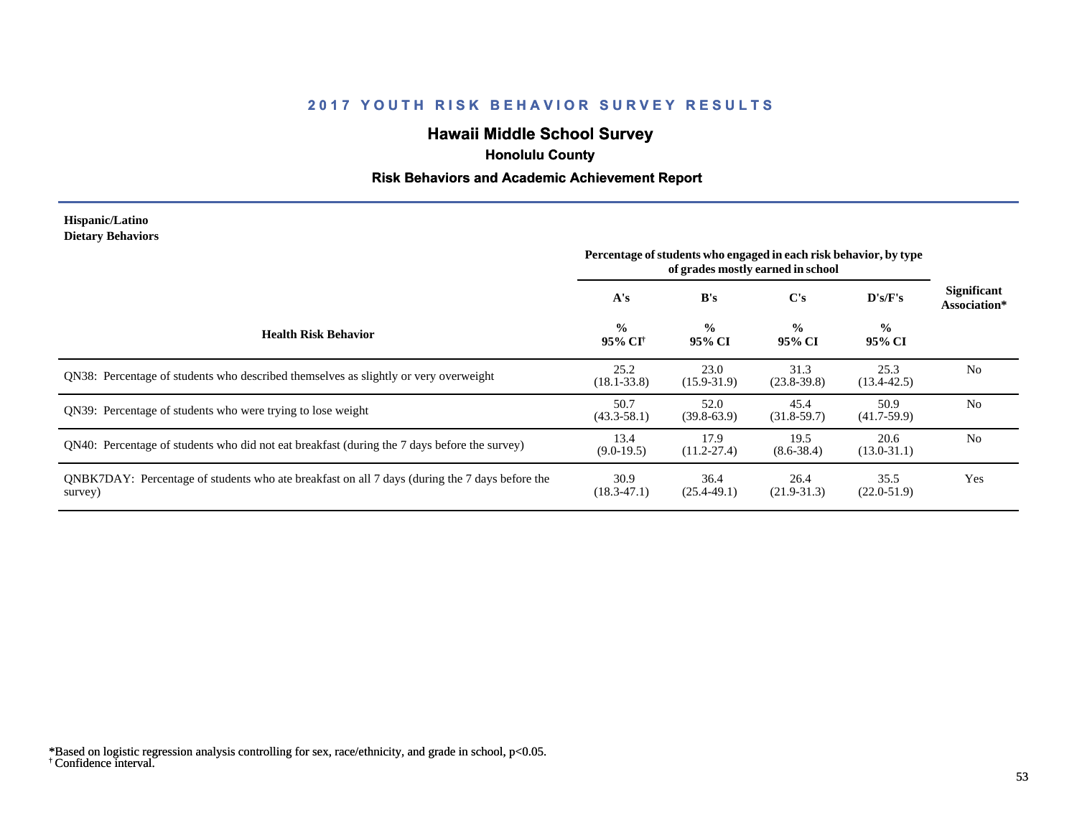# **Hawaii Middle School Survey**

 **Honolulu County**

#### **Risk Behaviors and Academic Achievement Report**

#### **Hispanic/Latino Dietary Behaviors**

|                                                                                                           | Percentage of students who engaged in each risk behavior, by type<br>of grades mostly earned in school |                         |                         |                         |                             |
|-----------------------------------------------------------------------------------------------------------|--------------------------------------------------------------------------------------------------------|-------------------------|-------------------------|-------------------------|-----------------------------|
|                                                                                                           | A's                                                                                                    | B's                     | C's                     | D's/F's                 | Significant<br>Association* |
| <b>Health Risk Behavior</b>                                                                               | $\frac{0}{0}$<br>95% CI†                                                                               | $\frac{0}{0}$<br>95% CI | $\frac{0}{0}$<br>95% CI | $\frac{6}{6}$<br>95% CI |                             |
| QN38: Percentage of students who described themselves as slightly or very overweight                      | 25.2<br>$(18.1 - 33.8)$                                                                                | 23.0<br>$(15.9 - 31.9)$ | 31.3<br>$(23.8-39.8)$   | 25.3<br>$(13.4 - 42.5)$ | N <sub>0</sub>              |
| QN39: Percentage of students who were trying to lose weight                                               | 50.7<br>$(43.3 - 58.1)$                                                                                | 52.0<br>$(39.8-63.9)$   | 45.4<br>$(31.8-59.7)$   | 50.9<br>$(41.7-59.9)$   | N <sub>0</sub>              |
| QN40: Percentage of students who did not eat breakfast (during the 7 days before the survey)              | 13.4<br>$(9.0-19.5)$                                                                                   | 17.9<br>$(11.2 - 27.4)$ | 19.5<br>$(8.6 - 38.4)$  | 20.6<br>$(13.0 - 31.1)$ | N <sub>0</sub>              |
| QNBK7DAY: Percentage of students who ate breakfast on all 7 days (during the 7 days before the<br>survey) | 30.9<br>$(18.3 - 47.1)$                                                                                | 36.4<br>$(25.4 - 49.1)$ | 26.4<br>$(21.9 - 31.3)$ | 35.5<br>$(22.0-51.9)$   | Yes                         |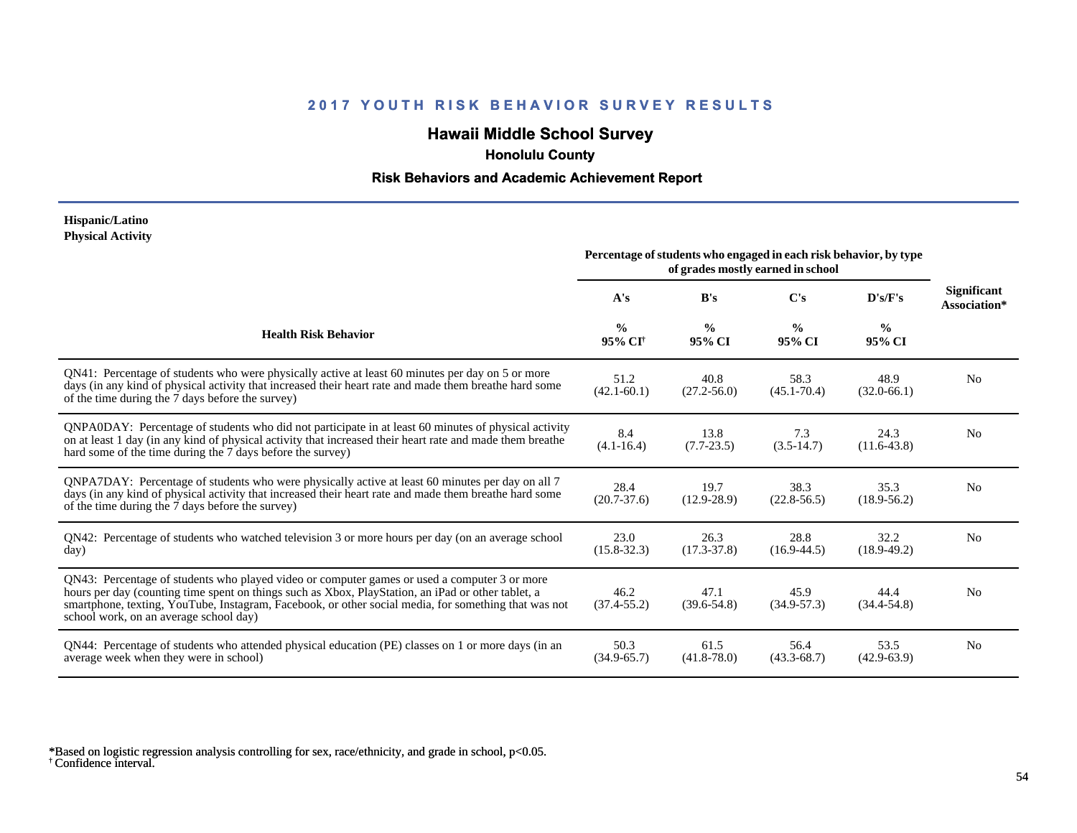# **Hawaii Middle School Survey**

 **Honolulu County**

#### **Risk Behaviors and Academic Achievement Report**

#### **Hispanic/Latino Physical Activity**

|                                                                                                                                                                                                                                                                                                                                                      | Percentage of students who engaged in each risk behavior, by type<br>of grades mostly earned in school |                         |                         |                         |                                    |
|------------------------------------------------------------------------------------------------------------------------------------------------------------------------------------------------------------------------------------------------------------------------------------------------------------------------------------------------------|--------------------------------------------------------------------------------------------------------|-------------------------|-------------------------|-------------------------|------------------------------------|
|                                                                                                                                                                                                                                                                                                                                                      | A's                                                                                                    | B's                     | $\bf C's$               | D's/F's                 | <b>Significant</b><br>Association* |
| <b>Health Risk Behavior</b>                                                                                                                                                                                                                                                                                                                          | $\frac{0}{0}$<br>95% CI <sup>†</sup>                                                                   | $\frac{0}{0}$<br>95% CI | $\frac{0}{0}$<br>95% CI | $\frac{0}{0}$<br>95% CI |                                    |
| QN41: Percentage of students who were physically active at least 60 minutes per day on 5 or more<br>days (in any kind of physical activity that increased their heart rate and made them breathe hard some<br>of the time during the 7 days before the survey)                                                                                       | 51.2<br>$(42.1 - 60.1)$                                                                                | 40.8<br>$(27.2 - 56.0)$ | 58.3<br>$(45.1 - 70.4)$ | 48.9<br>$(32.0 - 66.1)$ | N <sub>0</sub>                     |
| QNPA0DAY: Percentage of students who did not participate in at least 60 minutes of physical activity<br>on at least 1 day (in any kind of physical activity that increased their heart rate and made them breathe<br>hard some of the time during the 7 days before the survey)                                                                      | 8.4<br>$(4.1 - 16.4)$                                                                                  | 13.8<br>$(7.7 - 23.5)$  | 7.3<br>$(3.5-14.7)$     | 24.3<br>$(11.6-43.8)$   | No                                 |
| QNPA7DAY: Percentage of students who were physically active at least 60 minutes per day on all 7<br>days (in any kind of physical activity that increased their heart rate and made them breathe hard some<br>of the time during the 7 days before the survey)                                                                                       | 28.4<br>$(20.7 - 37.6)$                                                                                | 19.7<br>$(12.9 - 28.9)$ | 38.3<br>$(22.8 - 56.5)$ | 35.3<br>$(18.9 - 56.2)$ | N <sub>0</sub>                     |
| QN42: Percentage of students who watched television 3 or more hours per day (on an average school<br>day)                                                                                                                                                                                                                                            | 23.0<br>$(15.8 - 32.3)$                                                                                | 26.3<br>$(17.3 - 37.8)$ | 28.8<br>$(16.9 - 44.5)$ | 32.2<br>$(18.9-49.2)$   | N <sub>0</sub>                     |
| QN43: Percentage of students who played video or computer games or used a computer 3 or more<br>hours per day (counting time spent on things such as Xbox, PlayStation, an iPad or other tablet, a<br>smartphone, texting, YouTube, Instagram, Facebook, or other social media, for something that was not<br>school work, on an average school day) | 46.2<br>$(37.4 - 55.2)$                                                                                | 47.1<br>$(39.6 - 54.8)$ | 45.9<br>$(34.9 - 57.3)$ | 44.4<br>$(34.4 - 54.8)$ | No                                 |
| QN44: Percentage of students who attended physical education (PE) classes on 1 or more days (in an<br>average week when they were in school)                                                                                                                                                                                                         | 50.3<br>$(34.9 - 65.7)$                                                                                | 61.5<br>$(41.8 - 78.0)$ | 56.4<br>$(43.3 - 68.7)$ | 53.5<br>$(42.9 - 63.9)$ | N <sub>0</sub>                     |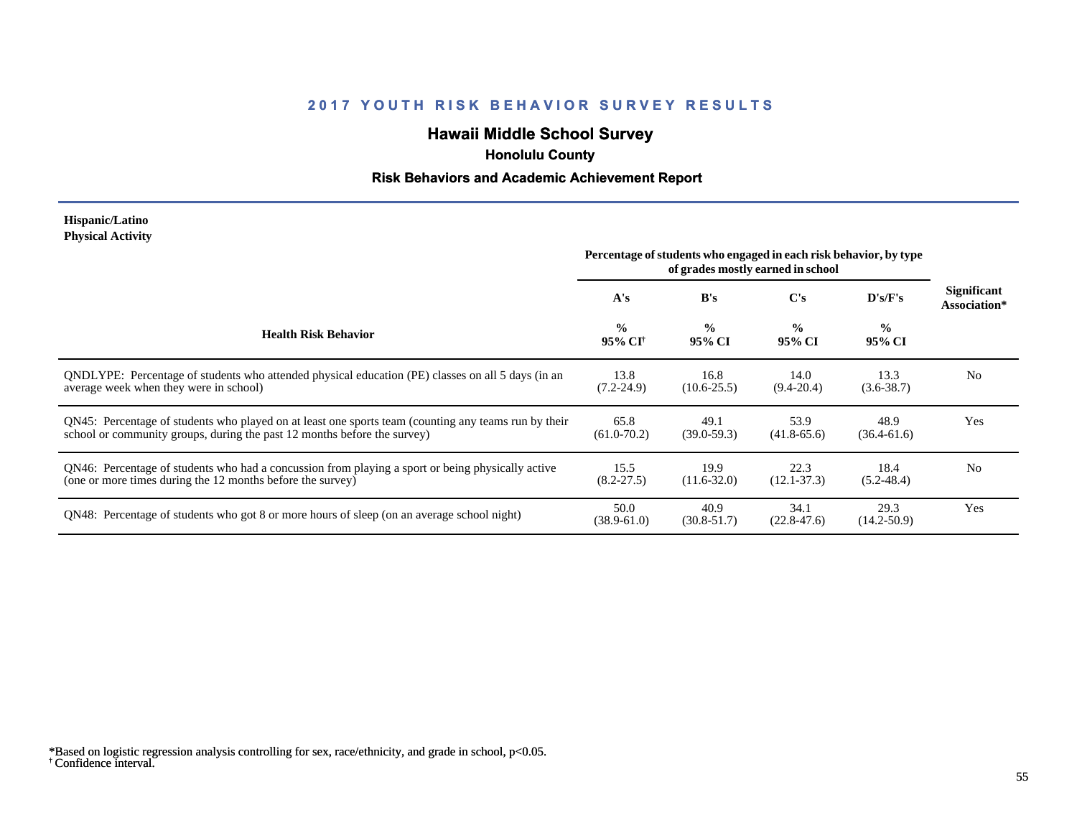# **Hawaii Middle School Survey**

## **Honolulu County**

#### **Risk Behaviors and Academic Achievement Report**

#### **Hispanic/Latino Physical Activity**

|                                                                                                                                                                                  | Percentage of students who engaged in each risk behavior, by type<br>of grades mostly earned in school |                         |                         |                          |                                    |
|----------------------------------------------------------------------------------------------------------------------------------------------------------------------------------|--------------------------------------------------------------------------------------------------------|-------------------------|-------------------------|--------------------------|------------------------------------|
|                                                                                                                                                                                  | A's                                                                                                    | B's                     | C's                     | $\bf{D's/F's}$           | <b>Significant</b><br>Association* |
| <b>Health Risk Behavior</b>                                                                                                                                                      | $\frac{0}{0}$<br>95% CI†                                                                               | $\frac{0}{0}$<br>95% CI | $\frac{0}{0}$<br>95% CI | $\frac{6}{10}$<br>95% CI |                                    |
| QNDLYPE: Percentage of students who attended physical education (PE) classes on all 5 days (in an<br>average week when they were in school)                                      | 13.8<br>$(7.2 - 24.9)$                                                                                 | 16.8<br>$(10.6 - 25.5)$ | 14.0<br>$(9.4 - 20.4)$  | 13.3<br>$(3.6 - 38.7)$   | N <sub>0</sub>                     |
| QN45: Percentage of students who played on at least one sports team (counting any teams run by their<br>school or community groups, during the past 12 months before the survey) | 65.8<br>$(61.0 - 70.2)$                                                                                | 49.1<br>$(39.0 - 59.3)$ | 53.9<br>$(41.8-65.6)$   | 48.9<br>$(36.4 - 61.6)$  | Yes                                |
| QN46: Percentage of students who had a concussion from playing a sport or being physically active<br>(one or more times during the 12 months before the survey)                  | 15.5<br>$(8.2 - 27.5)$                                                                                 | 19.9<br>$(11.6 - 32.0)$ | 22.3<br>$(12.1 - 37.3)$ | 18.4<br>$(5.2 - 48.4)$   | N <sub>0</sub>                     |
| QN48: Percentage of students who got 8 or more hours of sleep (on an average school night)                                                                                       | 50.0<br>$(38.9 - 61.0)$                                                                                | 40.9<br>$(30.8 - 51.7)$ | 34.1<br>$(22.8 - 47.6)$ | 29.3<br>$(14.2 - 50.9)$  | Yes                                |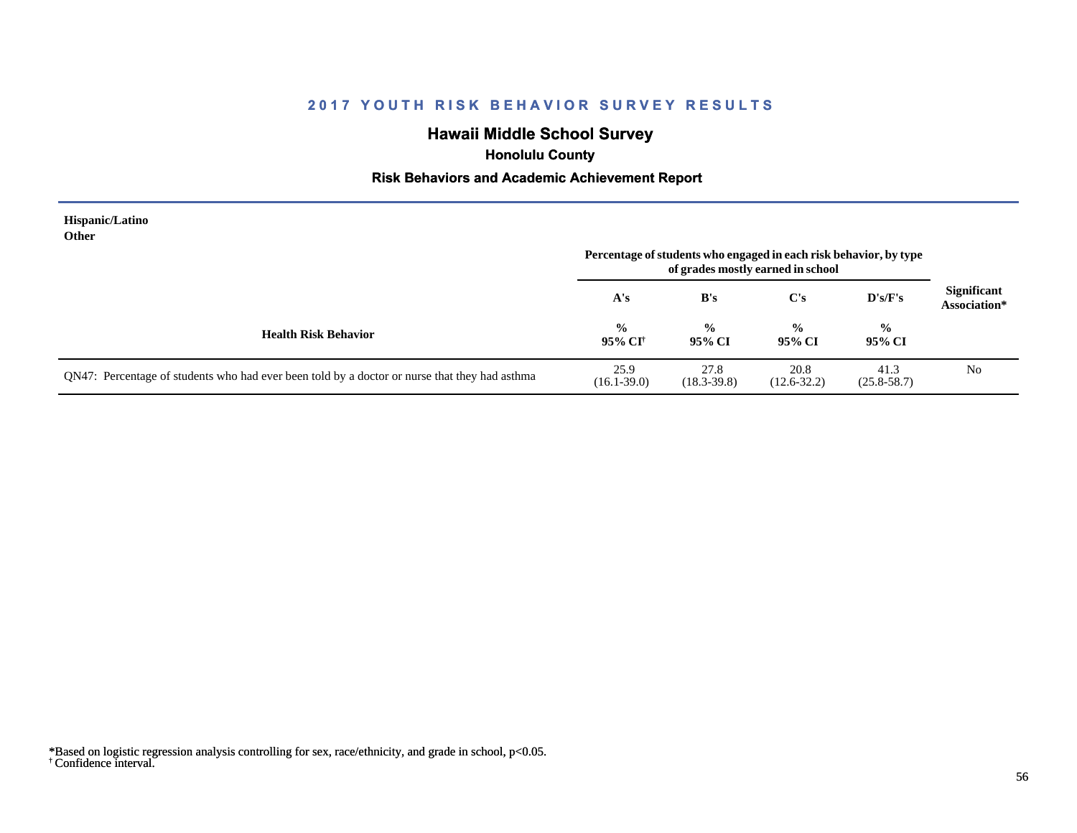# **Hawaii Middle School Survey**

 **Honolulu County**

#### **Risk Behaviors and Academic Achievement Report**

| Hispanic/Latino<br>Other                                                                      |                          |                         | Percentage of students who engaged in each risk behavior, by type<br>of grades mostly earned in school |                         |                                    |
|-----------------------------------------------------------------------------------------------|--------------------------|-------------------------|--------------------------------------------------------------------------------------------------------|-------------------------|------------------------------------|
|                                                                                               | A's                      | B's                     | C's                                                                                                    | $\bf{D's/F's}$          | <b>Significant</b><br>Association* |
| <b>Health Risk Behavior</b>                                                                   | $\frac{0}{0}$<br>95% CI† | $\frac{0}{0}$<br>95% CI | $\frac{0}{0}$<br>95% CI                                                                                | $\frac{0}{0}$<br>95% CI |                                    |
| QN47: Percentage of students who had ever been told by a doctor or nurse that they had asthma | 25.9<br>$(16.1 - 39.0)$  | 27.8<br>$(18.3 - 39.8)$ | 20.8<br>$(12.6 - 32.2)$                                                                                | 41.3<br>$(25.8 - 58.7)$ | No                                 |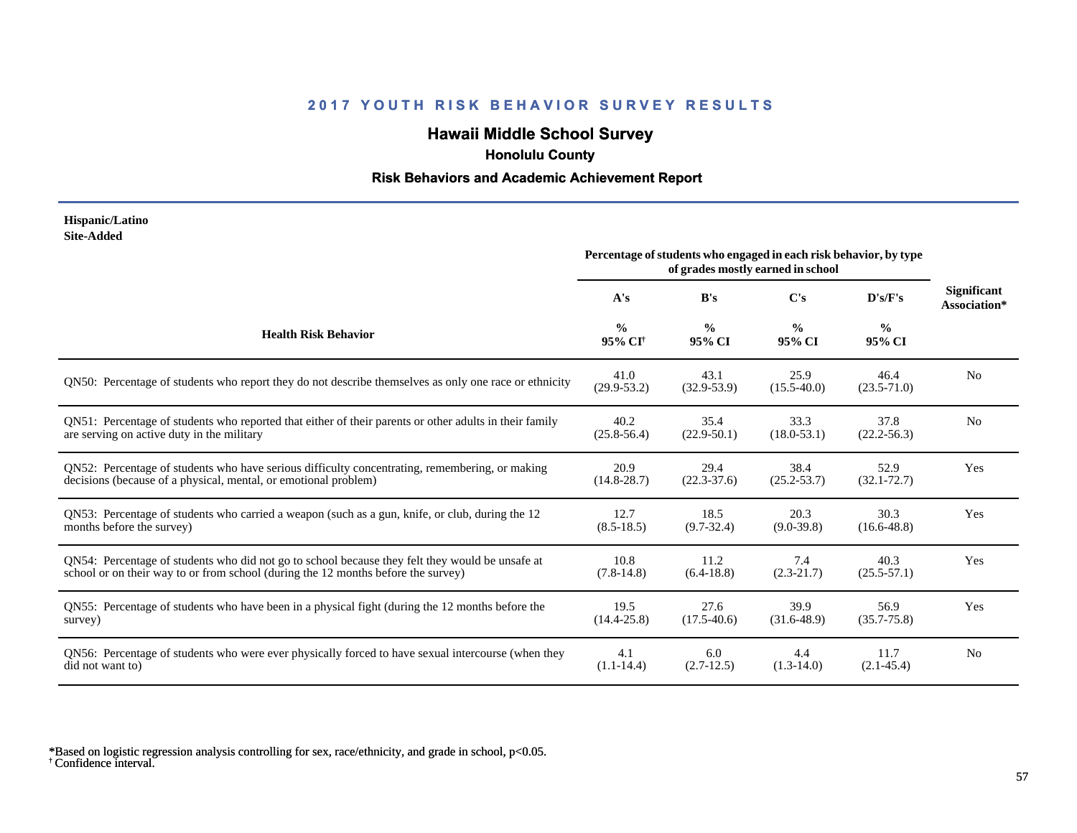# **Hawaii Middle School Survey**

 **Honolulu County**

#### **Risk Behaviors and Academic Achievement Report**

#### **Hispanic/Latino Site-Added**

|                                                                                                        | Percentage of students who engaged in each risk behavior, by type<br>of grades mostly earned in school |                         |                         |                         |                                    |
|--------------------------------------------------------------------------------------------------------|--------------------------------------------------------------------------------------------------------|-------------------------|-------------------------|-------------------------|------------------------------------|
|                                                                                                        | A's                                                                                                    | B's                     | C's                     | D's/F's                 | <b>Significant</b><br>Association* |
| <b>Health Risk Behavior</b>                                                                            | $\frac{0}{0}$<br>95% CI <sup>+</sup>                                                                   | $\frac{0}{0}$<br>95% CI | $\frac{0}{0}$<br>95% CI | $\frac{0}{0}$<br>95% CI |                                    |
| QN50: Percentage of students who report they do not describe themselves as only one race or ethnicity  | 41.0<br>$(29.9 - 53.2)$                                                                                | 43.1<br>$(32.9 - 53.9)$ | 25.9<br>$(15.5-40.0)$   | 46.4<br>$(23.5 - 71.0)$ | N <sub>0</sub>                     |
| QN51: Percentage of students who reported that either of their parents or other adults in their family | 40.2                                                                                                   | 35.4                    | 33.3                    | 37.8                    | N <sub>0</sub>                     |
| are serving on active duty in the military                                                             | $(25.8 - 56.4)$                                                                                        | $(22.9-50.1)$           | $(18.0 - 53.1)$         | $(22.2 - 56.3)$         |                                    |
| QN52: Percentage of students who have serious difficulty concentrating, remembering, or making         | 20.9                                                                                                   | 29.4                    | 38.4                    | 52.9                    | Yes                                |
| decisions (because of a physical, mental, or emotional problem)                                        | $(14.8 - 28.7)$                                                                                        | $(22.3 - 37.6)$         | $(25.2 - 53.7)$         | $(32.1 - 72.7)$         |                                    |
| QN53: Percentage of students who carried a weapon (such as a gun, knife, or club, during the 12        | 12.7                                                                                                   | 18.5                    | 20.3                    | 30.3                    | Yes                                |
| months before the survey)                                                                              | $(8.5-18.5)$                                                                                           | $(9.7 - 32.4)$          | $(9.0 - 39.8)$          | $(16.6 - 48.8)$         |                                    |
| QN54: Percentage of students who did not go to school because they felt they would be unsafe at        | 10.8                                                                                                   | 11.2                    | 7.4                     | 40.3                    | Yes                                |
| school or on their way to or from school (during the 12 months before the survey)                      | $(7.8-14.8)$                                                                                           | $(6.4-18.8)$            | $(2.3-21.7)$            | $(25.5 - 57.1)$         |                                    |
| QN55: Percentage of students who have been in a physical fight (during the 12 months before the        | 19.5                                                                                                   | 27.6                    | 39.9                    | 56.9                    | Yes                                |
| survey)                                                                                                | $(14.4 - 25.8)$                                                                                        | $(17.5-40.6)$           | $(31.6 - 48.9)$         | $(35.7 - 75.8)$         |                                    |
| QN56: Percentage of students who were ever physically forced to have sexual intercourse (when they     | 4.1                                                                                                    | 6.0                     | 4.4                     | 11.7                    | N <sub>0</sub>                     |
| did not want to)                                                                                       | $(1.1-14.4)$                                                                                           | $(2.7-12.5)$            | $(1.3-14.0)$            | $(2.1 - 45.4)$          |                                    |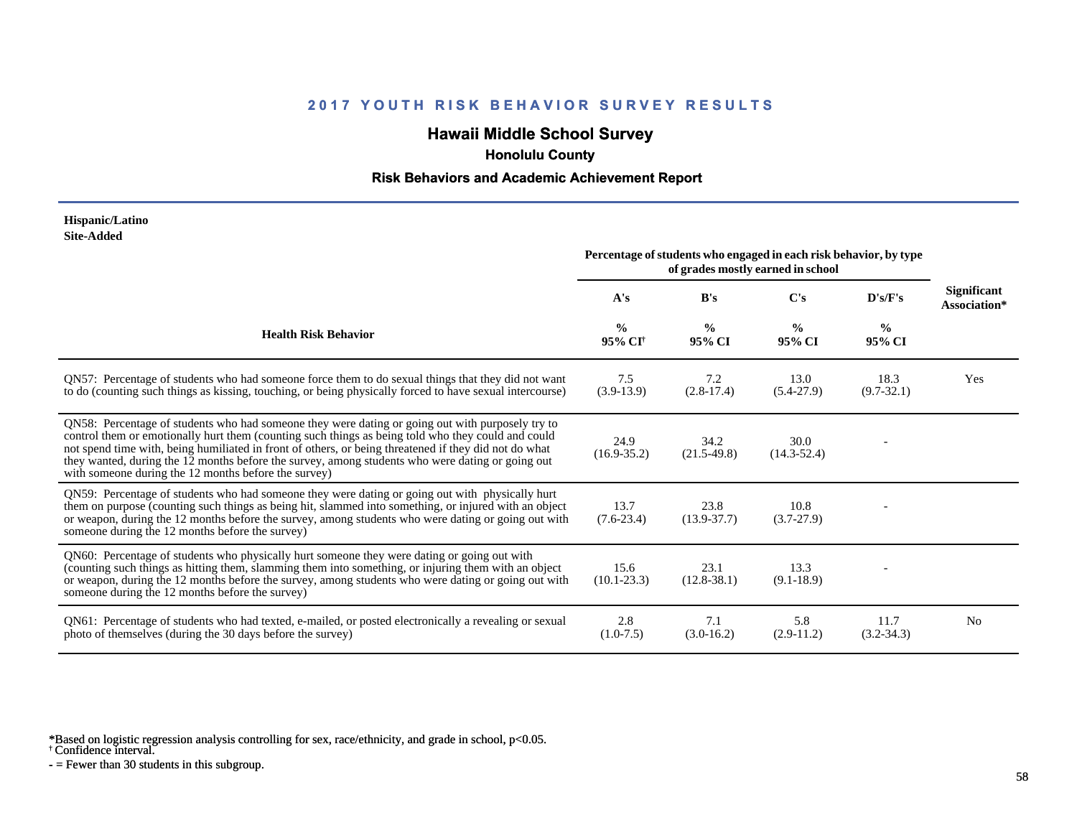# **Hawaii Middle School Survey**

 **Honolulu County**

#### **Risk Behaviors and Academic Achievement Report**

#### **Hispanic/Latino Site-Added**

|                                                                                                                                                                                                                                                                                                                                                                                                                                                                             | Percentage of students who engaged in each risk behavior, by type<br>of grades mostly earned in school |                         |                         |                         |                                    |
|-----------------------------------------------------------------------------------------------------------------------------------------------------------------------------------------------------------------------------------------------------------------------------------------------------------------------------------------------------------------------------------------------------------------------------------------------------------------------------|--------------------------------------------------------------------------------------------------------|-------------------------|-------------------------|-------------------------|------------------------------------|
|                                                                                                                                                                                                                                                                                                                                                                                                                                                                             | A's                                                                                                    | B's                     | $\bf C's$               | D's/F's                 | <b>Significant</b><br>Association* |
| <b>Health Risk Behavior</b>                                                                                                                                                                                                                                                                                                                                                                                                                                                 | $\frac{0}{0}$<br>95% CI <sup>†</sup>                                                                   | $\frac{0}{0}$<br>95% CI | $\frac{0}{0}$<br>95% CI | $\frac{0}{0}$<br>95% CI |                                    |
| QN57: Percentage of students who had someone force them to do sexual things that they did not want<br>to do (counting such things as kissing, touching, or being physically forced to have sexual intercourse)                                                                                                                                                                                                                                                              | 7.5<br>$(3.9-13.9)$                                                                                    | 7.2<br>$(2.8-17.4)$     | 13.0<br>$(5.4-27.9)$    | 18.3<br>$(9.7 - 32.1)$  | Yes                                |
| QN58: Percentage of students who had someone they were dating or going out with purposely try to<br>control them or emotionally hurt them (counting such things as being told who they could and could<br>not spend time with, being humiliated in front of others, or being threatened if they did not do what<br>they wanted, during the 12 months before the survey, among students who were dating or going out<br>with someone during the 12 months before the survey) | 24.9<br>$(16.9 - 35.2)$                                                                                | 34.2<br>$(21.5-49.8)$   | 30.0<br>$(14.3 - 52.4)$ |                         |                                    |
| QN59: Percentage of students who had someone they were dating or going out with physically hurt<br>them on purpose (counting such things as being hit, slammed into something, or injured with an object<br>or weapon, during the 12 months before the survey, among students who were dating or going out with<br>someone during the 12 months before the survey)                                                                                                          | 13.7<br>$(7.6-23.4)$                                                                                   | 23.8<br>$(13.9 - 37.7)$ | 10.8<br>$(3.7-27.9)$    |                         |                                    |
| QN60: Percentage of students who physically hurt someone they were dating or going out with<br>(counting such things as hitting them, slamming them into something, or injuring them with an object<br>or weapon, during the 12 months before the survey, among students who were dating or going out with<br>someone during the 12 months before the survey)                                                                                                               | 15.6<br>$(10.1 - 23.3)$                                                                                | 23.1<br>$(12.8 - 38.1)$ | 13.3<br>$(9.1 - 18.9)$  |                         |                                    |
| QN61: Percentage of students who had texted, e-mailed, or posted electronically a revealing or sexual<br>photo of themselves (during the 30 days before the survey)                                                                                                                                                                                                                                                                                                         | 2.8<br>$(1.0-7.5)$                                                                                     | 7.1<br>$(3.0-16.2)$     | 5.8<br>$(2.9-11.2)$     | 11.7<br>$(3.2 - 34.3)$  | N <sub>0</sub>                     |

\*Based on logistic regression analysis controlling for sex, race/ethnicity, and grade in school, p<0.05.

† Confidence interval.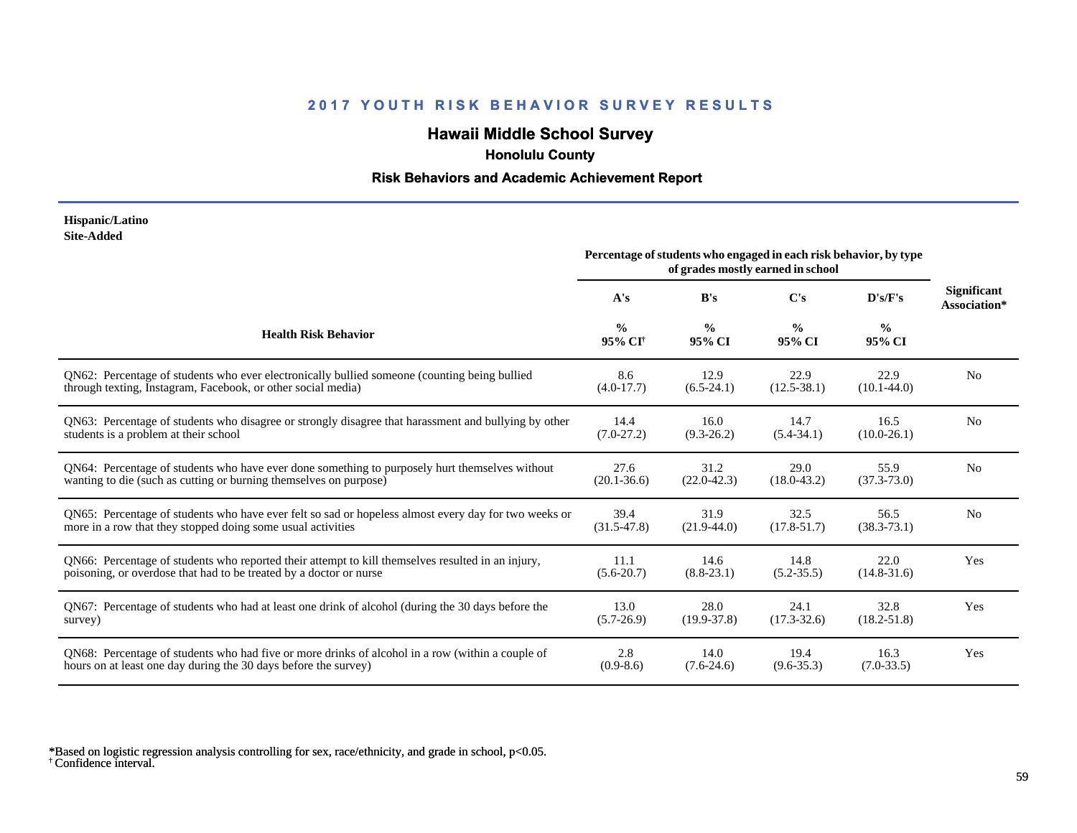# **Hawaii Middle School Survey**

 **Honolulu County**

#### **Risk Behaviors and Academic Achievement Report**

#### **Hispanic/Latino Site-Added**

|                                                                                                      | Percentage of students who engaged in each risk behavior, by type<br>of grades mostly earned in school |                         |                         |                         |                                    |
|------------------------------------------------------------------------------------------------------|--------------------------------------------------------------------------------------------------------|-------------------------|-------------------------|-------------------------|------------------------------------|
|                                                                                                      | A's                                                                                                    | B's                     | C's                     | D's/F's                 | <b>Significant</b><br>Association* |
| <b>Health Risk Behavior</b>                                                                          | $\frac{0}{0}$<br>95% CI <sup>+</sup>                                                                   | $\frac{0}{0}$<br>95% CI | $\frac{0}{0}$<br>95% CI | $\frac{6}{6}$<br>95% CI |                                    |
| QN62: Percentage of students who ever electronically bullied someone (counting being bullied         | 8.6                                                                                                    | 12.9                    | 22.9                    | 22.9                    | N <sub>0</sub>                     |
| through texting, Instagram, Facebook, or other social media)                                         | $(4.0-17.7)$                                                                                           | $(6.5-24.1)$            | $(12.5 - 38.1)$         | $(10.1 - 44.0)$         |                                    |
| QN63: Percentage of students who disagree or strongly disagree that harassment and bullying by other | 14.4                                                                                                   | 16.0                    | 14.7                    | 16.5                    | No                                 |
| students is a problem at their school                                                                | $(7.0-27.2)$                                                                                           | $(9.3 - 26.2)$          | $(5.4 - 34.1)$          | $(10.0 - 26.1)$         |                                    |
| QN64: Percentage of students who have ever done something to purposely hurt themselves without       | 27.6                                                                                                   | 31.2                    | 29.0                    | 55.9                    | N <sub>0</sub>                     |
| wanting to die (such as cutting or burning themselves on purpose)                                    | $(20.1 - 36.6)$                                                                                        | $(22.0 - 42.3)$         | $(18.0 - 43.2)$         | $(37.3 - 73.0)$         |                                    |
| QN65: Percentage of students who have ever felt so sad or hopeless almost every day for two weeks or | 39.4                                                                                                   | 31.9                    | 32.5                    | 56.5                    | N <sub>0</sub>                     |
| more in a row that they stopped doing some usual activities                                          | $(31.5 - 47.8)$                                                                                        | $(21.9-44.0)$           | $(17.8 - 51.7)$         | $(38.3 - 73.1)$         |                                    |
| QN66: Percentage of students who reported their attempt to kill themselves resulted in an injury,    | 11.1                                                                                                   | 14.6                    | 14.8                    | 22.0                    | Yes                                |
| poisoning, or overdose that had to be treated by a doctor or nurse                                   | $(5.6-20.7)$                                                                                           | $(8.8-23.1)$            | $(5.2 - 35.5)$          | $(14.8 - 31.6)$         |                                    |
| QN67: Percentage of students who had at least one drink of alcohol (during the 30 days before the    | 13.0                                                                                                   | 28.0                    | 24.1                    | 32.8                    | Yes                                |
| survey)                                                                                              | $(5.7-26.9)$                                                                                           | $(19.9 - 37.8)$         | $(17.3 - 32.6)$         | $(18.2 - 51.8)$         |                                    |
| ON68: Percentage of students who had five or more drinks of alcohol in a row (within a couple of     | 2.8                                                                                                    | 14.0                    | 19.4                    | 16.3                    | Yes                                |
| hours on at least one day during the 30 days before the survey)                                      | $(0.9-8.6)$                                                                                            | $(7.6-24.6)$            | $(9.6 - 35.3)$          | $(7.0 - 33.5)$          |                                    |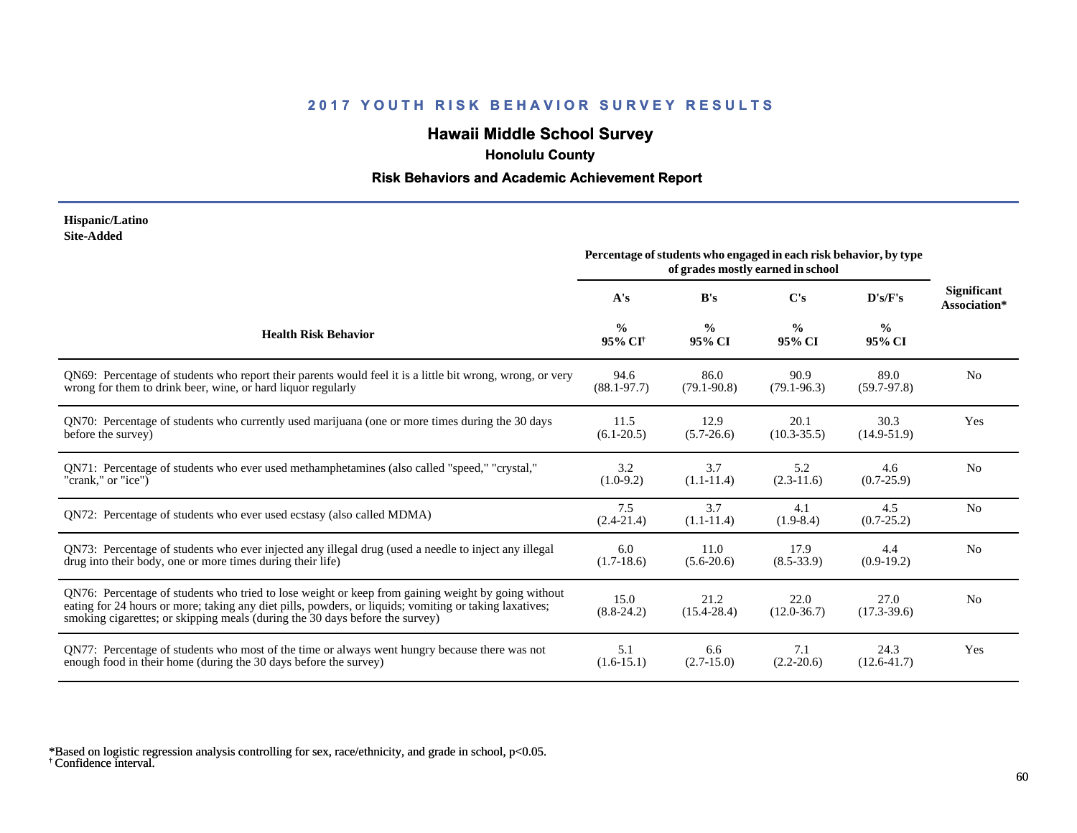# **Hawaii Middle School Survey**

 **Honolulu County**

#### **Risk Behaviors and Academic Achievement Report**

#### **Hispanic/Latino Site-Added**

|                                                                                                                                                                                                                                                                                              | Percentage of students who engaged in each risk behavior, by type<br>of grades mostly earned in school |                         |                         |                         |                                    |
|----------------------------------------------------------------------------------------------------------------------------------------------------------------------------------------------------------------------------------------------------------------------------------------------|--------------------------------------------------------------------------------------------------------|-------------------------|-------------------------|-------------------------|------------------------------------|
|                                                                                                                                                                                                                                                                                              | A's                                                                                                    | B's                     | C's                     | D's/F's                 | <b>Significant</b><br>Association* |
| <b>Health Risk Behavior</b>                                                                                                                                                                                                                                                                  | $\frac{0}{0}$<br>95% CI <sup>†</sup>                                                                   | $\frac{0}{0}$<br>95% CI | $\frac{0}{0}$<br>95% CI | $\frac{0}{0}$<br>95% CI |                                    |
| QN69: Percentage of students who report their parents would feel it is a little bit wrong, wrong, or very                                                                                                                                                                                    | 94.6                                                                                                   | 86.0                    | 90.9                    | 89.0                    | N <sub>o</sub>                     |
| wrong for them to drink beer, wine, or hard liquor regularly                                                                                                                                                                                                                                 | $(88.1 - 97.7)$                                                                                        | $(79.1 - 90.8)$         | $(79.1 - 96.3)$         | $(59.7-97.8)$           |                                    |
| QN70: Percentage of students who currently used marijuana (one or more times during the 30 days                                                                                                                                                                                              | 11.5                                                                                                   | 12.9                    | 20.1                    | 30.3                    | Yes                                |
| before the survey)                                                                                                                                                                                                                                                                           | $(6.1 - 20.5)$                                                                                         | $(5.7 - 26.6)$          | $(10.3 - 35.5)$         | $(14.9 - 51.9)$         |                                    |
| QN71: Percentage of students who ever used methamphetamines (also called "speed," "crystal,"                                                                                                                                                                                                 | 3.2                                                                                                    | 3.7                     | 5.2                     | 4.6                     | N <sub>o</sub>                     |
| "crank," or "ice")                                                                                                                                                                                                                                                                           | $(1.0-9.2)$                                                                                            | $(1.1-11.4)$            | $(2.3-11.6)$            | $(0.7-25.9)$            |                                    |
| QN72: Percentage of students who ever used ecstasy (also called MDMA)                                                                                                                                                                                                                        | 7.5<br>$(2.4 - 21.4)$                                                                                  | 3.7<br>$(1.1-11.4)$     | 4.1<br>$(1.9-8.4)$      | 4.5<br>$(0.7 - 25.2)$   | N <sub>0</sub>                     |
| QN73: Percentage of students who ever injected any illegal drug (used a needle to inject any illegal                                                                                                                                                                                         | 6.0                                                                                                    | 11.0                    | 17.9                    | 4.4                     | N <sub>0</sub>                     |
| drug into their body, one or more times during their life)                                                                                                                                                                                                                                   | $(1.7-18.6)$                                                                                           | $(5.6-20.6)$            | $(8.5 - 33.9)$          | $(0.9-19.2)$            |                                    |
| QN76: Percentage of students who tried to lose weight or keep from gaining weight by going without<br>eating for 24 hours or more; taking any diet pills, powders, or liquids; vomiting or taking laxatives;<br>smoking cigarettes; or skipping meals (during the 30 days before the survey) | 15.0<br>$(8.8-24.2)$                                                                                   | 21.2<br>$(15.4 - 28.4)$ | 22.0<br>$(12.0 - 36.7)$ | 27.0<br>$(17.3 - 39.6)$ | N <sub>0</sub>                     |
| QN77: Percentage of students who most of the time or always went hungry because there was not                                                                                                                                                                                                | 5.1                                                                                                    | 6.6                     | 7.1                     | 24.3                    | Yes                                |
| enough food in their home (during the 30 days before the survey)                                                                                                                                                                                                                             | $(1.6-15.1)$                                                                                           | $(2.7-15.0)$            | $(2.2 - 20.6)$          | $(12.6 - 41.7)$         |                                    |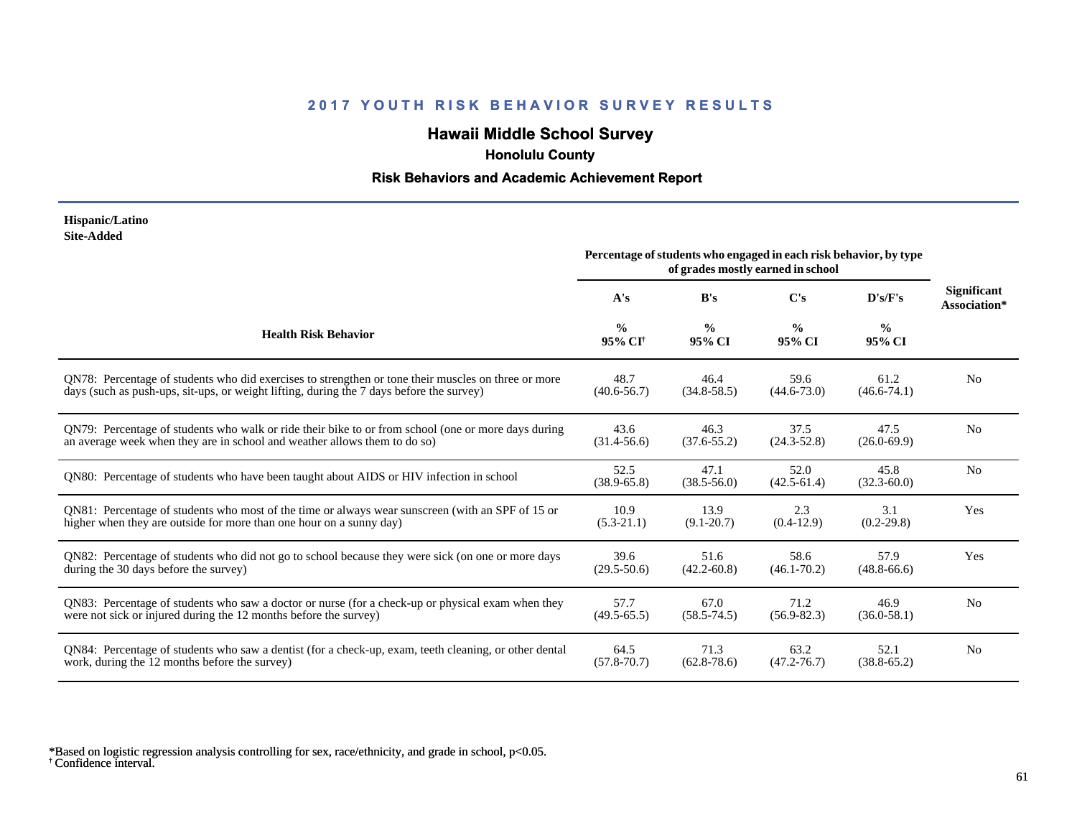# **Hawaii Middle School Survey**

 **Honolulu County**

#### **Risk Behaviors and Academic Achievement Report**

#### **Hispanic/Latino Site-Added**

|                                                                                                       | Percentage of students who engaged in each risk behavior, by type<br>of grades mostly earned in school |                         |                         |                         |                                    |
|-------------------------------------------------------------------------------------------------------|--------------------------------------------------------------------------------------------------------|-------------------------|-------------------------|-------------------------|------------------------------------|
|                                                                                                       | A's                                                                                                    | B's                     | $\bf C's$               | D's/F's                 | <b>Significant</b><br>Association* |
| <b>Health Risk Behavior</b>                                                                           | $\frac{0}{0}$<br>95% CI <sup>+</sup>                                                                   | $\frac{0}{0}$<br>95% CI | $\frac{0}{0}$<br>95% CI | $\frac{0}{0}$<br>95% CI |                                    |
| ON78: Percentage of students who did exercises to strengthen or tone their muscles on three or more   | 48.7                                                                                                   | 46.4                    | 59.6                    | 61.2                    | N <sub>0</sub>                     |
| days (such as push-ups, sit-ups, or weight lifting, during the 7 days before the survey)              | $(40.6 - 56.7)$                                                                                        | $(34.8 - 58.5)$         | $(44.6 - 73.0)$         | $(46.6 - 74.1)$         |                                    |
| QN79: Percentage of students who walk or ride their bike to or from school (one or more days during   | 43.6                                                                                                   | 46.3                    | 37.5                    | 47.5                    | N <sub>0</sub>                     |
| an average week when they are in school and weather allows them to do so)                             | $(31.4 - 56.6)$                                                                                        | $(37.6 - 55.2)$         | $(24.3 - 52.8)$         | $(26.0 - 69.9)$         |                                    |
| QN80: Percentage of students who have been taught about AIDS or HIV infection in school               | 52.5<br>$(38.9 - 65.8)$                                                                                | 47.1<br>$(38.5 - 56.0)$ | 52.0<br>$(42.5 - 61.4)$ | 45.8<br>$(32.3 - 60.0)$ | N <sub>0</sub>                     |
| QN81: Percentage of students who most of the time or always wear sunscreen (with an SPF of 15 or      | 10.9                                                                                                   | 13.9                    | 2.3                     | 3.1                     | Yes                                |
| higher when they are outside for more than one hour on a sunny day)                                   | $(5.3-21.1)$                                                                                           | $(9.1 - 20.7)$          | $(0.4-12.9)$            | $(0.2 - 29.8)$          |                                    |
| QN82: Percentage of students who did not go to school because they were sick (on one or more days     | 39.6                                                                                                   | 51.6                    | 58.6                    | 57.9                    | Yes                                |
| during the 30 days before the survey)                                                                 | $(29.5 - 50.6)$                                                                                        | $(42.2 - 60.8)$         | $(46.1 - 70.2)$         | $(48.8 - 66.6)$         |                                    |
| QN83: Percentage of students who saw a doctor or nurse (for a check-up or physical exam when they     | 57.7                                                                                                   | 67.0                    | 71.2                    | 46.9                    | N <sub>0</sub>                     |
| were not sick or injured during the 12 months before the survey)                                      | $(49.5 - 65.5)$                                                                                        | $(58.5 - 74.5)$         | $(56.9 - 82.3)$         | $(36.0 - 58.1)$         |                                    |
| QN84: Percentage of students who saw a dentist (for a check-up, exam, teeth cleaning, or other dental | 64.5                                                                                                   | 71.3                    | 63.2                    | 52.1                    | N <sub>0</sub>                     |
| work, during the 12 months before the survey)                                                         | $(57.8 - 70.7)$                                                                                        | $(62.8 - 78.6)$         | $(47.2 - 76.7)$         | $(38.8 - 65.2)$         |                                    |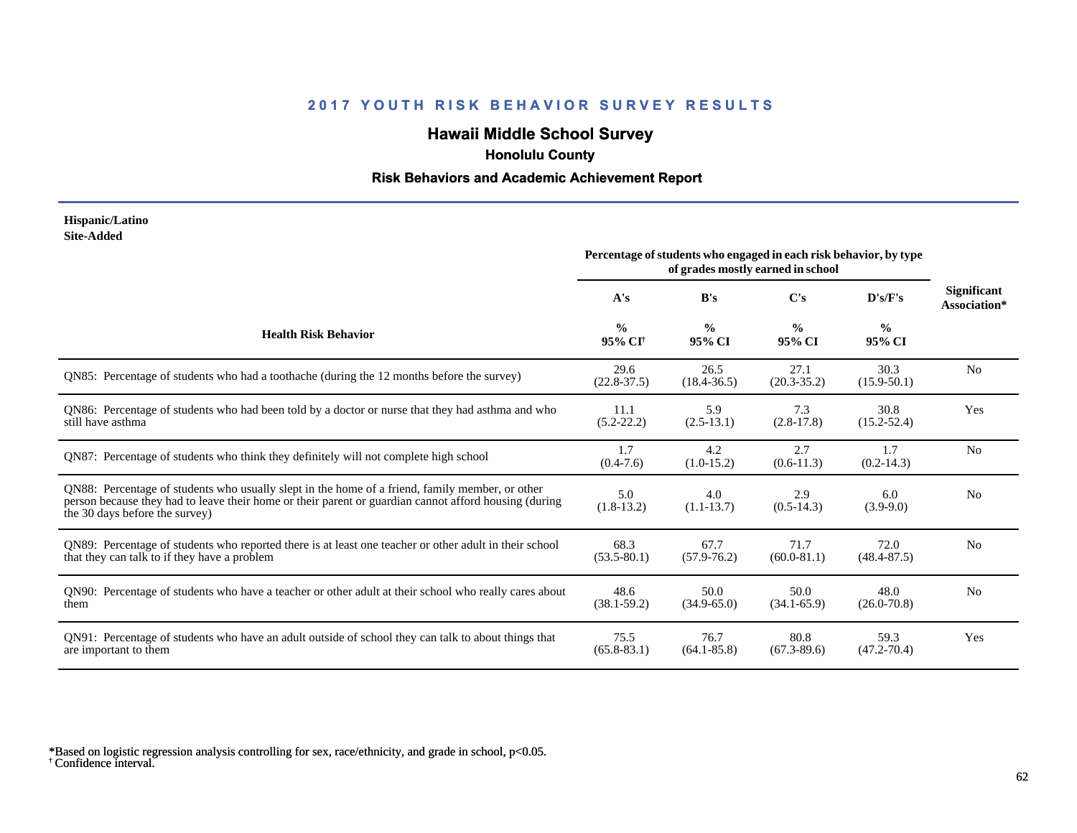# **Hawaii Middle School Survey**

 **Honolulu County**

#### **Risk Behaviors and Academic Achievement Report**

#### **Hispanic/Latino Site-Added**

|                                                                                                                                                                                                                                            | Percentage of students who engaged in each risk behavior, by type<br>of grades mostly earned in school |                         |                         |                         |                                    |
|--------------------------------------------------------------------------------------------------------------------------------------------------------------------------------------------------------------------------------------------|--------------------------------------------------------------------------------------------------------|-------------------------|-------------------------|-------------------------|------------------------------------|
|                                                                                                                                                                                                                                            | A's                                                                                                    | B's                     | $\bf C's$               | D's/F's                 | <b>Significant</b><br>Association* |
| <b>Health Risk Behavior</b>                                                                                                                                                                                                                | $\frac{0}{0}$<br>95% CI <sup>+</sup>                                                                   | $\frac{0}{0}$<br>95% CI | $\frac{0}{0}$<br>95% CI | $\frac{0}{0}$<br>95% CI |                                    |
| QN85: Percentage of students who had a toothache (during the 12 months before the survey)                                                                                                                                                  | 29.6<br>$(22.8 - 37.5)$                                                                                | 26.5<br>$(18.4 - 36.5)$ | 27.1<br>$(20.3 - 35.2)$ | 30.3<br>$(15.9 - 50.1)$ | N <sub>o</sub>                     |
| QN86: Percentage of students who had been told by a doctor or nurse that they had asthma and who<br>still have asthma                                                                                                                      | 11.1<br>$(5.2 - 22.2)$                                                                                 | 5.9<br>$(2.5-13.1)$     | 7.3<br>$(2.8-17.8)$     | 30.8<br>$(15.2 - 52.4)$ | Yes                                |
| QN87: Percentage of students who think they definitely will not complete high school                                                                                                                                                       | 1.7<br>$(0.4-7.6)$                                                                                     | 4.2<br>$(1.0-15.2)$     | 2.7<br>$(0.6-11.3)$     | 1.7<br>$(0.2 - 14.3)$   | N <sub>o</sub>                     |
| QN88: Percentage of students who usually slept in the home of a friend, family member, or other<br>person because they had to leave their home or their parent or guardian cannot afford housing (during<br>the 30 days before the survey) | 5.0<br>$(1.8-13.2)$                                                                                    | 4.0<br>$(1.1-13.7)$     | 2.9<br>$(0.5-14.3)$     | 6.0<br>$(3.9-9.0)$      | N <sub>0</sub>                     |
| QN89: Percentage of students who reported there is at least one teacher or other adult in their school<br>that they can talk to if they have a problem                                                                                     | 68.3<br>$(53.5 - 80.1)$                                                                                | 67.7<br>$(57.9 - 76.2)$ | 71.7<br>$(60.0 - 81.1)$ | 72.0<br>$(48.4 - 87.5)$ | N <sub>o</sub>                     |
| QN90: Percentage of students who have a teacher or other adult at their school who really cares about<br>them                                                                                                                              | 48.6<br>$(38.1 - 59.2)$                                                                                | 50.0<br>$(34.9 - 65.0)$ | 50.0<br>$(34.1 - 65.9)$ | 48.0<br>$(26.0 - 70.8)$ | N <sub>0</sub>                     |
| QN91: Percentage of students who have an adult outside of school they can talk to about things that<br>are important to them                                                                                                               | 75.5<br>$(65.8 - 83.1)$                                                                                | 76.7<br>$(64.1 - 85.8)$ | 80.8<br>$(67.3 - 89.6)$ | 59.3<br>$(47.2 - 70.4)$ | Yes                                |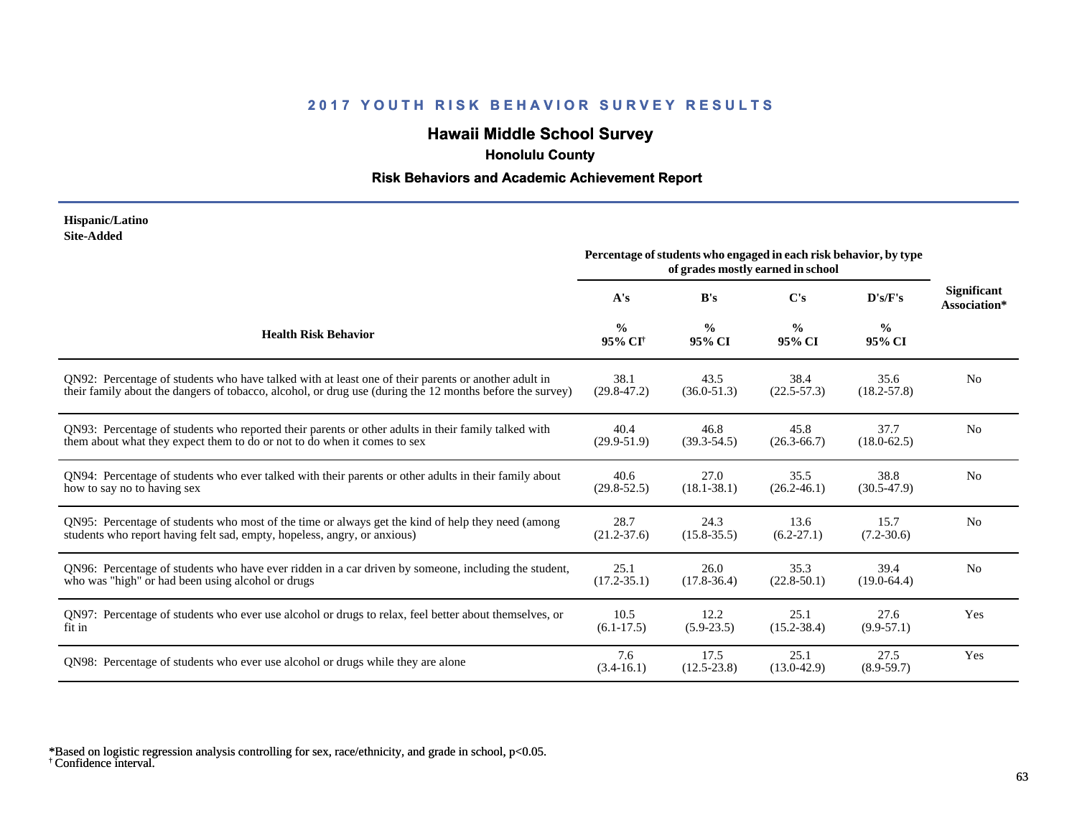# **Hawaii Middle School Survey**

 **Honolulu County**

#### **Risk Behaviors and Academic Achievement Report**

#### **Hispanic/Latino Site-Added**

|                                                                                                          | Percentage of students who engaged in each risk behavior, by type<br>of grades mostly earned in school |                         |                         |                         |                                    |
|----------------------------------------------------------------------------------------------------------|--------------------------------------------------------------------------------------------------------|-------------------------|-------------------------|-------------------------|------------------------------------|
|                                                                                                          | A's                                                                                                    | B's                     | $\bf C's$               | D's/F's                 | <b>Significant</b><br>Association* |
| <b>Health Risk Behavior</b>                                                                              | $\frac{0}{0}$<br>95% CI <sup>+</sup>                                                                   | $\frac{0}{0}$<br>95% CI | $\frac{0}{0}$<br>95% CI | $\frac{0}{0}$<br>95% CI |                                    |
| QN92: Percentage of students who have talked with at least one of their parents or another adult in      | 38.1                                                                                                   | 43.5                    | 38.4                    | 35.6                    | N <sub>0</sub>                     |
| their family about the dangers of tobacco, alcohol, or drug use (during the 12 months before the survey) | $(29.8 - 47.2)$                                                                                        | $(36.0 - 51.3)$         | $(22.5 - 57.3)$         | $(18.2 - 57.8)$         |                                    |
| QN93: Percentage of students who reported their parents or other adults in their family talked with      | 40.4                                                                                                   | 46.8                    | 45.8                    | 37.7                    | N <sub>0</sub>                     |
| them about what they expect them to do or not to do when it comes to sex                                 | $(29.9 - 51.9)$                                                                                        | $(39.3 - 54.5)$         | $(26.3 - 66.7)$         | $(18.0 - 62.5)$         |                                    |
| QN94: Percentage of students who ever talked with their parents or other adults in their family about    | 40.6                                                                                                   | 27.0                    | 35.5                    | 38.8                    | N <sub>0</sub>                     |
| how to say no to having sex                                                                              | $(29.8 - 52.5)$                                                                                        | $(18.1 - 38.1)$         | $(26.2 - 46.1)$         | $(30.5-47.9)$           |                                    |
| QN95: Percentage of students who most of the time or always get the kind of help they need (among        | 28.7                                                                                                   | 24.3                    | 13.6                    | 15.7                    | N <sub>0</sub>                     |
| students who report having felt sad, empty, hopeless, angry, or anxious)                                 | $(21.2 - 37.6)$                                                                                        | $(15.8 - 35.5)$         | $(6.2 - 27.1)$          | $(7.2 - 30.6)$          |                                    |
| QN96: Percentage of students who have ever ridden in a car driven by someone, including the student,     | 25.1                                                                                                   | 26.0                    | 35.3                    | 39.4                    | N <sub>0</sub>                     |
| who was "high" or had been using alcohol or drugs                                                        | $(17.2 - 35.1)$                                                                                        | $(17.8 - 36.4)$         | $(22.8 - 50.1)$         | $(19.0-64.4)$           |                                    |
| QN97: Percentage of students who ever use alcohol or drugs to relax, feel better about themselves, or    | 10.5                                                                                                   | 12.2                    | 25.1                    | 27.6                    | Yes                                |
| fit in                                                                                                   | $(6.1 - 17.5)$                                                                                         | $(5.9 - 23.5)$          | $(15.2 - 38.4)$         | $(9.9-57.1)$            |                                    |
| QN98: Percentage of students who ever use alcohol or drugs while they are alone                          | 7.6<br>$(3.4-16.1)$                                                                                    | 17.5<br>$(12.5 - 23.8)$ | 25.1<br>$(13.0 - 42.9)$ | 27.5<br>$(8.9 - 59.7)$  | Yes                                |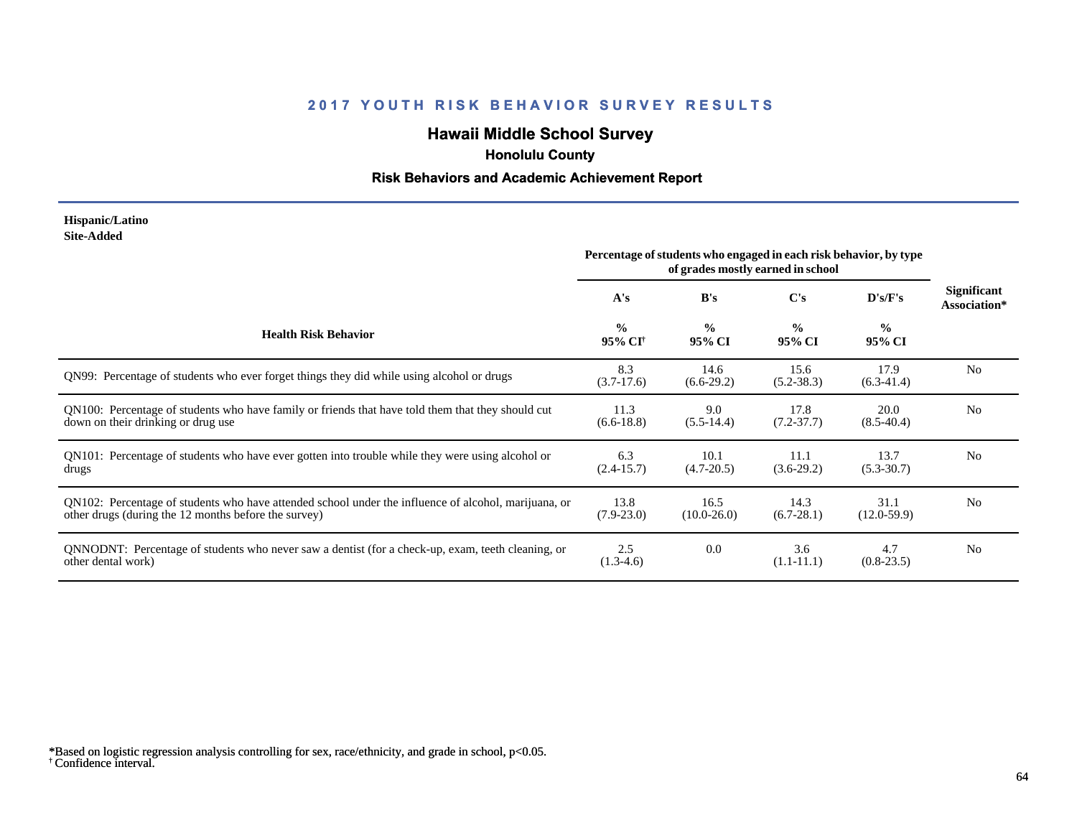# **Hawaii Middle School Survey**

 **Honolulu County**

#### **Risk Behaviors and Academic Achievement Report**

#### **Hispanic/Latino Site-Added**

|                                                                                                                                                              | Percentage of students who engaged in each risk behavior, by type<br>of grades mostly earned in school |                         |                         |                         |                                    |
|--------------------------------------------------------------------------------------------------------------------------------------------------------------|--------------------------------------------------------------------------------------------------------|-------------------------|-------------------------|-------------------------|------------------------------------|
|                                                                                                                                                              | A's                                                                                                    | B's                     | C's                     | D's/F's                 | <b>Significant</b><br>Association* |
| <b>Health Risk Behavior</b>                                                                                                                                  | $\frac{0}{0}$<br>95% CI <sup>†</sup>                                                                   | $\frac{0}{0}$<br>95% CI | $\frac{0}{0}$<br>95% CI | $\frac{0}{0}$<br>95% CI |                                    |
| QN99: Percentage of students who ever forget things they did while using alcohol or drugs                                                                    | 8.3<br>$(3.7-17.6)$                                                                                    | 14.6<br>$(6.6-29.2)$    | 15.6<br>$(5.2 - 38.3)$  | 17.9<br>$(6.3-41.4)$    | N <sub>0</sub>                     |
| QN100: Percentage of students who have family or friends that have told them that they should cut<br>down on their drinking or drug use                      | 11.3<br>$(6.6-18.8)$                                                                                   | 9.0<br>$(5.5-14.4)$     | 17.8<br>$(7.2 - 37.7)$  | 20.0<br>$(8.5-40.4)$    | N <sub>0</sub>                     |
| QN101: Percentage of students who have ever gotten into trouble while they were using alcohol or<br>drugs                                                    | 6.3<br>$(2.4 - 15.7)$                                                                                  | 10.1<br>$(4.7 - 20.5)$  | 11.1<br>$(3.6-29.2)$    | 13.7<br>$(5.3 - 30.7)$  | N <sub>0</sub>                     |
| QN102: Percentage of students who have attended school under the influence of alcohol, marijuana, or<br>other drugs (during the 12 months before the survey) | 13.8<br>$(7.9 - 23.0)$                                                                                 | 16.5<br>$(10.0 - 26.0)$ | 14.3<br>$(6.7 - 28.1)$  | 31.1<br>$(12.0-59.9)$   | N <sub>0</sub>                     |
| QNNODNT: Percentage of students who never saw a dentist (for a check-up, exam, teeth cleaning, or<br>other dental work)                                      | 2.5<br>$(1.3-4.6)$                                                                                     | 0.0                     | 3.6<br>$(1.1-11.1)$     | 4.7<br>$(0.8-23.5)$     | N <sub>0</sub>                     |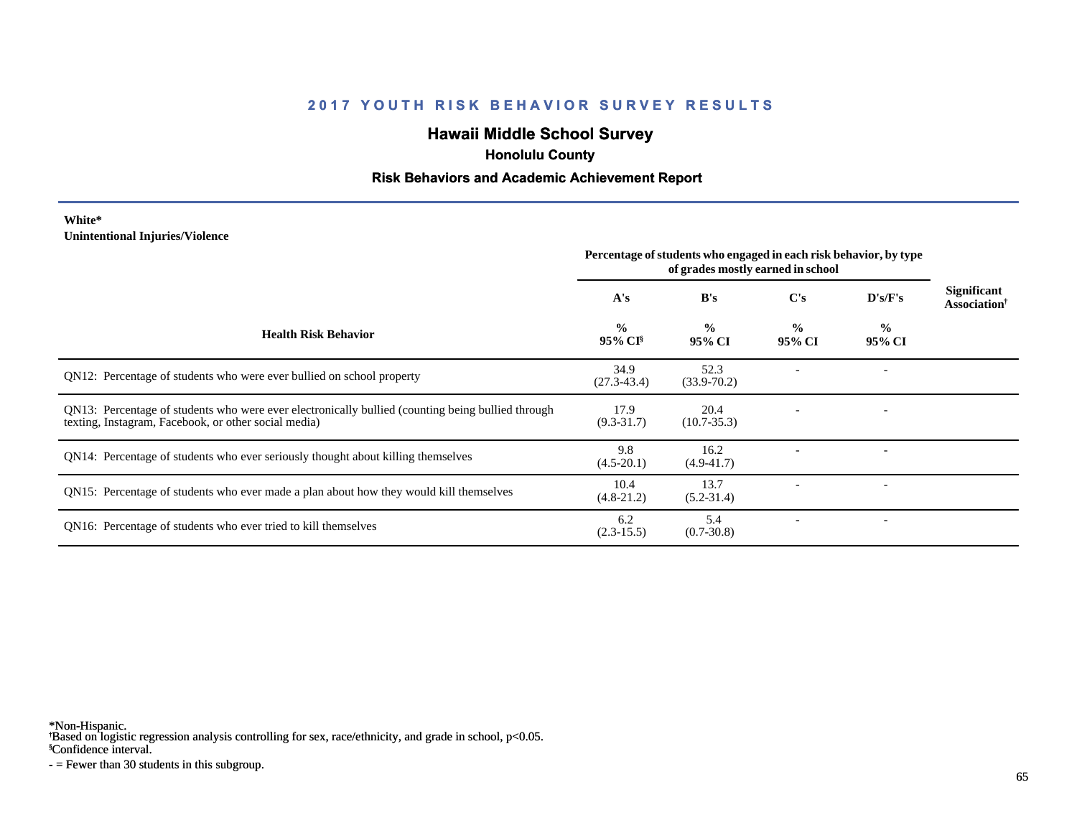## **Hawaii Middle School Survey**

 **Honolulu County**

#### **Risk Behaviors and Academic Achievement Report**

#### **White\* Unintentional Injuries/Violence**

|                                                                                                                                                           | Percentage of students who engaged in each risk behavior, by type<br>of grades mostly earned in school |                         |                         |                         |                                         |
|-----------------------------------------------------------------------------------------------------------------------------------------------------------|--------------------------------------------------------------------------------------------------------|-------------------------|-------------------------|-------------------------|-----------------------------------------|
|                                                                                                                                                           | A's                                                                                                    | B's                     | $\bf C's$               | D's/F's                 | Significant<br>Association <sup>†</sup> |
| <b>Health Risk Behavior</b>                                                                                                                               | $\frac{0}{0}$<br>95% CI <sup>§</sup>                                                                   | $\frac{0}{0}$<br>95% CI | $\frac{0}{0}$<br>95% CI | $\frac{0}{0}$<br>95% CI |                                         |
| QN12: Percentage of students who were ever bullied on school property                                                                                     | 34.9<br>$(27.3 - 43.4)$                                                                                | 52.3<br>$(33.9 - 70.2)$ |                         |                         |                                         |
| QN13: Percentage of students who were ever electronically bullied (counting being bullied through<br>texting, Instagram, Facebook, or other social media) | 17.9<br>$(9.3 - 31.7)$                                                                                 | 20.4<br>$(10.7 - 35.3)$ |                         |                         |                                         |
| QN14: Percentage of students who ever seriously thought about killing themselves                                                                          | 9.8<br>$(4.5-20.1)$                                                                                    | 16.2<br>$(4.9 - 41.7)$  |                         |                         |                                         |
| QN15: Percentage of students who ever made a plan about how they would kill themselves                                                                    | 10.4<br>$(4.8-21.2)$                                                                                   | 13.7<br>$(5.2 - 31.4)$  |                         |                         |                                         |
| QN16: Percentage of students who ever tried to kill themselves                                                                                            | 6.2<br>$(2.3-15.5)$                                                                                    | 5.4<br>$(0.7 - 30.8)$   |                         |                         |                                         |

\*Non-Hispanic.

† Based on logistic regression analysis controlling for sex, race/ethnicity, and grade in school, p<0.05.

§Confidence interval.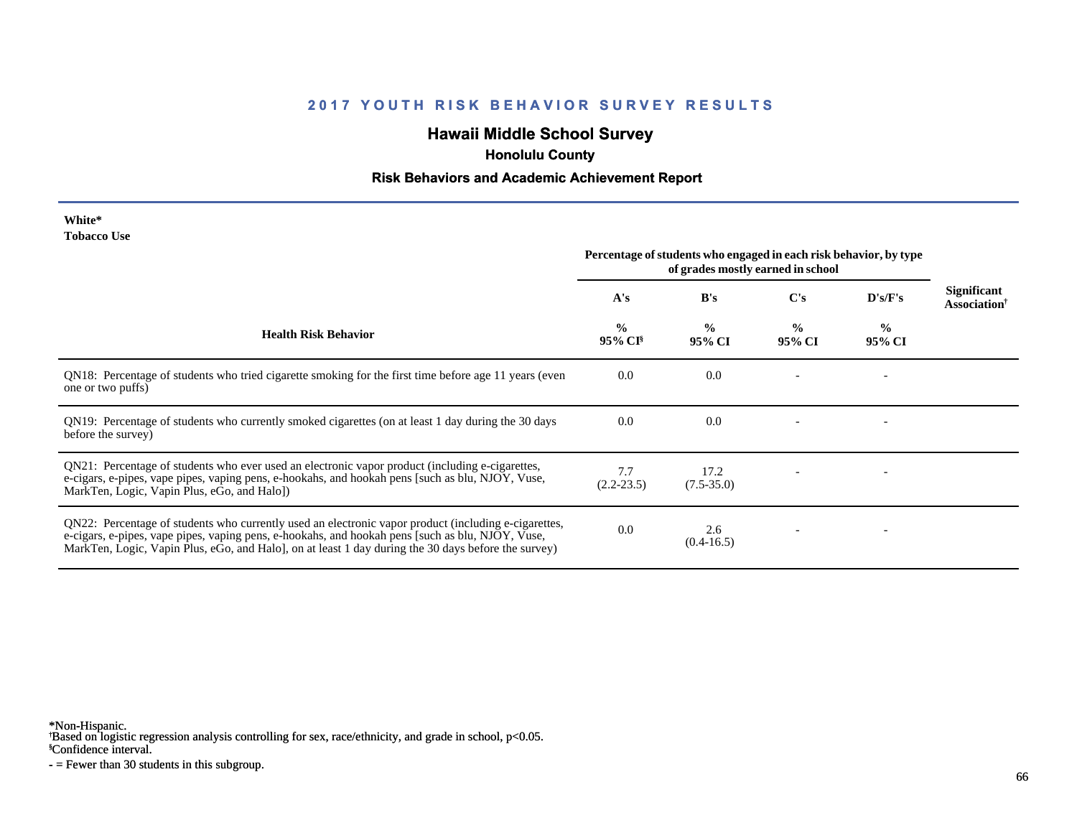## **Hawaii Middle School Survey**

 **Honolulu County**

#### **Risk Behaviors and Academic Achievement Report**

| White*      |  |
|-------------|--|
| Tobacco Use |  |

| <b>TODACCO</b> USE                                                                                                                                                                                                                                                                                             | Percentage of students who engaged in each risk behavior, by type<br>of grades mostly earned in school |                         |                         |                          |                                            |
|----------------------------------------------------------------------------------------------------------------------------------------------------------------------------------------------------------------------------------------------------------------------------------------------------------------|--------------------------------------------------------------------------------------------------------|-------------------------|-------------------------|--------------------------|--------------------------------------------|
|                                                                                                                                                                                                                                                                                                                | A's                                                                                                    | B's                     | C's                     | D's/F's                  | <b>Significant</b><br><b>Association</b> † |
| <b>Health Risk Behavior</b>                                                                                                                                                                                                                                                                                    | $\frac{0}{0}$<br>95% CI <sup>§</sup>                                                                   | $\frac{0}{0}$<br>95% CI | $\frac{0}{0}$<br>95% CI | $\frac{0}{0}$<br>95% CI  |                                            |
| QN18: Percentage of students who tried cigarette smoking for the first time before age 11 years (even<br>one or two puffs)                                                                                                                                                                                     | 0.0                                                                                                    | 0.0                     |                         |                          |                                            |
| QN19: Percentage of students who currently smoked cigarettes (on at least 1 day during the 30 days<br>before the survey)                                                                                                                                                                                       | 0.0                                                                                                    | 0.0                     |                         | $\overline{\phantom{a}}$ |                                            |
| QN21: Percentage of students who ever used an electronic vapor product (including e-cigarettes,<br>e-cigars, e-pipes, vape pipes, vaping pens, e-hookahs, and hookah pens [such as blu, NJOY, Vuse,<br>MarkTen, Logic, Vapin Plus, eGo, and Halo])                                                             | 7.7<br>$(2.2 - 23.5)$                                                                                  | 17.2<br>$(7.5 - 35.0)$  |                         |                          |                                            |
| QN22: Percentage of students who currently used an electronic vapor product (including e-cigarettes,<br>e-cigars, e-pipes, vape pipes, vaping pens, e-hookahs, and hookah pens [such as blu, NJOY, Vuse,<br>MarkTen, Logic, Vapin Plus, eGo, and Halo, on at least 1 day during the 30 days before the survey) | 0.0                                                                                                    | 2.6<br>$(0.4 - 16.5)$   |                         |                          |                                            |

\*Non-Hispanic.

† Based on logistic regression analysis controlling for sex, race/ethnicity, and grade in school, p<0.05.

§Confidence interval.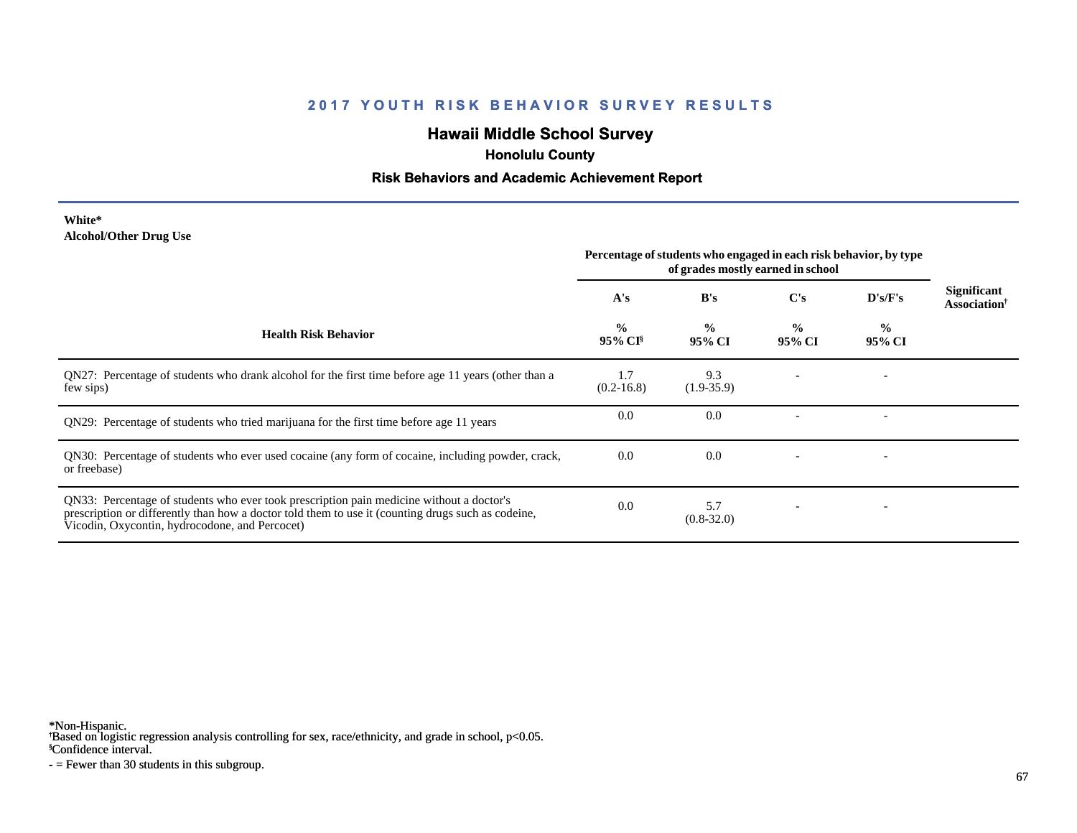## **Hawaii Middle School Survey**

 **Honolulu County**

#### **Risk Behaviors and Academic Achievement Report**

**White\* Alcohol/Other Drug Use**

|                                                                                                                                                                                                                                                  | Percentage of students who engaged in each risk behavior, by type<br>of grades mostly earned in school |                         |                         |                         |                                     |
|--------------------------------------------------------------------------------------------------------------------------------------------------------------------------------------------------------------------------------------------------|--------------------------------------------------------------------------------------------------------|-------------------------|-------------------------|-------------------------|-------------------------------------|
|                                                                                                                                                                                                                                                  | A's                                                                                                    | B's                     | $\bf C's$               | D's/F's                 | Significant<br><b>Association</b> † |
| <b>Health Risk Behavior</b>                                                                                                                                                                                                                      | $\frac{0}{0}$<br>95% CI <sup>§</sup>                                                                   | $\frac{0}{0}$<br>95% CI | $\frac{0}{0}$<br>95% CI | $\frac{1}{2}$<br>95% CI |                                     |
| QN27: Percentage of students who drank alcohol for the first time before age 11 years (other than a<br>few sips)                                                                                                                                 | 1.7<br>$(0.2 - 16.8)$                                                                                  | 9.3<br>$(1.9-35.9)$     |                         |                         |                                     |
| QN29: Percentage of students who tried marijuana for the first time before age 11 years                                                                                                                                                          | 0.0                                                                                                    | 0.0                     |                         |                         |                                     |
| QN30: Percentage of students who ever used cocaine (any form of cocaine, including powder, crack,<br>or freebase)                                                                                                                                | 0.0                                                                                                    | 0.0                     |                         |                         |                                     |
| QN33: Percentage of students who ever took prescription pain medicine without a doctor's<br>prescription or differently than how a doctor told them to use it (counting drugs such as codeine,<br>Vicodin, Oxycontin, hydrocodone, and Percocet) | 0.0                                                                                                    | 5.7<br>$(0.8 - 32.0)$   |                         |                         |                                     |

\*Non-Hispanic.

† Based on logistic regression analysis controlling for sex, race/ethnicity, and grade in school, p<0.05.

§Confidence interval.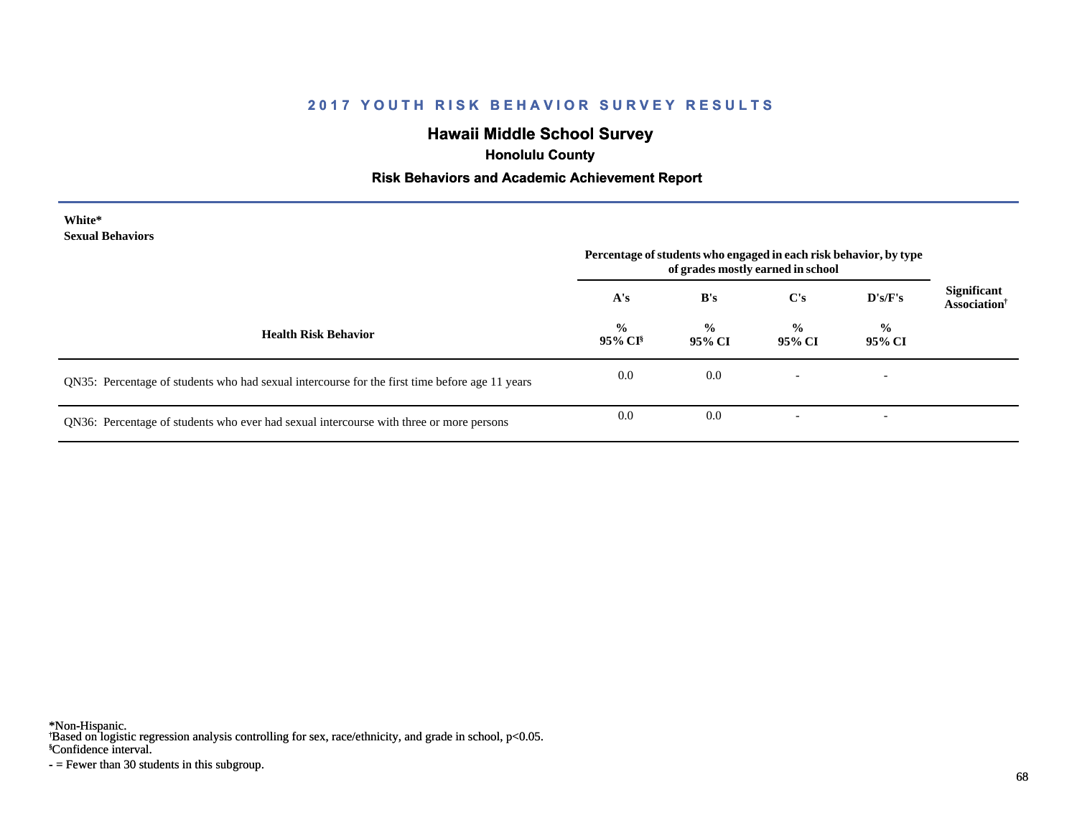## **Hawaii Middle School Survey**

 **Honolulu County**

#### **Risk Behaviors and Academic Achievement Report**

| White*<br><b>Sexual Behaviors</b>                                                              | Percentage of students who engaged in each risk behavior, by type<br>of grades mostly earned in school |                         |                         |                          |                                         |
|------------------------------------------------------------------------------------------------|--------------------------------------------------------------------------------------------------------|-------------------------|-------------------------|--------------------------|-----------------------------------------|
|                                                                                                | A's                                                                                                    | B's                     | C's                     | D's/F's                  | Significant<br>Association <sup>†</sup> |
| <b>Health Risk Behavior</b>                                                                    | $\frac{6}{10}$<br>$95\%$ CI <sup>§</sup>                                                               | $\frac{0}{0}$<br>95% CI | $\frac{6}{9}$<br>95% CI | $\frac{6}{9}$<br>95% CI  |                                         |
| QN35: Percentage of students who had sexual intercourse for the first time before age 11 years | 0.0                                                                                                    | 0.0                     |                         | $\overline{\phantom{0}}$ |                                         |
| QN36: Percentage of students who ever had sexual intercourse with three or more persons        | 0.0                                                                                                    | 0.0                     |                         | $\overline{\phantom{0}}$ |                                         |

\*Non-Hispanic.

† Based on logistic regression analysis controlling for sex, race/ethnicity, and grade in school, p<0.05.

§Confidence interval.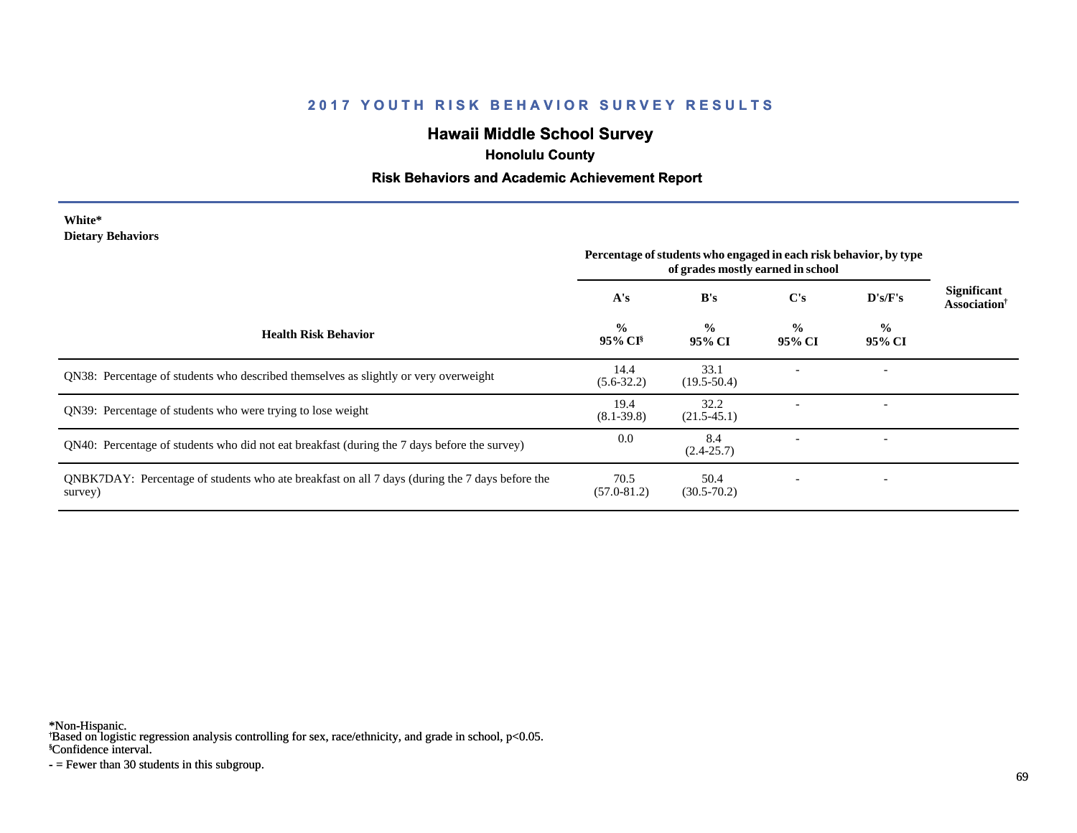## **Hawaii Middle School Survey**

 **Honolulu County**

#### **Risk Behaviors and Academic Achievement Report**

#### **White\* Dietary Behaviors**

|                                                                                                           | Percentage of students who engaged in each risk behavior, by type<br>of grades mostly earned in school |                         |                         |                          |                                         |
|-----------------------------------------------------------------------------------------------------------|--------------------------------------------------------------------------------------------------------|-------------------------|-------------------------|--------------------------|-----------------------------------------|
|                                                                                                           | A's                                                                                                    | B's                     | $\bf C's$               | D's/F's                  | Significant<br>Association <sup>†</sup> |
| <b>Health Risk Behavior</b>                                                                               | $\frac{0}{0}$<br>95% CI <sup>§</sup>                                                                   | $\frac{0}{0}$<br>95% CI | $\frac{0}{0}$<br>95% CI | $\frac{0}{0}$<br>95% CI  |                                         |
| QN38: Percentage of students who described themselves as slightly or very overweight                      | 14.4<br>$(5.6-32.2)$                                                                                   | 33.1<br>$(19.5 - 50.4)$ |                         |                          |                                         |
| QN39: Percentage of students who were trying to lose weight                                               | 19.4<br>$(8.1 - 39.8)$                                                                                 | 32.2<br>$(21.5-45.1)$   |                         |                          |                                         |
| QN40: Percentage of students who did not eat breakfast (during the 7 days before the survey)              | 0.0                                                                                                    | 8.4<br>$(2.4 - 25.7)$   |                         |                          |                                         |
| QNBK7DAY: Percentage of students who ate breakfast on all 7 days (during the 7 days before the<br>survey) | 70.5<br>$(57.0 - 81.2)$                                                                                | 50.4<br>$(30.5 - 70.2)$ |                         | $\overline{\phantom{0}}$ |                                         |

\*Non-Hispanic.

† Based on logistic regression analysis controlling for sex, race/ethnicity, and grade in school, p<0.05.

§Confidence interval.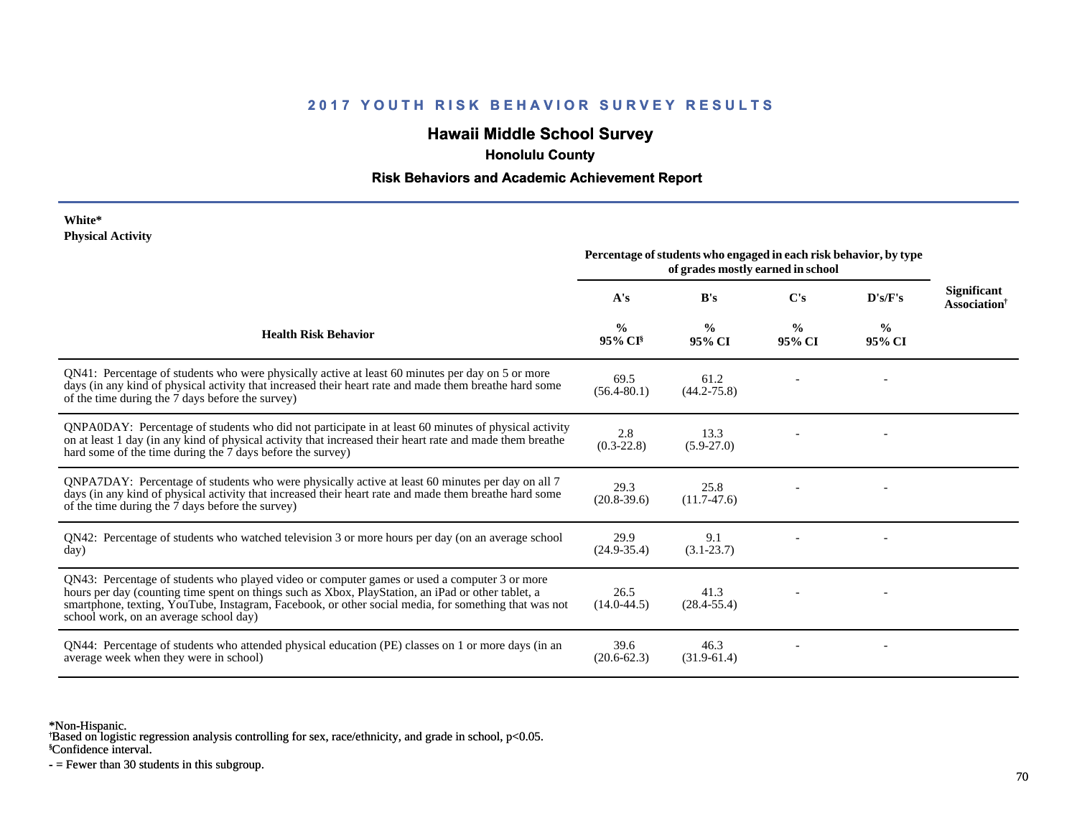## **Hawaii Middle School Survey**

 **Honolulu County**

#### **Risk Behaviors and Academic Achievement Report**

#### **White\* Physical Activity**

|                                                                                                                                                                                                                                                                                                                                                      | Percentage of students who engaged in each risk behavior, by type<br>of grades mostly earned in school |                         |                         |                         |                                                |
|------------------------------------------------------------------------------------------------------------------------------------------------------------------------------------------------------------------------------------------------------------------------------------------------------------------------------------------------------|--------------------------------------------------------------------------------------------------------|-------------------------|-------------------------|-------------------------|------------------------------------------------|
|                                                                                                                                                                                                                                                                                                                                                      | A's                                                                                                    | B's                     | C's                     | D's/F's                 | <b>Significant</b><br>Association <sup>†</sup> |
| <b>Health Risk Behavior</b>                                                                                                                                                                                                                                                                                                                          | $\frac{0}{0}$<br>95% CI <sup>§</sup>                                                                   | $\frac{0}{0}$<br>95% CI | $\frac{0}{0}$<br>95% CI | $\frac{0}{0}$<br>95% CI |                                                |
| QN41: Percentage of students who were physically active at least 60 minutes per day on 5 or more<br>days (in any kind of physical activity that increased their heart rate and made them breathe hard some<br>of the time during the 7 days before the survey)                                                                                       | 69.5<br>$(56.4 - 80.1)$                                                                                | 61.2<br>$(44.2 - 75.8)$ |                         |                         |                                                |
| QNPA0DAY: Percentage of students who did not participate in at least 60 minutes of physical activity<br>on at least 1 day (in any kind of physical activity that increased their heart rate and made them breathe<br>hard some of the time during the 7 days before the survey)                                                                      | 2.8<br>$(0.3 - 22.8)$                                                                                  | 13.3<br>$(5.9 - 27.0)$  |                         |                         |                                                |
| ONPA7DAY: Percentage of students who were physically active at least 60 minutes per day on all 7<br>days (in any kind of physical activity that increased their heart rate and made them breathe hard some<br>of the time during the 7 days before the survey)                                                                                       | 29.3<br>$(20.8-39.6)$                                                                                  | 25.8<br>$(11.7-47.6)$   |                         |                         |                                                |
| QN42: Percentage of students who watched television 3 or more hours per day (on an average school<br>day)                                                                                                                                                                                                                                            | 29.9<br>$(24.9 - 35.4)$                                                                                | 9.1<br>$(3.1 - 23.7)$   |                         |                         |                                                |
| ON43: Percentage of students who played video or computer games or used a computer 3 or more<br>hours per day (counting time spent on things such as Xbox, PlayStation, an iPad or other tablet, a<br>smartphone, texting, YouTube, Instagram, Facebook, or other social media, for something that was not<br>school work, on an average school day) | 26.5<br>$(14.0 - 44.5)$                                                                                | 41.3<br>$(28.4 - 55.4)$ |                         |                         |                                                |
| QN44: Percentage of students who attended physical education (PE) classes on 1 or more days (in an<br>average week when they were in school)                                                                                                                                                                                                         | 39.6<br>$(20.6 - 62.3)$                                                                                | 46.3<br>$(31.9-61.4)$   |                         |                         |                                                |

\*Non-Hispanic.

† Based on logistic regression analysis controlling for sex, race/ethnicity, and grade in school, p<0.05.

§Confidence interval.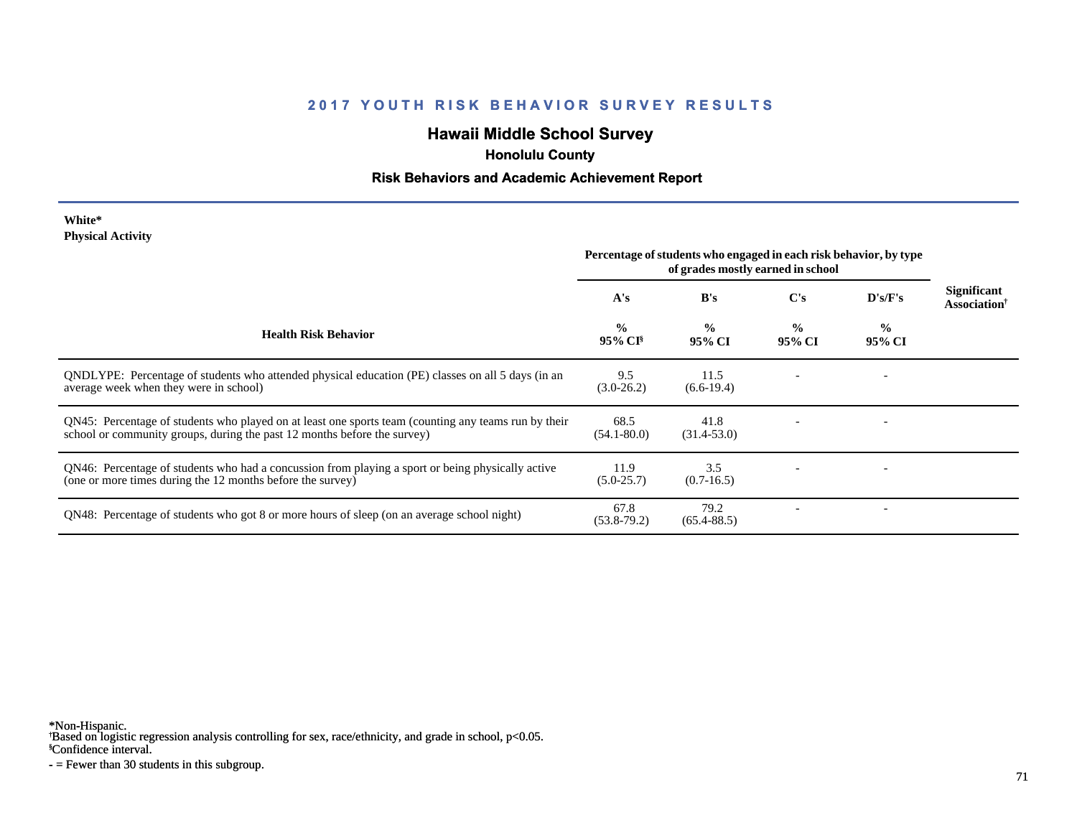## **Hawaii Middle School Survey**

 **Honolulu County**

#### **Risk Behaviors and Academic Achievement Report**

| White*                   |  |
|--------------------------|--|
| <b>Physical Activity</b> |  |

|                                                                                                                                                                                  | Percentage of students who engaged in each risk behavior, by type<br>of grades mostly earned in school |                         |                |                          |                                                |
|----------------------------------------------------------------------------------------------------------------------------------------------------------------------------------|--------------------------------------------------------------------------------------------------------|-------------------------|----------------|--------------------------|------------------------------------------------|
|                                                                                                                                                                                  | A's                                                                                                    | B's                     | $\bf C's$      | D's/F's                  | <b>Significant</b><br>Association <sup>†</sup> |
| <b>Health Risk Behavior</b>                                                                                                                                                      | $\frac{0}{0}$<br>95% CI <sup>§</sup>                                                                   | $\frac{0}{0}$<br>95% CI | $\%$<br>95% CI | $\frac{6}{10}$<br>95% CI |                                                |
| ONDLYPE: Percentage of students who attended physical education (PE) classes on all 5 days (in an<br>average week when they were in school)                                      | 9.5<br>$(3.0-26.2)$                                                                                    | 11.5<br>$(6.6-19.4)$    |                |                          |                                                |
| QN45: Percentage of students who played on at least one sports team (counting any teams run by their<br>school or community groups, during the past 12 months before the survey) | 68.5<br>$(54.1 - 80.0)$                                                                                | 41.8<br>$(31.4 - 53.0)$ |                |                          |                                                |
| QN46: Percentage of students who had a concussion from playing a sport or being physically active<br>(one or more times during the 12 months before the survey)                  | 11.9<br>$(5.0-25.7)$                                                                                   | 3.5<br>$(0.7-16.5)$     |                |                          |                                                |
| QN48: Percentage of students who got 8 or more hours of sleep (on an average school night)                                                                                       | 67.8<br>$(53.8-79.2)$                                                                                  | 79.2<br>$(65.4 - 88.5)$ |                |                          |                                                |

\*Non-Hispanic.

† Based on logistic regression analysis controlling for sex, race/ethnicity, and grade in school, p<0.05.

§Confidence interval.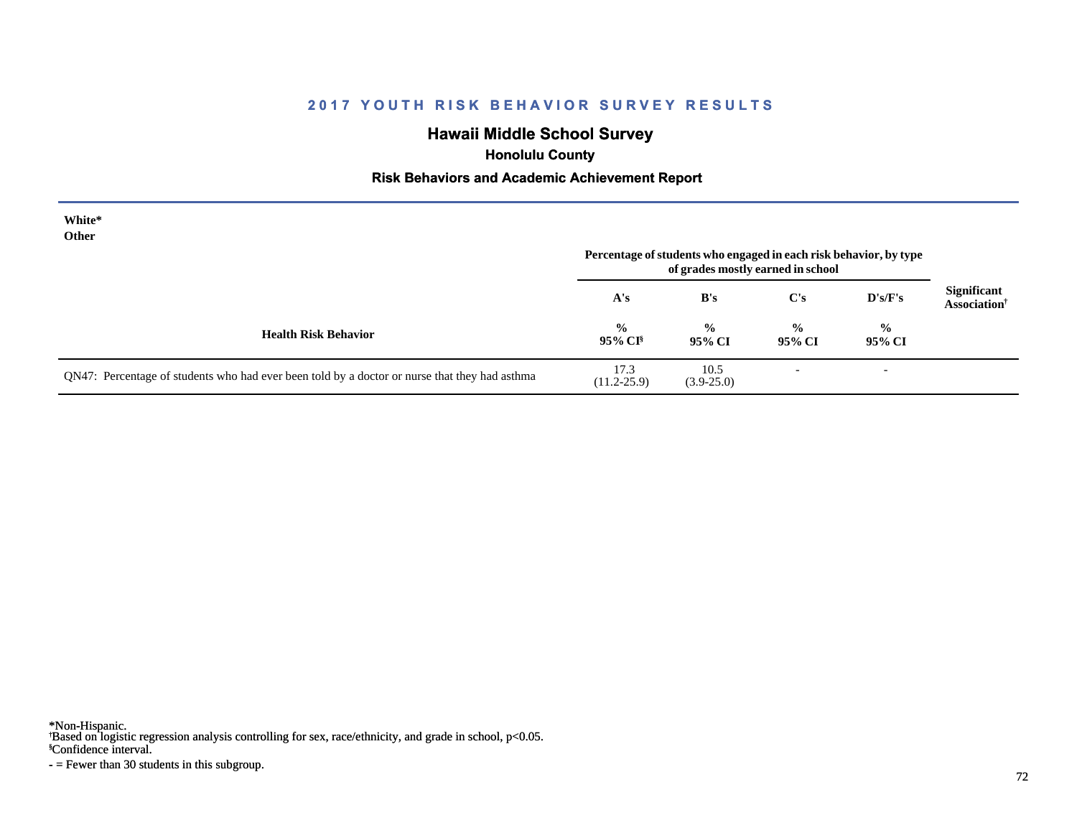## **Hawaii Middle School Survey**

 **Honolulu County**

#### **Risk Behaviors and Academic Achievement Report**

| White*<br>Other                                                                               | Percentage of students who engaged in each risk behavior, by type<br>of grades mostly earned in school |                         |                          |                         |                                                |
|-----------------------------------------------------------------------------------------------|--------------------------------------------------------------------------------------------------------|-------------------------|--------------------------|-------------------------|------------------------------------------------|
|                                                                                               | A's                                                                                                    | B's                     | C's                      | $\bf{D's/F's}$          | <b>Significant</b><br>Association <sup>†</sup> |
| <b>Health Risk Behavior</b>                                                                   | $\frac{0}{0}$<br>95% CI <sup>§</sup>                                                                   | $\frac{0}{0}$<br>95% CI | $\frac{0}{0}$<br>95% CI  | $\frac{6}{6}$<br>95% CI |                                                |
| QN47: Percentage of students who had ever been told by a doctor or nurse that they had asthma | 17.3<br>$(11.2 - 25.9)$                                                                                | 10.5<br>$(3.9-25.0)$    | $\overline{\phantom{0}}$ |                         |                                                |

\*Non-Hispanic.

† Based on logistic regression analysis controlling for sex, race/ethnicity, and grade in school, p<0.05.

§Confidence interval.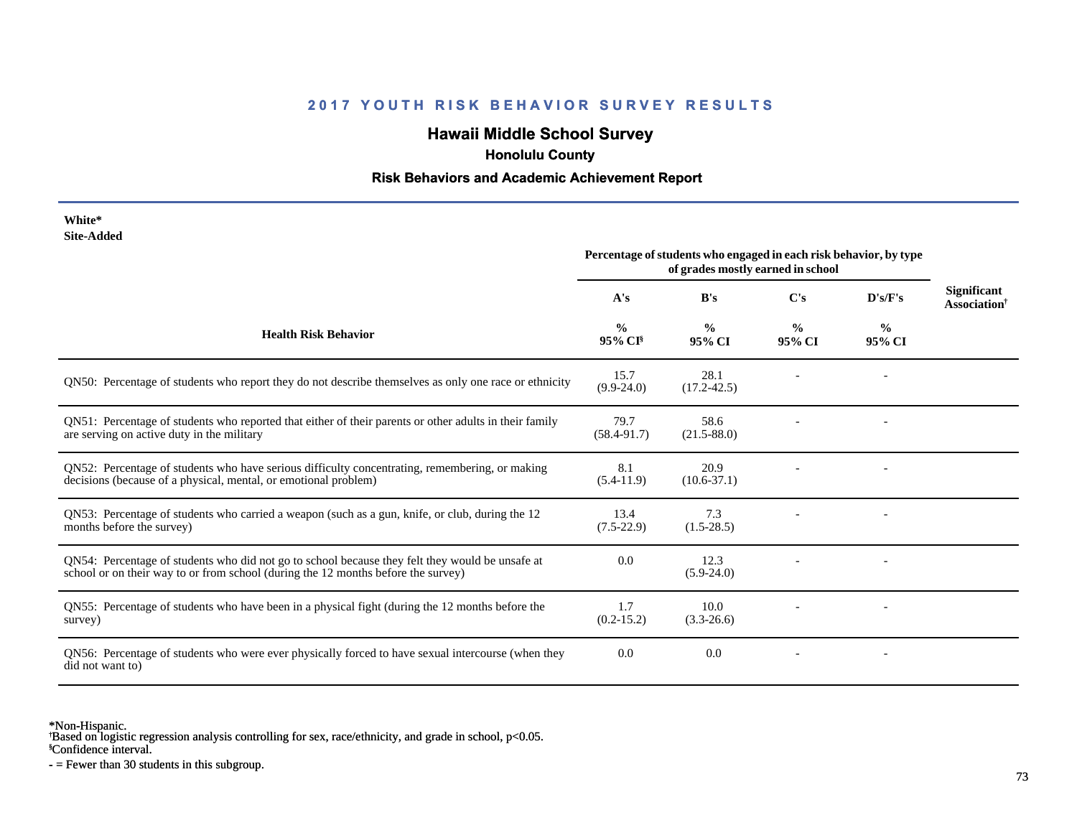## **Hawaii Middle School Survey**

 **Honolulu County**

#### **Risk Behaviors and Academic Achievement Report**

| White*<br><b>Site-Added</b>                                                                                                                                                          |                                                                                                        |                         |                         |                         |                                       |
|--------------------------------------------------------------------------------------------------------------------------------------------------------------------------------------|--------------------------------------------------------------------------------------------------------|-------------------------|-------------------------|-------------------------|---------------------------------------|
|                                                                                                                                                                                      | Percentage of students who engaged in each risk behavior, by type<br>of grades mostly earned in school |                         |                         |                         |                                       |
|                                                                                                                                                                                      | A's                                                                                                    | B's                     | C's                     | D's/F's                 | <b>Significant</b><br>Association $†$ |
| <b>Health Risk Behavior</b>                                                                                                                                                          | $\frac{0}{0}$<br>95% CI <sup>§</sup>                                                                   | $\frac{0}{0}$<br>95% CI | $\frac{0}{0}$<br>95% CI | $\frac{0}{0}$<br>95% CI |                                       |
| QN50: Percentage of students who report they do not describe themselves as only one race or ethnicity                                                                                | 15.7<br>$(9.9-24.0)$                                                                                   | 28.1<br>$(17.2 - 42.5)$ |                         |                         |                                       |
| QN51: Percentage of students who reported that either of their parents or other adults in their family<br>are serving on active duty in the military                                 | 79.7<br>$(58.4 - 91.7)$                                                                                | 58.6<br>$(21.5 - 88.0)$ |                         |                         |                                       |
| QN52: Percentage of students who have serious difficulty concentrating, remembering, or making<br>decisions (because of a physical, mental, or emotional problem)                    | 8.1<br>$(5.4-11.9)$                                                                                    | 20.9<br>$(10.6 - 37.1)$ |                         |                         |                                       |
| QN53: Percentage of students who carried a weapon (such as a gun, knife, or club, during the 12<br>months before the survey)                                                         | 13.4<br>$(7.5-22.9)$                                                                                   | 7.3<br>$(1.5-28.5)$     |                         |                         |                                       |
| QN54: Percentage of students who did not go to school because they felt they would be unsafe at<br>school or on their way to or from school (during the 12 months before the survey) | 0.0                                                                                                    | 12.3<br>$(5.9-24.0)$    |                         |                         |                                       |
| QN55: Percentage of students who have been in a physical fight (during the 12 months before the<br>survey)                                                                           | 1.7<br>$(0.2 - 15.2)$                                                                                  | 10.0<br>$(3.3-26.6)$    |                         |                         |                                       |
| QN56: Percentage of students who were ever physically forced to have sexual intercourse (when they<br>did not want to)                                                               | 0.0                                                                                                    | 0.0                     |                         |                         |                                       |

\*Non-Hispanic.

† Based on logistic regression analysis controlling for sex, race/ethnicity, and grade in school, p<0.05.

§Confidence interval.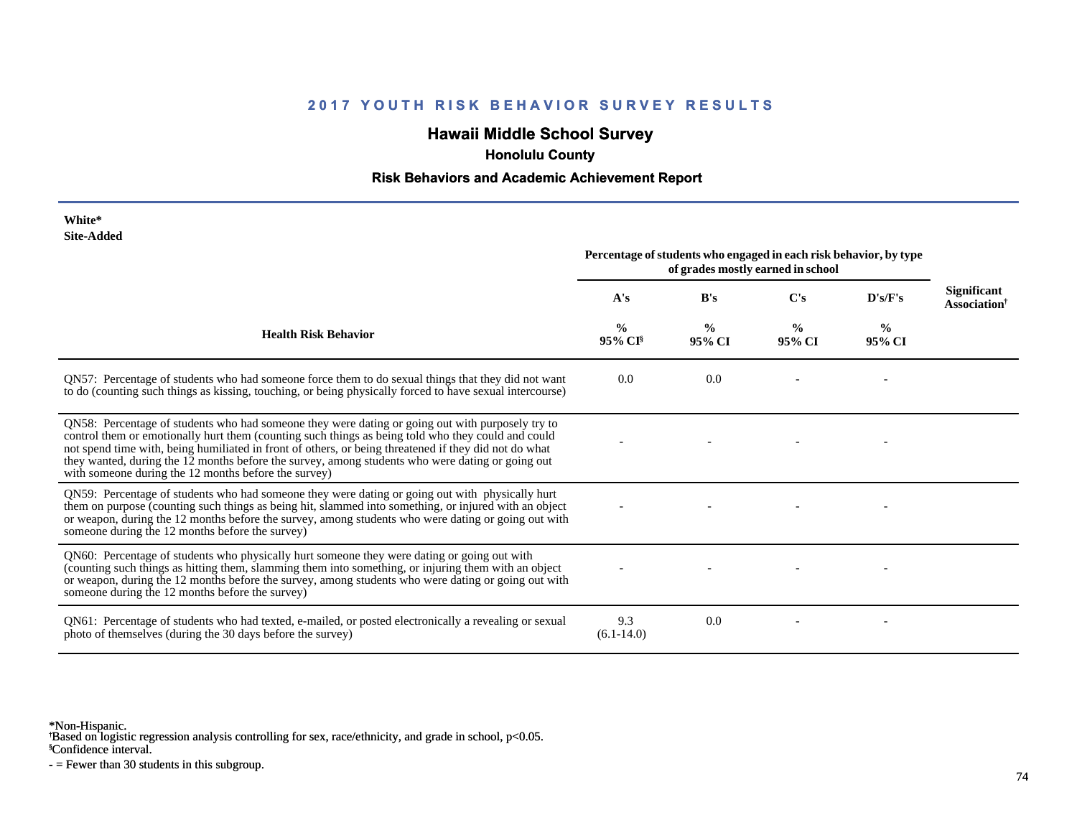## **Hawaii Middle School Survey**

 **Honolulu County**

#### **Risk Behaviors and Academic Achievement Report**

| White*<br><b>Site-Added</b>                                                                                                                                                                                                                                                                                                                                                                                                                                                 | Percentage of students who engaged in each risk behavior, by type<br>of grades mostly earned in school |                         |                         |                         |                                                       |
|-----------------------------------------------------------------------------------------------------------------------------------------------------------------------------------------------------------------------------------------------------------------------------------------------------------------------------------------------------------------------------------------------------------------------------------------------------------------------------|--------------------------------------------------------------------------------------------------------|-------------------------|-------------------------|-------------------------|-------------------------------------------------------|
|                                                                                                                                                                                                                                                                                                                                                                                                                                                                             | A's                                                                                                    | B's                     | C's                     | D's/F's                 | <b>Significant</b><br><b>Association</b> <sup>†</sup> |
| <b>Health Risk Behavior</b>                                                                                                                                                                                                                                                                                                                                                                                                                                                 | $\frac{6}{6}$<br>$95\%$ CI <sup>§</sup>                                                                | $\frac{0}{0}$<br>95% CI | $\frac{0}{0}$<br>95% CI | $\frac{6}{9}$<br>95% CI |                                                       |
| QN57: Percentage of students who had someone force them to do sexual things that they did not want<br>to do (counting such things as kissing, touching, or being physically forced to have sexual intercourse)                                                                                                                                                                                                                                                              | 0.0                                                                                                    | 0.0                     |                         |                         |                                                       |
| QN58: Percentage of students who had someone they were dating or going out with purposely try to<br>control them or emotionally hurt them (counting such things as being told who they could and could<br>not spend time with, being humiliated in front of others, or being threatened if they did not do what<br>they wanted, during the 12 months before the survey, among students who were dating or going out<br>with someone during the 12 months before the survey) |                                                                                                        |                         |                         |                         |                                                       |
| QN59: Percentage of students who had someone they were dating or going out with physically hurt<br>them on purpose (counting such things as being hit, slammed into something, or injured with an object<br>or weapon, during the 12 months before the survey, among students who were dating or going out with<br>someone during the 12 months before the survey)                                                                                                          |                                                                                                        |                         |                         |                         |                                                       |
| QN60: Percentage of students who physically hurt someone they were dating or going out with<br>(counting such things as hitting them, slamming them into something, or injuring them with an object<br>or weapon, during the 12 months before the survey, among students who were dating or going out with<br>someone during the 12 months before the survey)                                                                                                               |                                                                                                        |                         |                         |                         |                                                       |
| QN61: Percentage of students who had texted, e-mailed, or posted electronically a revealing or sexual<br>photo of themselves (during the 30 days before the survey)                                                                                                                                                                                                                                                                                                         | 9.3<br>$(6.1 - 14.0)$                                                                                  | 0.0                     |                         |                         |                                                       |

\*Non-Hispanic.

† Based on logistic regression analysis controlling for sex, race/ethnicity, and grade in school, p<0.05.

§Confidence interval.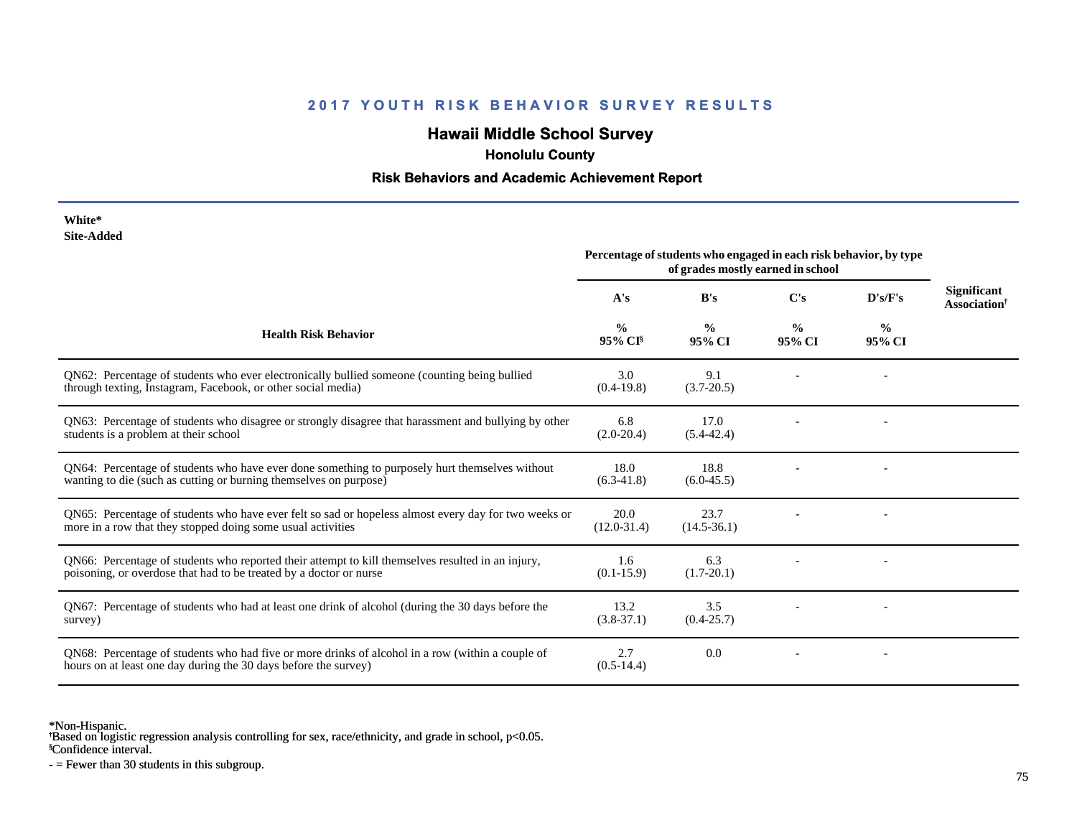## **Hawaii Middle School Survey**

 **Honolulu County**

#### **Risk Behaviors and Academic Achievement Report**

| White*     |
|------------|
| Site-Added |

|                                                                                                                                                                         | Percentage of students who engaged in each risk behavior, by type<br>of grades mostly earned in school |                         |                         |                         |                                                       |
|-------------------------------------------------------------------------------------------------------------------------------------------------------------------------|--------------------------------------------------------------------------------------------------------|-------------------------|-------------------------|-------------------------|-------------------------------------------------------|
|                                                                                                                                                                         | A's                                                                                                    | B's                     | C's                     | D's/F's                 | <b>Significant</b><br><b>Association</b> <sup>†</sup> |
| <b>Health Risk Behavior</b>                                                                                                                                             | $\frac{0}{0}$<br>95% CI <sup>§</sup>                                                                   | $\frac{0}{0}$<br>95% CI | $\frac{0}{0}$<br>95% CI | $\frac{0}{0}$<br>95% CI |                                                       |
| QN62: Percentage of students who ever electronically bullied someone (counting being bullied<br>through texting, Instagram, Facebook, or other social media)            | 3.0<br>$(0.4-19.8)$                                                                                    | 9.1<br>$(3.7 - 20.5)$   |                         |                         |                                                       |
| QN63: Percentage of students who disagree or strongly disagree that harassment and bullying by other<br>students is a problem at their school                           | 6.8<br>$(2.0-20.4)$                                                                                    | 17.0<br>$(5.4 - 42.4)$  |                         |                         |                                                       |
| QN64: Percentage of students who have ever done something to purposely hurt themselves without<br>wanting to die (such as cutting or burning themselves on purpose)     | 18.0<br>$(6.3-41.8)$                                                                                   | 18.8<br>$(6.0-45.5)$    |                         |                         |                                                       |
| QN65: Percentage of students who have ever felt so sad or hopeless almost every day for two weeks or<br>more in a row that they stopped doing some usual activities     | 20.0<br>$(12.0 - 31.4)$                                                                                | 23.7<br>$(14.5 - 36.1)$ |                         |                         |                                                       |
| QN66: Percentage of students who reported their attempt to kill themselves resulted in an injury,<br>poisoning, or overdose that had to be treated by a doctor or nurse | 1.6<br>$(0.1 - 15.9)$                                                                                  | 6.3<br>$(1.7-20.1)$     |                         |                         |                                                       |
| QN67: Percentage of students who had at least one drink of alcohol (during the 30 days before the<br>survey)                                                            | 13.2<br>$(3.8-37.1)$                                                                                   | 3.5<br>$(0.4 - 25.7)$   |                         |                         |                                                       |
| QN68: Percentage of students who had five or more drinks of alcohol in a row (within a couple of<br>hours on at least one day during the 30 days before the survey)     | 2.7<br>$(0.5-14.4)$                                                                                    | 0.0                     |                         |                         |                                                       |

\*Non-Hispanic.

† Based on logistic regression analysis controlling for sex, race/ethnicity, and grade in school, p<0.05.

§Confidence interval.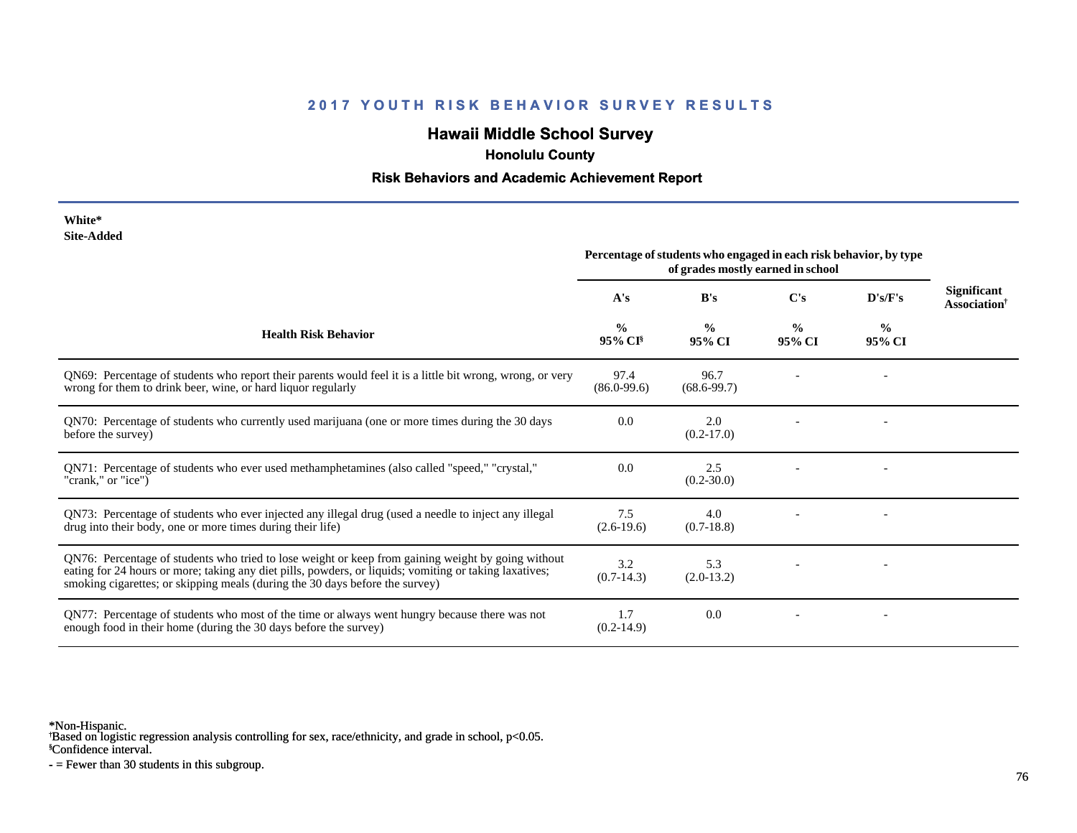## **Hawaii Middle School Survey**

 **Honolulu County**

#### **Risk Behaviors and Academic Achievement Report**

| White*     |
|------------|
| Site-Added |

|                                                                                                                                                                                                                                                                                              | Percentage of students who engaged in each risk behavior, by type<br>of grades mostly earned in school |                         |                         |                         |                                         |
|----------------------------------------------------------------------------------------------------------------------------------------------------------------------------------------------------------------------------------------------------------------------------------------------|--------------------------------------------------------------------------------------------------------|-------------------------|-------------------------|-------------------------|-----------------------------------------|
|                                                                                                                                                                                                                                                                                              | A's                                                                                                    | B's                     | $\bf C's$               | D's/F's                 | Significant<br>Association <sup>†</sup> |
| <b>Health Risk Behavior</b>                                                                                                                                                                                                                                                                  | $\frac{0}{0}$<br>95% CI <sup>§</sup>                                                                   | $\frac{0}{0}$<br>95% CI | $\frac{0}{0}$<br>95% CI | $\frac{6}{9}$<br>95% CI |                                         |
| QN69: Percentage of students who report their parents would feel it is a little bit wrong, wrong, or very<br>wrong for them to drink beer, wine, or hard liquor regularly                                                                                                                    | 97.4<br>$(86.0 - 99.6)$                                                                                | 96.7<br>$(68.6 - 99.7)$ |                         |                         |                                         |
| QN70: Percentage of students who currently used marijuana (one or more times during the 30 days<br>before the survey)                                                                                                                                                                        | 0.0                                                                                                    | 2.0<br>$(0.2 - 17.0)$   |                         |                         |                                         |
| QN71: Percentage of students who ever used methamphetamines (also called "speed," "crystal,"<br>"crank," or "ice")                                                                                                                                                                           | 0.0                                                                                                    | 2.5<br>$(0.2 - 30.0)$   |                         |                         |                                         |
| QN73: Percentage of students who ever injected any illegal drug (used a needle to inject any illegal<br>drug into their body, one or more times during their life)                                                                                                                           | 7.5<br>$(2.6-19.6)$                                                                                    | 4.0<br>$(0.7-18.8)$     |                         |                         |                                         |
| QN76: Percentage of students who tried to lose weight or keep from gaining weight by going without<br>eating for 24 hours or more; taking any diet pills, powders, or liquids; vomiting or taking laxatives;<br>smoking cigarettes; or skipping meals (during the 30 days before the survey) | 3.2<br>$(0.7-14.3)$                                                                                    | 5.3<br>$(2.0-13.2)$     |                         |                         |                                         |
| QN77: Percentage of students who most of the time or always went hungry because there was not<br>enough food in their home (during the 30 days before the survey)                                                                                                                            | 1.7<br>$(0.2-14.9)$                                                                                    | 0.0                     |                         |                         |                                         |

\*Non-Hispanic.

† Based on logistic regression analysis controlling for sex, race/ethnicity, and grade in school, p<0.05.

§Confidence interval.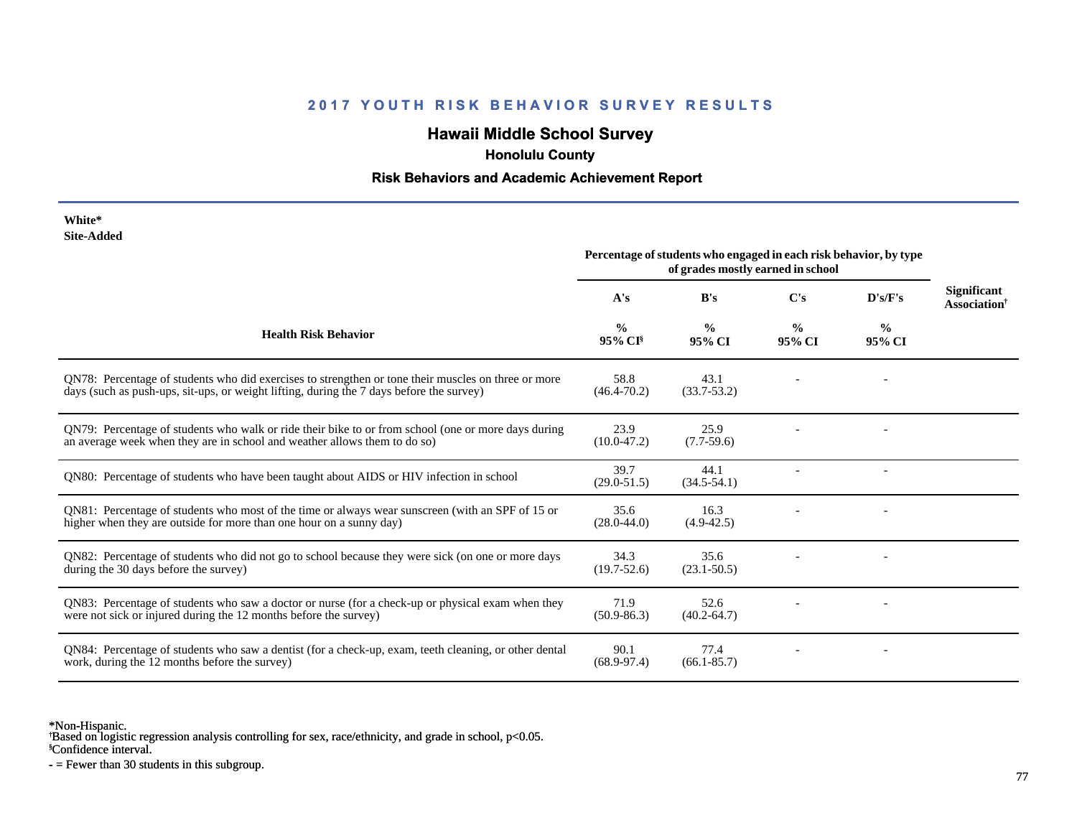## **Hawaii Middle School Survey**

 **Honolulu County**

#### **Risk Behaviors and Academic Achievement Report**

| White*     |
|------------|
| Site-Added |

|                                                                                                                                                                                                 | Percentage of students who engaged in each risk behavior, by type<br>of grades mostly earned in school |                         |                         |                         |                                                       |
|-------------------------------------------------------------------------------------------------------------------------------------------------------------------------------------------------|--------------------------------------------------------------------------------------------------------|-------------------------|-------------------------|-------------------------|-------------------------------------------------------|
|                                                                                                                                                                                                 | A's                                                                                                    | B's                     | C's                     | D's/F's                 | <b>Significant</b><br><b>Association</b> <sup>†</sup> |
| <b>Health Risk Behavior</b>                                                                                                                                                                     | $\frac{0}{0}$<br>95% CI                                                                                | $\frac{0}{0}$<br>95% CI | $\frac{6}{9}$<br>95% CI | $\frac{0}{0}$<br>95% CI |                                                       |
| QN78: Percentage of students who did exercises to strengthen or tone their muscles on three or more<br>days (such as push-ups, sit-ups, or weight lifting, during the 7 days before the survey) | 58.8<br>$(46.4 - 70.2)$                                                                                | 43.1<br>$(33.7 - 53.2)$ |                         |                         |                                                       |
| ON79: Percentage of students who walk or ride their bike to or from school (one or more days during<br>an average week when they are in school and weather allows them to do so)                | 23.9<br>$(10.0-47.2)$                                                                                  | 25.9<br>$(7.7-59.6)$    |                         |                         |                                                       |
| QN80: Percentage of students who have been taught about AIDS or HIV infection in school                                                                                                         | 39.7<br>$(29.0 - 51.5)$                                                                                | 44.1<br>$(34.5 - 54.1)$ |                         |                         |                                                       |
| QN81: Percentage of students who most of the time or always wear sunscreen (with an SPF of 15 or<br>higher when they are outside for more than one hour on a sunny day)                         | 35.6<br>$(28.0 - 44.0)$                                                                                | 16.3<br>$(4.9-42.5)$    |                         |                         |                                                       |
| QN82: Percentage of students who did not go to school because they were sick (on one or more days<br>during the 30 days before the survey)                                                      | 34.3<br>$(19.7 - 52.6)$                                                                                | 35.6<br>$(23.1 - 50.5)$ |                         |                         |                                                       |
| QN83: Percentage of students who saw a doctor or nurse (for a check-up or physical exam when they<br>were not sick or injured during the 12 months before the survey)                           | 71.9<br>$(50.9 - 86.3)$                                                                                | 52.6<br>$(40.2 - 64.7)$ |                         |                         |                                                       |
| QN84: Percentage of students who saw a dentist (for a check-up, exam, teeth cleaning, or other dental<br>work, during the 12 months before the survey)                                          | 90.1<br>$(68.9 - 97.4)$                                                                                | 77.4<br>$(66.1 - 85.7)$ |                         |                         |                                                       |

\*Non-Hispanic.

† Based on logistic regression analysis controlling for sex, race/ethnicity, and grade in school, p<0.05.

§Confidence interval.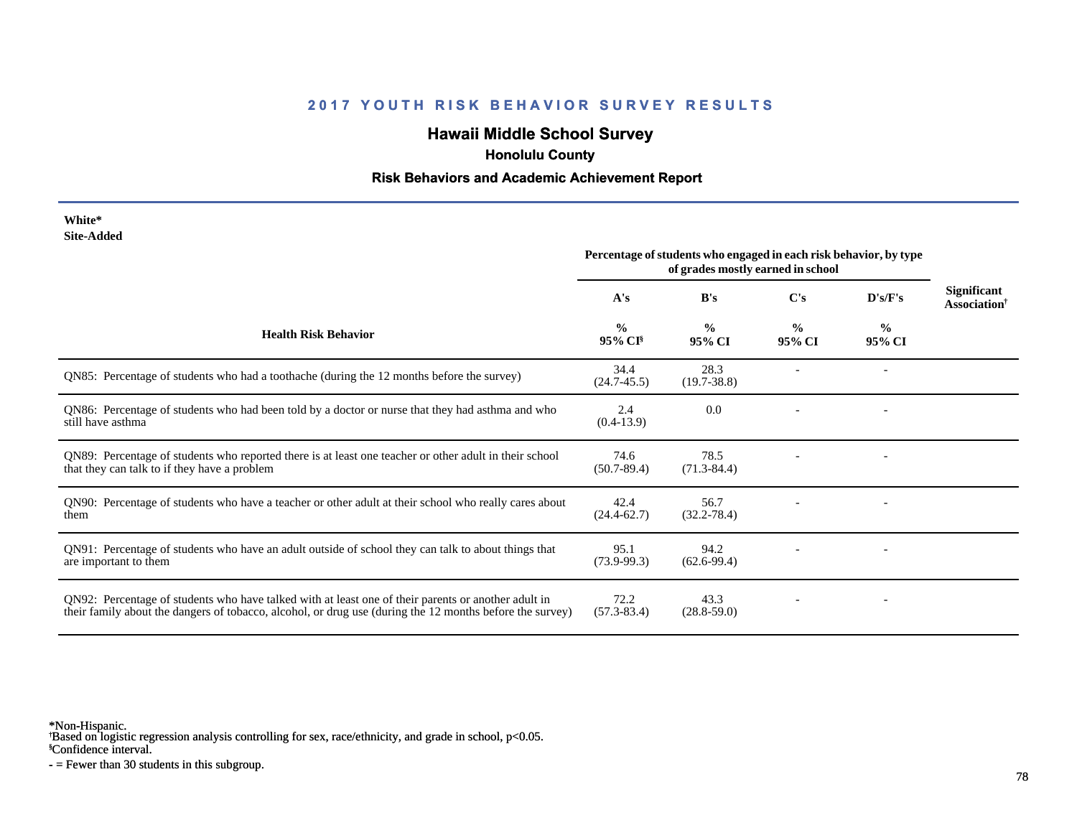## **Hawaii Middle School Survey**

 **Honolulu County**

#### **Risk Behaviors and Academic Achievement Report**

| White*     |
|------------|
| Site-Added |

|                                                                                                                                                                                                                 | Percentage of students who engaged in each risk behavior, by type<br>of grades mostly earned in school |                         |                         |                         |                                                       |
|-----------------------------------------------------------------------------------------------------------------------------------------------------------------------------------------------------------------|--------------------------------------------------------------------------------------------------------|-------------------------|-------------------------|-------------------------|-------------------------------------------------------|
|                                                                                                                                                                                                                 | A's                                                                                                    | B's                     | C's                     | D's/F's                 | <b>Significant</b><br><b>Association</b> <sup>†</sup> |
| <b>Health Risk Behavior</b>                                                                                                                                                                                     | $\frac{0}{0}$<br>$95\%$ CI <sup>§</sup>                                                                | $\frac{0}{0}$<br>95% CI | $\frac{0}{0}$<br>95% CI | $\frac{6}{9}$<br>95% CI |                                                       |
| QN85: Percentage of students who had a toothache (during the 12 months before the survey)                                                                                                                       | 34.4<br>$(24.7 - 45.5)$                                                                                | 28.3<br>$(19.7 - 38.8)$ |                         |                         |                                                       |
| QN86: Percentage of students who had been told by a doctor or nurse that they had asthma and who<br>still have asthma                                                                                           | 2.4<br>$(0.4-13.9)$                                                                                    | 0.0                     |                         |                         |                                                       |
| QN89: Percentage of students who reported there is at least one teacher or other adult in their school<br>that they can talk to if they have a problem                                                          | 74.6<br>$(50.7 - 89.4)$                                                                                | 78.5<br>$(71.3 - 84.4)$ |                         |                         |                                                       |
| QN90: Percentage of students who have a teacher or other adult at their school who really cares about<br>them                                                                                                   | 42.4<br>$(24.4 - 62.7)$                                                                                | 56.7<br>$(32.2 - 78.4)$ |                         |                         |                                                       |
| QN91: Percentage of students who have an adult outside of school they can talk to about things that<br>are important to them                                                                                    | 95.1<br>$(73.9 - 99.3)$                                                                                | 94.2<br>$(62.6-99.4)$   |                         |                         |                                                       |
| QN92: Percentage of students who have talked with at least one of their parents or another adult in<br>their family about the dangers of tobacco, alcohol, or drug use (during the 12 months before the survey) | 72.2<br>$(57.3 - 83.4)$                                                                                | 43.3<br>$(28.8 - 59.0)$ |                         |                         |                                                       |

\*Non-Hispanic.

† Based on logistic regression analysis controlling for sex, race/ethnicity, and grade in school, p<0.05.

§Confidence interval.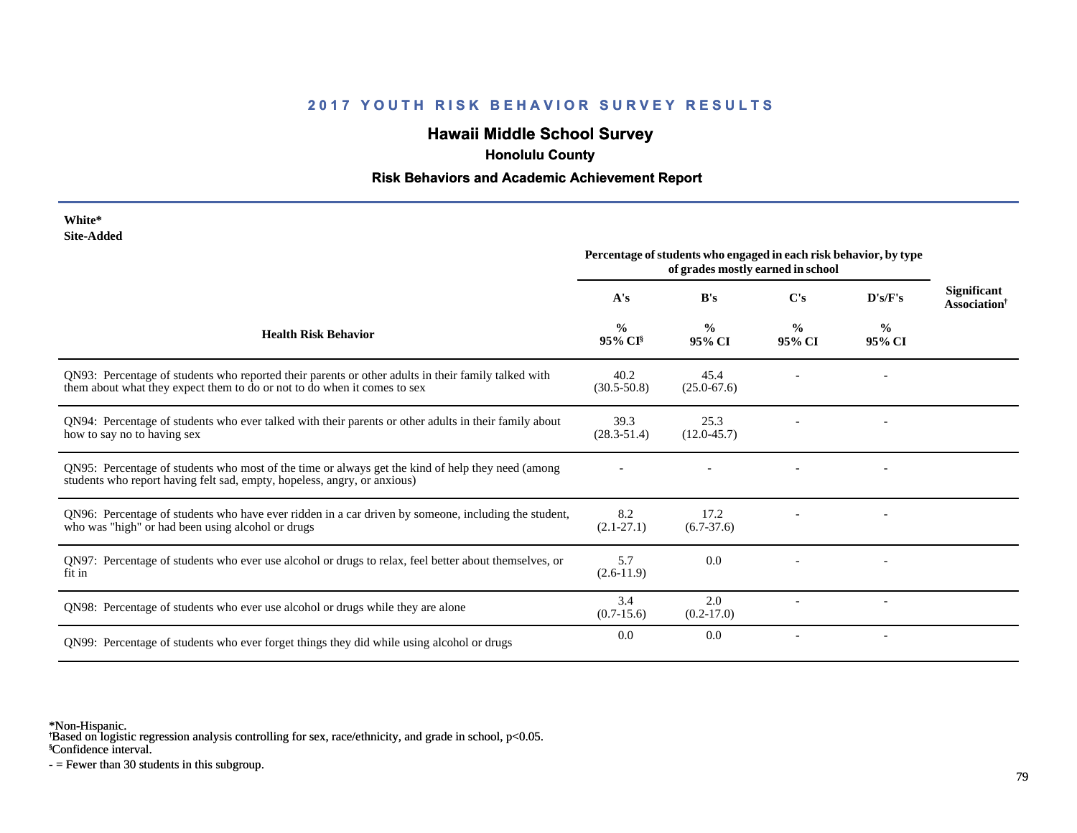## **Hawaii Middle School Survey**

 **Honolulu County**

#### **Risk Behaviors and Academic Achievement Report**

| White*     |
|------------|
| Site-Added |

|                                                                                                                                                                                 | Percentage of students who engaged in each risk behavior, by type<br>of grades mostly earned in school |                         |                         |                          |                                                |
|---------------------------------------------------------------------------------------------------------------------------------------------------------------------------------|--------------------------------------------------------------------------------------------------------|-------------------------|-------------------------|--------------------------|------------------------------------------------|
|                                                                                                                                                                                 | A's                                                                                                    | B's                     | C's                     | D's/F's                  | <b>Significant</b><br>Association <sup>†</sup> |
| <b>Health Risk Behavior</b>                                                                                                                                                     | $\frac{0}{0}$<br>95% CI                                                                                | $\frac{0}{0}$<br>95% CI | $\frac{0}{0}$<br>95% CI | $\frac{0}{0}$<br>95% CI  |                                                |
| QN93: Percentage of students who reported their parents or other adults in their family talked with<br>them about what they expect them to do or not to do when it comes to sex | 40.2<br>$(30.5 - 50.8)$                                                                                | 45.4<br>$(25.0 - 67.6)$ |                         |                          |                                                |
| QN94: Percentage of students who ever talked with their parents or other adults in their family about<br>how to say no to having sex                                            | 39.3<br>$(28.3 - 51.4)$                                                                                | 25.3<br>$(12.0 - 45.7)$ |                         |                          |                                                |
| ON95: Percentage of students who most of the time or always get the kind of help they need (among<br>students who report having felt sad, empty, hopeless, angry, or anxious)   |                                                                                                        |                         |                         |                          |                                                |
| QN96: Percentage of students who have ever ridden in a car driven by someone, including the student,<br>who was "high" or had been using alcohol or drugs                       | 8.2<br>$(2.1 - 27.1)$                                                                                  | 17.2<br>$(6.7-37.6)$    |                         |                          |                                                |
| QN97: Percentage of students who ever use alcohol or drugs to relax, feel better about themselves, or<br>fit in                                                                 | 5.7<br>$(2.6-11.9)$                                                                                    | 0.0                     |                         |                          |                                                |
| QN98: Percentage of students who ever use alcohol or drugs while they are alone                                                                                                 | 3.4<br>$(0.7-15.6)$                                                                                    | 2.0<br>$(0.2-17.0)$     |                         | $\overline{\phantom{a}}$ |                                                |
| QN99: Percentage of students who ever forget things they did while using alcohol or drugs                                                                                       | 0.0                                                                                                    | 0.0                     |                         |                          |                                                |

\*Non-Hispanic.

† Based on logistic regression analysis controlling for sex, race/ethnicity, and grade in school, p<0.05.

§Confidence interval.